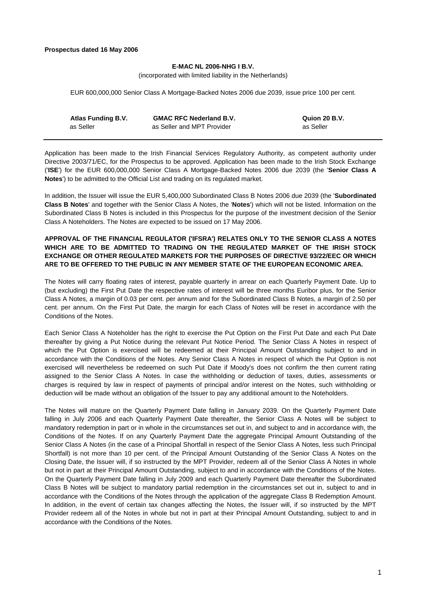#### **Prospectus dated 16 May 2006**

# **E-MAC NL 2006-NHG I B.V.**

(incorporated with limited liability in the Netherlands)

EUR 600,000,000 Senior Class A Mortgage-Backed Notes 2006 due 2039, issue price 100 per cent.

| Atlas Funding B.V. | <b>GMAC RFC Nederland B.V.</b> | Quion 20 B.V. |
|--------------------|--------------------------------|---------------|
| as Seller          | as Seller and MPT Provider     | as Seller     |

Application has been made to the Irish Financial Services Regulatory Authority, as competent authority under Directive 2003/71/EC, for the Prospectus to be approved. Application has been made to the Irish Stock Exchange ('**ISE**') for the EUR 600,000,000 Senior Class A Mortgage-Backed Notes 2006 due 2039 (the '**Senior Class A Notes**') to be admitted to the Official List and trading on its regulated market.

In addition, the Issuer will issue the EUR 5,400,000 Subordinated Class B Notes 2006 due 2039 (the '**Subordinated Class B Notes**' and together with the Senior Class A Notes, the '**Notes**') which will not be listed. Information on the Subordinated Class B Notes is included in this Prospectus for the purpose of the investment decision of the Senior Class A Noteholders. The Notes are expected to be issued on 17 May 2006.

# **APPROVAL OF THE FINANCIAL REGULATOR ('IFSRA') RELATES ONLY TO THE SENIOR CLASS A NOTES WHICH ARE TO BE ADMITTED TO TRADING ON THE REGULATED MARKET OF THE IRISH STOCK EXCHANGE OR OTHER REGULATED MARKETS FOR THE PURPOSES OF DIRECTIVE 93/22/EEC OR WHICH ARE TO BE OFFERED TO THE PUBLIC IN ANY MEMBER STATE OF THE EUROPEAN ECONOMIC AREA.**

The Notes will carry floating rates of interest, payable quarterly in arrear on each Quarterly Payment Date. Up to (but excluding) the First Put Date the respective rates of interest will be three months Euribor plus, for the Senior Class A Notes, a margin of 0.03 per cent. per annum and for the Subordinated Class B Notes, a margin of 2.50 per cent. per annum. On the First Put Date, the margin for each Class of Notes will be reset in accordance with the Conditions of the Notes.

Each Senior Class A Noteholder has the right to exercise the Put Option on the First Put Date and each Put Date thereafter by giving a Put Notice during the relevant Put Notice Period. The Senior Class A Notes in respect of which the Put Option is exercised will be redeemed at their Principal Amount Outstanding subject to and in accordance with the Conditions of the Notes. Any Senior Class A Notes in respect of which the Put Option is not exercised will nevertheless be redeemed on such Put Date if Moody's does not confirm the then current rating assigned to the Senior Class A Notes. In case the withholding or deduction of taxes, duties, assessments or charges is required by law in respect of payments of principal and/or interest on the Notes, such withholding or deduction will be made without an obligation of the Issuer to pay any additional amount to the Noteholders.

The Notes will mature on the Quarterly Payment Date falling in January 2039. On the Quarterly Payment Date falling in July 2006 and each Quarterly Payment Date thereafter, the Senior Class A Notes will be subject to mandatory redemption in part or in whole in the circumstances set out in, and subject to and in accordance with, the Conditions of the Notes. If on any Quarterly Payment Date the aggregate Principal Amount Outstanding of the Senior Class A Notes (in the case of a Principal Shortfall in respect of the Senior Class A Notes, less such Principal Shortfall) is not more than 10 per cent. of the Principal Amount Outstanding of the Senior Class A Notes on the Closing Date, the Issuer will, if so instructed by the MPT Provider, redeem all of the Senior Class A Notes in whole but not in part at their Principal Amount Outstanding, subject to and in accordance with the Conditions of the Notes. On the Quarterly Payment Date falling in July 2009 and each Quarterly Payment Date thereafter the Subordinated Class B Notes will be subject to mandatory partial redemption in the circumstances set out in, subject to and in accordance with the Conditions of the Notes through the application of the aggregate Class B Redemption Amount. In addition, in the event of certain tax changes affecting the Notes, the Issuer will, if so instructed by the MPT Provider redeem all of the Notes in whole but not in part at their Principal Amount Outstanding, subject to and in accordance with the Conditions of the Notes.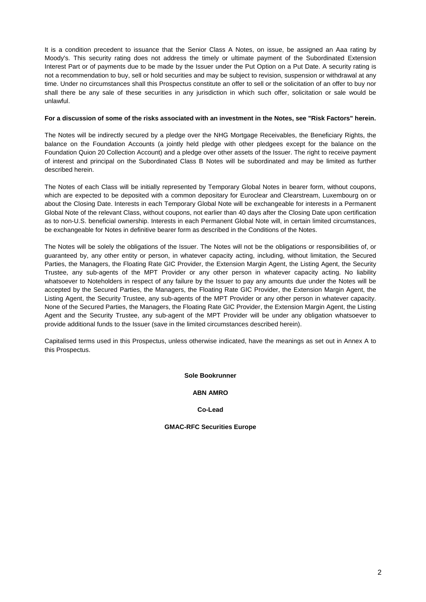It is a condition precedent to issuance that the Senior Class A Notes, on issue, be assigned an Aaa rating by Moody's. This security rating does not address the timely or ultimate payment of the Subordinated Extension Interest Part or of payments due to be made by the Issuer under the Put Option on a Put Date. A security rating is not a recommendation to buy, sell or hold securities and may be subject to revision, suspension or withdrawal at any time. Under no circumstances shall this Prospectus constitute an offer to sell or the solicitation of an offer to buy nor shall there be any sale of these securities in any jurisdiction in which such offer, solicitation or sale would be unlawful.

### **For a discussion of some of the risks associated with an investment in the Notes, see "Risk Factors" herein.**

The Notes will be indirectly secured by a pledge over the NHG Mortgage Receivables, the Beneficiary Rights, the balance on the Foundation Accounts (a jointly held pledge with other pledgees except for the balance on the Foundation Quion 20 Collection Account) and a pledge over other assets of the Issuer. The right to receive payment of interest and principal on the Subordinated Class B Notes will be subordinated and may be limited as further described herein.

The Notes of each Class will be initially represented by Temporary Global Notes in bearer form, without coupons, which are expected to be deposited with a common depositary for Euroclear and Clearstream, Luxembourg on or about the Closing Date. Interests in each Temporary Global Note will be exchangeable for interests in a Permanent Global Note of the relevant Class, without coupons, not earlier than 40 days after the Closing Date upon certification as to non-U.S. beneficial ownership. Interests in each Permanent Global Note will, in certain limited circumstances, be exchangeable for Notes in definitive bearer form as described in the Conditions of the Notes.

The Notes will be solely the obligations of the Issuer. The Notes will not be the obligations or responsibilities of, or guaranteed by, any other entity or person, in whatever capacity acting, including, without limitation, the Secured Parties, the Managers, the Floating Rate GIC Provider, the Extension Margin Agent, the Listing Agent, the Security Trustee, any sub-agents of the MPT Provider or any other person in whatever capacity acting. No liability whatsoever to Noteholders in respect of any failure by the Issuer to pay any amounts due under the Notes will be accepted by the Secured Parties, the Managers, the Floating Rate GIC Provider, the Extension Margin Agent, the Listing Agent, the Security Trustee, any sub-agents of the MPT Provider or any other person in whatever capacity. None of the Secured Parties, the Managers, the Floating Rate GIC Provider, the Extension Margin Agent, the Listing Agent and the Security Trustee, any sub-agent of the MPT Provider will be under any obligation whatsoever to provide additional funds to the Issuer (save in the limited circumstances described herein).

Capitalised terms used in this Prospectus, unless otherwise indicated, have the meanings as set out in Annex A to this Prospectus.

**Sole Bookrunner** 

# **ABN AMRO**

**Co-Lead** 

**GMAC-RFC Securities Europe**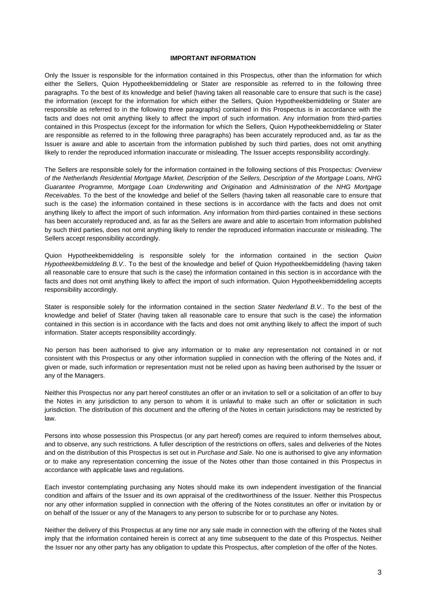### **IMPORTANT INFORMATION**

Only the Issuer is responsible for the information contained in this Prospectus, other than the information for which either the Sellers, Quion Hypotheekbemiddeling or Stater are responsible as referred to in the following three paragraphs. To the best of its knowledge and belief (having taken all reasonable care to ensure that such is the case) the information (except for the information for which either the Sellers, Quion Hypotheekbemiddeling or Stater are responsible as referred to in the following three paragraphs) contained in this Prospectus is in accordance with the facts and does not omit anything likely to affect the import of such information. Any information from third-parties contained in this Prospectus (except for the information for which the Sellers, Quion Hypotheekbemiddeling or Stater are responsible as referred to in the following three paragraphs) has been accurately reproduced and, as far as the Issuer is aware and able to ascertain from the information published by such third parties, does not omit anything likely to render the reproduced information inaccurate or misleading. The Issuer accepts responsibility accordingly.

The Sellers are responsible solely for the information contained in the following sections of this Prospectus: *Overview of the Netherlands Residential Mortgage Market, Description of the Sellers, Description of the Mortgage Loans, NHG Guarantee Programme, Mortgage Loan Underwriting and Origination* and *Administration of the NHG Mortgage Receivables.* To the best of the knowledge and belief of the Sellers (having taken all reasonable care to ensure that such is the case) the information contained in these sections is in accordance with the facts and does not omit anything likely to affect the import of such information. Any information from third-parties contained in these sections has been accurately reproduced and, as far as the Sellers are aware and able to ascertain from information published by such third parties, does not omit anything likely to render the reproduced information inaccurate or misleading. The Sellers accept responsibility accordingly.

Quion Hypotheekbemiddeling is responsible solely for the information contained in the section *Quion Hypotheekbemiddeling B.V.*. To the best of the knowledge and belief of Quion Hypotheekbemiddeling (having taken all reasonable care to ensure that such is the case) the information contained in this section is in accordance with the facts and does not omit anything likely to affect the import of such information. Quion Hypotheekbemiddeling accepts responsibility accordingly.

Stater is responsible solely for the information contained in the section *Stater Nederland B.V.*. To the best of the knowledge and belief of Stater (having taken all reasonable care to ensure that such is the case) the information contained in this section is in accordance with the facts and does not omit anything likely to affect the import of such information. Stater accepts responsibility accordingly.

No person has been authorised to give any information or to make any representation not contained in or not consistent with this Prospectus or any other information supplied in connection with the offering of the Notes and, if given or made, such information or representation must not be relied upon as having been authorised by the Issuer or any of the Managers.

Neither this Prospectus nor any part hereof constitutes an offer or an invitation to sell or a solicitation of an offer to buy the Notes in any jurisdiction to any person to whom it is unlawful to make such an offer or solicitation in such jurisdiction. The distribution of this document and the offering of the Notes in certain jurisdictions may be restricted by law.

Persons into whose possession this Prospectus (or any part hereof) comes are required to inform themselves about, and to observe, any such restrictions. A fuller description of the restrictions on offers, sales and deliveries of the Notes and on the distribution of this Prospectus is set out in *Purchase and Sale*. No one is authorised to give any information or to make any representation concerning the issue of the Notes other than those contained in this Prospectus in accordance with applicable laws and regulations.

Each investor contemplating purchasing any Notes should make its own independent investigation of the financial condition and affairs of the Issuer and its own appraisal of the creditworthiness of the Issuer. Neither this Prospectus nor any other information supplied in connection with the offering of the Notes constitutes an offer or invitation by or on behalf of the Issuer or any of the Managers to any person to subscribe for or to purchase any Notes.

Neither the delivery of this Prospectus at any time nor any sale made in connection with the offering of the Notes shall imply that the information contained herein is correct at any time subsequent to the date of this Prospectus. Neither the Issuer nor any other party has any obligation to update this Prospectus, after completion of the offer of the Notes.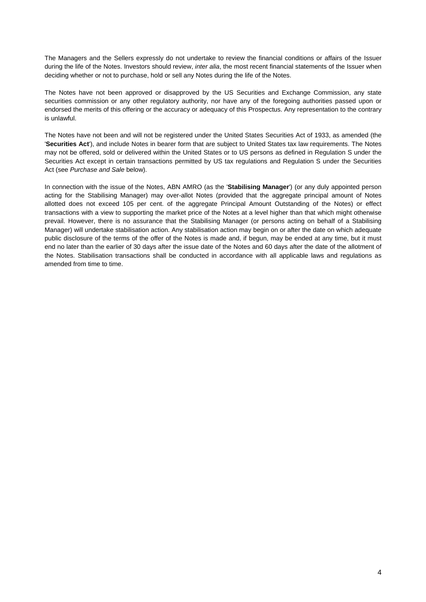The Managers and the Sellers expressly do not undertake to review the financial conditions or affairs of the Issuer during the life of the Notes. Investors should review, *inter alia*, the most recent financial statements of the Issuer when deciding whether or not to purchase, hold or sell any Notes during the life of the Notes.

The Notes have not been approved or disapproved by the US Securities and Exchange Commission, any state securities commission or any other regulatory authority, nor have any of the foregoing authorities passed upon or endorsed the merits of this offering or the accuracy or adequacy of this Prospectus. Any representation to the contrary is unlawful.

The Notes have not been and will not be registered under the United States Securities Act of 1933, as amended (the '**Securities Act**'), and include Notes in bearer form that are subject to United States tax law requirements. The Notes may not be offered, sold or delivered within the United States or to US persons as defined in Regulation S under the Securities Act except in certain transactions permitted by US tax regulations and Regulation S under the Securities Act (see *Purchase and Sale* below).

In connection with the issue of the Notes, ABN AMRO (as the '**Stabilising Manager**') (or any duly appointed person acting for the Stabilising Manager) may over-allot Notes (provided that the aggregate principal amount of Notes allotted does not exceed 105 per cent. of the aggregate Principal Amount Outstanding of the Notes) or effect transactions with a view to supporting the market price of the Notes at a level higher than that which might otherwise prevail. However, there is no assurance that the Stabilising Manager (or persons acting on behalf of a Stabilising Manager) will undertake stabilisation action. Any stabilisation action may begin on or after the date on which adequate public disclosure of the terms of the offer of the Notes is made and, if begun, may be ended at any time, but it must end no later than the earlier of 30 days after the issue date of the Notes and 60 days after the date of the allotment of the Notes. Stabilisation transactions shall be conducted in accordance with all applicable laws and regulations as amended from time to time.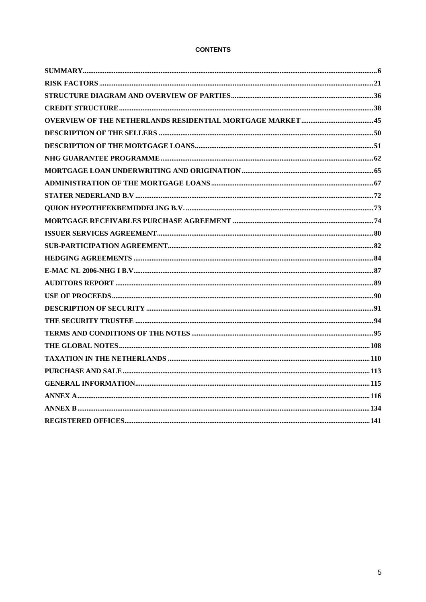# **CONTENTS**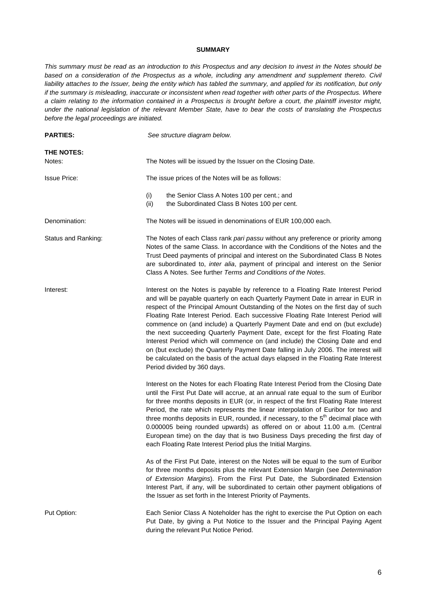### **SUMMARY**

*This summary must be read as an introduction to this Prospectus and any decision to invest in the Notes should be*  based on a consideration of the Prospectus as a whole, including any amendment and supplement thereto. Civil liability attaches to the Issuer, being the entity which has tabled the summary, and applied for its notification, but only *if the summary is misleading, inaccurate or inconsistent when read together with other parts of the Prospectus. Where a claim relating to the information contained in a Prospectus is brought before a court, the plaintiff investor might, under the national legislation of the relevant Member State, have to bear the costs of translating the Prospectus before the legal proceedings are initiated.* 

| <b>PARTIES:</b>      | See structure diagram below.                                                                                                                                                                                                                                                                                                                                                                                                                                                                                                                                                                                                                                                                                                                                                                                  |
|----------------------|---------------------------------------------------------------------------------------------------------------------------------------------------------------------------------------------------------------------------------------------------------------------------------------------------------------------------------------------------------------------------------------------------------------------------------------------------------------------------------------------------------------------------------------------------------------------------------------------------------------------------------------------------------------------------------------------------------------------------------------------------------------------------------------------------------------|
| THE NOTES:<br>Notes: | The Notes will be issued by the Issuer on the Closing Date.                                                                                                                                                                                                                                                                                                                                                                                                                                                                                                                                                                                                                                                                                                                                                   |
| <b>Issue Price:</b>  | The issue prices of the Notes will be as follows:                                                                                                                                                                                                                                                                                                                                                                                                                                                                                                                                                                                                                                                                                                                                                             |
|                      | (i)<br>the Senior Class A Notes 100 per cent.; and<br>(ii)<br>the Subordinated Class B Notes 100 per cent.                                                                                                                                                                                                                                                                                                                                                                                                                                                                                                                                                                                                                                                                                                    |
| Denomination:        | The Notes will be issued in denominations of EUR 100,000 each.                                                                                                                                                                                                                                                                                                                                                                                                                                                                                                                                                                                                                                                                                                                                                |
| Status and Ranking:  | The Notes of each Class rank pari passu without any preference or priority among<br>Notes of the same Class. In accordance with the Conditions of the Notes and the<br>Trust Deed payments of principal and interest on the Subordinated Class B Notes<br>are subordinated to, inter alia, payment of principal and interest on the Senior<br>Class A Notes. See further Terms and Conditions of the Notes.                                                                                                                                                                                                                                                                                                                                                                                                   |
| Interest:            | Interest on the Notes is payable by reference to a Floating Rate Interest Period<br>and will be payable quarterly on each Quarterly Payment Date in arrear in EUR in<br>respect of the Principal Amount Outstanding of the Notes on the first day of such<br>Floating Rate Interest Period. Each successive Floating Rate Interest Period will<br>commence on (and include) a Quarterly Payment Date and end on (but exclude)<br>the next succeeding Quarterly Payment Date, except for the first Floating Rate<br>Interest Period which will commence on (and include) the Closing Date and end<br>on (but exclude) the Quarterly Payment Date falling in July 2006. The interest will<br>be calculated on the basis of the actual days elapsed in the Floating Rate Interest<br>Period divided by 360 days. |
|                      | Interest on the Notes for each Floating Rate Interest Period from the Closing Date<br>until the First Put Date will accrue, at an annual rate equal to the sum of Euribor<br>for three months deposits in EUR (or, in respect of the first Floating Rate Interest<br>Period, the rate which represents the linear interpolation of Euribor for two and<br>three months deposits in EUR, rounded, if necessary, to the 5 <sup>th</sup> decimal place with<br>0.000005 being rounded upwards) as offered on or about 11.00 a.m. (Central<br>European time) on the day that is two Business Days preceding the first day of<br>each Floating Rate Interest Period plus the Initial Margins.                                                                                                                      |
|                      | As of the First Put Date, interest on the Notes will be equal to the sum of Euribor<br>for three months deposits plus the relevant Extension Margin (see Determination<br>of Extension Margins). From the First Put Date, the Subordinated Extension<br>Interest Part, if any, will be subordinated to certain other payment obligations of<br>the Issuer as set forth in the Interest Priority of Payments.                                                                                                                                                                                                                                                                                                                                                                                                  |
| Put Option:          | Each Senior Class A Noteholder has the right to exercise the Put Option on each<br>Put Date, by giving a Put Notice to the Issuer and the Principal Paying Agent<br>during the relevant Put Notice Period.                                                                                                                                                                                                                                                                                                                                                                                                                                                                                                                                                                                                    |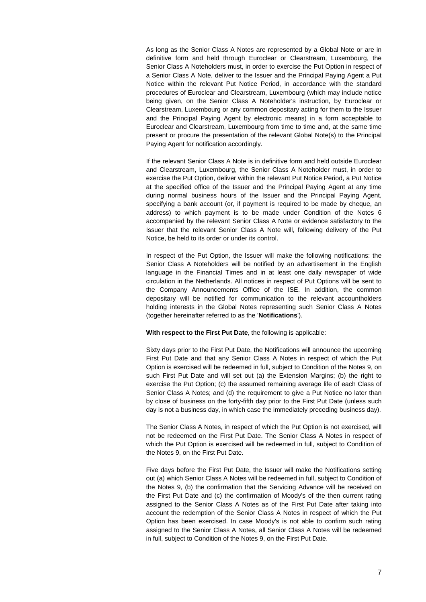As long as the Senior Class A Notes are represented by a Global Note or are in definitive form and held through Euroclear or Clearstream, Luxembourg, the Senior Class A Noteholders must, in order to exercise the Put Option in respect of a Senior Class A Note, deliver to the Issuer and the Principal Paying Agent a Put Notice within the relevant Put Notice Period, in accordance with the standard procedures of Euroclear and Clearstream, Luxembourg (which may include notice being given, on the Senior Class A Noteholder's instruction, by Euroclear or Clearstream, Luxembourg or any common depositary acting for them to the Issuer and the Principal Paying Agent by electronic means) in a form acceptable to Euroclear and Clearstream, Luxembourg from time to time and, at the same time present or procure the presentation of the relevant Global Note(s) to the Principal Paying Agent for notification accordingly.

 If the relevant Senior Class A Note is in definitive form and held outside Euroclear and Clearstream, Luxembourg, the Senior Class A Noteholder must, in order to exercise the Put Option, deliver within the relevant Put Notice Period, a Put Notice at the specified office of the Issuer and the Principal Paying Agent at any time during normal business hours of the Issuer and the Principal Paying Agent, specifying a bank account (or, if payment is required to be made by cheque, an address) to which payment is to be made under Condition of the Notes 6 accompanied by the relevant Senior Class A Note or evidence satisfactory to the Issuer that the relevant Senior Class A Note will, following delivery of the Put Notice, be held to its order or under its control.

In respect of the Put Option, the Issuer will make the following notifications: the Senior Class A Noteholders will be notified by an advertisement in the English language in the Financial Times and in at least one daily newspaper of wide circulation in the Netherlands. All notices in respect of Put Options will be sent to the Company Announcements Office of the ISE. In addition, the common depositary will be notified for communication to the relevant accountholders holding interests in the Global Notes representing such Senior Class A Notes (together hereinafter referred to as the '**Notifications**').

**With respect to the First Put Date**, the following is applicable:

 Sixty days prior to the First Put Date, the Notifications will announce the upcoming First Put Date and that any Senior Class A Notes in respect of which the Put Option is exercised will be redeemed in full, subject to Condition of the Notes 9, on such First Put Date and will set out (a) the Extension Margins; (b) the right to exercise the Put Option; (c) the assumed remaining average life of each Class of Senior Class A Notes; and (d) the requirement to give a Put Notice no later than by close of business on the forty-fifth day prior to the First Put Date (unless such day is not a business day, in which case the immediately preceding business day).

 The Senior Class A Notes, in respect of which the Put Option is not exercised, will not be redeemed on the First Put Date. The Senior Class A Notes in respect of which the Put Option is exercised will be redeemed in full, subject to Condition of the Notes 9, on the First Put Date.

 Five days before the First Put Date, the Issuer will make the Notifications setting out (a) which Senior Class A Notes will be redeemed in full, subject to Condition of the Notes 9, (b) the confirmation that the Servicing Advance will be received on the First Put Date and (c) the confirmation of Moody's of the then current rating assigned to the Senior Class A Notes as of the First Put Date after taking into account the redemption of the Senior Class A Notes in respect of which the Put Option has been exercised. In case Moody's is not able to confirm such rating assigned to the Senior Class A Notes, all Senior Class A Notes will be redeemed in full, subject to Condition of the Notes 9, on the First Put Date.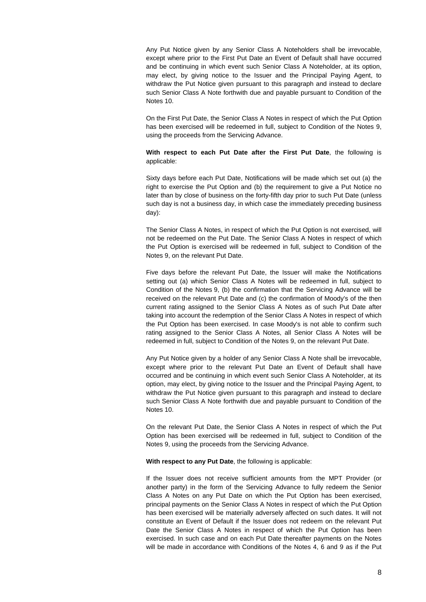Any Put Notice given by any Senior Class A Noteholders shall be irrevocable, except where prior to the First Put Date an Event of Default shall have occurred and be continuing in which event such Senior Class A Noteholder, at its option, may elect, by giving notice to the Issuer and the Principal Paying Agent, to withdraw the Put Notice given pursuant to this paragraph and instead to declare such Senior Class A Note forthwith due and payable pursuant to Condition of the Notes 10.

 On the First Put Date, the Senior Class A Notes in respect of which the Put Option has been exercised will be redeemed in full, subject to Condition of the Notes 9, using the proceeds from the Servicing Advance.

# **With respect to each Put Date after the First Put Date**, the following is applicable:

 Sixty days before each Put Date, Notifications will be made which set out (a) the right to exercise the Put Option and (b) the requirement to give a Put Notice no later than by close of business on the forty-fifth day prior to such Put Date (unless such day is not a business day, in which case the immediately preceding business day):

 The Senior Class A Notes, in respect of which the Put Option is not exercised, will not be redeemed on the Put Date. The Senior Class A Notes in respect of which the Put Option is exercised will be redeemed in full, subject to Condition of the Notes 9, on the relevant Put Date.

 Five days before the relevant Put Date, the Issuer will make the Notifications setting out (a) which Senior Class A Notes will be redeemed in full, subject to Condition of the Notes 9, (b) the confirmation that the Servicing Advance will be received on the relevant Put Date and (c) the confirmation of Moody's of the then current rating assigned to the Senior Class A Notes as of such Put Date after taking into account the redemption of the Senior Class A Notes in respect of which the Put Option has been exercised. In case Moody's is not able to confirm such rating assigned to the Senior Class A Notes, all Senior Class A Notes will be redeemed in full, subject to Condition of the Notes 9, on the relevant Put Date.

 Any Put Notice given by a holder of any Senior Class A Note shall be irrevocable, except where prior to the relevant Put Date an Event of Default shall have occurred and be continuing in which event such Senior Class A Noteholder, at its option, may elect, by giving notice to the Issuer and the Principal Paying Agent, to withdraw the Put Notice given pursuant to this paragraph and instead to declare such Senior Class A Note forthwith due and payable pursuant to Condition of the Notes 10.

 On the relevant Put Date, the Senior Class A Notes in respect of which the Put Option has been exercised will be redeemed in full, subject to Condition of the Notes 9, using the proceeds from the Servicing Advance.

**With respect to any Put Date**, the following is applicable:

 If the Issuer does not receive sufficient amounts from the MPT Provider (or another party) in the form of the Servicing Advance to fully redeem the Senior Class A Notes on any Put Date on which the Put Option has been exercised, principal payments on the Senior Class A Notes in respect of which the Put Option has been exercised will be materially adversely affected on such dates. It will not constitute an Event of Default if the Issuer does not redeem on the relevant Put Date the Senior Class A Notes in respect of which the Put Option has been exercised. In such case and on each Put Date thereafter payments on the Notes will be made in accordance with Conditions of the Notes 4, 6 and 9 as if the Put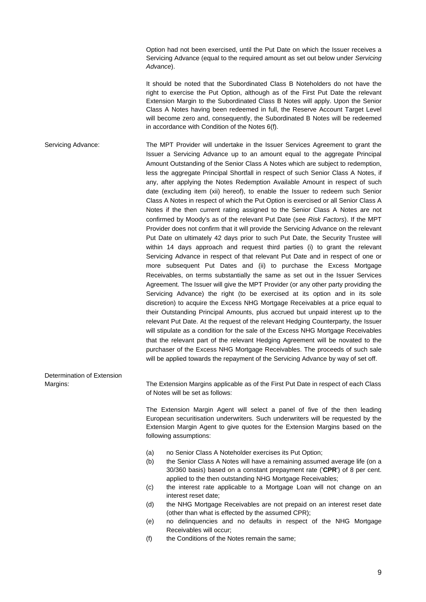Option had not been exercised, until the Put Date on which the Issuer receives a Servicing Advance (equal to the required amount as set out below under *Servicing Advance*).

 It should be noted that the Subordinated Class B Noteholders do not have the right to exercise the Put Option, although as of the First Put Date the relevant Extension Margin to the Subordinated Class B Notes will apply. Upon the Senior Class A Notes having been redeemed in full, the Reserve Account Target Level will become zero and, consequently, the Subordinated B Notes will be redeemed in accordance with Condition of the Notes 6(f).

Servicing Advance: The MPT Provider will undertake in the Issuer Services Agreement to grant the Issuer a Servicing Advance up to an amount equal to the aggregate Principal Amount Outstanding of the Senior Class A Notes which are subject to redemption, less the aggregate Principal Shortfall in respect of such Senior Class A Notes, if any, after applying the Notes Redemption Available Amount in respect of such date (excluding item (xii) hereof), to enable the Issuer to redeem such Senior Class A Notes in respect of which the Put Option is exercised or all Senior Class A Notes if the then current rating assigned to the Senior Class A Notes are not confirmed by Moody's as of the relevant Put Date (see *Risk Factors*). If the MPT Provider does not confirm that it will provide the Servicing Advance on the relevant Put Date on ultimately 42 days prior to such Put Date, the Security Trustee will within 14 days approach and request third parties (i) to grant the relevant Servicing Advance in respect of that relevant Put Date and in respect of one or more subsequent Put Dates and (ii) to purchase the Excess Mortgage Receivables, on terms substantially the same as set out in the Issuer Services Agreement. The Issuer will give the MPT Provider (or any other party providing the Servicing Advance) the right (to be exercised at its option and in its sole discretion) to acquire the Excess NHG Mortgage Receivables at a price equal to their Outstanding Principal Amounts, plus accrued but unpaid interest up to the relevant Put Date. At the request of the relevant Hedging Counterparty, the Issuer will stipulate as a condition for the sale of the Excess NHG Mortgage Receivables that the relevant part of the relevant Hedging Agreement will be novated to the purchaser of the Excess NHG Mortgage Receivables. The proceeds of such sale will be applied towards the repayment of the Servicing Advance by way of set off.

Determination of Extension

Margins: The Extension Margins applicable as of the First Put Date in respect of each Class of Notes will be set as follows:

> The Extension Margin Agent will select a panel of five of the then leading European securitisation underwriters. Such underwriters will be requested by the Extension Margin Agent to give quotes for the Extension Margins based on the following assumptions:

- (a) no Senior Class A Noteholder exercises its Put Option;
- (b) the Senior Class A Notes will have a remaining assumed average life (on a 30/360 basis) based on a constant prepayment rate ('**CPR**') of 8 per cent. applied to the then outstanding NHG Mortgage Receivables;
- (c) the interest rate applicable to a Mortgage Loan will not change on an interest reset date;
- (d) the NHG Mortgage Receivables are not prepaid on an interest reset date (other than what is effected by the assumed CPR);
- (e) no delinquencies and no defaults in respect of the NHG Mortgage Receivables will occur;
- (f) the Conditions of the Notes remain the same;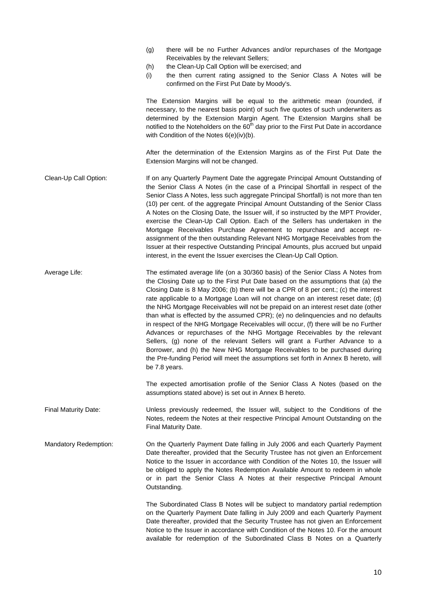|                             | there will be no Further Advances and/or repurchases of the Mortgage<br>(g)<br>Receivables by the relevant Sellers;<br>the Clean-Up Call Option will be exercised; and<br>(h)<br>the then current rating assigned to the Senior Class A Notes will be<br>(i)<br>confirmed on the First Put Date by Moody's.                                                                                                                                                                                                                                                                                                                                                                                                                                                                                                                                                                                                                                                  |
|-----------------------------|--------------------------------------------------------------------------------------------------------------------------------------------------------------------------------------------------------------------------------------------------------------------------------------------------------------------------------------------------------------------------------------------------------------------------------------------------------------------------------------------------------------------------------------------------------------------------------------------------------------------------------------------------------------------------------------------------------------------------------------------------------------------------------------------------------------------------------------------------------------------------------------------------------------------------------------------------------------|
|                             | The Extension Margins will be equal to the arithmetic mean (rounded, if<br>necessary, to the nearest basis point) of such five quotes of such underwriters as<br>determined by the Extension Margin Agent. The Extension Margins shall be<br>notified to the Noteholders on the 60 <sup>th</sup> day prior to the First Put Date in accordance<br>with Condition of the Notes 6(e)(iv)(b).                                                                                                                                                                                                                                                                                                                                                                                                                                                                                                                                                                   |
|                             | After the determination of the Extension Margins as of the First Put Date the<br>Extension Margins will not be changed.                                                                                                                                                                                                                                                                                                                                                                                                                                                                                                                                                                                                                                                                                                                                                                                                                                      |
| Clean-Up Call Option:       | If on any Quarterly Payment Date the aggregate Principal Amount Outstanding of<br>the Senior Class A Notes (in the case of a Principal Shortfall in respect of the<br>Senior Class A Notes, less such aggregate Principal Shortfall) is not more than ten<br>(10) per cent. of the aggregate Principal Amount Outstanding of the Senior Class<br>A Notes on the Closing Date, the Issuer will, if so instructed by the MPT Provider,<br>exercise the Clean-Up Call Option. Each of the Sellers has undertaken in the<br>Mortgage Receivables Purchase Agreement to repurchase and accept re-<br>assignment of the then outstanding Relevant NHG Mortgage Receivables from the<br>Issuer at their respective Outstanding Principal Amounts, plus accrued but unpaid<br>interest, in the event the Issuer exercises the Clean-Up Call Option.                                                                                                                  |
| Average Life:               | The estimated average life (on a 30/360 basis) of the Senior Class A Notes from<br>the Closing Date up to the First Put Date based on the assumptions that (a) the<br>Closing Date is 8 May 2006; (b) there will be a CPR of 8 per cent.; (c) the interest<br>rate applicable to a Mortgage Loan will not change on an interest reset date; (d)<br>the NHG Mortgage Receivables will not be prepaid on an interest reset date (other<br>than what is effected by the assumed CPR); (e) no delinquencies and no defaults<br>in respect of the NHG Mortgage Receivables will occur, (f) there will be no Further<br>Advances or repurchases of the NHG Mortgage Receivables by the relevant<br>Sellers, (g) none of the relevant Sellers will grant a Further Advance to a<br>Borrower, and (h) the New NHG Mortgage Receivables to be purchased during<br>the Pre-funding Period will meet the assumptions set forth in Annex B hereto, will<br>be 7.8 years. |
|                             | The expected amortisation profile of the Senior Class A Notes (based on the<br>assumptions stated above) is set out in Annex B hereto.                                                                                                                                                                                                                                                                                                                                                                                                                                                                                                                                                                                                                                                                                                                                                                                                                       |
| <b>Final Maturity Date:</b> | Unless previously redeemed, the Issuer will, subject to the Conditions of the<br>Notes, redeem the Notes at their respective Principal Amount Outstanding on the<br>Final Maturity Date.                                                                                                                                                                                                                                                                                                                                                                                                                                                                                                                                                                                                                                                                                                                                                                     |
| Mandatory Redemption:       | On the Quarterly Payment Date falling in July 2006 and each Quarterly Payment<br>Date thereafter, provided that the Security Trustee has not given an Enforcement<br>Notice to the Issuer in accordance with Condition of the Notes 10, the Issuer will<br>be obliged to apply the Notes Redemption Available Amount to redeem in whole<br>or in part the Senior Class A Notes at their respective Principal Amount<br>Outstanding.                                                                                                                                                                                                                                                                                                                                                                                                                                                                                                                          |
|                             | The Subordinated Class B Notes will be subject to mandatory partial redemption<br>on the Quarterly Payment Date falling in July 2009 and each Quarterly Payment<br>Date thereafter, provided that the Security Trustee has not given an Enforcement<br>Notice to the Issuer in accordance with Condition of the Notes 10. For the amount<br>available for redemption of the Subordinated Class B Notes on a Quarterly                                                                                                                                                                                                                                                                                                                                                                                                                                                                                                                                        |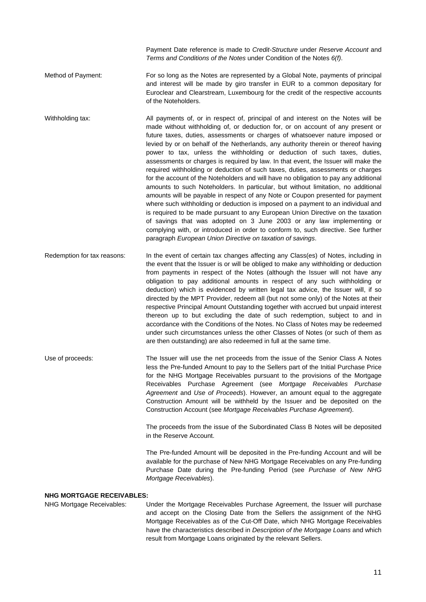Payment Date reference is made to *Credit-Structure* under *Reserve Account* and *Terms and Conditions of the Notes* under Condition of the Notes *6(f)*.

- Method of Payment: For so long as the Notes are represented by a Global Note, payments of principal and interest will be made by giro transfer in EUR to a common depositary for Euroclear and Clearstream, Luxembourg for the credit of the respective accounts of the Noteholders.
- Withholding tax: All payments of, or in respect of, principal of and interest on the Notes will be made without withholding of, or deduction for, or on account of any present or future taxes, duties, assessments or charges of whatsoever nature imposed or levied by or on behalf of the Netherlands, any authority therein or thereof having power to tax, unless the withholding or deduction of such taxes, duties, assessments or charges is required by law. In that event, the Issuer will make the required withholding or deduction of such taxes, duties, assessments or charges for the account of the Noteholders and will have no obligation to pay any additional amounts to such Noteholders. In particular, but without limitation, no additional amounts will be payable in respect of any Note or Coupon presented for payment where such withholding or deduction is imposed on a payment to an individual and is required to be made pursuant to any European Union Directive on the taxation of savings that was adopted on 3 June 2003 or any law implementing or complying with, or introduced in order to conform to, such directive. See further paragraph *European Union Directive on taxation of savings*.
- Redemption for tax reasons: In the event of certain tax changes affecting any Class(es) of Notes, including in the event that the Issuer is or will be obliged to make any withholding or deduction from payments in respect of the Notes (although the Issuer will not have any obligation to pay additional amounts in respect of any such withholding or deduction) which is evidenced by written legal tax advice, the Issuer will, if so directed by the MPT Provider, redeem all (but not some only) of the Notes at their respective Principal Amount Outstanding together with accrued but unpaid interest thereon up to but excluding the date of such redemption, subject to and in accordance with the Conditions of the Notes. No Class of Notes may be redeemed under such circumstances unless the other Classes of Notes (or such of them as are then outstanding) are also redeemed in full at the same time.
- Use of proceeds: The Issuer will use the net proceeds from the issue of the Senior Class A Notes less the Pre-funded Amount to pay to the Sellers part of the Initial Purchase Price for the NHG Mortgage Receivables pursuant to the provisions of the Mortgage Receivables Purchase Agreement (see *Mortgage Receivables Purchase Agreement* and *Use of Proceeds*). However, an amount equal to the aggregate Construction Amount will be withheld by the Issuer and be deposited on the Construction Account (see *Mortgage Receivables Purchase Agreement*).

 The proceeds from the issue of the Subordinated Class B Notes will be deposited in the Reserve Account.

 The Pre-funded Amount will be deposited in the Pre-funding Account and will be available for the purchase of New NHG Mortgage Receivables on any Pre-funding Purchase Date during the Pre-funding Period (see *Purchase of New NHG Mortgage Receivables*).

### **NHG MORTGAGE RECEIVABLES:**

NHG Mortgage Receivables: Under the Mortgage Receivables Purchase Agreement, the Issuer will purchase and accept on the Closing Date from the Sellers the assignment of the NHG Mortgage Receivables as of the Cut-Off Date, which NHG Mortgage Receivables have the characteristics described in *Description of the Mortgage Loans* and which result from Mortgage Loans originated by the relevant Sellers.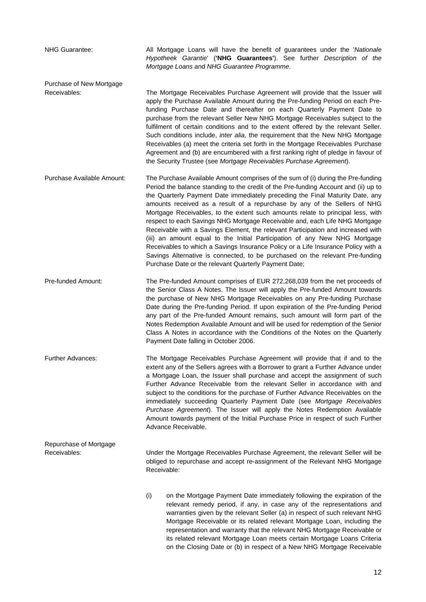NHG Guarantee: All Mortgage Loans will have the benefit of guarantees under the '*Nationale Hypotheek Garantie*' (**'NHG Guarantees'**). See further *Description of the Mortgage Loans* and *NHG Guarantee Programme*.

Purchase of New Mortgage

Receivables: The Mortgage Receivables Purchase Agreement will provide that the Issuer will apply the Purchase Available Amount during the Pre-funding Period on each Prefunding Purchase Date and thereafter on each Quarterly Payment Date to purchase from the relevant Seller New NHG Mortgage Receivables subject to the fulfilment of certain conditions and to the extent offered by the relevant Seller. Such conditions include, *inter alia*, the requirement that the New NHG Mortgage Receivables (a) meet the criteria set forth in the Mortgage Receivables Purchase Agreement and (b) are encumbered with a first ranking right of pledge in favour of the Security Trustee (see *Mortgage Receivables Purchase Agreement*).

Purchase Available Amount: The Purchase Available Amount comprises of the sum of (i) during the Pre-funding Period the balance standing to the credit of the Pre-funding Account and (ii) up to the Quarterly Payment Date immediately preceding the Final Maturity Date, any amounts received as a result of a repurchase by any of the Sellers of NHG Mortgage Receivables, to the extent such amounts relate to principal less, with respect to each Savings NHG Mortgage Receivable and, each Life NHG Mortgage Receivable with a Savings Element, the relevant Participation and increased with (iii) an amount equal to the Initial Participation of any New NHG Mortgage Receivables to which a Savings Insurance Policy or a Life Insurance Policy with a Savings Alternative is connected, to be purchased on the relevant Pre-funding Purchase Date or the relevant Quarterly Payment Date;

Pre-funded Amount: The Pre-funded Amount comprises of EUR 272,268,039 from the net proceeds of the Senior Class A Notes. The Issuer will apply the Pre-funded Amount towards the purchase of New NHG Mortgage Receivables on any Pre-funding Purchase Date during the Pre-funding Period. If upon expiration of the Pre-funding Period any part of the Pre-funded Amount remains, such amount will form part of the Notes Redemption Available Amount and will be used for redemption of the Senior Class A Notes in accordance with the Conditions of the Notes on the Quarterly Payment Date falling in October 2006.

Further Advances: The Mortgage Receivables Purchase Agreement will provide that if and to the extent any of the Sellers agrees with a Borrower to grant a Further Advance under a Mortgage Loan, the Issuer shall purchase and accept the assignment of such Further Advance Receivable from the relevant Seller in accordance with and subject to the conditions for the purchase of Further Advance Receivables on the immediately succeeding Quarterly Payment Date (see *Mortgage Receivables Purchase Agreement*). The Issuer will apply the Notes Redemption Available Amount towards payment of the Initial Purchase Price in respect of such Further Advance Receivable.

Repurchase of Mortgage Receivables: Under the Mortgage Receivables Purchase Agreement, the relevant Seller will be obliged to repurchase and accept re-assignment of the Relevant NHG Mortgage Receivable:

> (i) on the Mortgage Payment Date immediately following the expiration of the relevant remedy period, if any, in case any of the representations and warranties given by the relevant Seller (a) in respect of such relevant NHG Mortgage Receivable or its related relevant Mortgage Loan, including the representation and warranty that the relevant NHG Mortgage Receivable or its related relevant Mortgage Loan meets certain Mortgage Loans Criteria on the Closing Date or (b) in respect of a New NHG Mortgage Receivable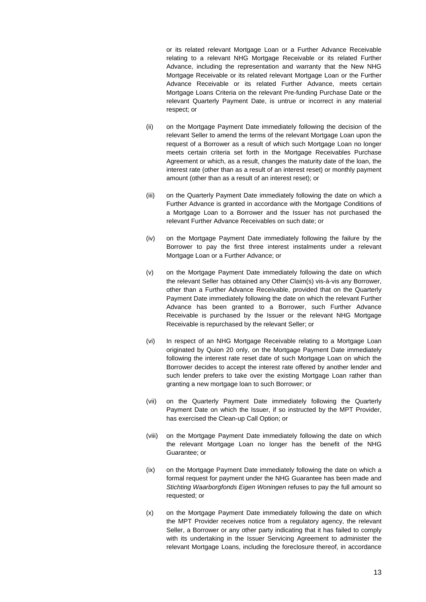or its related relevant Mortgage Loan or a Further Advance Receivable relating to a relevant NHG Mortgage Receivable or its related Further Advance, including the representation and warranty that the New NHG Mortgage Receivable or its related relevant Mortgage Loan or the Further Advance Receivable or its related Further Advance, meets certain Mortgage Loans Criteria on the relevant Pre-funding Purchase Date or the relevant Quarterly Payment Date, is untrue or incorrect in any material respect; or

- (ii) on the Mortgage Payment Date immediately following the decision of the relevant Seller to amend the terms of the relevant Mortgage Loan upon the request of a Borrower as a result of which such Mortgage Loan no longer meets certain criteria set forth in the Mortgage Receivables Purchase Agreement or which, as a result, changes the maturity date of the loan, the interest rate (other than as a result of an interest reset) or monthly payment amount (other than as a result of an interest reset); or
- (iii) on the Quarterly Payment Date immediately following the date on which a Further Advance is granted in accordance with the Mortgage Conditions of a Mortgage Loan to a Borrower and the Issuer has not purchased the relevant Further Advance Receivables on such date; or
- (iv) on the Mortgage Payment Date immediately following the failure by the Borrower to pay the first three interest instalments under a relevant Mortgage Loan or a Further Advance; or
- (v) on the Mortgage Payment Date immediately following the date on which the relevant Seller has obtained any Other Claim(s) vis-à-vis any Borrower, other than a Further Advance Receivable, provided that on the Quarterly Payment Date immediately following the date on which the relevant Further Advance has been granted to a Borrower, such Further Advance Receivable is purchased by the Issuer or the relevant NHG Mortgage Receivable is repurchased by the relevant Seller; or
- (vi) In respect of an NHG Mortgage Receivable relating to a Mortgage Loan originated by Quion 20 only, on the Mortgage Payment Date immediately following the interest rate reset date of such Mortgage Loan on which the Borrower decides to accept the interest rate offered by another lender and such lender prefers to take over the existing Mortgage Loan rather than granting a new mortgage loan to such Borrower; or
- (vii) on the Quarterly Payment Date immediately following the Quarterly Payment Date on which the Issuer, if so instructed by the MPT Provider, has exercised the Clean-up Call Option; or
- (viii) on the Mortgage Payment Date immediately following the date on which the relevant Mortgage Loan no longer has the benefit of the NHG Guarantee; or
- (ix) on the Mortgage Payment Date immediately following the date on which a formal request for payment under the NHG Guarantee has been made and *Stichting Waarborgfonds Eigen Woningen* refuses to pay the full amount so requested; or
- (x) on the Mortgage Payment Date immediately following the date on which the MPT Provider receives notice from a regulatory agency, the relevant Seller, a Borrower or any other party indicating that it has failed to comply with its undertaking in the Issuer Servicing Agreement to administer the relevant Mortgage Loans, including the foreclosure thereof, in accordance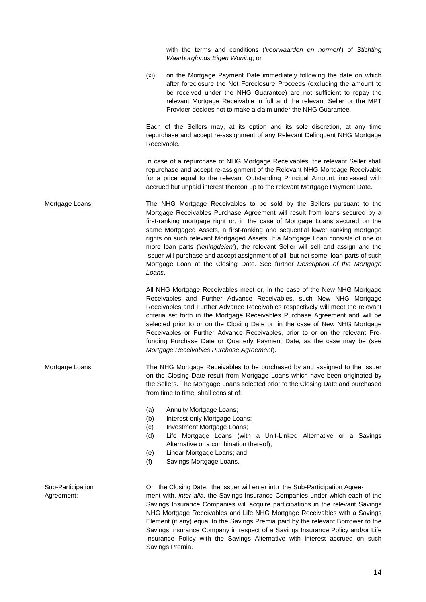with the terms and conditions ('*voorwaarden en normen*') of *Stichting Waarborgfonds Eigen Woning*; or

(xi) on the Mortgage Payment Date immediately following the date on which after foreclosure the Net Foreclosure Proceeds (excluding the amount to be received under the NHG Guarantee) are not sufficient to repay the relevant Mortgage Receivable in full and the relevant Seller or the MPT Provider decides not to make a claim under the NHG Guarantee.

 Each of the Sellers may, at its option and its sole discretion, at any time repurchase and accept re-assignment of any Relevant Delinquent NHG Mortgage Receivable.

 In case of a repurchase of NHG Mortgage Receivables, the relevant Seller shall repurchase and accept re-assignment of the Relevant NHG Mortgage Receivable for a price equal to the relevant Outstanding Principal Amount, increased with accrued but unpaid interest thereon up to the relevant Mortgage Payment Date.

Mortgage Loans: The NHG Mortgage Receivables to be sold by the Sellers pursuant to the Mortgage Receivables Purchase Agreement will result from loans secured by a first-ranking mortgage right or, in the case of Mortgage Loans secured on the same Mortgaged Assets, a first-ranking and sequential lower ranking mortgage rights on such relevant Mortgaged Assets. If a Mortgage Loan consists of one or more loan parts ('*leningdelen*'), the relevant Seller will sell and assign and the Issuer will purchase and accept assignment of all, but not some, loan parts of such Mortgage Loan at the Closing Date. See further *Description of the Mortgage Loans*.

> All NHG Mortgage Receivables meet or, in the case of the New NHG Mortgage Receivables and Further Advance Receivables, such New NHG Mortgage Receivables and Further Advance Receivables respectively will meet the relevant criteria set forth in the Mortgage Receivables Purchase Agreement and will be selected prior to or on the Closing Date or, in the case of New NHG Mortgage Receivables or Further Advance Receivables, prior to or on the relevant Prefunding Purchase Date or Quarterly Payment Date, as the case may be (see *Mortgage Receivables Purchase Agreement*).

- Mortgage Loans: The NHG Mortgage Receivables to be purchased by and assigned to the Issuer on the Closing Date result from Mortgage Loans which have been originated by the Sellers. The Mortgage Loans selected prior to the Closing Date and purchased from time to time, shall consist of:
	- (a) Annuity Mortgage Loans;
	- (b) Interest-only Mortgage Loans;
	- (c) Investment Mortgage Loans;
	- (d) Life Mortgage Loans (with a Unit-Linked Alternative or a Savings Alternative or a combination thereof);
	- (e) Linear Mortgage Loans; and
	- (f) Savings Mortgage Loans.

Sub-Participation On the Closing Date, the Issuer will enter into the Sub-Participation Agree-Agreement: ment with, *inter alia*, the Savings Insurance Companies under which each of the Savings Insurance Companies will acquire participations in the relevant Savings NHG Mortgage Receivables and Life NHG Mortgage Receivables with a Savings Element (if any) equal to the Savings Premia paid by the relevant Borrower to the Savings Insurance Company in respect of a Savings Insurance Policy and/or Life Insurance Policy with the Savings Alternative with interest accrued on such Savings Premia.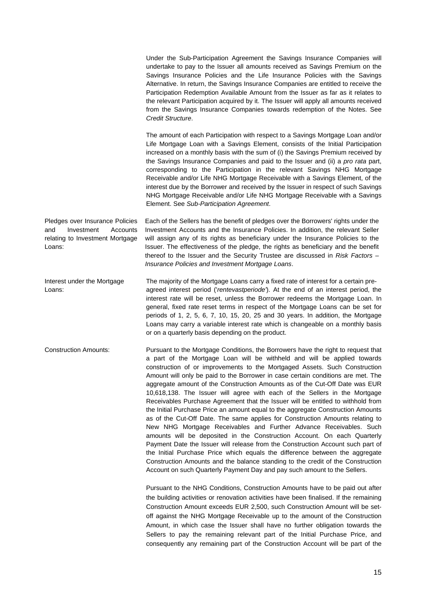Under the Sub-Participation Agreement the Savings Insurance Companies will undertake to pay to the Issuer all amounts received as Savings Premium on the Savings Insurance Policies and the Life Insurance Policies with the Savings Alternative. In return, the Savings Insurance Companies are entitled to receive the Participation Redemption Available Amount from the Issuer as far as it relates to the relevant Participation acquired by it. The Issuer will apply all amounts received from the Savings Insurance Companies towards redemption of the Notes. See *Credit Structure*. The amount of each Participation with respect to a Savings Mortgage Loan and/or Life Mortgage Loan with a Savings Element, consists of the Initial Participation increased on a monthly basis with the sum of (i) the Savings Premium received by the Savings Insurance Companies and paid to the Issuer and (ii) a *pro rata* part, corresponding to the Participation in the relevant Savings NHG Mortgage Receivable and/or Life NHG Mortgage Receivable with a Savings Element, of the interest due by the Borrower and received by the Issuer in respect of such Savings NHG Mortgage Receivable and/or Life NHG Mortgage Receivable with a Savings Element. See *Sub-Participation Agreement*. Pledges over Insurance Policies and Investment Accounts relating to Investment Mortgage Loans: Each of the Sellers has the benefit of pledges over the Borrowers' rights under the Investment Accounts and the Insurance Policies. In addition, the relevant Seller will assign any of its rights as beneficiary under the Insurance Policies to the Issuer. The effectiveness of the pledge, the rights as beneficiary and the benefit thereof to the Issuer and the Security Trustee are discussed in *Risk Factors – Insurance Policies and Investment Mortgage Loans*. Interest under the Mortgage The majority of the Mortgage Loans carry a fixed rate of interest for a certain pre-Loans: **agreed interest period ('rentevastperiode'**). At the end of an interest period, the interest rate will be reset, unless the Borrower redeems the Mortgage Loan. In general, fixed rate reset terms in respect of the Mortgage Loans can be set for periods of 1, 2, 5, 6, 7, 10, 15, 20, 25 and 30 years. In addition, the Mortgage Loans may carry a variable interest rate which is changeable on a monthly basis or on a quarterly basis depending on the product. Construction Amounts: Pursuant to the Mortgage Conditions, the Borrowers have the right to request that a part of the Mortgage Loan will be withheld and will be applied towards construction of or improvements to the Mortgaged Assets. Such Construction Amount will only be paid to the Borrower in case certain conditions are met. The aggregate amount of the Construction Amounts as of the Cut-Off Date was EUR 10,618,138. The Issuer will agree with each of the Sellers in the Mortgage Receivables Purchase Agreement that the Issuer will be entitled to withhold from the Initial Purchase Price an amount equal to the aggregate Construction Amounts as of the Cut-Off Date. The same applies for Construction Amounts relating to New NHG Mortgage Receivables and Further Advance Receivables. Such amounts will be deposited in the Construction Account. On each Quarterly Payment Date the Issuer will release from the Construction Account such part of the Initial Purchase Price which equals the difference between the aggregate Construction Amounts and the balance standing to the credit of the Construction Account on such Quarterly Payment Day and pay such amount to the Sellers. Pursuant to the NHG Conditions, Construction Amounts have to be paid out after the building activities or renovation activities have been finalised. If the remaining Construction Amount exceeds EUR 2,500, such Construction Amount will be setoff against the NHG Mortgage Receivable up to the amount of the Construction Amount, in which case the Issuer shall have no further obligation towards the Sellers to pay the remaining relevant part of the Initial Purchase Price, and

consequently any remaining part of the Construction Account will be part of the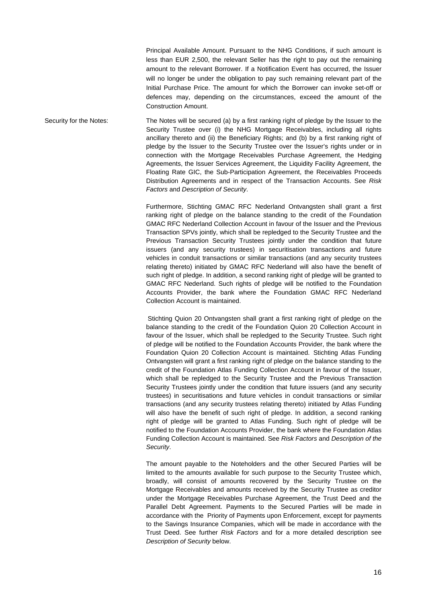Principal Available Amount. Pursuant to the NHG Conditions, if such amount is less than EUR 2,500, the relevant Seller has the right to pay out the remaining amount to the relevant Borrower. If a Notification Event has occurred, the Issuer will no longer be under the obligation to pay such remaining relevant part of the Initial Purchase Price. The amount for which the Borrower can invoke set-off or defences may, depending on the circumstances, exceed the amount of the Construction Amount.

Security for the Notes: The Notes will be secured (a) by a first ranking right of pledge by the Issuer to the Security Trustee over (i) the NHG Mortgage Receivables, including all rights ancillary thereto and (ii) the Beneficiary Rights; and (b) by a first ranking right of pledge by the Issuer to the Security Trustee over the Issuer's rights under or in connection with the Mortgage Receivables Purchase Agreement, the Hedging Agreements, the Issuer Services Agreement, the Liquidity Facility Agreement, the Floating Rate GIC, the Sub-Participation Agreement, the Receivables Proceeds Distribution Agreements and in respect of the Transaction Accounts. See *Risk Factors* and *Description of Security*.

> Furthermore, Stichting GMAC RFC Nederland Ontvangsten shall grant a first ranking right of pledge on the balance standing to the credit of the Foundation GMAC RFC Nederland Collection Account in favour of the Issuer and the Previous Transaction SPVs jointly, which shall be repledged to the Security Trustee and the Previous Transaction Security Trustees jointly under the condition that future issuers (and any security trustees) in securitisation transactions and future vehicles in conduit transactions or similar transactions (and any security trustees relating thereto) initiated by GMAC RFC Nederland will also have the benefit of such right of pledge. In addition, a second ranking right of pledge will be granted to GMAC RFC Nederland. Such rights of pledge will be notified to the Foundation Accounts Provider, the bank where the Foundation GMAC RFC Nederland Collection Account is maintained.

> Stichting Quion 20 Ontvangsten shall grant a first ranking right of pledge on the balance standing to the credit of the Foundation Quion 20 Collection Account in favour of the Issuer, which shall be repledged to the Security Trustee. Such right of pledge will be notified to the Foundation Accounts Provider, the bank where the Foundation Quion 20 Collection Account is maintained. Stichting Atlas Funding Ontvangsten will grant a first ranking right of pledge on the balance standing to the credit of the Foundation Atlas Funding Collection Account in favour of the Issuer, which shall be repledged to the Security Trustee and the Previous Transaction Security Trustees jointly under the condition that future issuers (and any security trustees) in securitisations and future vehicles in conduit transactions or similar transactions (and any security trustees relating thereto) initiated by Atlas Funding will also have the benefit of such right of pledge. In addition, a second ranking right of pledge will be granted to Atlas Funding. Such right of pledge will be notified to the Foundation Accounts Provider, the bank where the Foundation Atlas Funding Collection Account is maintained. See *Risk Factors* and *Description of the Security*.

> The amount payable to the Noteholders and the other Secured Parties will be limited to the amounts available for such purpose to the Security Trustee which, broadly, will consist of amounts recovered by the Security Trustee on the Mortgage Receivables and amounts received by the Security Trustee as creditor under the Mortgage Receivables Purchase Agreement, the Trust Deed and the Parallel Debt Agreement. Payments to the Secured Parties will be made in accordance with the Priority of Payments upon Enforcement, except for payments to the Savings Insurance Companies, which will be made in accordance with the Trust Deed. See further *Risk Factors* and for a more detailed description see *Description of Security* below.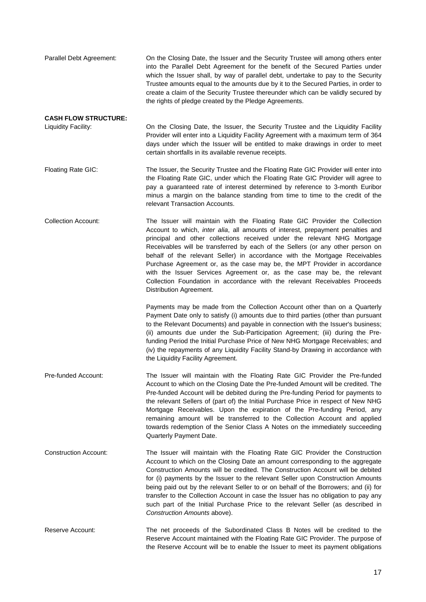Parallel Debt Agreement: On the Closing Date, the Issuer and the Security Trustee will among others enter into the Parallel Debt Agreement for the benefit of the Secured Parties under which the Issuer shall, by way of parallel debt, undertake to pay to the Security Trustee amounts equal to the amounts due by it to the Secured Parties, in order to create a claim of the Security Trustee thereunder which can be validly secured by the rights of pledge created by the Pledge Agreements.

# **CASH FLOW STRUCTURE:**

Liquidity Facility: On the Closing Date, the Issuer, the Security Trustee and the Liquidity Facility Provider will enter into a Liquidity Facility Agreement with a maximum term of 364 days under which the Issuer will be entitled to make drawings in order to meet certain shortfalls in its available revenue receipts.

Floating Rate GIC: The Issuer, the Security Trustee and the Floating Rate GIC Provider will enter into the Floating Rate GIC, under which the Floating Rate GIC Provider will agree to pay a guaranteed rate of interest determined by reference to 3-month Euribor minus a margin on the balance standing from time to time to the credit of the relevant Transaction Accounts.

Collection Account: The Issuer will maintain with the Floating Rate GIC Provider the Collection Account to which, *inter alia*, all amounts of interest, prepayment penalties and principal and other collections received under the relevant NHG Mortgage Receivables will be transferred by each of the Sellers (or any other person on behalf of the relevant Seller) in accordance with the Mortgage Receivables Purchase Agreement or, as the case may be, the MPT Provider in accordance with the Issuer Services Agreement or, as the case may be, the relevant Collection Foundation in accordance with the relevant Receivables Proceeds Distribution Agreement.

> Payments may be made from the Collection Account other than on a Quarterly Payment Date only to satisfy (i) amounts due to third parties (other than pursuant to the Relevant Documents) and payable in connection with the Issuer's business; (ii) amounts due under the Sub-Participation Agreement; (iii) during the Prefunding Period the Initial Purchase Price of New NHG Mortgage Receivables; and (iv) the repayments of any Liquidity Facility Stand-by Drawing in accordance with the Liquidity Facility Agreement.

Pre-funded Account: The Issuer will maintain with the Floating Rate GIC Provider the Pre-funded Account to which on the Closing Date the Pre-funded Amount will be credited. The Pre-funded Account will be debited during the Pre-funding Period for payments to the relevant Sellers of (part of) the Initial Purchase Price in respect of New NHG Mortgage Receivables. Upon the expiration of the Pre-funding Period, any remaining amount will be transferred to the Collection Account and applied towards redemption of the Senior Class A Notes on the immediately succeeding Quarterly Payment Date.

Construction Account: The Issuer will maintain with the Floating Rate GIC Provider the Construction Account to which on the Closing Date an amount corresponding to the aggregate Construction Amounts will be credited. The Construction Account will be debited for (i) payments by the Issuer to the relevant Seller upon Construction Amounts being paid out by the relevant Seller to or on behalf of the Borrowers; and (ii) for transfer to the Collection Account in case the Issuer has no obligation to pay any such part of the Initial Purchase Price to the relevant Seller (as described in *Construction Amounts* above).

Reserve Account: The net proceeds of the Subordinated Class B Notes will be credited to the Reserve Account maintained with the Floating Rate GIC Provider. The purpose of the Reserve Account will be to enable the Issuer to meet its payment obligations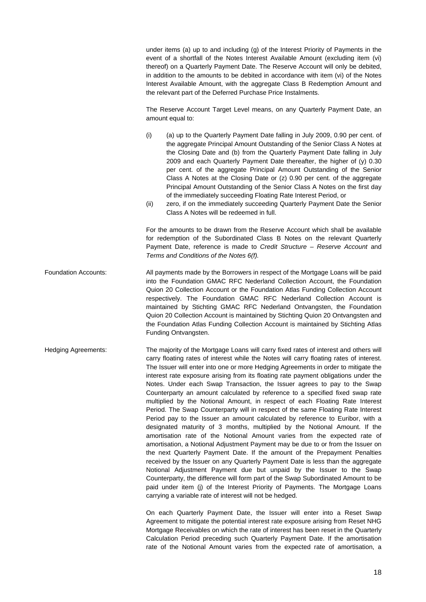under items (a) up to and including (g) of the Interest Priority of Payments in the event of a shortfall of the Notes Interest Available Amount (excluding item (vi) thereof) on a Quarterly Payment Date. The Reserve Account will only be debited, in addition to the amounts to be debited in accordance with item (vi) of the Notes Interest Available Amount, with the aggregate Class B Redemption Amount and the relevant part of the Deferred Purchase Price Instalments.

 The Reserve Account Target Level means, on any Quarterly Payment Date, an amount equal to:

- (i) (a) up to the Quarterly Payment Date falling in July 2009, 0.90 per cent. of the aggregate Principal Amount Outstanding of the Senior Class A Notes at the Closing Date and (b) from the Quarterly Payment Date falling in July 2009 and each Quarterly Payment Date thereafter, the higher of (y) 0.30 per cent. of the aggregate Principal Amount Outstanding of the Senior Class A Notes at the Closing Date or (z) 0.90 per cent. of the aggregate Principal Amount Outstanding of the Senior Class A Notes on the first day of the immediately succeeding Floating Rate Interest Period, or
- (ii) zero, if on the immediately succeeding Quarterly Payment Date the Senior Class A Notes will be redeemed in full.

 For the amounts to be drawn from the Reserve Account which shall be available for redemption of the Subordinated Class B Notes on the relevant Quarterly Payment Date, reference is made to *Credit Structure – Reserve Account* and *Terms and Conditions of the Notes 6(f).*

- Foundation Accounts: All payments made by the Borrowers in respect of the Mortgage Loans will be paid into the Foundation GMAC RFC Nederland Collection Account, the Foundation Quion 20 Collection Account or the Foundation Atlas Funding Collection Account respectively. The Foundation GMAC RFC Nederland Collection Account is maintained by Stichting GMAC RFC Nederland Ontvangsten, the Foundation Quion 20 Collection Account is maintained by Stichting Quion 20 Ontvangsten and the Foundation Atlas Funding Collection Account is maintained by Stichting Atlas Funding Ontvangsten.
- Hedging Agreements: The majority of the Mortgage Loans will carry fixed rates of interest and others will carry floating rates of interest while the Notes will carry floating rates of interest. The Issuer will enter into one or more Hedging Agreements in order to mitigate the interest rate exposure arising from its floating rate payment obligations under the Notes. Under each Swap Transaction, the Issuer agrees to pay to the Swap Counterparty an amount calculated by reference to a specified fixed swap rate multiplied by the Notional Amount, in respect of each Floating Rate Interest Period. The Swap Counterparty will in respect of the same Floating Rate Interest Period pay to the Issuer an amount calculated by reference to Euribor, with a designated maturity of 3 months, multiplied by the Notional Amount. If the amortisation rate of the Notional Amount varies from the expected rate of amortisation, a Notional Adjustment Payment may be due to or from the Issuer on the next Quarterly Payment Date. If the amount of the Prepayment Penalties received by the Issuer on any Quarterly Payment Date is less than the aggregate Notional Adjustment Payment due but unpaid by the Issuer to the Swap Counterparty, the difference will form part of the Swap Subordinated Amount to be paid under item (j) of the Interest Priority of Payments. The Mortgage Loans carrying a variable rate of interest will not be hedged.

 On each Quarterly Payment Date, the Issuer will enter into a Reset Swap Agreement to mitigate the potential interest rate exposure arising from Reset NHG Mortgage Receivables on which the rate of interest has been reset in the Quarterly Calculation Period preceding such Quarterly Payment Date. If the amortisation rate of the Notional Amount varies from the expected rate of amortisation, a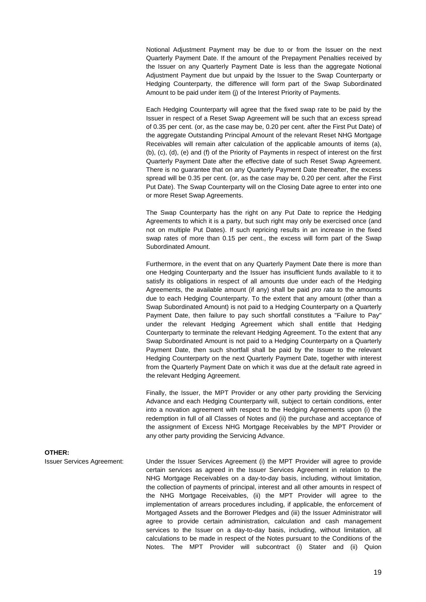Notional Adjustment Payment may be due to or from the Issuer on the next Quarterly Payment Date. If the amount of the Prepayment Penalties received by the Issuer on any Quarterly Payment Date is less than the aggregate Notional Adjustment Payment due but unpaid by the Issuer to the Swap Counterparty or Hedging Counterparty, the difference will form part of the Swap Subordinated Amount to be paid under item (j) of the Interest Priority of Payments.

 Each Hedging Counterparty will agree that the fixed swap rate to be paid by the Issuer in respect of a Reset Swap Agreement will be such that an excess spread of 0.35 per cent. (or, as the case may be, 0.20 per cent. after the First Put Date) of the aggregate Outstanding Principal Amount of the relevant Reset NHG Mortgage Receivables will remain after calculation of the applicable amounts of items (a), (b), (c), (d), (e) and (f) of the Priority of Payments in respect of interest on the first Quarterly Payment Date after the effective date of such Reset Swap Agreement. There is no guarantee that on any Quarterly Payment Date thereafter, the excess spread will be 0.35 per cent. (or, as the case may be, 0.20 per cent. after the First Put Date). The Swap Counterparty will on the Closing Date agree to enter into one or more Reset Swap Agreements.

 The Swap Counterparty has the right on any Put Date to reprice the Hedging Agreements to which it is a party, but such right may only be exercised once (and not on multiple Put Dates). If such repricing results in an increase in the fixed swap rates of more than 0.15 per cent., the excess will form part of the Swap Subordinated Amount.

 Furthermore, in the event that on any Quarterly Payment Date there is more than one Hedging Counterparty and the Issuer has insufficient funds available to it to satisfy its obligations in respect of all amounts due under each of the Hedging Agreements, the available amount (if any) shall be paid *pro rata* to the amounts due to each Hedging Counterparty. To the extent that any amount (other than a Swap Subordinated Amount) is not paid to a Hedging Counterparty on a Quarterly Payment Date, then failure to pay such shortfall constitutes a "Failure to Pay" under the relevant Hedging Agreement which shall entitle that Hedging Counterparty to terminate the relevant Hedging Agreement. To the extent that any Swap Subordinated Amount is not paid to a Hedging Counterparty on a Quarterly Payment Date, then such shortfall shall be paid by the Issuer to the relevant Hedging Counterparty on the next Quarterly Payment Date, together with interest from the Quarterly Payment Date on which it was due at the default rate agreed in the relevant Hedging Agreement.

 Finally, the Issuer, the MPT Provider or any other party providing the Servicing Advance and each Hedging Counterparty will, subject to certain conditions, enter into a novation agreement with respect to the Hedging Agreements upon (i) the redemption in full of all Classes of Notes and (ii) the purchase and acceptance of the assignment of Excess NHG Mortgage Receivables by the MPT Provider or any other party providing the Servicing Advance.

Issuer Services Agreement: Under the Issuer Services Agreement (i) the MPT Provider will agree to provide certain services as agreed in the Issuer Services Agreement in relation to the NHG Mortgage Receivables on a day-to-day basis, including, without limitation, the collection of payments of principal, interest and all other amounts in respect of the NHG Mortgage Receivables, (ii) the MPT Provider will agree to the implementation of arrears procedures including, if applicable, the enforcement of Mortgaged Assets and the Borrower Pledges and (iii) the Issuer Administrator will agree to provide certain administration, calculation and cash management services to the Issuer on a day-to-day basis, including, without limitation, all calculations to be made in respect of the Notes pursuant to the Conditions of the Notes. The MPT Provider will subcontract (i) Stater and (ii) Quion

**OTHER:**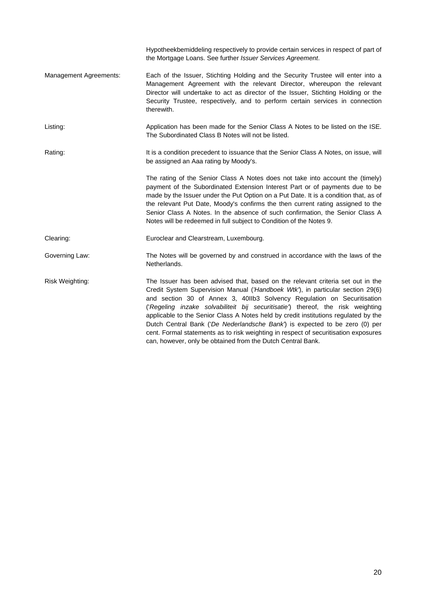|                        | Hypotheekbemiddeling respectively to provide certain services in respect of part of<br>the Mortgage Loans. See further Issuer Services Agreement.                                                                                                                                                                                                                                                                                                                                                                                                                                                                                                           |
|------------------------|-------------------------------------------------------------------------------------------------------------------------------------------------------------------------------------------------------------------------------------------------------------------------------------------------------------------------------------------------------------------------------------------------------------------------------------------------------------------------------------------------------------------------------------------------------------------------------------------------------------------------------------------------------------|
| Management Agreements: | Each of the Issuer, Stichting Holding and the Security Trustee will enter into a<br>Management Agreement with the relevant Director, whereupon the relevant<br>Director will undertake to act as director of the Issuer, Stichting Holding or the<br>Security Trustee, respectively, and to perform certain services in connection<br>therewith.                                                                                                                                                                                                                                                                                                            |
| Listing:               | Application has been made for the Senior Class A Notes to be listed on the ISE.<br>The Subordinated Class B Notes will not be listed.                                                                                                                                                                                                                                                                                                                                                                                                                                                                                                                       |
| Rating:                | It is a condition precedent to issuance that the Senior Class A Notes, on issue, will<br>be assigned an Aaa rating by Moody's.                                                                                                                                                                                                                                                                                                                                                                                                                                                                                                                              |
|                        | The rating of the Senior Class A Notes does not take into account the (timely)<br>payment of the Subordinated Extension Interest Part or of payments due to be<br>made by the Issuer under the Put Option on a Put Date. It is a condition that, as of<br>the relevant Put Date, Moody's confirms the then current rating assigned to the<br>Senior Class A Notes. In the absence of such confirmation, the Senior Class A<br>Notes will be redeemed in full subject to Condition of the Notes 9.                                                                                                                                                           |
| Clearing:              | Euroclear and Clearstream, Luxembourg.                                                                                                                                                                                                                                                                                                                                                                                                                                                                                                                                                                                                                      |
| Governing Law:         | The Notes will be governed by and construed in accordance with the laws of the<br>Netherlands.                                                                                                                                                                                                                                                                                                                                                                                                                                                                                                                                                              |
| Risk Weighting:        | The Issuer has been advised that, based on the relevant criteria set out in the<br>Credit System Supervision Manual ('Handboek Wtk'), in particular section 29(6)<br>and section 30 of Annex 3, 40IIb3 Solvency Regulation on Securitisation<br>('Regeling inzake solvabiliteit bij securitisatie') thereof, the risk weighting<br>applicable to the Senior Class A Notes held by credit institutions regulated by the<br>Dutch Central Bank ('De Nederlandsche Bank') is expected to be zero (0) per<br>cent. Formal statements as to risk weighting in respect of securitisation exposures<br>can, however, only be obtained from the Dutch Central Bank. |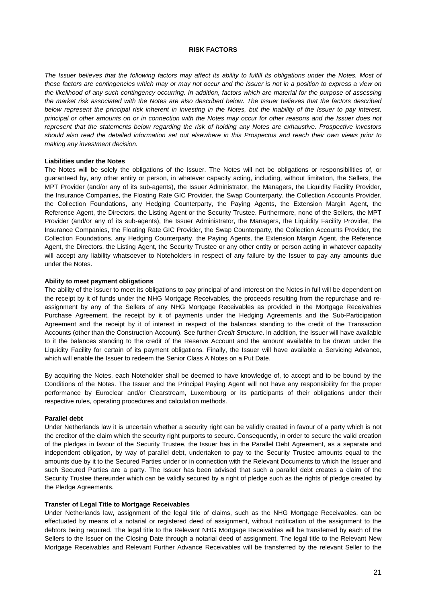#### **RISK FACTORS**

The Issuer believes that the following factors may affect its ability to fulfill its obligations under the Notes. Most of *these factors are contingencies which may or may not occur and the Issuer is not in a position to express a view on the likelihood of any such contingency occurring. In addition, factors which are material for the purpose of assessing the market risk associated with the Notes are also described below. The Issuer believes that the factors described below represent the principal risk inherent in investing in the Notes, but the inability of the Issuer to pay interest, principal or other amounts on or in connection with the Notes may occur for other reasons and the Issuer does not represent that the statements below regarding the risk of holding any Notes are exhaustive. Prospective investors should also read the detailed information set out elsewhere in this Prospectus and reach their own views prior to making any investment decision.*

#### **Liabilities under the Notes**

The Notes will be solely the obligations of the Issuer. The Notes will not be obligations or responsibilities of, or guaranteed by, any other entity or person, in whatever capacity acting, including, without limitation, the Sellers, the MPT Provider (and/or any of its sub-agents), the Issuer Administrator, the Managers, the Liquidity Facility Provider, the Insurance Companies, the Floating Rate GIC Provider, the Swap Counterparty, the Collection Accounts Provider, the Collection Foundations, any Hedging Counterparty, the Paying Agents, the Extension Margin Agent, the Reference Agent, the Directors, the Listing Agent or the Security Trustee. Furthermore, none of the Sellers, the MPT Provider (and/or any of its sub-agents), the Issuer Administrator, the Managers, the Liquidity Facility Provider, the Insurance Companies, the Floating Rate GIC Provider, the Swap Counterparty, the Collection Accounts Provider, the Collection Foundations, any Hedging Counterparty, the Paying Agents, the Extension Margin Agent, the Reference Agent, the Directors, the Listing Agent, the Security Trustee or any other entity or person acting in whatever capacity will accept any liability whatsoever to Noteholders in respect of any failure by the Issuer to pay any amounts due under the Notes.

#### **Ability to meet payment obligations**

The ability of the Issuer to meet its obligations to pay principal of and interest on the Notes in full will be dependent on the receipt by it of funds under the NHG Mortgage Receivables, the proceeds resulting from the repurchase and reassignment by any of the Sellers of any NHG Mortgage Receivables as provided in the Mortgage Receivables Purchase Agreement, the receipt by it of payments under the Hedging Agreements and the Sub-Participation Agreement and the receipt by it of interest in respect of the balances standing to the credit of the Transaction Accounts (other than the Construction Account). See further *Credit Structure*. In addition, the Issuer will have available to it the balances standing to the credit of the Reserve Account and the amount available to be drawn under the Liquidity Facility for certain of its payment obligations. Finally, the Issuer will have available a Servicing Advance, which will enable the Issuer to redeem the Senior Class A Notes on a Put Date.

By acquiring the Notes, each Noteholder shall be deemed to have knowledge of, to accept and to be bound by the Conditions of the Notes. The Issuer and the Principal Paying Agent will not have any responsibility for the proper performance by Euroclear and/or Clearstream, Luxembourg or its participants of their obligations under their respective rules, operating procedures and calculation methods.

#### **Parallel debt**

Under Netherlands law it is uncertain whether a security right can be validly created in favour of a party which is not the creditor of the claim which the security right purports to secure. Consequently, in order to secure the valid creation of the pledges in favour of the Security Trustee, the Issuer has in the Parallel Debt Agreement, as a separate and independent obligation, by way of parallel debt, undertaken to pay to the Security Trustee amounts equal to the amounts due by it to the Secured Parties under or in connection with the Relevant Documents to which the Issuer and such Secured Parties are a party. The Issuer has been advised that such a parallel debt creates a claim of the Security Trustee thereunder which can be validly secured by a right of pledge such as the rights of pledge created by the Pledge Agreements.

#### **Transfer of Legal Title to Mortgage Receivables**

Under Netherlands law, assignment of the legal title of claims, such as the NHG Mortgage Receivables, can be effectuated by means of a notarial or registered deed of assignment, without notification of the assignment to the debtors being required. The legal title to the Relevant NHG Mortgage Receivables will be transferred by each of the Sellers to the Issuer on the Closing Date through a notarial deed of assignment. The legal title to the Relevant New Mortgage Receivables and Relevant Further Advance Receivables will be transferred by the relevant Seller to the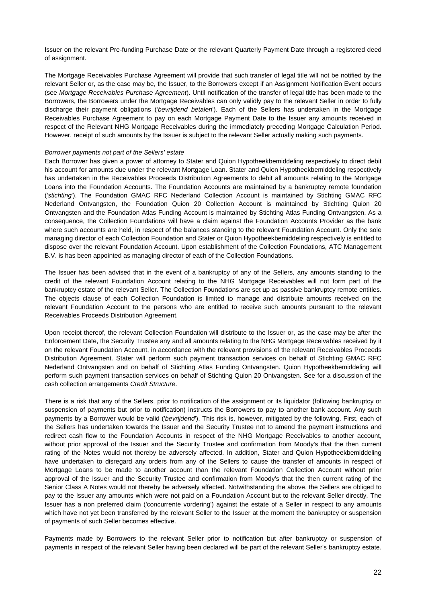Issuer on the relevant Pre-funding Purchase Date or the relevant Quarterly Payment Date through a registered deed of assignment.

The Mortgage Receivables Purchase Agreement will provide that such transfer of legal title will not be notified by the relevant Seller or, as the case may be, the Issuer, to the Borrowers except if an Assignment Notification Event occurs (see *Mortgage Receivables Purchase Agreement*). Until notification of the transfer of legal title has been made to the Borrowers, the Borrowers under the Mortgage Receivables can only validly pay to the relevant Seller in order to fully discharge their payment obligations (*'bevrijdend betalen*'). Each of the Sellers has undertaken in the Mortgage Receivables Purchase Agreement to pay on each Mortgage Payment Date to the Issuer any amounts received in respect of the Relevant NHG Mortgage Receivables during the immediately preceding Mortgage Calculation Period. However, receipt of such amounts by the Issuer is subject to the relevant Seller actually making such payments.

#### *Borrower payments not part of the Sellers' estate*

Each Borrower has given a power of attorney to Stater and Quion Hypotheekbemiddeling respectively to direct debit his account for amounts due under the relevant Mortgage Loan. Stater and Quion Hypotheekbemiddeling respectively has undertaken in the Receivables Proceeds Distribution Agreements to debit all amounts relating to the Mortgage Loans into the Foundation Accounts. The Foundation Accounts are maintained by a bankruptcy remote foundation ('*stichting*'). The Foundation GMAC RFC Nederland Collection Account is maintained by Stichting GMAC RFC Nederland Ontvangsten, the Foundation Quion 20 Collection Account is maintained by Stichting Quion 20 Ontvangsten and the Foundation Atlas Funding Account is maintained by Stichting Atlas Funding Ontvangsten. As a consequence, the Collection Foundations will have a claim against the Foundation Accounts Provider as the bank where such accounts are held, in respect of the balances standing to the relevant Foundation Account. Only the sole managing director of each Collection Foundation and Stater or Quion Hypotheekbemiddeling respectively is entitled to dispose over the relevant Foundation Account. Upon establishment of the Collection Foundations, ATC Management B.V. is has been appointed as managing director of each of the Collection Foundations.

The Issuer has been advised that in the event of a bankruptcy of any of the Sellers, any amounts standing to the credit of the relevant Foundation Account relating to the NHG Mortgage Receivables will not form part of the bankruptcy estate of the relevant Seller. The Collection Foundations are set up as passive bankruptcy remote entities. The objects clause of each Collection Foundation is limited to manage and distribute amounts received on the relevant Foundation Account to the persons who are entitled to receive such amounts pursuant to the relevant Receivables Proceeds Distribution Agreement.

Upon receipt thereof, the relevant Collection Foundation will distribute to the Issuer or, as the case may be after the Enforcement Date, the Security Trustee any and all amounts relating to the NHG Mortgage Receivables received by it on the relevant Foundation Account, in accordance with the relevant provisions of the relevant Receivables Proceeds Distribution Agreement. Stater will perform such payment transaction services on behalf of Stichting GMAC RFC Nederland Ontvangsten and on behalf of Stichting Atlas Funding Ontvangsten. Quion Hypotheekbemiddeling will perform such payment transaction services on behalf of Stichting Quion 20 Ontvangsten. See for a discussion of the cash collection arrangements *Credit Structure*.

There is a risk that any of the Sellers, prior to notification of the assignment or its liquidator (following bankruptcy or suspension of payments but prior to notification) instructs the Borrowers to pay to another bank account. Any such payments by a Borrower would be valid ('*bevrijdend*'). This risk is, however, mitigated by the following. First, each of the Sellers has undertaken towards the Issuer and the Security Trustee not to amend the payment instructions and redirect cash flow to the Foundation Accounts in respect of the NHG Mortgage Receivables to another account, without prior approval of the Issuer and the Security Trustee and confirmation from Moody's that the then current rating of the Notes would not thereby be adversely affected. In addition, Stater and Quion Hypotheekbemiddeling have undertaken to disregard any orders from any of the Sellers to cause the transfer of amounts in respect of Mortgage Loans to be made to another account than the relevant Foundation Collection Account without prior approval of the Issuer and the Security Trustee and confirmation from Moody's that the then current rating of the Senior Class A Notes would not thereby be adversely affected. Notwithstanding the above, the Sellers are obliged to pay to the Issuer any amounts which were not paid on a Foundation Account but to the relevant Seller directly. The Issuer has a non preferred claim ('concurrente vordering') against the estate of a Seller in respect to any amounts which have not yet been transferred by the relevant Seller to the Issuer at the moment the bankruptcy or suspension of payments of such Seller becomes effective.

Payments made by Borrowers to the relevant Seller prior to notification but after bankruptcy or suspension of payments in respect of the relevant Seller having been declared will be part of the relevant Seller's bankruptcy estate.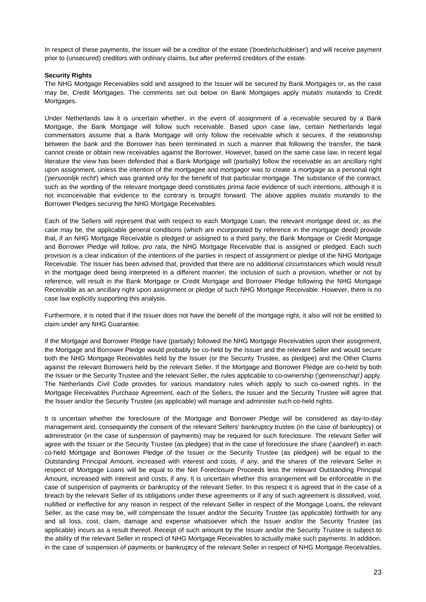In respect of these payments, the Issuer will be a creditor of the estate ('*boedelschuldeise*r') and will receive payment prior to (unsecured) creditors with ordinary claims, but after preferred creditors of the estate.

# **Security Rights**

The NHG Mortgage Receivables sold and assigned to the Issuer will be secured by Bank Mortgages or, as the case may be, Credit Mortgages. The comments set out below on Bank Mortgages apply *mutatis mutandis* to Credit Mortgages.

Under Netherlands law it is uncertain whether, in the event of assignment of a receivable secured by a Bank Mortgage, the Bank Mortgage will follow such receivable. Based upon case law, certain Netherlands legal commentators assume that a Bank Mortgage will only follow the receivable which it secures, if the relationship between the bank and the Borrower has been terminated in such a manner that following the transfer, the bank cannot create or obtain new receivables against the Borrower. However, based on the same case law, in recent legal literature the view has been defended that a Bank Mortgage will (partially) follow the receivable as an ancillary right upon assignment, unless the intention of the mortgagee and mortgagor was to create a mortgage as a personal right ('*persoonlijk recht*') which was granted only for the benefit of that particular mortgage. The substance of the contract, such as the wording of the relevant mortgage deed constitutes *prima facie* evidence of such intentions, although it is not inconceivable that evidence to the contrary is brought forward. The above applies *mutatis mutandis* to the Borrower Pledges securing the NHG Mortgage Receivables.

Each of the Sellers will represent that with respect to each Mortgage Loan, the relevant mortgage deed or, as the case may be, the applicable general conditions (which are incorporated by reference in the mortgage deed) provide that, if an NHG Mortgage Receivable is pledged or assigned to a third party, the Bank Mortgage or Credit Mortgage and Borrower Pledge will follow, *pro rata*, the NHG Mortgage Receivable that is assigned or pledged. Each such provision is a clear indication of the intentions of the parties in respect of assignment or pledge of the NHG Mortgage Receivable. The Issuer has been advised that, provided that there are no additional circumstances which would result in the mortgage deed being interpreted in a different manner, the inclusion of such a provision, whether or not by reference, will result in the Bank Mortgage or Credit Mortgage and Borrower Pledge following the NHG Mortgage Receivable as an ancillary right upon assignment or pledge of such NHG Mortgage Receivable. However, there is no case law explicitly supporting this analysis.

Furthermore, it is noted that if the Issuer does not have the benefit of the mortgage right, it also will not be entitled to claim under any NHG Guarantee.

If the Mortgage and Borrower Pledge have (partially) followed the NHG Mortgage Receivables upon their assignment, the Mortgage and Borrower Pledge would probably be co-held by the Issuer and the relevant Seller and would secure both the NHG Mortgage Receivables held by the Issuer (or the Security Trustee, as pledgee) and the Other Claims against the relevant Borrowers held by the relevant Seller. If the Mortgage and Borrower Pledge are co-held by both the Issuer or the Security Trustee and the relevant Seller, the rules applicable to co-ownership ('*gemeenschap*'*)* apply. The Netherlands Civil Code provides for various mandatory rules which apply to such co-owned rights. In the Mortgage Receivables Purchase Agreement, each of the Sellers, the Issuer and the Security Trustee will agree that the Issuer and/or the Security Trustee (as applicable) will manage and administer such co-held rights.

It is uncertain whether the foreclosure of the Mortgage and Borrower Pledge will be considered as day-to-day management and, consequently the consent of the relevant Sellers' bankruptcy trustee (in the case of bankruptcy) or administrator (in the case of suspension of payments) may be required for such foreclosure. The relevant Seller will agree with the Issuer or the Security Trustee (as pledgee) that in the case of foreclosure the share ('*aandeel*') in each co-held Mortgage and Borrower Pledge of the Issuer or the Security Trustee (as pledgee) will be equal to the Outstanding Principal Amount, increased with interest and costs, if any, and the shares of the relevant Seller in respect of Mortgage Loans will be equal to the Net Foreclosure Proceeds less the relevant Outstanding Principal Amount, increased with interest and costs, if any. It is uncertain whether this arrangement will be enforceable in the case of suspension of payments or bankruptcy of the relevant Seller. In this respect it is agreed that in the case of a breach by the relevant Seller of its obligations under these agreements or if any of such agreement is dissolved, void, nullified or ineffective for any reason in respect of the relevant Seller in respect of the Mortgage Loans, the relevant Seller, as the case may be, will compensate the Issuer and/or the Security Trustee (as applicable) forthwith for any and all loss, cost, claim, damage and expense whatsoever which the Issuer and/or the Security Trustee (as applicable) incurs as a result thereof. Receipt of such amount by the Issuer and/or the Security Trustee is subject to the ability of the relevant Seller in respect of NHG Mortgage Receivables to actually make such payments. In addition, in the case of suspension of payments or bankruptcy of the relevant Seller in respect of NHG Mortgage Receivables,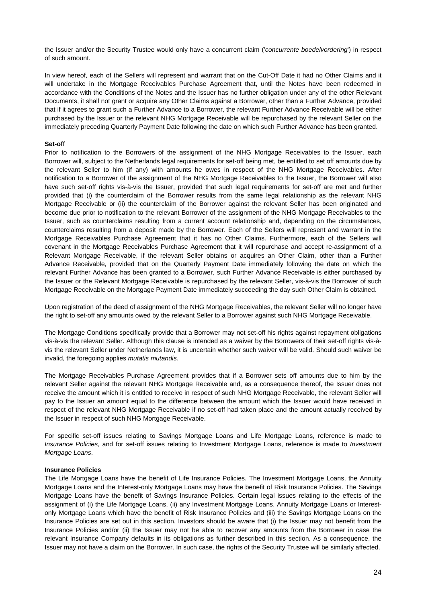the Issuer and/or the Security Trustee would only have a concurrent claim ('*concurrente boedelvordering*') in respect of such amount.

In view hereof, each of the Sellers will represent and warrant that on the Cut-Off Date it had no Other Claims and it will undertake in the Mortgage Receivables Purchase Agreement that, until the Notes have been redeemed in accordance with the Conditions of the Notes and the Issuer has no further obligation under any of the other Relevant Documents, it shall not grant or acquire any Other Claims against a Borrower, other than a Further Advance, provided that if it agrees to grant such a Further Advance to a Borrower, the relevant Further Advance Receivable will be either purchased by the Issuer or the relevant NHG Mortgage Receivable will be repurchased by the relevant Seller on the immediately preceding Quarterly Payment Date following the date on which such Further Advance has been granted.

### **Set-off**

Prior to notification to the Borrowers of the assignment of the NHG Mortgage Receivables to the Issuer, each Borrower will, subject to the Netherlands legal requirements for set-off being met, be entitled to set off amounts due by the relevant Seller to him (if any) with amounts he owes in respect of the NHG Mortgage Receivables. After notification to a Borrower of the assignment of the NHG Mortgage Receivables to the Issuer, the Borrower will also have such set-off rights vis-à-vis the Issuer, provided that such legal requirements for set-off are met and further provided that (i) the counterclaim of the Borrower results from the same legal relationship as the relevant NHG Mortgage Receivable or (ii) the counterclaim of the Borrower against the relevant Seller has been originated and become due prior to notification to the relevant Borrower of the assignment of the NHG Mortgage Receivables to the Issuer, such as counterclaims resulting from a current account relationship and, depending on the circumstances, counterclaims resulting from a deposit made by the Borrower. Each of the Sellers will represent and warrant in the Mortgage Receivables Purchase Agreement that it has no Other Claims. Furthermore, each of the Sellers will covenant in the Mortgage Receivables Purchase Agreement that it will repurchase and accept re-assignment of a Relevant Mortgage Receivable, if the relevant Seller obtains or acquires an Other Claim, other than a Further Advance Receivable, provided that on the Quarterly Payment Date immediately following the date on which the relevant Further Advance has been granted to a Borrower, such Further Advance Receivable is either purchased by the Issuer or the Relevant Mortgage Receivable is repurchased by the relevant Seller, vis-à-vis the Borrower of such Mortgage Receivable on the Mortgage Payment Date immediately succeeding the day such Other Claim is obtained.

Upon registration of the deed of assignment of the NHG Mortgage Receivables, the relevant Seller will no longer have the right to set-off any amounts owed by the relevant Seller to a Borrower against such NHG Mortgage Receivable.

The Mortgage Conditions specifically provide that a Borrower may not set-off his rights against repayment obligations vis-à-vis the relevant Seller. Although this clause is intended as a waiver by the Borrowers of their set-off rights vis-àvis the relevant Seller under Netherlands law, it is uncertain whether such waiver will be valid. Should such waiver be invalid, the foregoing applies *mutatis mutandis*.

The Mortgage Receivables Purchase Agreement provides that if a Borrower sets off amounts due to him by the relevant Seller against the relevant NHG Mortgage Receivable and, as a consequence thereof, the Issuer does not receive the amount which it is entitled to receive in respect of such NHG Mortgage Receivable, the relevant Seller will pay to the Issuer an amount equal to the difference between the amount which the Issuer would have received in respect of the relevant NHG Mortgage Receivable if no set-off had taken place and the amount actually received by the Issuer in respect of such NHG Mortgage Receivable.

For specific set-off issues relating to Savings Mortgage Loans and Life Mortgage Loans, reference is made to *Insurance Policies*, and for set-off issues relating to Investment Mortgage Loans, reference is made to *Investment Mortgage Loans*.

### **Insurance Policies**

The Life Mortgage Loans have the benefit of Life Insurance Policies. The Investment Mortgage Loans, the Annuity Mortgage Loans and the Interest-only Mortgage Loans may have the benefit of Risk Insurance Policies. The Savings Mortgage Loans have the benefit of Savings Insurance Policies. Certain legal issues relating to the effects of the assignment of (i) the Life Mortgage Loans, (ii) any Investment Mortgage Loans, Annuity Mortgage Loans or Interestonly Mortgage Loans which have the benefit of Risk Insurance Policies and (iii) the Savings Mortgage Loans on the Insurance Policies are set out in this section. Investors should be aware that (i) the Issuer may not benefit from the Insurance Policies and/or (ii) the Issuer may not be able to recover any amounts from the Borrower in case the relevant Insurance Company defaults in its obligations as further described in this section. As a consequence, the Issuer may not have a claim on the Borrower. In such case, the rights of the Security Trustee will be similarly affected.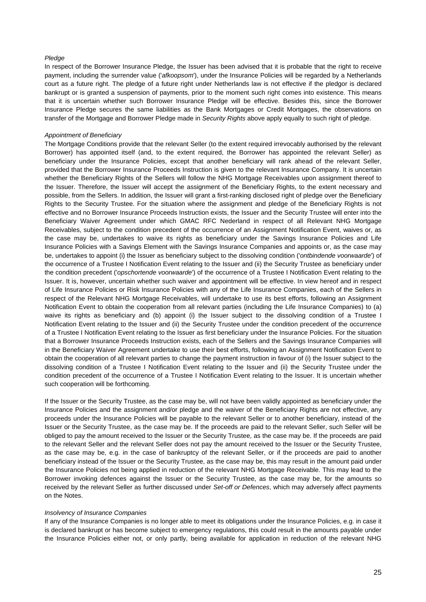#### *Pledge*

In respect of the Borrower Insurance Pledge, the Issuer has been advised that it is probable that the right to receive payment, including the surrender value ('*afkoopsom*'), under the Insurance Policies will be regarded by a Netherlands court as a future right. The pledge of a future right under Netherlands law is not effective if the pledgor is declared bankrupt or is granted a suspension of payments, prior to the moment such right comes into existence. This means that it is uncertain whether such Borrower Insurance Pledge will be effective. Besides this, since the Borrower Insurance Pledge secures the same liabilities as the Bank Mortgages or Credit Mortgages, the observations on transfer of the Mortgage and Borrower Pledge made in *Security Rights* above apply equally to such right of pledge.

#### *Appointment of Beneficiary*

The Mortgage Conditions provide that the relevant Seller (to the extent required irrevocably authorised by the relevant Borrower) has appointed itself (and, to the extent required, the Borrower has appointed the relevant Seller) as beneficiary under the Insurance Policies, except that another beneficiary will rank ahead of the relevant Seller, provided that the Borrower Insurance Proceeds Instruction is given to the relevant Insurance Company. It is uncertain whether the Beneficiary Rights of the Sellers will follow the NHG Mortgage Receivables upon assignment thereof to the Issuer. Therefore, the Issuer will accept the assignment of the Beneficiary Rights, to the extent necessary and possible, from the Sellers. In addition, the Issuer will grant a first-ranking disclosed right of pledge over the Beneficiary Rights to the Security Trustee. For the situation where the assignment and pledge of the Beneficiary Rights is not effective and no Borrower Insurance Proceeds Instruction exists, the Issuer and the Security Trustee will enter into the Beneficiary Waiver Agreement under which GMAC RFC Nederland in respect of all Relevant NHG Mortgage Receivables, subject to the condition precedent of the occurrence of an Assignment Notification Event, waives or, as the case may be, undertakes to waive its rights as beneficiary under the Savings Insurance Policies and Life Insurance Policies with a Savings Element with the Savings Insurance Companies and appoints or, as the case may be, undertakes to appoint (i) the Issuer as beneficiary subject to the dissolving condition ('*ontbindende voorwaarde*') of the occurrence of a Trustee I Notification Event relating to the Issuer and (ii) the Security Trustee as beneficiary under the condition precedent ('*opschortende voorwaarde*') of the occurrence of a Trustee I Notification Event relating to the Issuer. It is, however, uncertain whether such waiver and appointment will be effective. In view hereof and in respect of Life Insurance Policies or Risk Insurance Policies with any of the Life Insurance Companies, each of the Sellers in respect of the Relevant NHG Mortgage Receivables, will undertake to use its best efforts, following an Assignment Notification Event to obtain the cooperation from all relevant parties (including the Life Insurance Companies) to (a) waive its rights as beneficiary and (b) appoint (i) the Issuer subject to the dissolving condition of a Trustee I Notification Event relating to the Issuer and (ii) the Security Trustee under the condition precedent of the occurrence of a Trustee I Notification Event relating to the Issuer as first beneficiary under the Insurance Policies. For the situation that a Borrower Insurance Proceeds Instruction exists, each of the Sellers and the Savings Insurance Companies will in the Beneficiary Waiver Agreement undertake to use their best efforts, following an Assignment Notification Event to obtain the cooperation of all relevant parties to change the payment instruction in favour of (i) the Issuer subject to the dissolving condition of a Trustee I Notification Event relating to the Issuer and (ii) the Security Trustee under the condition precedent of the occurrence of a Trustee I Notification Event relating to the Issuer. It is uncertain whether such cooperation will be forthcoming.

If the Issuer or the Security Trustee, as the case may be, will not have been validly appointed as beneficiary under the Insurance Policies and the assignment and/or pledge and the waiver of the Beneficiary Rights are not effective, any proceeds under the Insurance Policies will be payable to the relevant Seller or to another beneficiary, instead of the Issuer or the Security Trustee, as the case may be. If the proceeds are paid to the relevant Seller, such Seller will be obliged to pay the amount received to the Issuer or the Security Trustee, as the case may be. If the proceeds are paid to the relevant Seller and the relevant Seller does not pay the amount received to the Issuer or the Security Trustee, as the case may be, e.g. in the case of bankruptcy of the relevant Seller, or if the proceeds are paid to another beneficiary instead of the Issuer or the Security Trustee, as the case may be, this may result in the amount paid under the Insurance Policies not being applied in reduction of the relevant NHG Mortgage Receivable. This may lead to the Borrower invoking defences against the Issuer or the Security Trustee, as the case may be, for the amounts so received by the relevant Seller as further discussed under *Set-off or Defences*, which may adversely affect payments on the Notes.

#### *Insolvency of Insurance Companies*

If any of the Insurance Companies is no longer able to meet its obligations under the Insurance Policies, e.g. in case it is declared bankrupt or has become subject to emergency regulations, this could result in the amounts payable under the Insurance Policies either not, or only partly, being available for application in reduction of the relevant NHG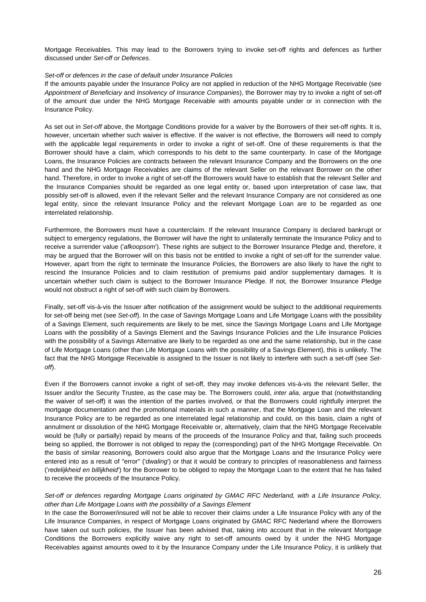Mortgage Receivables. This may lead to the Borrowers trying to invoke set-off rights and defences as further discussed under *Set-off or Defences*.

#### *Set-off or defences in the case of default under Insurance Policies*

If the amounts payable under the Insurance Policy are not applied in reduction of the NHG Mortgage Receivable (see *Appointment of Beneficiary* and *Insolvency of Insurance Companies*), the Borrower may try to invoke a right of set-off of the amount due under the NHG Mortgage Receivable with amounts payable under or in connection with the Insurance Policy.

As set out in *Set-off* above, the Mortgage Conditions provide for a waiver by the Borrowers of their set-off rights. It is, however, uncertain whether such waiver is effective. If the waiver is not effective, the Borrowers will need to comply with the applicable legal requirements in order to invoke a right of set-off. One of these requirements is that the Borrower should have a claim, which corresponds to his debt to the same counterparty. In case of the Mortgage Loans, the Insurance Policies are contracts between the relevant Insurance Company and the Borrowers on the one hand and the NHG Mortgage Receivables are claims of the relevant Seller on the relevant Borrower on the other hand. Therefore, in order to invoke a right of set-off the Borrowers would have to establish that the relevant Seller and the Insurance Companies should be regarded as one legal entity or, based upon interpretation of case law, that possibly set-off is allowed, even if the relevant Seller and the relevant Insurance Company are not considered as one legal entity, since the relevant Insurance Policy and the relevant Mortgage Loan are to be regarded as one interrelated relationship.

Furthermore, the Borrowers must have a counterclaim. If the relevant Insurance Company is declared bankrupt or subject to emergency regulations, the Borrower will have the right to unilaterally terminate the Insurance Policy and to receive a surrender value ('*afkoopsom*'). These rights are subject to the Borrower Insurance Pledge and, therefore, it may be argued that the Borrower will on this basis not be entitled to invoke a right of set-off for the surrender value. However, apart from the right to terminate the Insurance Policies, the Borrowers are also likely to have the right to rescind the Insurance Policies and to claim restitution of premiums paid and/or supplementary damages. It is uncertain whether such claim is subject to the Borrower Insurance Pledge. If not, the Borrower Insurance Pledge would not obstruct a right of set-off with such claim by Borrowers.

Finally, set-off vis-à-vis the Issuer after notification of the assignment would be subject to the additional requirements for set-off being met (see *Set-off*). In the case of Savings Mortgage Loans and Life Mortgage Loans with the possibility of a Savings Element, such requirements are likely to be met, since the Savings Mortgage Loans and Life Mortgage Loans with the possibility of a Savings Element and the Savings Insurance Policies and the Life Insurance Policies with the possibility of a Savings Alternative are likely to be regarded as one and the same relationship, but in the case of Life Mortgage Loans (other than Life Mortgage Loans with the possibility of a Savings Element), this is unlikely. The fact that the NHG Mortgage Receivable is assigned to the Issuer is not likely to interfere with such a set-off (see *Setoff*).

Even if the Borrowers cannot invoke a right of set-off, they may invoke defences vis-à-vis the relevant Seller, the Issuer and/or the Security Trustee, as the case may be. The Borrowers could, *inter alia*, argue that (notwithstanding the waiver of set-off) it was the intention of the parties involved, or that the Borrowers could rightfully interpret the mortgage documentation and the promotional materials in such a manner, that the Mortgage Loan and the relevant Insurance Policy are to be regarded as one interrelated legal relationship and could, on this basis, claim a right of annulment or dissolution of the NHG Mortgage Receivable or, alternatively, claim that the NHG Mortgage Receivable would be (fully or partially) repaid by means of the proceeds of the Insurance Policy and that, failing such proceeds being so applied, the Borrower is not obliged to repay the (corresponding) part of the NHG Mortgage Receivable. On the basis of similar reasoning, Borrowers could also argue that the Mortgage Loans and the Insurance Policy were entered into as a result of "error" ('*dwaling*') or that it would be contrary to principles of reasonableness and fairness ('*redelijkheid en billijkheid*') for the Borrower to be obliged to repay the Mortgage Loan to the extent that he has failed to receive the proceeds of the Insurance Policy.

# *Set-off or defences regarding Mortgage Loans originated by GMAC RFC Nederland, with a Life Insurance Policy, other than Life Mortgage Loans with the possibility of a Savings Element*

In the case the Borrower/insured will not be able to recover their claims under a Life Insurance Policy with any of the Life Insurance Companies, in respect of Mortgage Loans originated by GMAC RFC Nederland where the Borrowers have taken out such policies, the Issuer has been advised that, taking into account that in the relevant Mortgage Conditions the Borrowers explicitly waive any right to set-off amounts owed by it under the NHG Mortgage Receivables against amounts owed to it by the Insurance Company under the Life Insurance Policy, it is unlikely that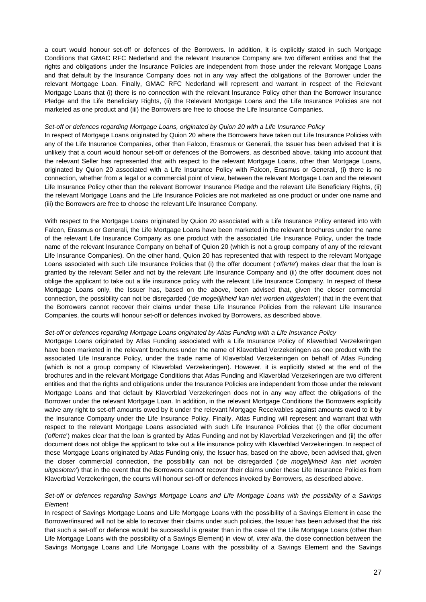a court would honour set-off or defences of the Borrowers. In addition, it is explicitly stated in such Mortgage Conditions that GMAC RFC Nederland and the relevant Insurance Company are two different entities and that the rights and obligations under the Insurance Policies are independent from those under the relevant Mortgage Loans and that default by the Insurance Company does not in any way affect the obligations of the Borrower under the relevant Mortgage Loan. Finally, GMAC RFC Nederland will represent and warrant in respect of the Relevant Mortgage Loans that (i) there is no connection with the relevant Insurance Policy other than the Borrower Insurance Pledge and the Life Beneficiary Rights, (ii) the Relevant Mortgage Loans and the Life Insurance Policies are not marketed as one product and (iii) the Borrowers are free to choose the Life Insurance Companies.

#### *Set-off or defences regarding Mortgage Loans, originated by Quion 20 with a Life Insurance Policy*

In respect of Mortgage Loans originated by Quion 20 where the Borrowers have taken out Life Insurance Policies with any of the Life Insurance Companies, other than Falcon, Erasmus or Generali, the Issuer has been advised that it is unlikely that a court would honour set-off or defences of the Borrowers, as described above, taking into account that the relevant Seller has represented that with respect to the relevant Mortgage Loans, other than Mortgage Loans, originated by Quion 20 associated with a Life Insurance Policy with Falcon, Erasmus or Generali, (i) there is no connection, whether from a legal or a commercial point of view, between the relevant Mortgage Loan and the relevant Life Insurance Policy other than the relevant Borrower Insurance Pledge and the relevant Life Beneficiary Rights, (ii) the relevant Mortgage Loans and the Life Insurance Policies are not marketed as one product or under one name and (iii) the Borrowers are free to choose the relevant Life Insurance Company.

With respect to the Mortgage Loans originated by Quion 20 associated with a Life Insurance Policy entered into with Falcon, Erasmus or Generali, the Life Mortgage Loans have been marketed in the relevant brochures under the name of the relevant Life Insurance Company as one product with the associated Life Insurance Policy, under the trade name of the relevant Insurance Company on behalf of Quion 20 (which is not a group company of any of the relevant Life Insurance Companies). On the other hand, Quion 20 has represented that with respect to the relevant Mortgage Loans associated with such Life Insurance Policies that (i) the offer document ('*offerte*') makes clear that the loan is granted by the relevant Seller and not by the relevant Life Insurance Company and (ii) the offer document does not oblige the applicant to take out a life insurance policy with the relevant Life Insurance Company. In respect of these Mortgage Loans only, the Issuer has, based on the above, been advised that, given the closer commercial connection, the possibility can not be disregarded ('*de mogelijkheid kan niet worden uitgesloten*') that in the event that the Borrowers cannot recover their claims under these Life Insurance Policies from the relevant Life Insurance Companies, the courts will honour set-off or defences invoked by Borrowers, as described above.

#### *Set-off or defences regarding Mortgage Loans originated by Atlas Funding with a Life Insurance Policy*

Mortgage Loans originated by Atlas Funding associated with a Life Insurance Policy of Klaverblad Verzekeringen have been marketed in the relevant brochures under the name of Klaverblad Verzekeringen as one product with the associated Life Insurance Policy, under the trade name of Klaverblad Verzekeringen on behalf of Atlas Funding (which is not a group company of Klaverblad Verzekeringen). However, it is explicitly stated at the end of the brochures and in the relevant Mortgage Conditions that Atlas Funding and Klaverblad Verzekeringen are two different entities and that the rights and obligations under the Insurance Policies are independent from those under the relevant Mortgage Loans and that default by Klaverblad Verzekeringen does not in any way affect the obligations of the Borrower under the relevant Mortgage Loan. In addition, in the relevant Mortgage Conditions the Borrowers explicitly waive any right to set-off amounts owed by it under the relevant Mortgage Receivables against amounts owed to it by the Insurance Company under the Life Insurance Policy. Finally, Atlas Funding will represent and warrant that with respect to the relevant Mortgage Loans associated with such Life Insurance Policies that (i) the offer document ('*offerte*') makes clear that the loan is granted by Atlas Funding and not by Klaverblad Verzekeringen and (ii) the offer document does not oblige the applicant to take out a life insurance policy with Klaverblad Verzekeringen. In respect of these Mortgage Loans originated by Atlas Funding only, the Issuer has, based on the above, been advised that, given the closer commercial connection, the possibility can not be disregarded ('*de mogelijkheid kan niet worden uitgesloten*') that in the event that the Borrowers cannot recover their claims under these Life Insurance Policies from Klaverblad Verzekeringen, the courts will honour set-off or defences invoked by Borrowers, as described above.

# *Set-off or defences regarding Savings Mortgage Loans and Life Mortgage Loans with the possibility of a Savings Element*

In respect of Savings Mortgage Loans and Life Mortgage Loans with the possibility of a Savings Element in case the Borrower/insured will not be able to recover their claims under such policies, the Issuer has been advised that the risk that such a set-off or defence would be successful is greater than in the case of the Life Mortgage Loans (other than Life Mortgage Loans with the possibility of a Savings Element) in view of, *inter alia*, the close connection between the Savings Mortgage Loans and Life Mortgage Loans with the possibility of a Savings Element and the Savings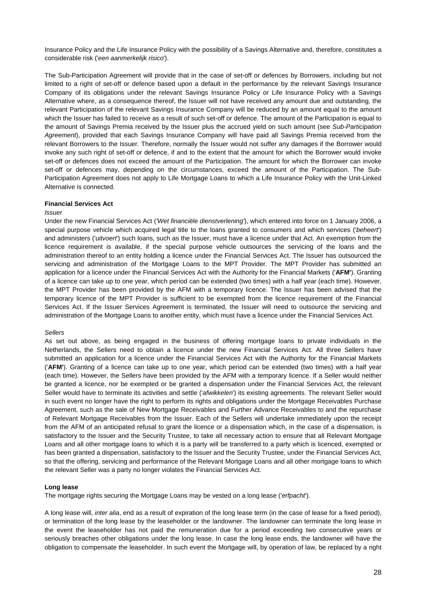Insurance Policy and the Life Insurance Policy with the possibility of a Savings Alternative and, therefore, constitutes a considerable risk ('*een aanmerkelijk risico*').

The Sub-Participation Agreement will provide that in the case of set-off or defences by Borrowers, including but not limited to a right of set-off or defence based upon a default in the performance by the relevant Savings Insurance Company of its obligations under the relevant Savings Insurance Policy or Life Insurance Policy with a Savings Alternative where, as a consequence thereof, the Issuer will not have received any amount due and outstanding, the relevant Participation of the relevant Savings Insurance Company will be reduced by an amount equal to the amount which the Issuer has failed to receive as a result of such set-off or defence. The amount of the Participation is equal to the amount of Savings Premia received by the Issuer plus the accrued yield on such amount (see *Sub-Participation Agreement*), provided that each Savings Insurance Company will have paid all Savings Premia received from the relevant Borrowers to the Issuer. Therefore, normally the Issuer would not suffer any damages if the Borrower would invoke any such right of set-off or defence, if and to the extent that the amount for which the Borrower would invoke set-off or defences does not exceed the amount of the Participation. The amount for which the Borrower can invoke set-off or defences may, depending on the circumstances, exceed the amount of the Participation. The Sub-Participation Agreement does not apply to Life Mortgage Loans to which a Life Insurance Policy with the Unit-Linked Alternative is connected.

### **Financial Services Act**

#### *Issuer*

Under the new Financial Services Act (*'Wet financiële dienstverlening'*), which entered into force on 1 January 2006, a special purpose vehicle which acquired legal title to the loans granted to consumers and which services ('*beheert*') and administers ('*uitvoert*') such loans, such as the Issuer, must have a licence under that Act. An exemption from the licence requirement is available, if the special purpose vehicle outsources the servicing of the loans and the administration thereof to an entity holding a licence under the Financial Services Act. The Issuer has outsourced the servicing and administration of the Mortgage Loans to the MPT Provider. The MPT Provider has submitted an application for a licence under the Financial Services Act with the Authority for the Financial Markets ('**AFM'**). Granting of a licence can take up to one year, which period can be extended (two times) with a half year (each time). However, the MPT Provider has been provided by the AFM with a temporary licence. The Issuer has been advised that the temporary licence of the MPT Provider is sufficient to be exempted from the licence requirement of the Financial Services Act. If the Issuer Services Agreement is terminated, the Issuer will need to outsource the servicing and administration of the Mortgage Loans to another entity, which must have a licence under the Financial Services Act.

### *Sellers*

As set out above, as being engaged in the business of offering mortgage loans to private individuals in the Netherlands, the Sellers need to obtain a licence under the new Financial Services Act. All three Sellers have submitted an application for a licence under the Financial Services Act with the Authority for the Financial Markets ('**AFM'**). Granting of a licence can take up to one year, which period can be extended (two times) with a half year (each time). However, the Sellers have been provided by the AFM with a temporary licence. If a Seller would neither be granted a licence, nor be exempted or be granted a dispensation under the Financial Services Act, the relevant Seller would have to terminate its activities and settle ('*afwikkelen*') its existing agreements. The relevant Seller would in such event no longer have the right to perform its rights and obligations under the Mortgage Receivables Purchase Agreement, such as the sale of New Mortgage Receivables and Further Advance Receivables to and the repurchase of Relevant Mortgage Receivables from the Issuer. Each of the Sellers will undertake immediately upon the receipt from the AFM of an anticipated refusal to grant the licence or a dispensation which, in the case of a dispensation, is satisfactory to the Issuer and the Security Trustee, to take all necessary action to ensure that all Relevant Mortgage Loans and all other mortgage loans to which it is a party will be transferred to a party which is licenced, exempted or has been granted a dispensation, satisfactory to the Issuer and the Security Trustee, under the Financial Services Act, so that the offering, servicing and performance of the Relevant Mortgage Loans and all other mortgage loans to which the relevant Seller was a party no longer violates the Financial Services Act.

### **Long lease**

The mortgage rights securing the Mortgage Loans may be vested on a long lease ('*erfpacht*').

A long lease will, *inter alia*, end as a result of expiration of the long lease term (in the case of lease for a fixed period), or termination of the long lease by the leaseholder or the landowner. The landowner can terminate the long lease in the event the leaseholder has not paid the remuneration due for a period exceeding two consecutive years or seriously breaches other obligations under the long lease. In case the long lease ends, the landowner will have the obligation to compensate the leaseholder. In such event the Mortgage will, by operation of law, be replaced by a right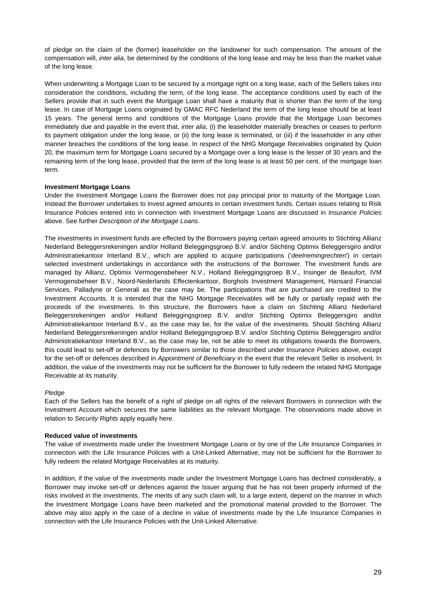of pledge on the claim of the (former) leaseholder on the landowner for such compensation. The amount of the compensation will, *inter alia*, be determined by the conditions of the long lease and may be less than the market value of the long lease.

When underwriting a Mortgage Loan to be secured by a mortgage right on a long lease, each of the Sellers takes into consideration the conditions, including the term, of the long lease. The acceptance conditions used by each of the Sellers provide that in such event the Mortgage Loan shall have a maturity that is shorter than the term of the long lease. In case of Mortgage Loans originated by GMAC RFC Nederland the term of the long lease should be at least 15 years. The general terms and conditions of the Mortgage Loans provide that the Mortgage Loan becomes immediately due and payable in the event that, *inter alia*, (i) the leaseholder materially breaches or ceases to perform its payment obligation under the long lease, or (ii) the long lease is terminated, or (iii) if the leaseholder in any other manner breaches the conditions of the long lease. In respect of the NHG Mortgage Receivables originated by Quion 20, the maximum term for Mortgage Loans secured by a Mortgage over a long lease is the lesser of 30 years and the remaining term of the long lease, provided that the term of the long lease is at least 50 per cent. of the mortgage loan term.

# **Investment Mortgage Loans**

Under the Investment Mortgage Loans the Borrower does not pay principal prior to maturity of the Mortgage Loan. Instead the Borrower undertakes to invest agreed amounts in certain investment funds. Certain issues relating to Risk Insurance Policies entered into in connection with Investment Mortgage Loans are discussed in *Insurance Policies* above. See further *Description of the Mortgage Loans*.

The investments in investment funds are effected by the Borrowers paying certain agreed amounts to Stichting Allianz Nederland Beleggersrekeningen and/or Holland Beleggingsgroep B.V. and/or Stichting Optimix Beleggersgiro and/or Administratiekantoor Interland B.V., which are applied to acquire participations ('*deelnemingrechten*') in certain selected investment undertakings in accordance with the instructions of the Borrower. The investment funds are managed by Allianz, Optimix Vermogensbeheer N.V., Holland Beleggingsgroep B.V., Insinger de Beaufort, IVM Vermogensbeheer B.V., Noord-Nederlands Effectenkantoor, Borghols Investment Management, Hansard Financial Services, Palladyne or Generali as the case may be. The participations that are purchased are credited to the Investment Accounts. It is intended that the NHG Mortgage Receivables will be fully or partially repaid with the proceeds of the investments. In this structure, the Borrowers have a claim on Stichting Allianz Nederland Beleggersrekeningen and/or Holland Beleggingsgroep B.V. and/or Stichting Optimix Beleggersgiro and/or Administratiekantoor Interland B.V., as the case may be, for the value of the investments. Should Stichting Allianz Nederland Beleggersrekeningen and/or Holland Beleggingsgroep B.V. and/or Stichting Optimix Beleggersgiro and/or Administratiekantoor Interland B.V., as the case may be, not be able to meet its obligations towards the Borrowers, this could lead to set-off or defences by Borrowers similar to those described under *Insurance Policies* above, except for the set-off or defences described in *Appointment of Beneficiary* in the event that the relevant Seller is insolvent. In addition, the value of the investments may not be sufficient for the Borrower to fully redeem the related NHG Mortgage Receivable at its maturity.

### *Pledge*

Each of the Sellers has the benefit of a right of pledge on all rights of the relevant Borrowers in connection with the Investment Account which secures the same liabilities as the relevant Mortgage. The observations made above in relation to *Security Rights* apply equally here.

### **Reduced value of investments**

The value of investments made under the Investment Mortgage Loans or by one of the Life Insurance Companies in connection with the Life Insurance Policies with a Unit-Linked Alternative, may not be sufficient for the Borrower to fully redeem the related Mortgage Receivables at its maturity.

In addition, if the value of the investments made under the Investment Mortgage Loans has declined considerably, a Borrower may invoke set-off or defences against the Issuer arguing that he has not been properly informed of the risks involved in the investments. The merits of any such claim will, to a large extent, depend on the manner in which the Investment Mortgage Loans have been marketed and the promotional material provided to the Borrower. The above may also apply in the case of a decline in value of investments made by the Life Insurance Companies in connection with the Life Insurance Policies with the Unit-Linked Alternative.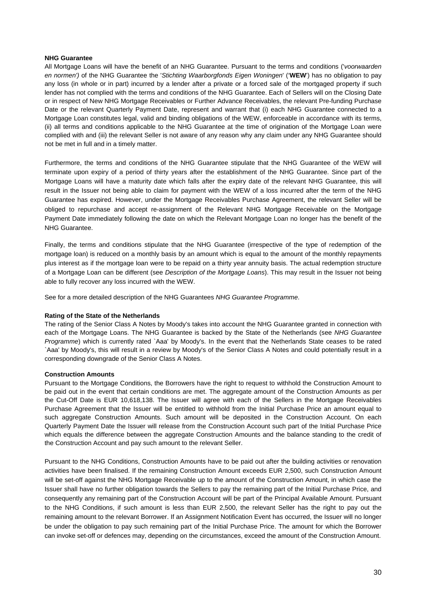# **NHG Guarantee**

All Mortgage Loans will have the benefit of an NHG Guarantee. Pursuant to the terms and conditions ('*voorwaarden en normen')* of the NHG Guarantee the '*Stichting Waarborgfonds Eigen Woningen*' ('**WEW**') has no obligation to pay any loss (in whole or in part) incurred by a lender after a private or a forced sale of the mortgaged property if such lender has not complied with the terms and conditions of the NHG Guarantee. Each of Sellers will on the Closing Date or in respect of New NHG Mortgage Receivables or Further Advance Receivables, the relevant Pre-funding Purchase Date or the relevant Quarterly Payment Date, represent and warrant that (i) each NHG Guarantee connected to a Mortgage Loan constitutes legal, valid and binding obligations of the WEW, enforceable in accordance with its terms, (ii) all terms and conditions applicable to the NHG Guarantee at the time of origination of the Mortgage Loan were complied with and (iii) the relevant Seller is not aware of any reason why any claim under any NHG Guarantee should not be met in full and in a timely matter.

Furthermore, the terms and conditions of the NHG Guarantee stipulate that the NHG Guarantee of the WEW will terminate upon expiry of a period of thirty years after the establishment of the NHG Guarantee. Since part of the Mortgage Loans will have a maturity date which falls after the expiry date of the relevant NHG Guarantee, this will result in the Issuer not being able to claim for payment with the WEW of a loss incurred after the term of the NHG Guarantee has expired. However, under the Mortgage Receivables Purchase Agreement, the relevant Seller will be obliged to repurchase and accept re-assignment of the Relevant NHG Mortgage Receivable on the Mortgage Payment Date immediately following the date on which the Relevant Mortgage Loan no longer has the benefit of the NHG Guarantee.

Finally, the terms and conditions stipulate that the NHG Guarantee (irrespective of the type of redemption of the mortgage loan) is reduced on a monthly basis by an amount which is equal to the amount of the monthly repayments plus interest as if the mortgage loan were to be repaid on a thirty year annuity basis. The actual redemption structure of a Mortgage Loan can be different (see *Description of the Mortgage Loans*). This may result in the Issuer not being able to fully recover any loss incurred with the WEW.

See for a more detailed description of the NHG Guarantees *NHG Guarantee Programme*.

# **Rating of the State of the Netherlands**

The rating of the Senior Class A Notes by Moody's takes into account the NHG Guarantee granted in connection with each of the Mortgage Loans. The NHG Guarantee is backed by the State of the Netherlands (see *NHG Guarantee Programme*) which is currently rated `Aaa' by Moody's. In the event that the Netherlands State ceases to be rated `Aaa' by Moody's, this will result in a review by Moody's of the Senior Class A Notes and could potentially result in a corresponding downgrade of the Senior Class A Notes.

# **Construction Amounts**

Pursuant to the Mortgage Conditions, the Borrowers have the right to request to withhold the Construction Amount to be paid out in the event that certain conditions are met. The aggregate amount of the Construction Amounts as per the Cut-Off Date is EUR 10,618,138. The Issuer will agree with each of the Sellers in the Mortgage Receivables Purchase Agreement that the Issuer will be entitled to withhold from the Initial Purchase Price an amount equal to such aggregate Construction Amounts. Such amount will be deposited in the Construction Account. On each Quarterly Payment Date the Issuer will release from the Construction Account such part of the Initial Purchase Price which equals the difference between the aggregate Construction Amounts and the balance standing to the credit of the Construction Account and pay such amount to the relevant Seller.

Pursuant to the NHG Conditions, Construction Amounts have to be paid out after the building activities or renovation activities have been finalised. If the remaining Construction Amount exceeds EUR 2,500, such Construction Amount will be set-off against the NHG Mortgage Receivable up to the amount of the Construction Amount, in which case the Issuer shall have no further obligation towards the Sellers to pay the remaining part of the Initial Purchase Price, and consequently any remaining part of the Construction Account will be part of the Principal Available Amount. Pursuant to the NHG Conditions, if such amount is less than EUR 2,500, the relevant Seller has the right to pay out the remaining amount to the relevant Borrower. If an Assignment Notification Event has occurred, the Issuer will no longer be under the obligation to pay such remaining part of the Initial Purchase Price. The amount for which the Borrower can invoke set-off or defences may, depending on the circumstances, exceed the amount of the Construction Amount.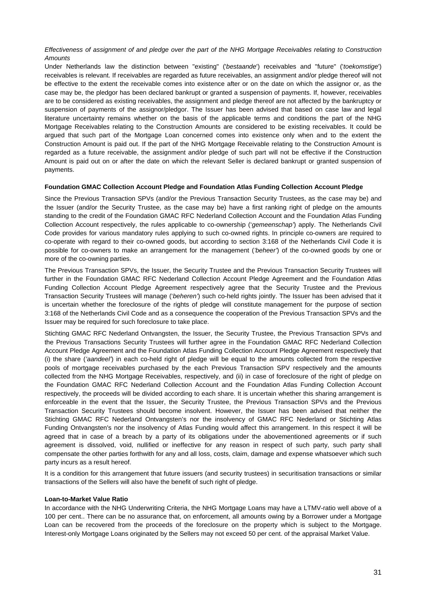# *Effectiveness of assignment of and pledge over the part of the NHG Mortgage Receivables relating to Construction Amounts*

Under Netherlands law the distinction between "existing" ('*bestaande*') receivables and "future" ('*toekomstige*') receivables is relevant. If receivables are regarded as future receivables, an assignment and/or pledge thereof will not be effective to the extent the receivable comes into existence after or on the date on which the assignor or, as the case may be, the pledgor has been declared bankrupt or granted a suspension of payments. If, however, receivables are to be considered as existing receivables, the assignment and pledge thereof are not affected by the bankruptcy or suspension of payments of the assignor/pledgor. The Issuer has been advised that based on case law and legal literature uncertainty remains whether on the basis of the applicable terms and conditions the part of the NHG Mortgage Receivables relating to the Construction Amounts are considered to be existing receivables. It could be argued that such part of the Mortgage Loan concerned comes into existence only when and to the extent the Construction Amount is paid out. If the part of the NHG Mortgage Receivable relating to the Construction Amount is regarded as a future receivable, the assignment and/or pledge of such part will not be effective if the Construction Amount is paid out on or after the date on which the relevant Seller is declared bankrupt or granted suspension of payments.

# **Foundation GMAC Collection Account Pledge and Foundation Atlas Funding Collection Account Pledge**

Since the Previous Transaction SPVs (and/or the Previous Transaction Security Trustees, as the case may be) and the Issuer (and/or the Security Trustee, as the case may be) have a first ranking right of pledge on the amounts standing to the credit of the Foundation GMAC RFC Nederland Collection Account and the Foundation Atlas Funding Collection Account respectively, the rules applicable to co-ownership ('*gemeenschap'*) apply. The Netherlands Civil Code provides for various mandatory rules applying to such co-owned rights. In principle co-owners are required to co-operate with regard to their co-owned goods, but according to section 3:168 of the Netherlands Civil Code it is possible for co-owners to make an arrangement for the management (*'beheer'*) of the co-owned goods by one or more of the co-owning parties.

The Previous Transaction SPVs, the Issuer, the Security Trustee and the Previous Transaction Security Trustees will further in the Foundation GMAC RFC Nederland Collection Account Pledge Agreement and the Foundation Atlas Funding Collection Account Pledge Agreement respectively agree that the Security Trustee and the Previous Transaction Security Trustees will manage ('*beheren'*) such co-held rights jointly. The Issuer has been advised that it is uncertain whether the foreclosure of the rights of pledge will constitute management for the purpose of section 3:168 of the Netherlands Civil Code and as a consequence the cooperation of the Previous Transaction SPVs and the Issuer may be required for such foreclosure to take place.

Stichting GMAC RFC Nederland Ontvangsten, the Issuer, the Security Trustee, the Previous Transaction SPVs and the Previous Transactions Security Trustees will further agree in the Foundation GMAC RFC Nederland Collection Account Pledge Agreement and the Foundation Atlas Funding Collection Account Pledge Agreement respectively that (i) the share (*'aandeel'*) in each co-held right of pledge will be equal to the amounts collected from the respective pools of mortgage receivables purchased by the each Previous Transaction SPV respectively and the amounts collected from the NHG Mortgage Receivables, respectively, and (ii) in case of foreclosure of the right of pledge on the Foundation GMAC RFC Nederland Collection Account and the Foundation Atlas Funding Collection Account respectively, the proceeds will be divided according to each share. It is uncertain whether this sharing arrangement is enforceable in the event that the Issuer, the Security Trustee, the Previous Transaction SPVs and the Previous Transaction Security Trustees should become insolvent. However, the Issuer has been advised that neither the Stichting GMAC RFC Nederland Ontvangsten's nor the insolvency of GMAC RFC Nederland or Stichting Atlas Funding Ontvangsten's nor the insolvency of Atlas Funding would affect this arrangement. In this respect it will be agreed that in case of a breach by a party of its obligations under the abovementioned agreements or if such agreement is dissolved, void, nullified or ineffective for any reason in respect of such party, such party shall compensate the other parties forthwith for any and all loss, costs, claim, damage and expense whatsoever which such party incurs as a result hereof.

It is a condition for this arrangement that future issuers (and security trustees) in securitisation transactions or similar transactions of the Sellers will also have the benefit of such right of pledge.

### **Loan-to-Market Value Ratio**

In accordance with the NHG Underwriting Criteria, the NHG Mortgage Loans may have a LTMV-ratio well above of a 100 per cent.. There can be no assurance that, on enforcement, all amounts owing by a Borrower under a Mortgage Loan can be recovered from the proceeds of the foreclosure on the property which is subject to the Mortgage. Interest-only Mortgage Loans originated by the Sellers may not exceed 50 per cent. of the appraisal Market Value.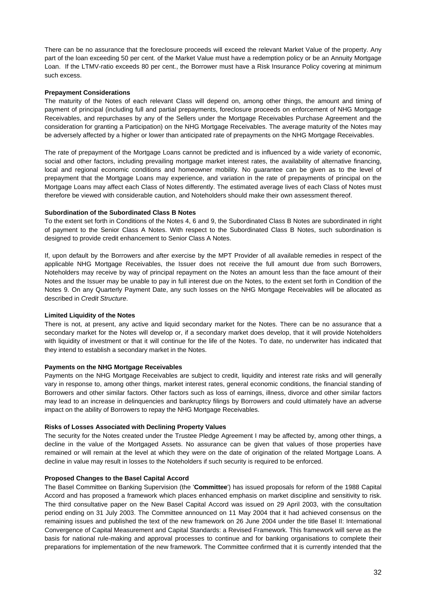There can be no assurance that the foreclosure proceeds will exceed the relevant Market Value of the property. Any part of the loan exceeding 50 per cent. of the Market Value must have a redemption policy or be an Annuity Mortgage Loan. If the LTMV-ratio exceeds 80 per cent., the Borrower must have a Risk Insurance Policy covering at minimum such excess.

# **Prepayment Considerations**

The maturity of the Notes of each relevant Class will depend on, among other things, the amount and timing of payment of principal (including full and partial prepayments, foreclosure proceeds on enforcement of NHG Mortgage Receivables, and repurchases by any of the Sellers under the Mortgage Receivables Purchase Agreement and the consideration for granting a Participation) on the NHG Mortgage Receivables. The average maturity of the Notes may be adversely affected by a higher or lower than anticipated rate of prepayments on the NHG Mortgage Receivables.

The rate of prepayment of the Mortgage Loans cannot be predicted and is influenced by a wide variety of economic, social and other factors, including prevailing mortgage market interest rates, the availability of alternative financing, local and regional economic conditions and homeowner mobility. No guarantee can be given as to the level of prepayment that the Mortgage Loans may experience, and variation in the rate of prepayments of principal on the Mortgage Loans may affect each Class of Notes differently. The estimated average lives of each Class of Notes must therefore be viewed with considerable caution, and Noteholders should make their own assessment thereof.

# **Subordination of the Subordinated Class B Notes**

To the extent set forth in Conditions of the Notes 4, 6 and 9, the Subordinated Class B Notes are subordinated in right of payment to the Senior Class A Notes. With respect to the Subordinated Class B Notes, such subordination is designed to provide credit enhancement to Senior Class A Notes.

If, upon default by the Borrowers and after exercise by the MPT Provider of all available remedies in respect of the applicable NHG Mortgage Receivables, the Issuer does not receive the full amount due from such Borrowers, Noteholders may receive by way of principal repayment on the Notes an amount less than the face amount of their Notes and the Issuer may be unable to pay in full interest due on the Notes, to the extent set forth in Condition of the Notes 9. On any Quarterly Payment Date, any such losses on the NHG Mortgage Receivables will be allocated as described in *Credit Structure*.

# **Limited Liquidity of the Notes**

There is not, at present, any active and liquid secondary market for the Notes. There can be no assurance that a secondary market for the Notes will develop or, if a secondary market does develop, that it will provide Noteholders with liquidity of investment or that it will continue for the life of the Notes. To date, no underwriter has indicated that they intend to establish a secondary market in the Notes.

### **Payments on the NHG Mortgage Receivables**

Payments on the NHG Mortgage Receivables are subject to credit, liquidity and interest rate risks and will generally vary in response to, among other things, market interest rates, general economic conditions, the financial standing of Borrowers and other similar factors. Other factors such as loss of earnings, illness, divorce and other similar factors may lead to an increase in delinquencies and bankruptcy filings by Borrowers and could ultimately have an adverse impact on the ability of Borrowers to repay the NHG Mortgage Receivables.

# **Risks of Losses Associated with Declining Property Values**

The security for the Notes created under the Trustee Pledge Agreement I may be affected by, among other things, a decline in the value of the Mortgaged Assets. No assurance can be given that values of those properties have remained or will remain at the level at which they were on the date of origination of the related Mortgage Loans. A decline in value may result in losses to the Noteholders if such security is required to be enforced.

# **Proposed Changes to the Basel Capital Accord**

The Basel Committee on Banking Supervision (the '**Committee**') has issued proposals for reform of the 1988 Capital Accord and has proposed a framework which places enhanced emphasis on market discipline and sensitivity to risk. The third consultative paper on the New Basel Capital Accord was issued on 29 April 2003, with the consultation period ending on 31 July 2003. The Committee announced on 11 May 2004 that it had achieved consensus on the remaining issues and published the text of the new framework on 26 June 2004 under the title Basel II: International Convergence of Capital Measurement and Capital Standards: a Revised Framework. This framework will serve as the basis for national rule-making and approval processes to continue and for banking organisations to complete their preparations for implementation of the new framework. The Committee confirmed that it is currently intended that the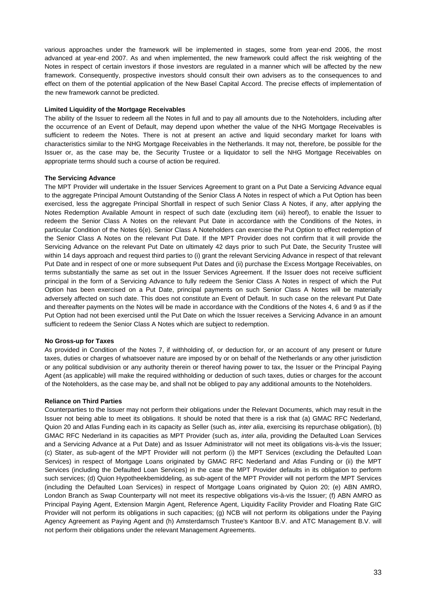various approaches under the framework will be implemented in stages, some from year-end 2006, the most advanced at year-end 2007. As and when implemented, the new framework could affect the risk weighting of the Notes in respect of certain investors if those investors are regulated in a manner which will be affected by the new framework. Consequently, prospective investors should consult their own advisers as to the consequences to and effect on them of the potential application of the New Basel Capital Accord. The precise effects of implementation of the new framework cannot be predicted.

### **Limited Liquidity of the Mortgage Receivables**

The ability of the Issuer to redeem all the Notes in full and to pay all amounts due to the Noteholders, including after the occurrence of an Event of Default, may depend upon whether the value of the NHG Mortgage Receivables is sufficient to redeem the Notes. There is not at present an active and liquid secondary market for loans with characteristics similar to the NHG Mortgage Receivables in the Netherlands. It may not, therefore, be possible for the Issuer or, as the case may be, the Security Trustee or a liquidator to sell the NHG Mortgage Receivables on appropriate terms should such a course of action be required.

# **The Servicing Advance**

The MPT Provider will undertake in the Issuer Services Agreement to grant on a Put Date a Servicing Advance equal to the aggregate Principal Amount Outstanding of the Senior Class A Notes in respect of which a Put Option has been exercised, less the aggregate Principal Shortfall in respect of such Senior Class A Notes, if any, after applying the Notes Redemption Available Amount in respect of such date (excluding item (xii) hereof), to enable the Issuer to redeem the Senior Class A Notes on the relevant Put Date in accordance with the Conditions of the Notes, in particular Condition of the Notes 6(e). Senior Class A Noteholders can exercise the Put Option to effect redemption of the Senior Class A Notes on the relevant Put Date. If the MPT Provider does not confirm that it will provide the Servicing Advance on the relevant Put Date on ultimately 42 days prior to such Put Date, the Security Trustee will within 14 days approach and request third parties to (i) grant the relevant Servicing Advance in respect of that relevant Put Date and in respect of one or more subsequent Put Dates and (ii) purchase the Excess Mortgage Receivables, on terms substantially the same as set out in the Issuer Services Agreement. If the Issuer does not receive sufficient principal in the form of a Servicing Advance to fully redeem the Senior Class A Notes in respect of which the Put Option has been exercised on a Put Date, principal payments on such Senior Class A Notes will be materially adversely affected on such date. This does not constitute an Event of Default. In such case on the relevant Put Date and thereafter payments on the Notes will be made in accordance with the Conditions of the Notes 4, 6 and 9 as if the Put Option had not been exercised until the Put Date on which the Issuer receives a Servicing Advance in an amount sufficient to redeem the Senior Class A Notes which are subject to redemption.

### **No Gross-up for Taxes**

As provided in Condition of the Notes 7, if withholding of, or deduction for, or an account of any present or future taxes, duties or charges of whatsoever nature are imposed by or on behalf of the Netherlands or any other jurisdiction or any political subdivision or any authority therein or thereof having power to tax, the Issuer or the Principal Paying Agent (as applicable) will make the required withholding or deduction of such taxes, duties or charges for the account of the Noteholders, as the case may be, and shall not be obliged to pay any additional amounts to the Noteholders.

### **Reliance on Third Parties**

Counterparties to the Issuer may not perform their obligations under the Relevant Documents, which may result in the Issuer not being able to meet its obligations. It should be noted that there is a risk that (a) GMAC RFC Nederland, Quion 20 and Atlas Funding each in its capacity as Seller (such as, *inter alia*, exercising its repurchase obligation), (b) GMAC RFC Nederland in its capacities as MPT Provider (such as, *inter alia*, providing the Defaulted Loan Services and a Servicing Advance at a Put Date) and as Issuer Administrator will not meet its obligations vis-à-vis the Issuer; (c) Stater, as sub-agent of the MPT Provider will not perform (i) the MPT Services (excluding the Defaulted Loan Services) in respect of Mortgage Loans originated by GMAC RFC Nederland and Atlas Funding or (ii) the MPT Services (including the Defaulted Loan Services) in the case the MPT Provider defaults in its obligation to perform such services; (d) Quion Hypotheekbemiddeling, as sub-agent of the MPT Provider will not perform the MPT Services (including the Defaulted Loan Services) in respect of Mortgage Loans originated by Quion 20; (e) ABN AMRO, London Branch as Swap Counterparty will not meet its respective obligations vis-à-vis the Issuer; (f) ABN AMRO as Principal Paying Agent, Extension Margin Agent, Reference Agent, Liquidity Facility Provider and Floating Rate GIC Provider will not perform its obligations in such capacities; (g) NCB will not perform its obligations under the Paying Agency Agreement as Paying Agent and (h) Amsterdamsch Trustee's Kantoor B.V. and ATC Management B.V. will not perform their obligations under the relevant Management Agreements.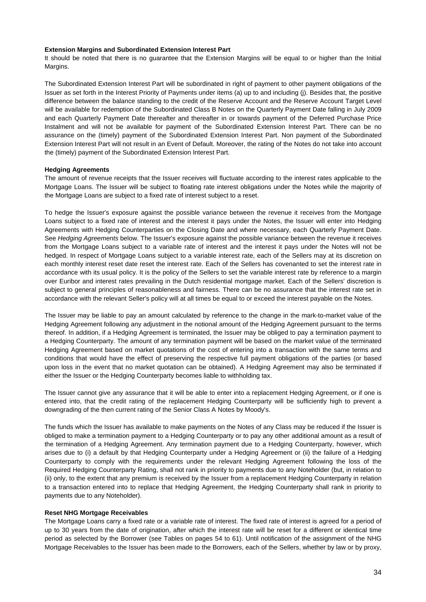#### **Extension Margins and Subordinated Extension Interest Part**

It should be noted that there is no guarantee that the Extension Margins will be equal to or higher than the Initial Margins.

The Subordinated Extension Interest Part will be subordinated in right of payment to other payment obligations of the Issuer as set forth in the Interest Priority of Payments under items (a) up to and including (j). Besides that, the positive difference between the balance standing to the credit of the Reserve Account and the Reserve Account Target Level will be available for redemption of the Subordinated Class B Notes on the Quarterly Payment Date falling in July 2009 and each Quarterly Payment Date thereafter and thereafter in or towards payment of the Deferred Purchase Price Instalment and will not be available for payment of the Subordinated Extension Interest Part. There can be no assurance on the (timely) payment of the Subordinated Extension Interest Part. Non payment of the Subordinated Extension Interest Part will not result in an Event of Default. Moreover, the rating of the Notes do not take into account the (timely) payment of the Subordinated Extension Interest Part.

### **Hedging Agreements**

The amount of revenue receipts that the Issuer receives will fluctuate according to the interest rates applicable to the Mortgage Loans. The Issuer will be subject to floating rate interest obligations under the Notes while the majority of the Mortgage Loans are subject to a fixed rate of interest subject to a reset.

To hedge the Issuer's exposure against the possible variance between the revenue it receives from the Mortgage Loans subject to a fixed rate of interest and the interest it pays under the Notes, the Issuer will enter into Hedging Agreements with Hedging Counterparties on the Closing Date and where necessary, each Quarterly Payment Date. See *Hedging Agreements* below. The Issuer's exposure against the possible variance between the revenue it receives from the Mortgage Loans subject to a variable rate of interest and the interest it pays under the Notes will not be hedged. In respect of Mortgage Loans subject to a variable interest rate, each of the Sellers may at its discretion on each monthly interest reset date reset the interest rate. Each of the Sellers has covenanted to set the interest rate in accordance with its usual policy. It is the policy of the Sellers to set the variable interest rate by reference to a margin over Euribor and interest rates prevailing in the Dutch residential mortgage market. Each of the Sellers' discretion is subject to general principles of reasonableness and fairness. There can be no assurance that the interest rate set in accordance with the relevant Seller's policy will at all times be equal to or exceed the interest payable on the Notes.

The Issuer may be liable to pay an amount calculated by reference to the change in the mark-to-market value of the Hedging Agreement following any adjustment in the notional amount of the Hedging Agreement pursuant to the terms thereof. In addition, if a Hedging Agreement is terminated, the Issuer may be obliged to pay a termination payment to a Hedging Counterparty. The amount of any termination payment will be based on the market value of the terminated Hedging Agreement based on market quotations of the cost of entering into a transaction with the same terms and conditions that would have the effect of preserving the respective full payment obligations of the parties (or based upon loss in the event that no market quotation can be obtained). A Hedging Agreement may also be terminated if either the Issuer or the Hedging Counterparty becomes liable to withholding tax.

The Issuer cannot give any assurance that it will be able to enter into a replacement Hedging Agreement, or if one is entered into, that the credit rating of the replacement Hedging Counterparty will be sufficiently high to prevent a downgrading of the then current rating of the Senior Class A Notes by Moody's.

The funds which the Issuer has available to make payments on the Notes of any Class may be reduced if the Issuer is obliged to make a termination payment to a Hedging Counterparty or to pay any other additional amount as a result of the termination of a Hedging Agreement. Any termination payment due to a Hedging Counterparty, however, which arises due to (i) a default by that Hedging Counterparty under a Hedging Agreement or (ii) the failure of a Hedging Counterparty to comply with the requirements under the relevant Hedging Agreement following the loss of the Required Hedging Counterparty Rating, shall not rank in priority to payments due to any Noteholder (but, in relation to (ii) only, to the extent that any premium is received by the Issuer from a replacement Hedging Counterparty in relation to a transaction entered into to replace that Hedging Agreement, the Hedging Counterparty shall rank in priority to payments due to any Noteholder).

### **Reset NHG Mortgage Receivables**

The Mortgage Loans carry a fixed rate or a variable rate of interest. The fixed rate of interest is agreed for a period of up to 30 years from the date of origination, after which the interest rate will be reset for a different or identical time period as selected by the Borrower (see Tables on pages 54 to 61). Until notification of the assignment of the NHG Mortgage Receivables to the Issuer has been made to the Borrowers, each of the Sellers, whether by law or by proxy,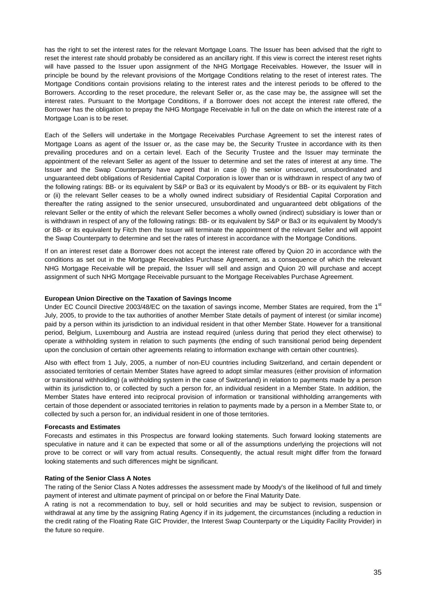has the right to set the interest rates for the relevant Mortgage Loans. The Issuer has been advised that the right to reset the interest rate should probably be considered as an ancillary right. If this view is correct the interest reset rights will have passed to the Issuer upon assignment of the NHG Mortgage Receivables. However, the Issuer will in principle be bound by the relevant provisions of the Mortgage Conditions relating to the reset of interest rates. The Mortgage Conditions contain provisions relating to the interest rates and the interest periods to be offered to the Borrowers. According to the reset procedure, the relevant Seller or, as the case may be, the assignee will set the interest rates. Pursuant to the Mortgage Conditions, if a Borrower does not accept the interest rate offered, the Borrower has the obligation to prepay the NHG Mortgage Receivable in full on the date on which the interest rate of a Mortgage Loan is to be reset.

Each of the Sellers will undertake in the Mortgage Receivables Purchase Agreement to set the interest rates of Mortgage Loans as agent of the Issuer or, as the case may be, the Security Trustee in accordance with its then prevailing procedures and on a certain level. Each of the Security Trustee and the Issuer may terminate the appointment of the relevant Seller as agent of the Issuer to determine and set the rates of interest at any time. The Issuer and the Swap Counterparty have agreed that in case (i) the senior unsecured, unsubordinated and unguaranteed debt obligations of Residential Capital Corporation is lower than or is withdrawn in respect of any two of the following ratings: BB- or its equivalent by S&P or Ba3 or its equivalent by Moody's or BB- or its equivalent by Fitch or (ii) the relevant Seller ceases to be a wholly owned indirect subsidiary of Residential Capital Corporation and thereafter the rating assigned to the senior unsecured, unsubordinated and unguaranteed debt obligations of the relevant Seller or the entity of which the relevant Seller becomes a wholly owned (indirect) subsidiary is lower than or is withdrawn in respect of any of the following ratings: BB- or its equivalent by S&P or Ba3 or its equivalent by Moody's or BB- or its equivalent by Fitch then the Issuer will terminate the appointment of the relevant Seller and will appoint the Swap Counterparty to determine and set the rates of interest in accordance with the Mortgage Conditions.

If on an interest reset date a Borrower does not accept the interest rate offered by Quion 20 in accordance with the conditions as set out in the Mortgage Receivables Purchase Agreement, as a consequence of which the relevant NHG Mortgage Receivable will be prepaid, the Issuer will sell and assign and Quion 20 will purchase and accept assignment of such NHG Mortgage Receivable pursuant to the Mortgage Receivables Purchase Agreement.

### **European Union Directive on the Taxation of Savings Income**

Under EC Council Directive 2003/48/EC on the taxation of savings income, Member States are required, from the 1<sup>st</sup> July, 2005, to provide to the tax authorities of another Member State details of payment of interest (or similar income) paid by a person within its jurisdiction to an individual resident in that other Member State. However for a transitional period, Belgium, Luxembourg and Austria are instead required (unless during that period they elect otherwise) to operate a withholding system in relation to such payments (the ending of such transitional period being dependent upon the conclusion of certain other agreements relating to information exchange with certain other countries).

Also with effect from 1 July, 2005, a number of non-EU countries including Switzerland, and certain dependent or associated territories of certain Member States have agreed to adopt similar measures (either provision of information or transitional withholding) (a withholding system in the case of Switzerland) in relation to payments made by a person within its jurisdiction to, or collected by such a person for, an individual resident in a Member State. In addition, the Member States have entered into reciprocal provision of information or transitional withholding arrangements with certain of those dependent or associated territories in relation to payments made by a person in a Member State to, or collected by such a person for, an individual resident in one of those territories.

### **Forecasts and Estimates**

Forecasts and estimates in this Prospectus are forward looking statements. Such forward looking statements are speculative in nature and it can be expected that some or all of the assumptions underlying the projections will not prove to be correct or will vary from actual results. Consequently, the actual result might differ from the forward looking statements and such differences might be significant.

### **Rating of the Senior Class A Notes**

The rating of the Senior Class A Notes addresses the assessment made by Moody's of the likelihood of full and timely payment of interest and ultimate payment of principal on or before the Final Maturity Date.

A rating is not a recommendation to buy, sell or hold securities and may be subject to revision, suspension or withdrawal at any time by the assigning Rating Agency if in its judgement, the circumstances (including a reduction in the credit rating of the Floating Rate GIC Provider, the Interest Swap Counterparty or the Liquidity Facility Provider) in the future so require.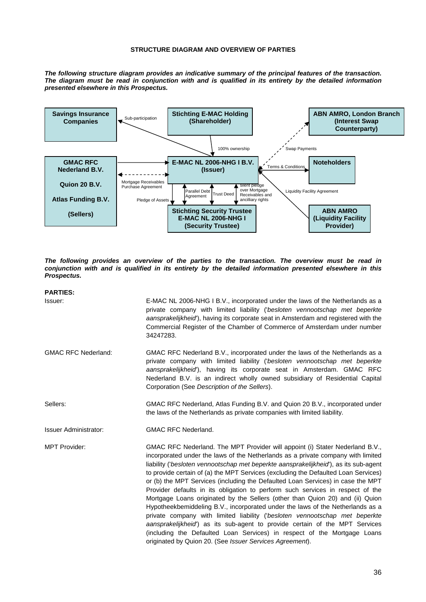#### **STRUCTURE DIAGRAM AND OVERVIEW OF PARTIES**

*The following structure diagram provides an indicative summary of the principal features of the transaction. The diagram must be read in conjunction with and is qualified in its entirety by the detailed information presented elsewhere in this Prospectus.* 



*The following provides an overview of the parties to the transaction. The overview must be read in conjunction with and is qualified in its entirety by the detailed information presented elsewhere in this Prospectus.* 

| <b>PARTIES:</b>            |                                                                                                                                                                                                                                                                                                                                                                                                                                                                                                                                                                                                                                                                                                                                                                                                                                                                                                                                                                                             |
|----------------------------|---------------------------------------------------------------------------------------------------------------------------------------------------------------------------------------------------------------------------------------------------------------------------------------------------------------------------------------------------------------------------------------------------------------------------------------------------------------------------------------------------------------------------------------------------------------------------------------------------------------------------------------------------------------------------------------------------------------------------------------------------------------------------------------------------------------------------------------------------------------------------------------------------------------------------------------------------------------------------------------------|
| Issuer:                    | E-MAC NL 2006-NHG I B.V., incorporated under the laws of the Netherlands as a<br>private company with limited liability ('besloten vennootschap met beperkte<br>aansprakelijkheid), having its corporate seat in Amsterdam and registered with the<br>Commercial Register of the Chamber of Commerce of Amsterdam under number<br>34247283.                                                                                                                                                                                                                                                                                                                                                                                                                                                                                                                                                                                                                                                 |
| <b>GMAC RFC Nederland:</b> | GMAC RFC Nederland B.V., incorporated under the laws of the Netherlands as a<br>private company with limited liability ('besloten vennootschap met beperkte<br>aansprakelijkheid), having its corporate seat in Amsterdam. GMAC RFC<br>Nederland B.V. is an indirect wholly owned subsidiary of Residential Capital<br>Corporation (See Description of the Sellers).                                                                                                                                                                                                                                                                                                                                                                                                                                                                                                                                                                                                                        |
| Sellers:                   | GMAC RFC Nederland, Atlas Funding B.V. and Quion 20 B.V., incorporated under<br>the laws of the Netherlands as private companies with limited liability.                                                                                                                                                                                                                                                                                                                                                                                                                                                                                                                                                                                                                                                                                                                                                                                                                                    |
| Issuer Administrator:      | <b>GMAC RFC Nederland.</b>                                                                                                                                                                                                                                                                                                                                                                                                                                                                                                                                                                                                                                                                                                                                                                                                                                                                                                                                                                  |
| <b>MPT Provider:</b>       | GMAC RFC Nederland. The MPT Provider will appoint (i) Stater Nederland B.V.,<br>incorporated under the laws of the Netherlands as a private company with limited<br>liability ('besloten vennootschap met beperkte aansprakelijkheid'), as its sub-agent<br>to provide certain of (a) the MPT Services (excluding the Defaulted Loan Services)<br>or (b) the MPT Services (including the Defaulted Loan Services) in case the MPT<br>Provider defaults in its obligation to perform such services in respect of the<br>Mortgage Loans originated by the Sellers (other than Quion 20) and (ii) Quion<br>Hypotheekbemiddeling B.V., incorporated under the laws of the Netherlands as a<br>private company with limited liability ('besloten vennootschap met beperkte<br>aansprakelijkheid) as its sub-agent to provide certain of the MPT Services<br>(including the Defaulted Loan Services) in respect of the Mortgage Loans<br>originated by Quion 20. (See Issuer Services Agreement). |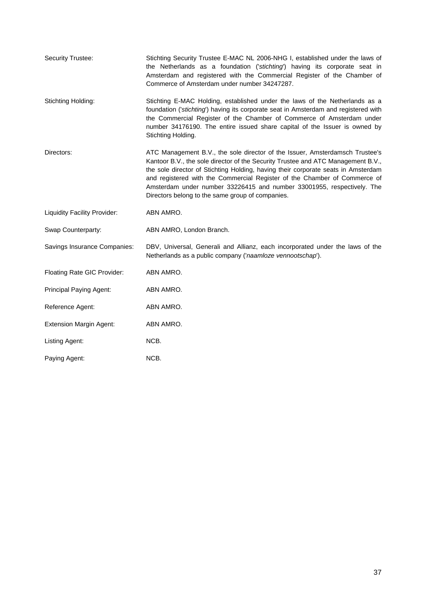| <b>Security Trustee:</b>       | Stichting Security Trustee E-MAC NL 2006-NHG I, established under the laws of<br>the Netherlands as a foundation ('stichting') having its corporate seat in<br>Amsterdam and registered with the Commercial Register of the Chamber of<br>Commerce of Amsterdam under number 34247287.                                                                                                                                                                           |
|--------------------------------|------------------------------------------------------------------------------------------------------------------------------------------------------------------------------------------------------------------------------------------------------------------------------------------------------------------------------------------------------------------------------------------------------------------------------------------------------------------|
| Stichting Holding:             | Stichting E-MAC Holding, established under the laws of the Netherlands as a<br>foundation ('stichting') having its corporate seat in Amsterdam and registered with<br>the Commercial Register of the Chamber of Commerce of Amsterdam under<br>number 34176190. The entire issued share capital of the Issuer is owned by<br>Stichting Holding.                                                                                                                  |
| Directors:                     | ATC Management B.V., the sole director of the Issuer, Amsterdamsch Trustee's<br>Kantoor B.V., the sole director of the Security Trustee and ATC Management B.V.,<br>the sole director of Stichting Holding, having their corporate seats in Amsterdam<br>and registered with the Commercial Register of the Chamber of Commerce of<br>Amsterdam under number 33226415 and number 33001955, respectively. The<br>Directors belong to the same group of companies. |
| Liquidity Facility Provider:   | ABN AMRO.                                                                                                                                                                                                                                                                                                                                                                                                                                                        |
| Swap Counterparty:             | ABN AMRO, London Branch.                                                                                                                                                                                                                                                                                                                                                                                                                                         |
| Savings Insurance Companies:   | DBV, Universal, Generali and Allianz, each incorporated under the laws of the<br>Netherlands as a public company ('naamloze vennootschap').                                                                                                                                                                                                                                                                                                                      |
| Floating Rate GIC Provider:    | ABN AMRO.                                                                                                                                                                                                                                                                                                                                                                                                                                                        |
| Principal Paying Agent:        | ABN AMRO.                                                                                                                                                                                                                                                                                                                                                                                                                                                        |
| Reference Agent:               | ABN AMRO.                                                                                                                                                                                                                                                                                                                                                                                                                                                        |
| <b>Extension Margin Agent:</b> | ABN AMRO.                                                                                                                                                                                                                                                                                                                                                                                                                                                        |
| Listing Agent:                 | NCB.                                                                                                                                                                                                                                                                                                                                                                                                                                                             |
| Paying Agent:                  | NCB.                                                                                                                                                                                                                                                                                                                                                                                                                                                             |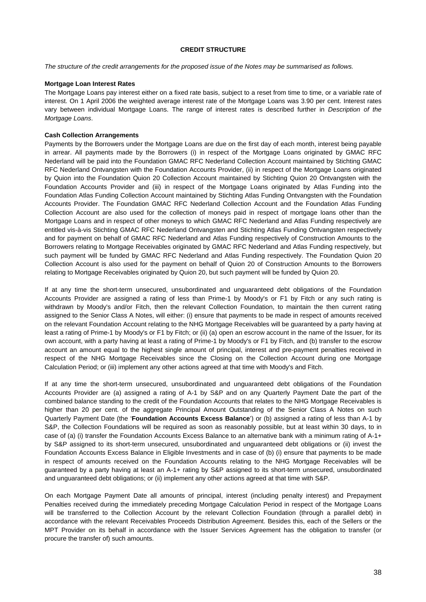## **CREDIT STRUCTURE**

*The structure of the credit arrangements for the proposed issue of the Notes may be summarised as follows.* 

#### **Mortgage Loan Interest Rates**

The Mortgage Loans pay interest either on a fixed rate basis, subject to a reset from time to time, or a variable rate of interest. On 1 April 2006 the weighted average interest rate of the Mortgage Loans was 3.90 per cent. Interest rates vary between individual Mortgage Loans. The range of interest rates is described further in *Description of the Mortgage Loans*.

## **Cash Collection Arrangements**

Payments by the Borrowers under the Mortgage Loans are due on the first day of each month, interest being payable in arrear. All payments made by the Borrowers (i) in respect of the Mortgage Loans originated by GMAC RFC Nederland will be paid into the Foundation GMAC RFC Nederland Collection Account maintained by Stichting GMAC RFC Nederland Ontvangsten with the Foundation Accounts Provider, (ii) in respect of the Mortgage Loans originated by Quion into the Foundation Quion 20 Collection Account maintained by Stichting Quion 20 Ontvangsten with the Foundation Accounts Provider and (iii) in respect of the Mortgage Loans originated by Atlas Funding into the Foundation Atlas Funding Collection Account maintained by Stichting Atlas Funding Ontvangsten with the Foundation Accounts Provider. The Foundation GMAC RFC Nederland Collection Account and the Foundation Atlas Funding Collection Account are also used for the collection of moneys paid in respect of mortgage loans other than the Mortgage Loans and in respect of other moneys to which GMAC RFC Nederland and Atlas Funding respectively are entitled vis-à-vis Stichting GMAC RFC Nederland Ontvangsten and Stichting Atlas Funding Ontvangsten respectively and for payment on behalf of GMAC RFC Nederland and Atlas Funding respectively of Construction Amounts to the Borrowers relating to Mortgage Receivables originated by GMAC RFC Nederland and Atlas Funding respectively, but such payment will be funded by GMAC RFC Nederland and Atlas Funding respectively. The Foundation Quion 20 Collection Account is also used for the payment on behalf of Quion 20 of Construction Amounts to the Borrowers relating to Mortgage Receivables originated by Quion 20, but such payment will be funded by Quion 20.

If at any time the short-term unsecured, unsubordinated and unguaranteed debt obligations of the Foundation Accounts Provider are assigned a rating of less than Prime-1 by Moody's or F1 by Fitch or any such rating is withdrawn by Moody's and/or Fitch, then the relevant Collection Foundation, to maintain the then current rating assigned to the Senior Class A Notes, will either: (i) ensure that payments to be made in respect of amounts received on the relevant Foundation Account relating to the NHG Mortgage Receivables will be guaranteed by a party having at least a rating of Prime-1 by Moody's or F1 by Fitch; or (ii) (a) open an escrow account in the name of the Issuer, for its own account, with a party having at least a rating of Prime-1 by Moody's or F1 by Fitch, and (b) transfer to the escrow account an amount equal to the highest single amount of principal, interest and pre-payment penalties received in respect of the NHG Mortgage Receivables since the Closing on the Collection Account during one Mortgage Calculation Period; or (iii) implement any other actions agreed at that time with Moody's and Fitch.

If at any time the short-term unsecured, unsubordinated and unguaranteed debt obligations of the Foundation Accounts Provider are (a) assigned a rating of A-1 by S&P and on any Quarterly Payment Date the part of the combined balance standing to the credit of the Foundation Accounts that relates to the NHG Mortgage Receivables is higher than 20 per cent. of the aggregate Principal Amount Outstanding of the Senior Class A Notes on such Quarterly Payment Date (the '**Foundation Accounts Excess Balance**') or (b) assigned a rating of less than A-1 by S&P, the Collection Foundations will be required as soon as reasonably possible, but at least within 30 days, to in case of (a) (i) transfer the Foundation Accounts Excess Balance to an alternative bank with a minimum rating of A-1+ by S&P assigned to its short-term unsecured, unsubordinated and unguaranteed debt obligations or (ii) invest the Foundation Accounts Excess Balance in Eligible Investments and in case of (b) (i) ensure that payments to be made in respect of amounts received on the Foundation Accounts relating to the NHG Mortgage Receivables will be guaranteed by a party having at least an A-1+ rating by S&P assigned to its short-term unsecured, unsubordinated and unguaranteed debt obligations; or (ii) implement any other actions agreed at that time with S&P.

On each Mortgage Payment Date all amounts of principal, interest (including penalty interest) and Prepayment Penalties received during the immediately preceding Mortgage Calculation Period in respect of the Mortgage Loans will be transferred to the Collection Account by the relevant Collection Foundation (through a parallel debt) in accordance with the relevant Receivables Proceeds Distribution Agreement. Besides this, each of the Sellers or the MPT Provider on its behalf in accordance with the Issuer Services Agreement has the obligation to transfer (or procure the transfer of) such amounts.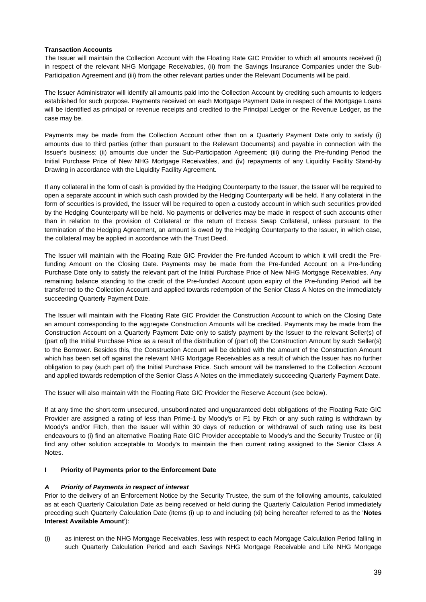## **Transaction Accounts**

The Issuer will maintain the Collection Account with the Floating Rate GIC Provider to which all amounts received (i) in respect of the relevant NHG Mortgage Receivables, (ii) from the Savings Insurance Companies under the Sub-Participation Agreement and (iii) from the other relevant parties under the Relevant Documents will be paid.

The Issuer Administrator will identify all amounts paid into the Collection Account by crediting such amounts to ledgers established for such purpose. Payments received on each Mortgage Payment Date in respect of the Mortgage Loans will be identified as principal or revenue receipts and credited to the Principal Ledger or the Revenue Ledger, as the case may be.

Payments may be made from the Collection Account other than on a Quarterly Payment Date only to satisfy (i) amounts due to third parties (other than pursuant to the Relevant Documents) and payable in connection with the Issuer's business; (ii) amounts due under the Sub-Participation Agreement; (iii) during the Pre-funding Period the Initial Purchase Price of New NHG Mortgage Receivables, and (iv) repayments of any Liquidity Facility Stand-by Drawing in accordance with the Liquidity Facility Agreement.

If any collateral in the form of cash is provided by the Hedging Counterparty to the Issuer, the Issuer will be required to open a separate account in which such cash provided by the Hedging Counterparty will be held. If any collateral in the form of securities is provided, the Issuer will be required to open a custody account in which such securities provided by the Hedging Counterparty will be held. No payments or deliveries may be made in respect of such accounts other than in relation to the provision of Collateral or the return of Excess Swap Collateral, unless pursuant to the termination of the Hedging Agreement, an amount is owed by the Hedging Counterparty to the Issuer, in which case, the collateral may be applied in accordance with the Trust Deed.

The Issuer will maintain with the Floating Rate GIC Provider the Pre-funded Account to which it will credit the Prefunding Amount on the Closing Date. Payments may be made from the Pre-funded Account on a Pre-funding Purchase Date only to satisfy the relevant part of the Initial Purchase Price of New NHG Mortgage Receivables. Any remaining balance standing to the credit of the Pre-funded Account upon expiry of the Pre-funding Period will be transferred to the Collection Account and applied towards redemption of the Senior Class A Notes on the immediately succeeding Quarterly Payment Date.

The Issuer will maintain with the Floating Rate GIC Provider the Construction Account to which on the Closing Date an amount corresponding to the aggregate Construction Amounts will be credited. Payments may be made from the Construction Account on a Quarterly Payment Date only to satisfy payment by the Issuer to the relevant Seller(s) of (part of) the Initial Purchase Price as a result of the distribution of (part of) the Construction Amount by such Seller(s) to the Borrower. Besides this, the Construction Account will be debited with the amount of the Construction Amount which has been set off against the relevant NHG Mortgage Receivables as a result of which the Issuer has no further obligation to pay (such part of) the Initial Purchase Price. Such amount will be transferred to the Collection Account and applied towards redemption of the Senior Class A Notes on the immediately succeeding Quarterly Payment Date.

The Issuer will also maintain with the Floating Rate GIC Provider the Reserve Account (see below).

If at any time the short-term unsecured, unsubordinated and unguaranteed debt obligations of the Floating Rate GIC Provider are assigned a rating of less than Prime-1 by Moody's or F1 by Fitch or any such rating is withdrawn by Moody's and/or Fitch, then the Issuer will within 30 days of reduction or withdrawal of such rating use its best endeavours to (i) find an alternative Floating Rate GIC Provider acceptable to Moody's and the Security Trustee or (ii) find any other solution acceptable to Moody's to maintain the then current rating assigned to the Senior Class A Notes.

# **I** Priority of Payments prior to the Enforcement Date

# *A Priority of Payments in respect of interest*

Prior to the delivery of an Enforcement Notice by the Security Trustee, the sum of the following amounts, calculated as at each Quarterly Calculation Date as being received or held during the Quarterly Calculation Period immediately preceding such Quarterly Calculation Date (items (i) up to and including (xi) being hereafter referred to as the '**Notes Interest Available Amount**'):

(i) as interest on the NHG Mortgage Receivables, less with respect to each Mortgage Calculation Period falling in such Quarterly Calculation Period and each Savings NHG Mortgage Receivable and Life NHG Mortgage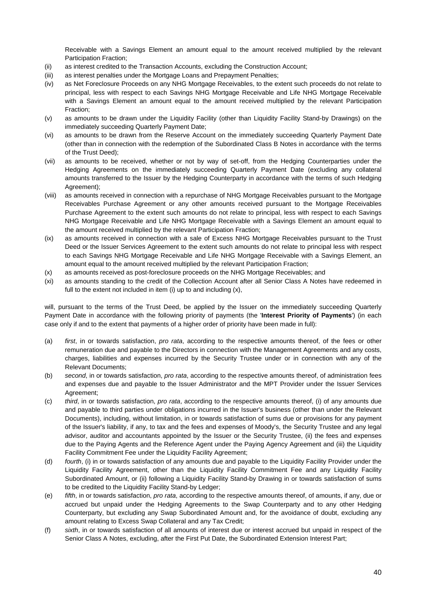Receivable with a Savings Element an amount equal to the amount received multiplied by the relevant Participation Fraction;

- (ii) as interest credited to the Transaction Accounts, excluding the Construction Account;
- (iii) as interest penalties under the Mortgage Loans and Prepayment Penalties;
- (iv) as Net Foreclosure Proceeds on any NHG Mortgage Receivables, to the extent such proceeds do not relate to principal, less with respect to each Savings NHG Mortgage Receivable and Life NHG Mortgage Receivable with a Savings Element an amount equal to the amount received multiplied by the relevant Participation Fraction;
- (v) as amounts to be drawn under the Liquidity Facility (other than Liquidity Facility Stand-by Drawings) on the immediately succeeding Quarterly Payment Date;
- (vi) as amounts to be drawn from the Reserve Account on the immediately succeeding Quarterly Payment Date (other than in connection with the redemption of the Subordinated Class B Notes in accordance with the terms of the Trust Deed);
- (vii) as amounts to be received, whether or not by way of set-off, from the Hedging Counterparties under the Hedging Agreements on the immediately succeeding Quarterly Payment Date (excluding any collateral amounts transferred to the Issuer by the Hedging Counterparty in accordance with the terms of such Hedging Agreement);
- (viii) as amounts received in connection with a repurchase of NHG Mortgage Receivables pursuant to the Mortgage Receivables Purchase Agreement or any other amounts received pursuant to the Mortgage Receivables Purchase Agreement to the extent such amounts do not relate to principal, less with respect to each Savings NHG Mortgage Receivable and Life NHG Mortgage Receivable with a Savings Element an amount equal to the amount received multiplied by the relevant Participation Fraction;
- (ix) as amounts received in connection with a sale of Excess NHG Mortgage Receivables pursuant to the Trust Deed or the Issuer Services Agreement to the extent such amounts do not relate to principal less with respect to each Savings NHG Mortgage Receivable and Life NHG Mortgage Receivable with a Savings Element, an amount equal to the amount received multiplied by the relevant Participation Fraction;
- (x) as amounts received as post-foreclosure proceeds on the NHG Mortgage Receivables; and
- (xi) as amounts standing to the credit of the Collection Account after all Senior Class A Notes have redeemed in full to the extent not included in item (i) up to and including (x),

will, pursuant to the terms of the Trust Deed, be applied by the Issuer on the immediately succeeding Quarterly Payment Date in accordance with the following priority of payments (the '**Interest Priority of Payments**') (in each case only if and to the extent that payments of a higher order of priority have been made in full):

- (a) *first*, in or towards satisfaction, *pro rata*, according to the respective amounts thereof, of the fees or other remuneration due and payable to the Directors in connection with the Management Agreements and any costs, charges, liabilities and expenses incurred by the Security Trustee under or in connection with any of the Relevant Documents;
- (b) *second*, in or towards satisfaction, *pro rata*, according to the respective amounts thereof, of administration fees and expenses due and payable to the Issuer Administrator and the MPT Provider under the Issuer Services Agreement;
- (c) *third*, in or towards satisfaction, *pro rata*, according to the respective amounts thereof, (i) of any amounts due and payable to third parties under obligations incurred in the Issuer's business (other than under the Relevant Documents), including, without limitation, in or towards satisfaction of sums due or provisions for any payment of the Issuer's liability, if any, to tax and the fees and expenses of Moody's, the Security Trustee and any legal advisor, auditor and accountants appointed by the Issuer or the Security Trustee, (ii) the fees and expenses due to the Paying Agents and the Reference Agent under the Paying Agency Agreement and (iii) the Liquidity Facility Commitment Fee under the Liquidity Facility Agreement;
- (d) *fourth*, (i) in or towards satisfaction of any amounts due and payable to the Liquidity Facility Provider under the Liquidity Facility Agreement, other than the Liquidity Facility Commitment Fee and any Liquidity Facility Subordinated Amount, or (ii) following a Liquidity Facility Stand-by Drawing in or towards satisfaction of sums to be credited to the Liquidity Facility Stand-by Ledger;
- (e) *fifth*, in or towards satisfaction, *pro rata*, according to the respective amounts thereof, of amounts, if any, due or accrued but unpaid under the Hedging Agreements to the Swap Counterparty and to any other Hedging Counterparty, but excluding any Swap Subordinated Amount and, for the avoidance of doubt, excluding any amount relating to Excess Swap Collateral and any Tax Credit;
- (f) *sixth*, in or towards satisfaction of all amounts of interest due or interest accrued but unpaid in respect of the Senior Class A Notes, excluding, after the First Put Date, the Subordinated Extension Interest Part;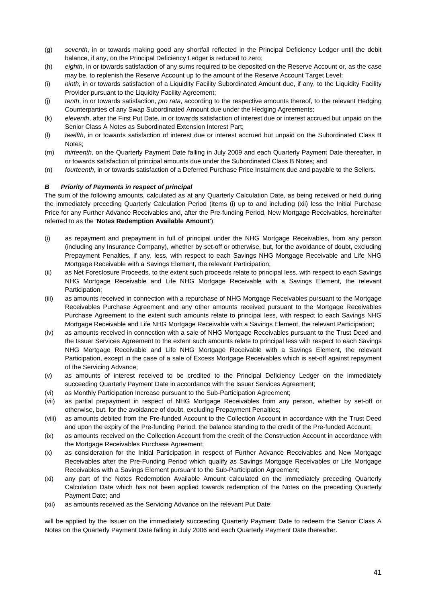- (g) *seventh*, in or towards making good any shortfall reflected in the Principal Deficiency Ledger until the debit balance, if any, on the Principal Deficiency Ledger is reduced to zero;
- (h) *eighth*, in or towards satisfaction of any sums required to be deposited on the Reserve Account or, as the case may be, to replenish the Reserve Account up to the amount of the Reserve Account Target Level;
- (i) *ninth,* in or towards satisfaction of a Liquidity Facility Subordinated Amount due, if any, to the Liquidity Facility Provider pursuant to the Liquidity Facility Agreement;
- (j) *tenth*, in or towards satisfaction, *pro rata*, according to the respective amounts thereof, to the relevant Hedging Counterparties of any Swap Subordinated Amount due under the Hedging Agreements;
- (k) *eleventh*, after the First Put Date, in or towards satisfaction of interest due or interest accrued but unpaid on the Senior Class A Notes as Subordinated Extension Interest Part;
- (l) *twelfth*, in or towards satisfaction of interest due or interest accrued but unpaid on the Subordinated Class B Notes;
- (m) *thirteenth*, on the Quarterly Payment Date falling in July 2009 and each Quarterly Payment Date thereafter, in or towards satisfaction of principal amounts due under the Subordinated Class B Notes; and
- (n) *fourteenth*, in or towards satisfaction of a Deferred Purchase Price Instalment due and payable to the Sellers.

# *B Priority of Payments in respect of principal*

The sum of the following amounts, calculated as at any Quarterly Calculation Date, as being received or held during the immediately preceding Quarterly Calculation Period (items (i) up to and including (xii) less the Initial Purchase Price for any Further Advance Receivables and, after the Pre-funding Period, New Mortgage Receivables, hereinafter referred to as the '**Notes Redemption Available Amount**'):

- (i) as repayment and prepayment in full of principal under the NHG Mortgage Receivables, from any person (including any Insurance Company), whether by set-off or otherwise, but, for the avoidance of doubt, excluding Prepayment Penalties, if any, less, with respect to each Savings NHG Mortgage Receivable and Life NHG Mortgage Receivable with a Savings Element, the relevant Participation;
- (ii) as Net Foreclosure Proceeds, to the extent such proceeds relate to principal less, with respect to each Savings NHG Mortgage Receivable and Life NHG Mortgage Receivable with a Savings Element, the relevant Participation;
- (iii) as amounts received in connection with a repurchase of NHG Mortgage Receivables pursuant to the Mortgage Receivables Purchase Agreement and any other amounts received pursuant to the Mortgage Receivables Purchase Agreement to the extent such amounts relate to principal less, with respect to each Savings NHG Mortgage Receivable and Life NHG Mortgage Receivable with a Savings Element, the relevant Participation;
- (iv) as amounts received in connection with a sale of NHG Mortgage Receivables pursuant to the Trust Deed and the Issuer Services Agreement to the extent such amounts relate to principal less with respect to each Savings NHG Mortgage Receivable and Life NHG Mortgage Receivable with a Savings Element, the relevant Participation, except in the case of a sale of Excess Mortgage Receivables which is set-off against repayment of the Servicing Advance;
- (v) as amounts of interest received to be credited to the Principal Deficiency Ledger on the immediately succeeding Quarterly Payment Date in accordance with the Issuer Services Agreement;
- (vi) as Monthly Participation Increase pursuant to the Sub-Participation Agreement;
- (vii) as partial prepayment in respect of NHG Mortgage Receivables from any person, whether by set-off or otherwise, but, for the avoidance of doubt, excluding Prepayment Penalties;
- (viii) as amounts debited from the Pre-funded Account to the Collection Account in accordance with the Trust Deed and upon the expiry of the Pre-funding Period, the balance standing to the credit of the Pre-funded Account;
- (ix) as amounts received on the Collection Account from the credit of the Construction Account in accordance with the Mortgage Receivables Purchase Agreement;
- (x) as consideration for the Initial Participation in respect of Further Advance Receivables and New Mortgage Receivables after the Pre-Funding Period which qualify as Savings Mortgage Receivables or Life Mortgage Receivables with a Savings Element pursuant to the Sub-Participation Agreement;
- (xi) any part of the Notes Redemption Available Amount calculated on the immediately preceding Quarterly Calculation Date which has not been applied towards redemption of the Notes on the preceding Quarterly Payment Date; and
- (xii) as amounts received as the Servicing Advance on the relevant Put Date;

will be applied by the Issuer on the immediately succeeding Quarterly Payment Date to redeem the Senior Class A Notes on the Quarterly Payment Date falling in July 2006 and each Quarterly Payment Date thereafter.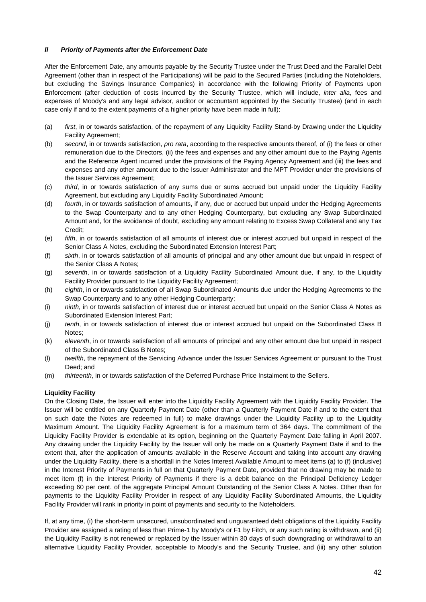## *II Priority of Payments after the Enforcement Date*

After the Enforcement Date, any amounts payable by the Security Trustee under the Trust Deed and the Parallel Debt Agreement (other than in respect of the Participations) will be paid to the Secured Parties (including the Noteholders, but excluding the Savings Insurance Companies) in accordance with the following Priority of Payments upon Enforcement (after deduction of costs incurred by the Security Trustee, which will include, *inter alia*, fees and expenses of Moody's and any legal advisor, auditor or accountant appointed by the Security Trustee) (and in each case only if and to the extent payments of a higher priority have been made in full):

- (a) *first*, in or towards satisfaction, of the repayment of any Liquidity Facility Stand-by Drawing under the Liquidity Facility Agreement;
- (b) *second*, in or towards satisfaction, *pro rata*, according to the respective amounts thereof, of (i) the fees or other remuneration due to the Directors, (ii) the fees and expenses and any other amount due to the Paying Agents and the Reference Agent incurred under the provisions of the Paying Agency Agreement and (iii) the fees and expenses and any other amount due to the Issuer Administrator and the MPT Provider under the provisions of the Issuer Services Agreement;
- (c) *third*, in or towards satisfaction of any sums due or sums accrued but unpaid under the Liquidity Facility Agreement, but excluding any Liquidity Facility Subordinated Amount;
- (d) *fourth*, in or towards satisfaction of amounts, if any, due or accrued but unpaid under the Hedging Agreements to the Swap Counterparty and to any other Hedging Counterparty, but excluding any Swap Subordinated Amount and, for the avoidance of doubt, excluding any amount relating to Excess Swap Collateral and any Tax Credit;
- (e) *fifth*, in or towards satisfaction of all amounts of interest due or interest accrued but unpaid in respect of the Senior Class A Notes, excluding the Subordinated Extension Interest Part;
- (f) *sixth*, in or towards satisfaction of all amounts of principal and any other amount due but unpaid in respect of the Senior Class A Notes;
- (g) *seventh*, in or towards satisfaction of a Liquidity Facility Subordinated Amount due, if any, to the Liquidity Facility Provider pursuant to the Liquidity Facility Agreement;
- (h) *eighth*, in or towards satisfaction of all Swap Subordinated Amounts due under the Hedging Agreements to the Swap Counterparty and to any other Hedging Counterparty;
- (i) *ninth*, in or towards satisfaction of interest due or interest accrued but unpaid on the Senior Class A Notes as Subordinated Extension Interest Part;
- (j) *tenth*, in or towards satisfaction of interest due or interest accrued but unpaid on the Subordinated Class B Notes;
- (k) *eleventh*, in or towards satisfaction of all amounts of principal and any other amount due but unpaid in respect of the Subordinated Class B Notes;
- (l) *twelfth*, the repayment of the Servicing Advance under the Issuer Services Agreement or pursuant to the Trust Deed; and
- (m) *thirteenth*, in or towards satisfaction of the Deferred Purchase Price Instalment to the Sellers.

# **Liquidity Facility**

On the Closing Date, the Issuer will enter into the Liquidity Facility Agreement with the Liquidity Facility Provider. The Issuer will be entitled on any Quarterly Payment Date (other than a Quarterly Payment Date if and to the extent that on such date the Notes are redeemed in full) to make drawings under the Liquidity Facility up to the Liquidity Maximum Amount. The Liquidity Facility Agreement is for a maximum term of 364 days. The commitment of the Liquidity Facility Provider is extendable at its option, beginning on the Quarterly Payment Date falling in April 2007. Any drawing under the Liquidity Facility by the Issuer will only be made on a Quarterly Payment Date if and to the extent that, after the application of amounts available in the Reserve Account and taking into account any drawing under the Liquidity Facility, there is a shortfall in the Notes Interest Available Amount to meet items (a) to (f) (inclusive) in the Interest Priority of Payments in full on that Quarterly Payment Date, provided that no drawing may be made to meet item (f) in the Interest Priority of Payments if there is a debit balance on the Principal Deficiency Ledger exceeding 60 per cent. of the aggregate Principal Amount Outstanding of the Senior Class A Notes. Other than for payments to the Liquidity Facility Provider in respect of any Liquidity Facility Subordinated Amounts, the Liquidity Facility Provider will rank in priority in point of payments and security to the Noteholders.

If, at any time, (i) the short-term unsecured, unsubordinated and unguaranteed debt obligations of the Liquidity Facility Provider are assigned a rating of less than Prime-1 by Moody's or F1 by Fitch, or any such rating is withdrawn, and (ii) the Liquidity Facility is not renewed or replaced by the Issuer within 30 days of such downgrading or withdrawal to an alternative Liquidity Facility Provider, acceptable to Moody's and the Security Trustee, and (iii) any other solution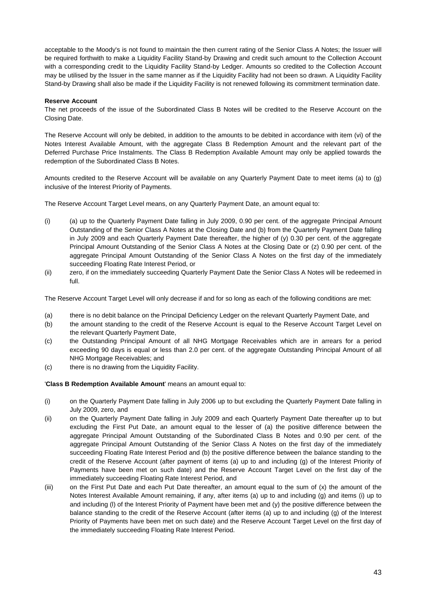acceptable to the Moody's is not found to maintain the then current rating of the Senior Class A Notes; the Issuer will be required forthwith to make a Liquidity Facility Stand-by Drawing and credit such amount to the Collection Account with a corresponding credit to the Liquidity Facility Stand-by Ledger. Amounts so credited to the Collection Account may be utilised by the Issuer in the same manner as if the Liquidity Facility had not been so drawn. A Liquidity Facility Stand-by Drawing shall also be made if the Liquidity Facility is not renewed following its commitment termination date.

#### **Reserve Account**

The net proceeds of the issue of the Subordinated Class B Notes will be credited to the Reserve Account on the Closing Date.

The Reserve Account will only be debited, in addition to the amounts to be debited in accordance with item (vi) of the Notes Interest Available Amount, with the aggregate Class B Redemption Amount and the relevant part of the Deferred Purchase Price Instalments. The Class B Redemption Available Amount may only be applied towards the redemption of the Subordinated Class B Notes.

Amounts credited to the Reserve Account will be available on any Quarterly Payment Date to meet items (a) to (g) inclusive of the Interest Priority of Payments.

The Reserve Account Target Level means, on any Quarterly Payment Date, an amount equal to:

- (i) (a) up to the Quarterly Payment Date falling in July 2009, 0.90 per cent. of the aggregate Principal Amount Outstanding of the Senior Class A Notes at the Closing Date and (b) from the Quarterly Payment Date falling in July 2009 and each Quarterly Payment Date thereafter, the higher of (y) 0.30 per cent. of the aggregate Principal Amount Outstanding of the Senior Class A Notes at the Closing Date or (z) 0.90 per cent. of the aggregate Principal Amount Outstanding of the Senior Class A Notes on the first day of the immediately succeeding Floating Rate Interest Period, or
- (ii) zero, if on the immediately succeeding Quarterly Payment Date the Senior Class A Notes will be redeemed in full.

The Reserve Account Target Level will only decrease if and for so long as each of the following conditions are met:

- (a) there is no debit balance on the Principal Deficiency Ledger on the relevant Quarterly Payment Date, and
- (b) the amount standing to the credit of the Reserve Account is equal to the Reserve Account Target Level on the relevant Quarterly Payment Date,
- (c) the Outstanding Principal Amount of all NHG Mortgage Receivables which are in arrears for a period exceeding 90 days is equal or less than 2.0 per cent. of the aggregate Outstanding Principal Amount of all NHG Mortgage Receivables; and
- (c) there is no drawing from the Liquidity Facility.

'**Class B Redemption Available Amount**' means an amount equal to:

- (i) on the Quarterly Payment Date falling in July 2006 up to but excluding the Quarterly Payment Date falling in July 2009, zero, and
- (ii) on the Quarterly Payment Date falling in July 2009 and each Quarterly Payment Date thereafter up to but excluding the First Put Date, an amount equal to the lesser of (a) the positive difference between the aggregate Principal Amount Outstanding of the Subordinated Class B Notes and 0.90 per cent. of the aggregate Principal Amount Outstanding of the Senior Class A Notes on the first day of the immediately succeeding Floating Rate Interest Period and (b) the positive difference between the balance standing to the credit of the Reserve Account (after payment of items (a) up to and including (g) of the Interest Priority of Payments have been met on such date) and the Reserve Account Target Level on the first day of the immediately succeeding Floating Rate Interest Period, and
- (iii) on the First Put Date and each Put Date thereafter, an amount equal to the sum of (x) the amount of the Notes Interest Available Amount remaining, if any, after items (a) up to and including (g) and items (i) up to and including (l) of the Interest Priority of Payment have been met and (y) the positive difference between the balance standing to the credit of the Reserve Account (after items (a) up to and including (g) of the Interest Priority of Payments have been met on such date) and the Reserve Account Target Level on the first day of the immediately succeeding Floating Rate Interest Period.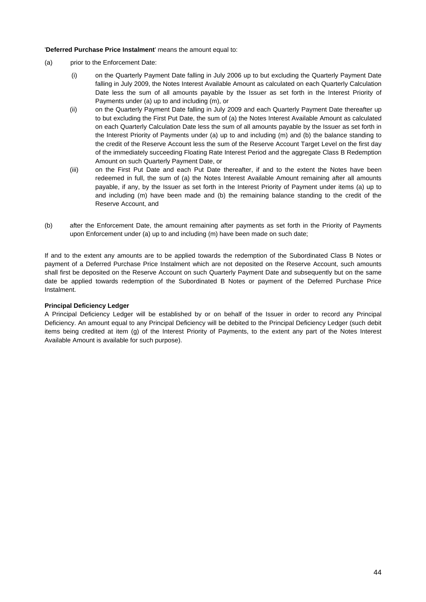'**Deferred Purchase Price Instalment**' means the amount equal to:

- (a) prior to the Enforcement Date:
	- (i) on the Quarterly Payment Date falling in July 2006 up to but excluding the Quarterly Payment Date falling in July 2009, the Notes Interest Available Amount as calculated on each Quarterly Calculation Date less the sum of all amounts payable by the Issuer as set forth in the Interest Priority of Payments under (a) up to and including (m), or
	- (ii) on the Quarterly Payment Date falling in July 2009 and each Quarterly Payment Date thereafter up to but excluding the First Put Date, the sum of (a) the Notes Interest Available Amount as calculated on each Quarterly Calculation Date less the sum of all amounts payable by the Issuer as set forth in the Interest Priority of Payments under (a) up to and including (m) and (b) the balance standing to the credit of the Reserve Account less the sum of the Reserve Account Target Level on the first day of the immediately succeeding Floating Rate Interest Period and the aggregate Class B Redemption Amount on such Quarterly Payment Date, or
	- (iii) on the First Put Date and each Put Date thereafter, if and to the extent the Notes have been redeemed in full, the sum of (a) the Notes Interest Available Amount remaining after all amounts payable, if any, by the Issuer as set forth in the Interest Priority of Payment under items (a) up to and including (m) have been made and (b) the remaining balance standing to the credit of the Reserve Account, and
- (b) after the Enforcement Date, the amount remaining after payments as set forth in the Priority of Payments upon Enforcement under (a) up to and including (m) have been made on such date;

If and to the extent any amounts are to be applied towards the redemption of the Subordinated Class B Notes or payment of a Deferred Purchase Price Instalment which are not deposited on the Reserve Account, such amounts shall first be deposited on the Reserve Account on such Quarterly Payment Date and subsequently but on the same date be applied towards redemption of the Subordinated B Notes or payment of the Deferred Purchase Price Instalment.

#### **Principal Deficiency Ledger**

A Principal Deficiency Ledger will be established by or on behalf of the Issuer in order to record any Principal Deficiency. An amount equal to any Principal Deficiency will be debited to the Principal Deficiency Ledger (such debit items being credited at item (g) of the Interest Priority of Payments, to the extent any part of the Notes Interest Available Amount is available for such purpose).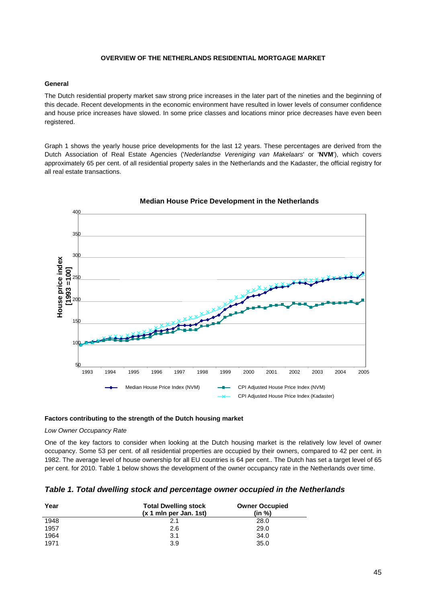## **OVERVIEW OF THE NETHERLANDS RESIDENTIAL MORTGAGE MARKET**

## **General**

The Dutch residential property market saw strong price increases in the later part of the nineties and the beginning of this decade. Recent developments in the economic environment have resulted in lower levels of consumer confidence and house price increases have slowed. In some price classes and locations minor price decreases have even been registered.

Graph 1 shows the yearly house price developments for the last 12 years. These percentages are derived from the Dutch Association of Real Estate Agencies ('*Nederlandse Vereniging van Makelaars*' or '**NVM**'), which covers approximately 65 per cent. of all residential property sales in the Netherlands and the Kadaster, the official registry for all real estate transactions.



**Median House Price Development in the Netherlands**

# **Factors contributing to the strength of the Dutch housing market**

*Low Owner Occupancy Rate* 

One of the key factors to consider when looking at the Dutch housing market is the relatively low level of owner occupancy. Some 53 per cent. of all residential properties are occupied by their owners, compared to 42 per cent. in 1982. The average level of house ownership for all EU countries is 64 per cent.. The Dutch has set a target level of 65 per cent. for 2010. Table 1 below shows the development of the owner occupancy rate in the Netherlands over time.

| Year | <b>Total Dwelling stock</b><br>$(x 1$ mln per Jan. 1st) | <b>Owner Occupied</b><br>(in %) |
|------|---------------------------------------------------------|---------------------------------|
| 1948 | 2.1                                                     | 28.0                            |
| 1957 | 2.6                                                     | 29.0                            |
| 1964 | 3.1                                                     | 34.0                            |
| 1971 | 3.9                                                     | 35.0                            |

| Table 1. Total dwelling stock and percentage owner occupied in the Netherlands |  |  |  |
|--------------------------------------------------------------------------------|--|--|--|
|                                                                                |  |  |  |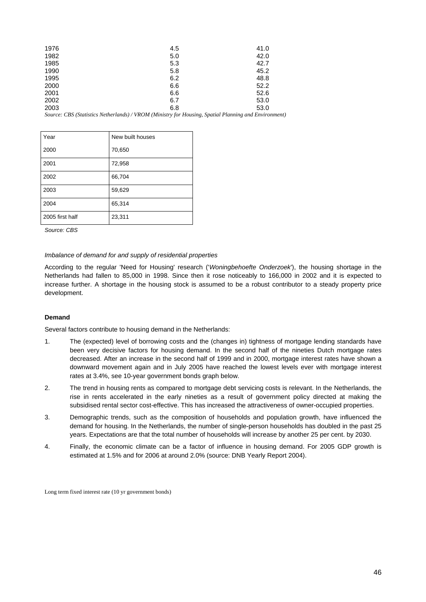| 1976 | 4.5 | 41.0 |
|------|-----|------|
| 1982 | 5.0 | 42.0 |
| 1985 | 5.3 | 42.7 |
| 1990 | 5.8 | 45.2 |
| 1995 | 6.2 | 48.8 |
| 2000 | 6.6 | 52.2 |
| 2001 | 6.6 | 52.6 |
| 2002 | 6.7 | 53.0 |
| 2003 | 6.8 | 53.0 |

*Source: CBS (Statistics Netherlands) / VROM (Ministry for Housing, Spatial Planning and Environment)* 

| Year            | New built houses |
|-----------------|------------------|
| 2000            | 70,650           |
| 2001            | 72,958           |
| 2002            | 66,704           |
| 2003            | 59,629           |
| 2004            | 65,314           |
| 2005 first half | 23,311           |

*Source: CBS* 

## *Imbalance of demand for and supply of residential properties*

According to the regular 'Need for Housing' research ('*Woningbehoefte Onderzoek*'), the housing shortage in the Netherlands had fallen to 85,000 in 1998. Since then it rose noticeably to 166,000 in 2002 and it is expected to increase further. A shortage in the housing stock is assumed to be a robust contributor to a steady property price development.

#### **Demand**

Several factors contribute to housing demand in the Netherlands:

- 1. The (expected) level of borrowing costs and the (changes in) tightness of mortgage lending standards have been very decisive factors for housing demand. In the second half of the nineties Dutch mortgage rates decreased. After an increase in the second half of 1999 and in 2000, mortgage interest rates have shown a downward movement again and in July 2005 have reached the lowest levels ever with mortgage interest rates at 3.4%, see 10-year government bonds graph below.
- 2. The trend in housing rents as compared to mortgage debt servicing costs is relevant. In the Netherlands, the rise in rents accelerated in the early nineties as a result of government policy directed at making the subsidised rental sector cost-effective. This has increased the attractiveness of owner-occupied properties.
- 3. Demographic trends, such as the composition of households and population growth, have influenced the demand for housing. In the Netherlands, the number of single-person households has doubled in the past 25 years. Expectations are that the total number of households will increase by another 25 per cent. by 2030.
- 4. Finally, the economic climate can be a factor of influence in housing demand. For 2005 GDP growth is estimated at 1.5% and for 2006 at around 2.0% (source: DNB Yearly Report 2004).

Long term fixed interest rate (10 yr government bonds)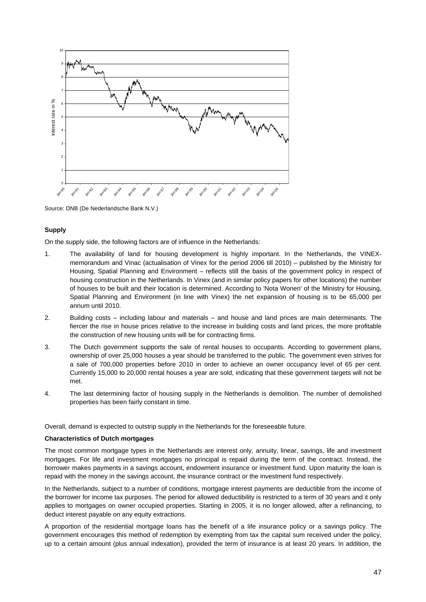

Source: DNB (De Nederlandsche Bank N.V.)

## **Supply**

On the supply side, the following factors are of influence in the Netherlands:

- 1. The availability of land for housing development is highly important. In the Netherlands, the VINEXmemorandum and Vinac (actualisation of Vinex for the period 2006 till 2010) – published by the Ministry for Housing, Spatial Planning and Environment – reflects still the basis of the government policy in respect of housing construction in the Netherlands. In Vinex (and in similar policy papers for other locations) the number of houses to be built and their location is determined. According to 'Nota Wonen' of the Ministry for Housing, Spatial Planning and Environment (in line with Vinex) the net expansion of housing is to be 65,000 per annum until 2010.
- 2. Building costs including labour and materials and house and land prices are main determinants. The fiercer the rise in house prices relative to the increase in building costs and land prices, the more profitable the construction of new housing units will be for contracting firms.
- 3. The Dutch government supports the sale of rental houses to occupants. According to government plans, ownership of over 25,000 houses a year should be transferred to the public. The government even strives for a sale of 700,000 properties before 2010 in order to achieve an owner occupancy level of 65 per cent. Currently 15,000 to 20,000 rental houses a year are sold, indicating that these government targets will not be met.
- 4. The last determining factor of housing supply in the Netherlands is demolition. The number of demolished properties has been fairly constant in time.

Overall, demand is expected to outstrip supply in the Netherlands for the foreseeable future.

#### **Characteristics of Dutch mortgages**

The most common mortgage types in the Netherlands are interest only, annuity, linear, savings, life and investment mortgages. For life and investment mortgages no principal is repaid during the term of the contract. Instead, the borrower makes payments in a savings account, endowment insurance or investment fund. Upon maturity the loan is repaid with the money in the savings account, the insurance contract or the investment fund respectively.

In the Netherlands, subject to a number of conditions, mortgage interest payments are deductible from the income of the borrower for income tax purposes. The period for allowed deductibility is restricted to a term of 30 years and it only applies to mortgages on owner occupied properties. Starting in 2005, it is no longer allowed, after a refinancing, to deduct interest payable on any equity extractions.

A proportion of the residential mortgage loans has the benefit of a life insurance policy or a savings policy. The government encourages this method of redemption by exempting from tax the capital sum received under the policy, up to a certain amount (plus annual indexation), provided the term of insurance is at least 20 years. In addition, the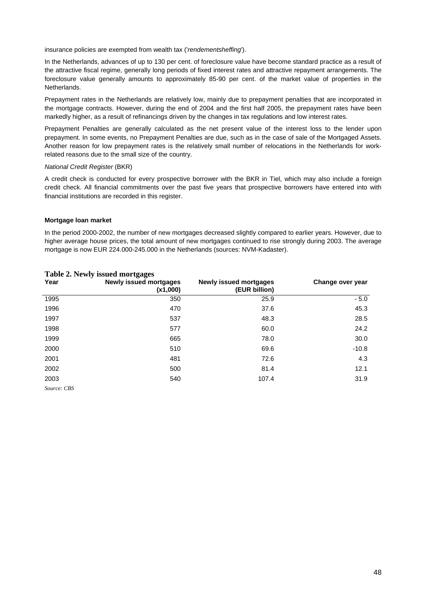insurance policies are exempted from wealth tax ('*rendementsheffing*').

In the Netherlands, advances of up to 130 per cent. of foreclosure value have become standard practice as a result of the attractive fiscal regime, generally long periods of fixed interest rates and attractive repayment arrangements. The foreclosure value generally amounts to approximately 85-90 per cent. of the market value of properties in the Netherlands.

Prepayment rates in the Netherlands are relatively low, mainly due to prepayment penalties that are incorporated in the mortgage contracts. However, during the end of 2004 and the first half 2005, the prepayment rates have been markedly higher, as a result of refinancings driven by the changes in tax regulations and low interest rates.

Prepayment Penalties are generally calculated as the net present value of the interest loss to the lender upon prepayment. In some events, no Prepayment Penalties are due, such as in the case of sale of the Mortgaged Assets. Another reason for low prepayment rates is the relatively small number of relocations in the Netherlands for workrelated reasons due to the small size of the country.

#### *National Credit Register* (BKR)

A credit check is conducted for every prospective borrower with the BKR in Tiel, which may also include a foreign credit check. All financial commitments over the past five years that prospective borrowers have entered into with financial institutions are recorded in this register.

#### **Mortgage loan market**

In the period 2000-2002, the number of new mortgages decreased slightly compared to earlier years. However, due to higher average house prices, the total amount of new mortgages continued to rise strongly during 2003. The average mortgage is now EUR 224.000-245.000 in the Netherlands (sources: NVM-Kadaster).

| Year        | <b>Newly issued mortgages</b><br>(x1,000) | <b>Newly issued mortgages</b><br>(EUR billion) | Change over year |
|-------------|-------------------------------------------|------------------------------------------------|------------------|
| 1995        | 350                                       | 25.9                                           | $-5.0$           |
| 1996        | 470                                       | 37.6                                           | 45.3             |
| 1997        | 537                                       | 48.3                                           | 28.5             |
| 1998        | 577                                       | 60.0                                           | 24.2             |
| 1999        | 665                                       | 78.0                                           | 30.0             |
| 2000        | 510                                       | 69.6                                           | $-10.8$          |
| 2001        | 481                                       | 72.6                                           | 4.3              |
| 2002        | 500                                       | 81.4                                           | 12.1             |
| 2003        | 540                                       | 107.4                                          | 31.9             |
| Source: CBS |                                           |                                                |                  |

# **Table 2. Newly issued mortgages**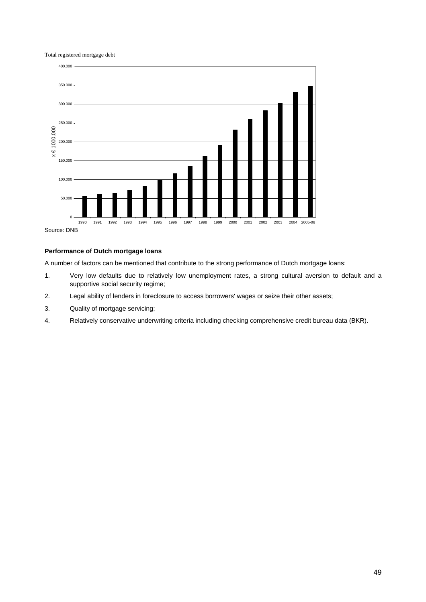Total registered mortgage debt



# **Performance of Dutch mortgage loans**

A number of factors can be mentioned that contribute to the strong performance of Dutch mortgage loans:

- 1. Very low defaults due to relatively low unemployment rates, a strong cultural aversion to default and a supportive social security regime;
- 2. Legal ability of lenders in foreclosure to access borrowers' wages or seize their other assets;
- 3. Quality of mortgage servicing;
- 4. Relatively conservative underwriting criteria including checking comprehensive credit bureau data (BKR).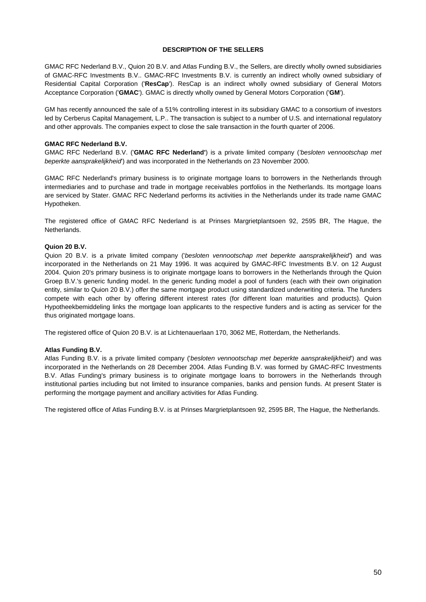## **DESCRIPTION OF THE SELLERS**

GMAC RFC Nederland B.V., Quion 20 B.V. and Atlas Funding B.V., the Sellers, are directly wholly owned subsidiaries of GMAC-RFC Investments B.V.. GMAC-RFC Investments B.V. is currently an indirect wholly owned subsidiary of Residential Capital Corporation ('**ResCap**'). ResCap is an indirect wholly owned subsidiary of General Motors Acceptance Corporation ('**GMAC**'). GMAC is directly wholly owned by General Motors Corporation ('**GM**').

GM has recently announced the sale of a 51% controlling interest in its subsidiary GMAC to a consortium of investors led by Cerberus Capital Management, L.P.. The transaction is subject to a number of U.S. and international regulatory and other approvals. The companies expect to close the sale transaction in the fourth quarter of 2006.

## **GMAC RFC Nederland B.V.**

GMAC RFC Nederland B.V. ('**GMAC RFC Nederland'**) is a private limited company (*'besloten vennootschap met beperkte aansprakelijkheid*') and was incorporated in the Netherlands on 23 November 2000.

GMAC RFC Nederland's primary business is to originate mortgage loans to borrowers in the Netherlands through intermediaries and to purchase and trade in mortgage receivables portfolios in the Netherlands. Its mortgage loans are serviced by Stater. GMAC RFC Nederland performs its activities in the Netherlands under its trade name GMAC Hypotheken.

The registered office of GMAC RFC Nederland is at Prinses Margrietplantsoen 92, 2595 BR, The Hague, the Netherlands.

## **Quion 20 B.V.**

Quion 20 B.V. is a private limited company ('*besloten vennootschap met beperkte aansprakelijkheid'*) and was incorporated in the Netherlands on 21 May 1996. It was acquired by GMAC-RFC Investments B.V. on 12 August 2004. Quion 20's primary business is to originate mortgage loans to borrowers in the Netherlands through the Quion Groep B.V.'s generic funding model. In the generic funding model a pool of funders (each with their own origination entity, similar to Quion 20 B.V.) offer the same mortgage product using standardized underwriting criteria. The funders compete with each other by offering different interest rates (for different loan maturities and products). Quion Hypotheekbemiddeling links the mortgage loan applicants to the respective funders and is acting as servicer for the thus originated mortgage loans.

The registered office of Quion 20 B.V. is at Lichtenauerlaan 170, 3062 ME, Rotterdam, the Netherlands.

# **Atlas Funding B.V.**

Atlas Funding B.V. is a private limited company ('*besloten vennootschap met beperkte aansprakelijkheid*') and was incorporated in the Netherlands on 28 December 2004. Atlas Funding B.V. was formed by GMAC-RFC Investments B.V. Atlas Funding's primary business is to originate mortgage loans to borrowers in the Netherlands through institutional parties including but not limited to insurance companies, banks and pension funds. At present Stater is performing the mortgage payment and ancillary activities for Atlas Funding.

The registered office of Atlas Funding B.V. is at Prinses Margrietplantsoen 92, 2595 BR, The Hague, the Netherlands.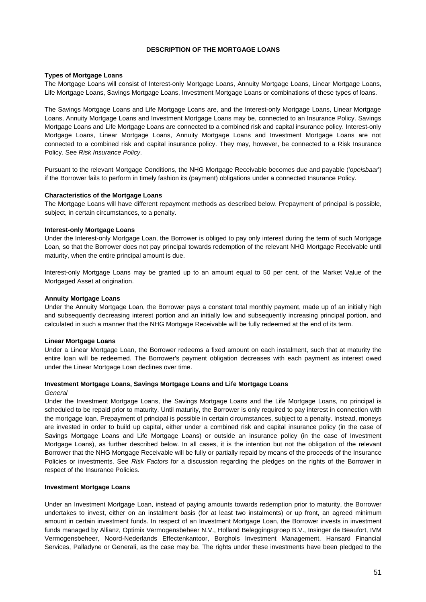## **DESCRIPTION OF THE MORTGAGE LOANS**

## **Types of Mortgage Loans**

The Mortgage Loans will consist of Interest-only Mortgage Loans, Annuity Mortgage Loans, Linear Mortgage Loans, Life Mortgage Loans, Savings Mortgage Loans, Investment Mortgage Loans or combinations of these types of loans.

The Savings Mortgage Loans and Life Mortgage Loans are, and the Interest-only Mortgage Loans, Linear Mortgage Loans, Annuity Mortgage Loans and Investment Mortgage Loans may be, connected to an Insurance Policy. Savings Mortgage Loans and Life Mortgage Loans are connected to a combined risk and capital insurance policy. Interest-only Mortgage Loans, Linear Mortgage Loans, Annuity Mortgage Loans and Investment Mortgage Loans are not connected to a combined risk and capital insurance policy. They may, however, be connected to a Risk Insurance Policy. See *Risk Insurance Policy*.

Pursuant to the relevant Mortgage Conditions, the NHG Mortgage Receivable becomes due and payable ('*opeisbaar*') if the Borrower fails to perform in timely fashion its (payment) obligations under a connected Insurance Policy.

#### **Characteristics of the Mortgage Loans**

The Mortgage Loans will have different repayment methods as described below. Prepayment of principal is possible, subject, in certain circumstances, to a penalty.

#### **Interest-only Mortgage Loans**

Under the Interest-only Mortgage Loan, the Borrower is obliged to pay only interest during the term of such Mortgage Loan, so that the Borrower does not pay principal towards redemption of the relevant NHG Mortgage Receivable until maturity, when the entire principal amount is due.

Interest-only Mortgage Loans may be granted up to an amount equal to 50 per cent. of the Market Value of the Mortgaged Asset at origination.

## **Annuity Mortgage Loans**

Under the Annuity Mortgage Loan, the Borrower pays a constant total monthly payment, made up of an initially high and subsequently decreasing interest portion and an initially low and subsequently increasing principal portion, and calculated in such a manner that the NHG Mortgage Receivable will be fully redeemed at the end of its term.

#### **Linear Mortgage Loans**

Under a Linear Mortgage Loan, the Borrower redeems a fixed amount on each instalment, such that at maturity the entire loan will be redeemed. The Borrower's payment obligation decreases with each payment as interest owed under the Linear Mortgage Loan declines over time.

#### **Investment Mortgage Loans, Savings Mortgage Loans and Life Mortgage Loans**

#### *General*

Under the Investment Mortgage Loans, the Savings Mortgage Loans and the Life Mortgage Loans, no principal is scheduled to be repaid prior to maturity. Until maturity, the Borrower is only required to pay interest in connection with the mortgage loan. Prepayment of principal is possible in certain circumstances, subject to a penalty. Instead, moneys are invested in order to build up capital, either under a combined risk and capital insurance policy (in the case of Savings Mortgage Loans and Life Mortgage Loans) or outside an insurance policy (in the case of Investment Mortgage Loans), as further described below. In all cases, it is the intention but not the obligation of the relevant Borrower that the NHG Mortgage Receivable will be fully or partially repaid by means of the proceeds of the Insurance Policies or investments. See *Risk Factors* for a discussion regarding the pledges on the rights of the Borrower in respect of the Insurance Policies.

#### **Investment Mortgage Loans**

Under an Investment Mortgage Loan, instead of paying amounts towards redemption prior to maturity, the Borrower undertakes to invest, either on an instalment basis (for at least two instalments) or up front, an agreed minimum amount in certain investment funds. In respect of an Investment Mortgage Loan, the Borrower invests in investment funds managed by Allianz, Optimix Vermogensbeheer N.V., Holland Beleggingsgroep B.V., Insinger de Beaufort, IVM Vermogensbeheer, Noord-Nederlands Effectenkantoor, Borghols Investment Management, Hansard Financial Services, Palladyne or Generali, as the case may be. The rights under these investments have been pledged to the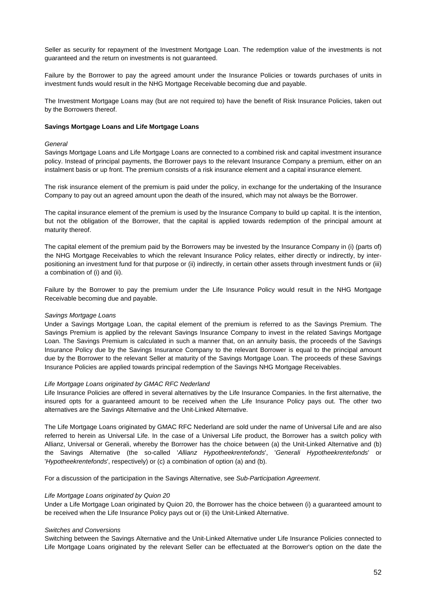Seller as security for repayment of the Investment Mortgage Loan. The redemption value of the investments is not guaranteed and the return on investments is not guaranteed.

Failure by the Borrower to pay the agreed amount under the Insurance Policies or towards purchases of units in investment funds would result in the NHG Mortgage Receivable becoming due and payable.

The Investment Mortgage Loans may (but are not required to) have the benefit of Risk Insurance Policies, taken out by the Borrowers thereof.

#### **Savings Mortgage Loans and Life Mortgage Loans**

#### *General*

Savings Mortgage Loans and Life Mortgage Loans are connected to a combined risk and capital investment insurance policy. Instead of principal payments, the Borrower pays to the relevant Insurance Company a premium, either on an instalment basis or up front. The premium consists of a risk insurance element and a capital insurance element.

The risk insurance element of the premium is paid under the policy, in exchange for the undertaking of the Insurance Company to pay out an agreed amount upon the death of the insured, which may not always be the Borrower.

The capital insurance element of the premium is used by the Insurance Company to build up capital. It is the intention, but not the obligation of the Borrower, that the capital is applied towards redemption of the principal amount at maturity thereof.

The capital element of the premium paid by the Borrowers may be invested by the Insurance Company in (i) (parts of) the NHG Mortgage Receivables to which the relevant Insurance Policy relates, either directly or indirectly, by interpositioning an investment fund for that purpose or (ii) indirectly, in certain other assets through investment funds or (iii) a combination of (i) and (ii).

Failure by the Borrower to pay the premium under the Life Insurance Policy would result in the NHG Mortgage Receivable becoming due and payable.

#### *Savings Mortgage Loans*

Under a Savings Mortgage Loan, the capital element of the premium is referred to as the Savings Premium. The Savings Premium is applied by the relevant Savings Insurance Company to invest in the related Savings Mortgage Loan. The Savings Premium is calculated in such a manner that, on an annuity basis, the proceeds of the Savings Insurance Policy due by the Savings Insurance Company to the relevant Borrower is equal to the principal amount due by the Borrower to the relevant Seller at maturity of the Savings Mortgage Loan. The proceeds of these Savings Insurance Policies are applied towards principal redemption of the Savings NHG Mortgage Receivables.

#### *Life Mortgage Loans originated by GMAC RFC Nederland*

Life Insurance Policies are offered in several alternatives by the Life Insurance Companies. In the first alternative, the insured opts for a guaranteed amount to be received when the Life Insurance Policy pays out. The other two alternatives are the Savings Alternative and the Unit-Linked Alternative.

The Life Mortgage Loans originated by GMAC RFC Nederland are sold under the name of Universal Life and are also referred to herein as Universal Life. In the case of a Universal Life product, the Borrower has a switch policy with Allianz, Universal or Generali, whereby the Borrower has the choice between (a) the Unit-Linked Alternative and (b) the Savings Alternative (the so-called '*Allianz Hypotheekrentefonds*', '*Generali Hypotheekrentefonds*' or '*Hypotheekrentefonds*', respectively) or (c) a combination of option (a) and (b).

For a discussion of the participation in the Savings Alternative, see *Sub-Participation Agreement*.

#### *Life Mortgage Loans originated by Quion 20*

Under a Life Mortgage Loan originated by Quion 20, the Borrower has the choice between (i) a guaranteed amount to be received when the Life Insurance Policy pays out or (ii) the Unit-Linked Alternative.

#### *Switches and Conversions*

Switching between the Savings Alternative and the Unit-Linked Alternative under Life Insurance Policies connected to Life Mortgage Loans originated by the relevant Seller can be effectuated at the Borrower's option on the date the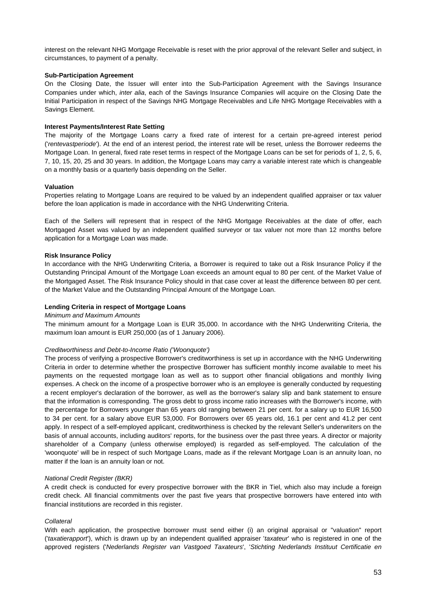interest on the relevant NHG Mortgage Receivable is reset with the prior approval of the relevant Seller and subject, in circumstances, to payment of a penalty.

#### **Sub-Participation Agreement**

On the Closing Date, the Issuer will enter into the Sub-Participation Agreement with the Savings Insurance Companies under which, *inter alia*, each of the Savings Insurance Companies will acquire on the Closing Date the Initial Participation in respect of the Savings NHG Mortgage Receivables and Life NHG Mortgage Receivables with a Savings Element.

## **Interest Payments/Interest Rate Setting**

The majority of the Mortgage Loans carry a fixed rate of interest for a certain pre-agreed interest period ('*rentevastperiode*'). At the end of an interest period, the interest rate will be reset, unless the Borrower redeems the Mortgage Loan. In general, fixed rate reset terms in respect of the Mortgage Loans can be set for periods of 1, 2, 5, 6, 7, 10, 15, 20, 25 and 30 years. In addition, the Mortgage Loans may carry a variable interest rate which is changeable on a monthly basis or a quarterly basis depending on the Seller.

## **Valuation**

Properties relating to Mortgage Loans are required to be valued by an independent qualified appraiser or tax valuer before the loan application is made in accordance with the NHG Underwriting Criteria.

Each of the Sellers will represent that in respect of the NHG Mortgage Receivables at the date of offer, each Mortgaged Asset was valued by an independent qualified surveyor or tax valuer not more than 12 months before application for a Mortgage Loan was made.

#### **Risk Insurance Policy**

In accordance with the NHG Underwriting Criteria, a Borrower is required to take out a Risk Insurance Policy if the Outstanding Principal Amount of the Mortgage Loan exceeds an amount equal to 80 per cent. of the Market Value of the Mortgaged Asset. The Risk Insurance Policy should in that case cover at least the difference between 80 per cent. of the Market Value and the Outstanding Principal Amount of the Mortgage Loan.

#### **Lending Criteria in respect of Mortgage Loans**

#### *Minimum and Maximum Amounts*

The minimum amount for a Mortgage Loan is EUR 35,000. In accordance with the NHG Underwriting Criteria, the maximum loan amount is EUR 250,000 (as of 1 January 2006).

#### *Creditworthiness and Debt-to-Income Ratio ('Woonquote')*

The process of verifying a prospective Borrower's creditworthiness is set up in accordance with the NHG Underwriting Criteria in order to determine whether the prospective Borrower has sufficient monthly income available to meet his payments on the requested mortgage loan as well as to support other financial obligations and monthly living expenses. A check on the income of a prospective borrower who is an employee is generally conducted by requesting a recent employer's declaration of the borrower, as well as the borrower's salary slip and bank statement to ensure that the information is corresponding. The gross debt to gross income ratio increases with the Borrower's income, with the percentage for Borrowers younger than 65 years old ranging between 21 per cent. for a salary up to EUR 16,500 to 34 per cent. for a salary above EUR 53,000. For Borrowers over 65 years old, 16.1 per cent and 41.2 per cent apply. In respect of a self-employed applicant, creditworthiness is checked by the relevant Seller's underwriters on the basis of annual accounts, including auditors' reports, for the business over the past three years. A director or majority shareholder of a Company (unless otherwise employed) is regarded as self-employed. The calculation of the 'woonquote' will be in respect of such Mortgage Loans, made as if the relevant Mortgage Loan is an annuity loan, no matter if the loan is an annuity loan or not.

#### *National Credit Register (BKR)*

A credit check is conducted for every prospective borrower with the BKR in Tiel, which also may include a foreign credit check. All financial commitments over the past five years that prospective borrowers have entered into with financial institutions are recorded in this register.

#### *Collateral*

With each application, the prospective borrower must send either (i) an original appraisal or "valuation" report ('*taxatierapport*'), which is drawn up by an independent qualified appraiser '*taxateur*' who is registered in one of the approved registers ('*Nederlands Register van Vastgoed Taxateurs*', '*Stichting Nederlands Instituut Certificatie en*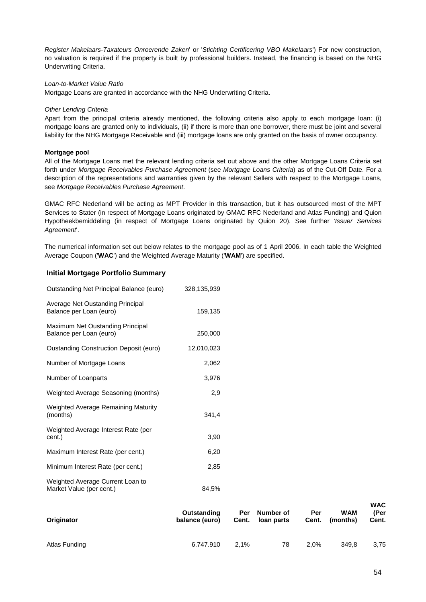*Register Makelaars-Taxateurs Onroerende Zaken*' or '*Stichting Certificering VBO Makelaars*') For new construction, no valuation is required if the property is built by professional builders. Instead, the financing is based on the NHG Underwriting Criteria.

## *Loan-to-Market Value Ratio*

Mortgage Loans are granted in accordance with the NHG Underwriting Criteria.

## *Other Lending Criteria*

Apart from the principal criteria already mentioned, the following criteria also apply to each mortgage loan: (i) mortgage loans are granted only to individuals, (ii) if there is more than one borrower, there must be joint and several liability for the NHG Mortgage Receivable and (iii) mortgage loans are only granted on the basis of owner occupancy.

## **Mortgage pool**

All of the Mortgage Loans met the relevant lending criteria set out above and the other Mortgage Loans Criteria set forth under *Mortgage Receivables Purchase Agreement* (see *Mortgage Loans Criteria*) as of the Cut-Off Date. For a description of the representations and warranties given by the relevant Sellers with respect to the Mortgage Loans, see *Mortgage Receivables Purchase Agreement*.

GMAC RFC Nederland will be acting as MPT Provider in this transaction, but it has outsourced most of the MPT Services to Stater (in respect of Mortgage Loans originated by GMAC RFC Nederland and Atlas Funding) and Quion Hypotheekbemiddeling (in respect of Mortgage Loans originated by Quion 20). See further '*Issuer Services Agreement*'.

The numerical information set out below relates to the mortgage pool as of 1 April 2006. In each table the Weighted Average Coupon ('**WAC**') and the Weighted Average Maturity ('**WAM**') are specified.

# **Initial Mortgage Portfolio Summary**

| Outstanding Net Principal Balance (euro)                     | 328,135,939 |
|--------------------------------------------------------------|-------------|
| Average Net Oustanding Principal<br>Balance per Loan (euro)  | 159,135     |
| Maximum Net Oustanding Principal<br>Balance per Loan (euro)  | 250,000     |
| <b>Oustanding Construction Deposit (euro)</b>                | 12,010,023  |
| Number of Mortgage Loans                                     | 2,062       |
| Number of Loanparts                                          | 3,976       |
| Weighted Average Seasoning (months)                          | 2,9         |
| Weighted Average Remaining Maturity<br>(months)              | 341,4       |
| Weighted Average Interest Rate (per<br>cent.)                | 3,90        |
| Maximum Interest Rate (per cent.)                            | 6,20        |
| Minimum Interest Rate (per cent.)                            | 2,85        |
| Weighted Average Current Loan to<br>Market Value (per cent.) | 84,5%       |

| Originator    | Outstanding<br>balance (euro) | Per<br>Cent. | Number of<br>loan parts | Per<br>Cent. | <b>WAM</b><br>(months) | <b>WAC</b><br>(Per<br>Cent. |
|---------------|-------------------------------|--------------|-------------------------|--------------|------------------------|-----------------------------|
|               |                               |              |                         |              |                        |                             |
| Atlas Funding | 6.747.910                     | $2.1\%$      | 78                      | 2.0%         | 349.8                  | 3,75                        |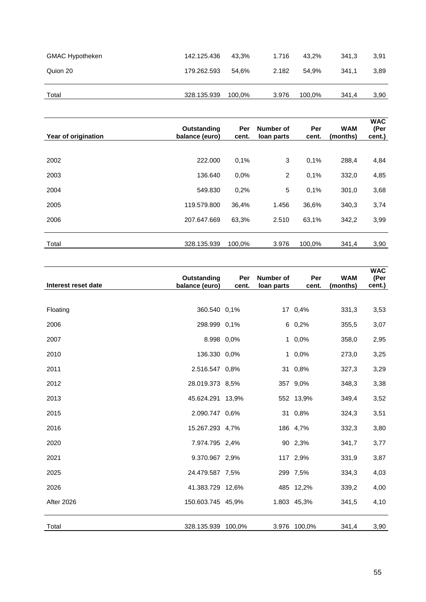| <b>GMAC Hypotheken</b> | 142.125.436 | 43.3%  | 1.716 | 43.2%  | 341.3 | 3,91 |
|------------------------|-------------|--------|-------|--------|-------|------|
| Quion 20               | 179.262.593 | 54.6%  | 2.182 | 54.9%  | 341.1 | 3,89 |
|                        |             |        |       |        |       |      |
| Total                  | 328.135.939 | 100.0% | 3.976 | 100,0% | 341.4 | 3,90 |

| Year of origination | Outstanding<br>balance (euro) | Per<br>cent. | Number of<br>loan parts | Per<br>cent. | <b>WAM</b><br>(months) | <b>WAC</b><br>(Per<br>cent.) |
|---------------------|-------------------------------|--------------|-------------------------|--------------|------------------------|------------------------------|
| 2002                | 222,000                       | 0,1%         | 3                       | 0,1%         | 288,4                  | 4,84                         |
| 2003                | 136.640                       | 0,0%         | 2                       | 0,1%         | 332,0                  | 4,85                         |
| 2004                | 549.830                       | 0,2%         | 5                       | 0.1%         | 301,0                  | 3,68                         |
| 2005                | 119.579.800                   | 36,4%        | 1.456                   | 36,6%        | 340,3                  | 3,74                         |
| 2006                | 207.647.669                   | 63,3%        | 2.510                   | 63,1%        | 342,2                  | 3,99                         |
| Total               | 328.135.939                   | 100,0%       | 3.976                   | 100,0%       | 341,4                  | 3,90                         |

| Interest reset date | Outstanding<br>balance (euro) | Per<br>cent. | Number of<br>loan parts | Per<br>cent.   | <b>WAM</b><br>(months) | <b>WAC</b><br>(Per<br>cent.) |
|---------------------|-------------------------------|--------------|-------------------------|----------------|------------------------|------------------------------|
|                     |                               |              |                         |                |                        |                              |
| Floating            | 360.540 0,1%                  |              |                         | 17 0,4%        | 331,3                  | 3,53                         |
| 2006                | 298.999 0,1%                  |              |                         | $6\quad 0,2\%$ | 355,5                  | 3,07                         |
| 2007                | 8.998 0,0%                    |              |                         | 1 0,0%         | 358,0                  | 2,95                         |
| 2010                | 136.330 0,0%                  |              |                         | 1 0,0%         | 273,0                  | 3,25                         |
| 2011                | 2.516.547 0.8%                |              |                         | 31 0,8%        | 327,3                  | 3,29                         |
| 2012                | 28.019.373 8,5%               |              |                         | 357 9,0%       | 348,3                  | 3,38                         |
| 2013                | 45.624.291 13,9%              |              |                         | 552 13,9%      | 349,4                  | 3,52                         |
| 2015                | 2.090.747 0,6%                |              |                         | 31 0,8%        | 324,3                  | 3,51                         |
| 2016                | 15.267.293 4,7%               |              |                         | 186 4,7%       | 332,3                  | 3,80                         |
| 2020                | 7.974.795 2.4%                |              |                         | 90 2,3%        | 341,7                  | 3,77                         |
| 2021                | 9.370.967 2,9%                |              |                         | 117 2,9%       | 331,9                  | 3,87                         |
| 2025                | 24.479.587 7,5%               |              |                         | 299 7,5%       | 334,3                  | 4,03                         |
| 2026                | 41.383.729 12,6%              |              |                         | 485 12,2%      | 339,2                  | 4,00                         |
| After 2026          | 150.603.745 45,9%             |              |                         | 1.803 45,3%    | 341,5                  | 4,10                         |
| Total               | 328.135.939 100,0%            |              |                         | 3.976 100,0%   | 341,4                  | 3,90                         |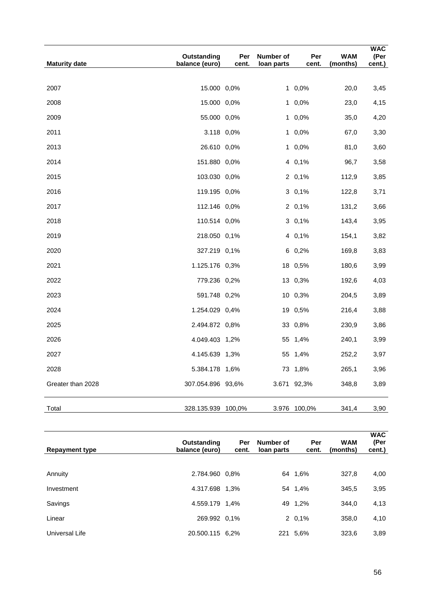| <b>Maturity date</b> | Outstanding<br>balance (euro) | Per<br>cent. | Number of<br>loan parts | Per<br>cent.   | <b>WAM</b><br>(months) | <b>WAC</b><br>(Per<br>cent.) |
|----------------------|-------------------------------|--------------|-------------------------|----------------|------------------------|------------------------------|
|                      |                               |              |                         |                |                        |                              |
| 2007                 | 15.000 0,0%                   |              |                         | $1\quad 0,0\%$ | 20,0                   | 3,45                         |
| 2008                 | 15.000 0,0%                   |              |                         | 1 0,0%         | 23,0                   | 4,15                         |
| 2009                 | 55.000 0,0%                   |              |                         | $1\quad 0,0\%$ | 35,0                   | 4,20                         |
| 2011                 | 3.118 0,0%                    |              |                         | $10.0\%$       | 67,0                   | 3,30                         |
| 2013                 | 26.610 0,0%                   |              |                         | $1\,0.0\%$     | 81,0                   | 3,60                         |
| 2014                 | 151.880 0,0%                  |              |                         | 4 0,1%         | 96,7                   | 3,58                         |
| 2015                 | 103.030 0,0%                  |              |                         | 2 0,1%         | 112,9                  | 3,85                         |
| 2016                 | 119.195 0,0%                  |              |                         | $3\;\;0,1\%$   | 122,8                  | 3,71                         |
| 2017                 | 112.146 0,0%                  |              |                         | $2\;\;0.1\%$   | 131,2                  | 3,66                         |
| 2018                 | 110.514 0,0%                  |              |                         | $3\;\;0,1\%$   | 143,4                  | 3,95                         |
| 2019                 | 218.050 0,1%                  |              |                         | 4 0,1%         | 154,1                  | 3,82                         |
| 2020                 | 327.219 0,1%                  |              |                         | 6 0,2%         | 169,8                  | 3,83                         |
| 2021                 | 1.125.176 0,3%                |              |                         | 18 0,5%        | 180,6                  | 3,99                         |
| 2022                 | 779.236 0,2%                  |              |                         | 13 0,3%        | 192,6                  | 4,03                         |
| 2023                 | 591.748 0,2%                  |              |                         | 10 0,3%        | 204,5                  | 3,89                         |
| 2024                 | 1.254.029 0,4%                |              |                         | 19 0,5%        | 216,4                  | 3,88                         |
| 2025                 | 2.494.872 0,8%                |              |                         | 33 0,8%        | 230,9                  | 3,86                         |
| 2026                 | 4.049.403 1,2%                |              |                         | 55 1,4%        | 240,1                  | 3,99                         |
| 2027                 | 4.145.639 1,3%                |              |                         | 55 1,4%        | 252,2                  | 3,97                         |
| 2028                 | 5.384.178 1,6%                |              |                         | 73 1,8%        | 265,1                  | 3,96                         |
| Greater than 2028    | 307.054.896 93,6%             |              |                         | 3.671 92,3%    | 348,8                  | 3,89                         |
| Total                | 328.135.939 100,0%            |              |                         | 3.976 100,0%   | 341,4                  | 3,90                         |

| <b>Repayment type</b> | Outstanding<br>balance (euro) | Per<br>cent. | Number of<br>loan parts | Per<br>cent. | <b>WAM</b><br>(months) | <b>WAC</b><br>(Per<br>cent.) |
|-----------------------|-------------------------------|--------------|-------------------------|--------------|------------------------|------------------------------|
|                       | 2.784.960 0.8%                |              |                         |              |                        |                              |
| Annuity               |                               |              |                         | 64 1.6%      | 327,8                  | 4,00                         |
| Investment            | 4.317.698 1.3%                |              |                         | 54 1,4%      | 345,5                  | 3,95                         |
| Savings               | 4.559.179 1.4%                |              |                         | 49 1,2%      | 344,0                  | 4,13                         |
| Linear                | 269.992 0.1%                  |              |                         | $2\;\;0.1\%$ | 358,0                  | 4,10                         |
| Universal Life        | 20.500.115 6.2%               |              |                         | 221 5,6%     | 323,6                  | 3,89                         |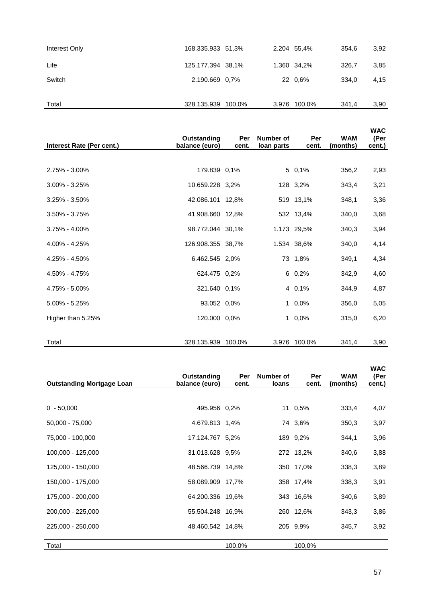| Interest Only | 168.335.933 51,3%  |  | 2.204 55,4%  | 354.6 | 3,92 |
|---------------|--------------------|--|--------------|-------|------|
| Life          | 125.177.394 38,1%  |  | 1.360 34,2%  | 326.7 | 3,85 |
| Switch        | 2.190.669 0.7%     |  | 22 0.6%      | 334.0 | 4,15 |
|               |                    |  |              |       |      |
| Total         | 328.135.939 100,0% |  | 3.976 100,0% | 341,4 | 3,90 |
|               |                    |  |              |       |      |

| Interest Rate (Per cent.) | Outstanding<br>balance (euro) | Per<br>cent. | Number of<br>loan parts | Per<br>cent. | <b>WAM</b><br>(months) | <b>WAC</b><br>(Per<br>cent.) |
|---------------------------|-------------------------------|--------------|-------------------------|--------------|------------------------|------------------------------|
|                           |                               |              |                         |              |                        |                              |
| $2.75\% - 3.00\%$         | 179.839 0.1%                  |              |                         | 5 0,1%       | 356,2                  | 2,93                         |
| $3.00\% - 3.25\%$         | 10.659.228 3.2%               |              |                         | 128 3,2%     | 343,4                  | 3,21                         |
| $3.25\% - 3.50\%$         | 42.086.101 12,8%              |              |                         | 519 13,1%    | 348,1                  | 3,36                         |
| $3.50\% - 3.75\%$         | 41.908.660 12,8%              |              |                         | 532 13,4%    | 340,0                  | 3,68                         |
| $3.75\% - 4.00\%$         | 98.772.044 30.1%              |              |                         | 1.173 29,5%  | 340,3                  | 3,94                         |
| $4.00\% - 4.25\%$         | 126.908.355 38,7%             |              |                         | 1.534 38,6%  | 340,0                  | 4,14                         |
| 4.25% - 4.50%             | 6.462.545 2.0%                |              |                         | 73 1,8%      | 349,1                  | 4,34                         |
| $4.50\% - 4.75\%$         | 624.475 0.2%                  |              |                         | 6 0,2%       | 342,9                  | 4,60                         |
| 4.75% - 5.00%             | 321.640 0.1%                  |              |                         | 4 0,1%       | 344,9                  | 4,87                         |
| $5.00\% - 5.25\%$         | 93.052 0,0%                   |              |                         | $10,0\%$     | 356,0                  | 5,05                         |
| Higher than 5.25%         | 120.000 0,0%                  |              |                         | $10,0\%$     | 315,0                  | 6,20                         |
|                           |                               |              |                         |              |                        |                              |
| Total                     | 328.135.939                   | 100,0%       |                         | 3.976 100,0% | 341,4                  | 3,90                         |

| <b>Outstanding Mortgage Loan</b> | Outstanding<br>balance (euro) | Per<br>cent. | Number of<br>loans | Per<br>cent. | <b>WAM</b><br>(months) | <b>WAC</b><br>(Per<br>cent.) |
|----------------------------------|-------------------------------|--------------|--------------------|--------------|------------------------|------------------------------|
|                                  |                               |              |                    |              |                        |                              |
| $0 - 50,000$                     | 495.956 0,2%                  |              |                    | 11 0,5%      | 333,4                  | 4,07                         |
| $50,000 - 75,000$                | 4.679.813 1,4%                |              |                    | 74 3,6%      | 350,3                  | 3,97                         |
| 75,000 - 100,000                 | 17.124.767 5,2%               |              |                    | 189 9,2%     | 344,1                  | 3,96                         |
| 100,000 - 125,000                | 31.013.628 9.5%               |              |                    | 272 13,2%    | 340,6                  | 3,88                         |
| 125,000 - 150,000                | 48.566.739 14.8%              |              |                    | 350 17,0%    | 338,3                  | 3,89                         |
| 150,000 - 175,000                | 58.089.909 17,7%              |              |                    | 358 17,4%    | 338,3                  | 3,91                         |
| 175,000 - 200,000                | 64.200.336 19,6%              |              |                    | 343 16,6%    | 340,6                  | 3,89                         |
| 200,000 - 225,000                | 55.504.248 16,9%              |              |                    | 260 12,6%    | 343,3                  | 3,86                         |
| 225,000 - 250,000                | 48.460.542 14,8%              |              |                    | 205 9,9%     | 345,7                  | 3,92                         |
|                                  |                               |              |                    |              |                        |                              |
| Total                            |                               | 100,0%       |                    | 100,0%       |                        |                              |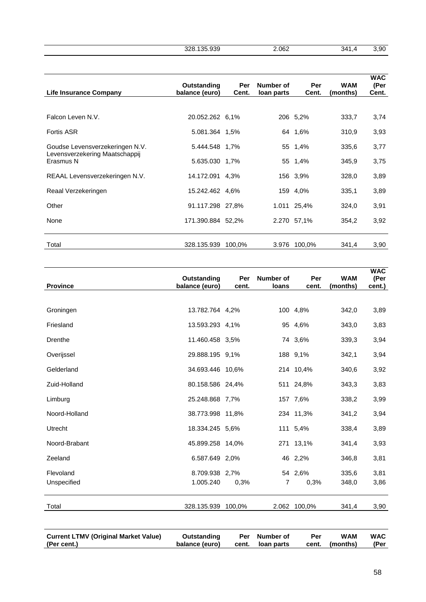328.135.939 2.062 341,4 3,90

| <b>Life Insurance Company</b>               | Outstanding<br>balance (euro) | Per<br>Cent. | Number of<br>loan parts | Per<br>Cent. | <b>WAM</b><br>(months) | <b>WAC</b><br>(Per<br>Cent. |
|---------------------------------------------|-------------------------------|--------------|-------------------------|--------------|------------------------|-----------------------------|
|                                             |                               |              |                         |              |                        |                             |
| Falcon Leven N.V.                           | 20.052.262 6,1%               |              |                         | 206 5,2%     | 333,7                  | 3,74                        |
| <b>Fortis ASR</b>                           | 5.081.364 1,5%                |              |                         | 64 1,6%      | 310,9                  | 3,93                        |
| Goudse Levensverzekeringen N.V.             | 5.444.548 1,7%                |              |                         | 55 1,4%      | 335,6                  | 3,77                        |
| Levensverzekering Maatschappij<br>Erasmus N | 5.635.030 1,7%                |              |                         | 55 1,4%      | 345,9                  | 3,75                        |
| REAAL Levensverzekeringen N.V.              | 14.172.091 4.3%               |              |                         | 156 3,9%     | 328,0                  | 3,89                        |
| Reaal Verzekeringen                         | 15.242.462 4,6%               |              |                         | 159 4,0%     | 335,1                  | 3,89                        |
| Other                                       | 91.117.298 27,8%              |              |                         | 1.011 25,4%  | 324,0                  | 3,91                        |
| None                                        | 171.390.884 52,2%             |              |                         | 2.270 57,1%  | 354,2                  | 3,92                        |
| Total                                       | 328.135.939                   | 100,0%       | 3.976                   | 100,0%       | 341,4                  | 3,90                        |

| 13.782.764 4,2%<br>100 4,8%<br>342,0<br>Groningen<br>Friesland<br>13.593.293 4,1%<br>95 4,6%<br>343,0 | 3,89<br>3,83 |
|-------------------------------------------------------------------------------------------------------|--------------|
|                                                                                                       |              |
|                                                                                                       |              |
|                                                                                                       |              |
| 11.460.458 3,5%<br>74 3,6%<br>Drenthe<br>339,3                                                        | 3,94         |
| 188 9,1%<br>Overijssel<br>29.888.195 9,1%<br>342,1                                                    | 3,94         |
| Gelderland<br>34.693.446 10,6%<br>214 10,4%<br>340,6                                                  | 3,92         |
| Zuid-Holland<br>80.158.586 24,4%<br>511 24,8%<br>343,3                                                | 3,83         |
| Limburg<br>25.248.868 7,7%<br>157 7,6%<br>338,2                                                       | 3,99         |
| Noord-Holland<br>38.773.998 11,8%<br>234 11,3%<br>341,2                                               | 3,94         |
| <b>Utrecht</b><br>18.334.245 5,6%<br>111 5,4%<br>338,4                                                | 3,89         |
| Noord-Brabant<br>271 13,1%<br>45.899.258 14,0%<br>341,4                                               | 3,93         |
| Zeeland<br>6.587.649 2,0%<br>46 2,2%<br>346,8                                                         | 3,81         |
| Flevoland<br>54 2,6%<br>8.709.938 2,7%<br>335,6                                                       | 3,81         |
| Unspecified<br>1.005.240<br>0,3%<br>0,3%<br>7<br>348,0                                                | 3,86         |
| Total<br>328.135.939<br>2.062 100,0%<br>341,4<br>100,0%                                               | 3,90         |
|                                                                                                       |              |

| (Per cent.)<br>balance (euro)<br>cent. Ioan parts<br>cent. (months) | <b>Current LTMV (Original Market Value)</b> | Outstanding |  | Per Number of | Per | <b>WAM</b> | <b>WAC</b><br>(Per |
|---------------------------------------------------------------------|---------------------------------------------|-------------|--|---------------|-----|------------|--------------------|
|---------------------------------------------------------------------|---------------------------------------------|-------------|--|---------------|-----|------------|--------------------|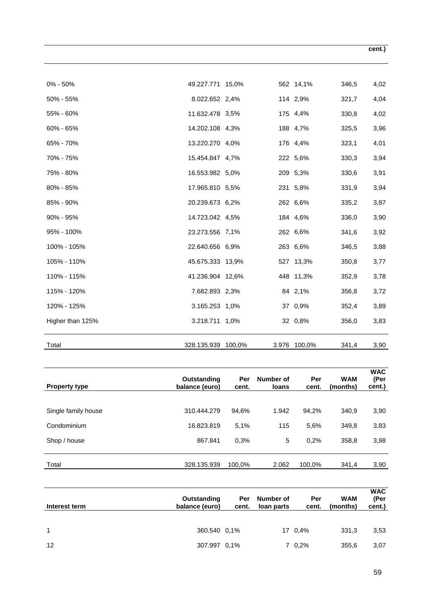| $0\% - 50\%$     | 49.227.771 15,0%   |  | 562 14,1%    | 346,5 | 4,02 |
|------------------|--------------------|--|--------------|-------|------|
| 50% - 55%        | 8.022.652 2,4%     |  | 114 2,9%     | 321,7 | 4,04 |
| 55% - 60%        | 11.632.478 3,5%    |  | 175 4,4%     | 330,8 | 4,02 |
| 60% - 65%        | 14.202.108 4,3%    |  | 188 4,7%     | 325,5 | 3,96 |
| 65% - 70%        | 13.220.270 4,0%    |  | 176 4,4%     | 323,1 | 4,01 |
| 70% - 75%        | 15.454.847 4,7%    |  | 222 5,6%     | 330,3 | 3,94 |
| 75% - 80%        | 16.553.982 5,0%    |  | 209 5,3%     | 330,6 | 3,91 |
| 80% - 85%        | 17.965.810 5,5%    |  | 231 5,8%     | 331,9 | 3,94 |
| 85% - 90%        | 20.239.673 6,2%    |  | 262 6,6%     | 335,2 | 3,87 |
| $90\% - 95\%$    | 14.723.042 4,5%    |  | 184 4,6%     | 336,0 | 3,90 |
| 95% - 100%       | 23.273.556 7,1%    |  | 262 6,6%     | 341,6 | 3,92 |
| 100% - 105%      | 22.640.656 6,9%    |  | 263 6,6%     | 346,5 | 3,88 |
| 105% - 110%      | 45.675.333 13,9%   |  | 527 13,3%    | 350,8 | 3,77 |
| 110% - 115%      | 41.236.904 12,6%   |  | 448 11,3%    | 352,9 | 3,78 |
| 115% - 120%      | 7.682.893 2,3%     |  | 84 2,1%      | 356,8 | 3,72 |
| 120% - 125%      | 3.165.253 1,0%     |  | 37 0,9%      | 352,4 | 3,89 |
| Higher than 125% | 3.218.711 1,0%     |  | 32 0,8%      | 356,0 | 3,83 |
| Total            | 328.135.939 100,0% |  | 3.976 100,0% | 341,4 | 3,90 |

| <b>Property type</b> | Outstanding<br>balance (euro) | Per<br>cent. | Number of<br><b>loans</b> | Per<br>cent. | <b>WAM</b><br>(months) | <b>WAC</b><br>(Per<br>cent.) |
|----------------------|-------------------------------|--------------|---------------------------|--------------|------------------------|------------------------------|
| Single family house  | 310.444.279                   | 94,6%        | 1.942                     | 94,2%        | 340,9                  | 3,90                         |
| Condominium          | 16.823.819                    | 5.1%         | 115                       | 5,6%         | 349,8                  | 3,83                         |
| Shop / house         | 867.841                       | 0,3%         | 5                         | 0.2%         | 358,8                  | 3,98                         |
| Total                | 328.135.939                   | 100,0%       | 2.062                     | 100,0%       | 341,4                  | 3,90                         |

| Interest term | Outstanding<br>balance (euro) | Per<br>cent. | Number of<br>loan parts | Per<br>cent.  | <b>WAM</b><br>(months) | <b>WAC</b><br>(Per<br>cent.) |
|---------------|-------------------------------|--------------|-------------------------|---------------|------------------------|------------------------------|
|               |                               |              |                         |               |                        |                              |
| 1             | 360.540 0.1%                  |              |                         | 17 0,4%       | 331.3                  | 3,53                         |
| 12            | 307.997 0.1%                  |              |                         | $7\quad0.2\%$ | 355,6                  | 3,07                         |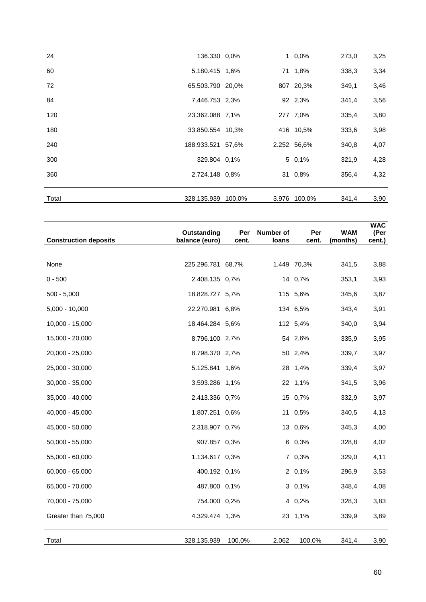| Total | 328.135.939 100,0% |  | 3.976 100,0% | 341,4 | 3,90 |
|-------|--------------------|--|--------------|-------|------|
| 360   | 2.724.148 0.8%     |  | 31 0,8%      | 356,4 | 4,32 |
| 300   | 329.804 0.1%       |  | $5\,0.1\%$   | 321,9 | 4,28 |
| 240   | 188.933.521 57,6%  |  | 2.252 56,6%  | 340,8 | 4,07 |
| 180   | 33.850.554 10.3%   |  | 416 10,5%    | 333,6 | 3,98 |
| 120   | 23.362.088 7,1%    |  | 277 7,0%     | 335,4 | 3,80 |
| 84    | 7.446.753 2.3%     |  | 92 2,3%      | 341,4 | 3,56 |
| 72    | 65.503.790 20.0%   |  | 807 20,3%    | 349,1 | 3,46 |
| 60    | 5.180.415 1,6%     |  | 71 1,8%      | 338,3 | 3,34 |
| 24    | 136.330 0,0%       |  | $1\,0.0\%$   | 273,0 | 3,25 |

| <b>Construction deposits</b> | Outstanding<br>balance (euro) | Per<br>cent. | Number of<br>loans | Per<br>cent. | <b>WAM</b><br>(months) | <b>WAC</b><br>(Per<br>cent.) |
|------------------------------|-------------------------------|--------------|--------------------|--------------|------------------------|------------------------------|
|                              |                               |              |                    |              |                        |                              |
| None                         | 225.296.781 68,7%             |              |                    | 1.449 70,3%  | 341,5                  | 3,88                         |
| $0 - 500$                    | 2.408.135 0,7%                |              |                    | 14 0,7%      | 353,1                  | 3,93                         |
| $500 - 5,000$                | 18.828.727 5,7%               |              |                    | 115 5,6%     | 345,6                  | 3,87                         |
| $5,000 - 10,000$             | 22.270.981 6,8%               |              |                    | 134 6,5%     | 343,4                  | 3,91                         |
| $10,000 - 15,000$            | 18.464.284 5,6%               |              |                    | 112 5,4%     | 340,0                  | 3,94                         |
| 15,000 - 20,000              | 8.796.100 2,7%                |              |                    | 54 2,6%      | 335,9                  | 3,95                         |
| 20,000 - 25,000              | 8.798.370 2,7%                |              |                    | 50 2,4%      | 339,7                  | 3,97                         |
| 25,000 - 30,000              | 5.125.841 1,6%                |              |                    | 28 1,4%      | 339,4                  | 3,97                         |
| $30,000 - 35,000$            | 3.593.286 1,1%                |              |                    | 22 1,1%      | 341,5                  | 3,96                         |
| $35,000 - 40,000$            | 2.413.336 0,7%                |              |                    | 15 0,7%      | 332,9                  | 3,97                         |
| 40,000 - 45,000              | 1.807.251 0,6%                |              |                    | 11 0,5%      | 340,5                  | 4,13                         |
| 45,000 - 50,000              | 2.318.907 0,7%                |              |                    | 13 0,6%      | 345,3                  | 4,00                         |
| $50,000 - 55,000$            | 907.857 0,3%                  |              |                    | 6 0,3%       | 328,8                  | 4,02                         |
| 55,000 - 60,000              | 1.134.617 0,3%                |              |                    | 7 0,3%       | 329,0                  | 4,11                         |
| $60,000 - 65,000$            | 400.192 0,1%                  |              |                    | 2 0,1%       | 296,9                  | 3,53                         |
| 65,000 - 70,000              | 487.800 0,1%                  |              |                    | $30,1\%$     | 348,4                  | 4,08                         |
| 70,000 - 75,000              | 754.000 0,2%                  |              |                    | 4 0,2%       | 328,3                  | 3,83                         |
| Greater than 75,000          | 4.329.474 1,3%                |              |                    | 23 1,1%      | 339,9                  | 3,89                         |
| Total                        | 328.135.939                   | 100,0%       | 2.062              | 100,0%       | 341,4                  | 3,90                         |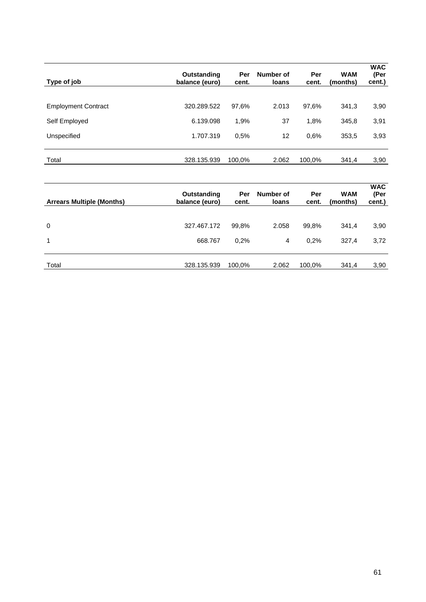| Type of job                | Outstanding<br>balance (euro) | Per<br>cent. | Number of<br><b>loans</b> | Per<br>cent. | <b>WAM</b><br>(months) | <b>WAC</b><br>(Per<br>cent.) |
|----------------------------|-------------------------------|--------------|---------------------------|--------------|------------------------|------------------------------|
| <b>Employment Contract</b> | 320.289.522                   | 97,6%        | 2.013                     | 97,6%        | 341,3                  | 3,90                         |
| Self Employed              | 6.139.098                     | 1,9%         | 37                        | 1,8%         | 345,8                  | 3,91                         |
| Unspecified                | 1.707.319                     | 0.5%         | 12                        | 0.6%         | 353,5                  | 3,93                         |
| Total                      | 328.135.939                   | 100,0%       | 2.062                     | 100,0%       | 341,4                  | 3,90                         |

| <b>Arrears Multiple (Months)</b> | Outstanding<br>balance (euro) | Per<br>cent. | Number of<br>loans | Per<br>cent. | <b>WAM</b><br>(months) | <b>WAC</b><br>(Per<br>cent.) |
|----------------------------------|-------------------------------|--------------|--------------------|--------------|------------------------|------------------------------|
|                                  |                               |              |                    |              |                        |                              |
| $\mathbf 0$                      | 327.467.172                   | 99,8%        | 2.058              | 99,8%        | 341,4                  | 3,90                         |
| 1                                | 668.767                       | 0.2%         | 4                  | 0.2%         | 327,4                  | 3,72                         |
|                                  |                               |              |                    |              |                        |                              |
| Total                            | 328.135.939                   | 100,0%       | 2.062              | 100,0%       | 341,4                  | 3,90                         |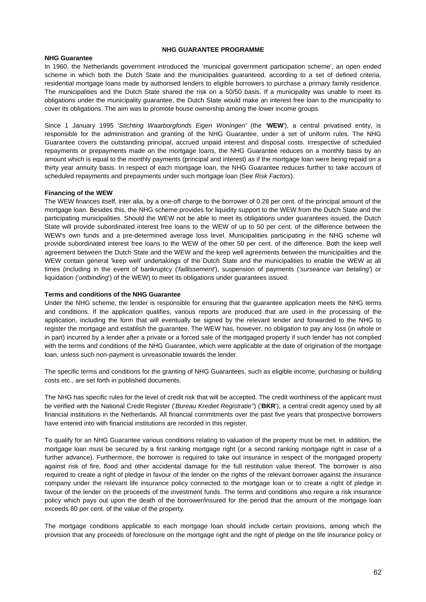#### **NHG GUARANTEE PROGRAMME**

## **NHG Guarantee**

In 1960, the Netherlands government introduced the 'municipal government participation scheme', an open ended scheme in which both the Dutch State and the municipalities guaranteed, according to a set of defined criteria, residential mortgage loans made by authorised lenders to eligible borrowers to purchase a primary family residence. The municipalities and the Dutch State shared the risk on a 50/50 basis. If a municipality was unable to meet its obligations under the municipality guarantee, the Dutch State would make an interest free loan to the municipality to cover its obligations. The aim was to promote house ownership among the lower income groups.

Since 1 January 1995 '*Stichting Waarborgfonds Eigen Woningen'* (the '**WEW**'), a central privatised entity, is responsible for the administration and granting of the NHG Guarantee, under a set of uniform rules. The NHG Guarantee covers the outstanding principal, accrued unpaid interest and disposal costs. Irrespective of scheduled repayments or prepayments made on the mortgage loans, the NHG Guarantee reduces on a monthly basis by an amount which is equal to the monthly payments (principal and interest) as if the mortgage loan were being repaid on a thirty year annuity basis. In respect of each mortgage loan, the NHG Guarantee reduces further to take account of scheduled repayments and prepayments under such mortgage loan (See *Risk Factors*).

## **Financing of the WEW**

The WEW finances itself, inter alia, by a one-off charge to the borrower of 0.28 per cent. of the principal amount of the mortgage loan. Besides this, the NHG scheme provides for liquidity support to the WEW from the Dutch State and the participating municipalities. Should the WEW not be able to meet its obligations under guarantees issued, the Dutch State will provide subordinated interest free loans to the WEW of up to 50 per cent. of the difference between the WEW's own funds and a pre-determined average loss level. Municipalities participating in the NHG scheme will provide subordinated interest free loans to the WEW of the other 50 per cent. of the difference. Both the keep well agreement between the Dutch State and the WEW and the keep well agreements between the municipalities and the WEW contain general 'keep well' undertakings of the Dutch State and the municipalities to enable the WEW at all times (including in the event of bankruptcy ('*faillissement*'), suspension of payments (*'surseance van betaling'*) or liquidation ('*ontbinding*') of the WEW) to meet its obligations under guarantees issued.

#### **Terms and conditions of the NHG Guarantee**

Under the NHG scheme, the lender is responsible for ensuring that the guarantee application meets the NHG terms and conditions. If the application qualifies, various reports are produced that are used in the processing of the application, including the form that will eventually be signed by the relevant lender and forwarded to the NHG to register the mortgage and establish the guarantee. The WEW has, however, no obligation to pay any loss (in whole or in part) incurred by a lender after a private or a forced sale of the mortgaged property if such lender has not complied with the terms and conditions of the NHG Guarantee, which were applicable at the date of origination of the mortgage loan, unless such non-payment is unreasonable towards the lender.

The specific terms and conditions for the granting of NHG Guarantees, such as eligible income, purchasing or building costs etc., are set forth in published documents.

The NHG has specific rules for the level of credit risk that will be accepted. The credit worthiness of the applicant must be verified with the National Credit Register ('*Bureau Krediet Registratie''*) ('**BKR**'), a central credit agency used by all financial institutions in the Netherlands. All financial commitments over the past five years that prospective borrowers have entered into with financial institutions are recorded in this register.

To qualify for an NHG Guarantee various conditions relating to valuation of the property must be met. In addition, the mortgage loan must be secured by a first ranking mortgage right (or a second ranking mortgage right in case of a further advance). Furthermore, the borrower is required to take out insurance in respect of the mortgaged property against risk of fire, flood and other accidental damage for the full restitution value thereof. The borrower is also required to create a right of pledge in favour of the lender on the rights of the relevant borrower against the insurance company under the relevant life insurance policy connected to the mortgage loan or to create a right of pledge in favour of the lender on the proceeds of the investment funds. The terms and conditions also require a risk insurance policy which pays out upon the death of the borrower/insured for the period that the amount of the mortgage loan exceeds 80 per cent. of the value of the property.

The mortgage conditions applicable to each mortgage loan should include certain provisions, among which the provision that any proceeds of foreclosure on the mortgage right and the right of pledge on the life insurance policy or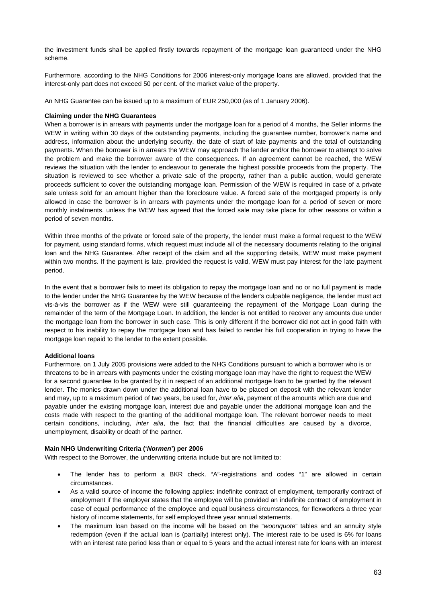the investment funds shall be applied firstly towards repayment of the mortgage loan guaranteed under the NHG scheme.

Furthermore, according to the NHG Conditions for 2006 interest-only mortgage loans are allowed, provided that the interest-only part does not exceed 50 per cent. of the market value of the property.

An NHG Guarantee can be issued up to a maximum of EUR 250,000 (as of 1 January 2006).

#### **Claiming under the NHG Guarantees**

When a borrower is in arrears with payments under the mortgage loan for a period of 4 months, the Seller informs the WEW in writing within 30 days of the outstanding payments, including the guarantee number, borrower's name and address, information about the underlying security, the date of start of late payments and the total of outstanding payments. When the borrower is in arrears the WEW may approach the lender and/or the borrower to attempt to solve the problem and make the borrower aware of the consequences. If an agreement cannot be reached, the WEW reviews the situation with the lender to endeavour to generate the highest possible proceeds from the property. The situation is reviewed to see whether a private sale of the property, rather than a public auction, would generate proceeds sufficient to cover the outstanding mortgage loan. Permission of the WEW is required in case of a private sale unless sold for an amount higher than the foreclosure value. A forced sale of the mortgaged property is only allowed in case the borrower is in arrears with payments under the mortgage loan for a period of seven or more monthly instalments, unless the WEW has agreed that the forced sale may take place for other reasons or within a period of seven months.

Within three months of the private or forced sale of the property, the lender must make a formal request to the WEW for payment, using standard forms, which request must include all of the necessary documents relating to the original loan and the NHG Guarantee. After receipt of the claim and all the supporting details, WEW must make payment within two months. If the payment is late, provided the request is valid, WEW must pay interest for the late payment period.

In the event that a borrower fails to meet its obligation to repay the mortgage loan and no or no full payment is made to the lender under the NHG Guarantee by the WEW because of the lender's culpable negligence, the lender must act vis-à-vis the borrower as if the WEW were still guaranteeing the repayment of the Mortgage Loan during the remainder of the term of the Mortgage Loan. In addition, the lender is not entitled to recover any amounts due under the mortgage loan from the borrower in such case. This is only different if the borrower did not act in good faith with respect to his inability to repay the mortgage loan and has failed to render his full cooperation in trying to have the mortgage loan repaid to the lender to the extent possible.

## **Additional loans**

Furthermore, on 1 July 2005 provisions were added to the NHG Conditions pursuant to which a borrower who is or threatens to be in arrears with payments under the existing mortgage loan may have the right to request the WEW for a second guarantee to be granted by it in respect of an additional mortgage loan to be granted by the relevant lender. The monies drawn down under the additional loan have to be placed on deposit with the relevant lender and may, up to a maximum period of two years, be used for, *inter alia*, payment of the amounts which are due and payable under the existing mortgage loan, interest due and payable under the additional mortgage loan and the costs made with respect to the granting of the additional mortgage loan. The relevant borrower needs to meet certain conditions, including, *inter alia*, the fact that the financial difficulties are caused by a divorce, unemployment, disability or death of the partner.

#### **Main NHG Underwriting Criteria ('***Normen***') per 2006**

With respect to the Borrower, the underwriting criteria include but are not limited to:

- The lender has to perform a BKR check. "A"-registrations and codes "1" are allowed in certain circumstances.
- As a valid source of income the following applies: indefinite contract of employment, temporarily contract of employment if the employer states that the employee will be provided an indefinite contract of employment in case of equal performance of the employee and equal business circumstances, for flexworkers a three year history of income statements, for self employed three year annual statements.
- The maximum loan based on the income will be based on the "*woonquote*" tables and an annuity style redemption (even if the actual loan is (partially) interest only). The interest rate to be used is 6% for loans with an interest rate period less than or equal to 5 years and the actual interest rate for loans with an interest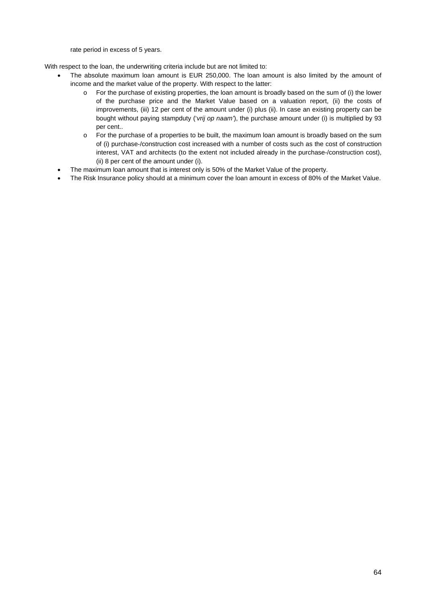rate period in excess of 5 years.

With respect to the loan, the underwriting criteria include but are not limited to:

- The absolute maximum loan amount is EUR 250,000. The loan amount is also limited by the amount of income and the market value of the property. With respect to the latter:
	- o For the purchase of existing properties, the loan amount is broadly based on the sum of (i) the lower of the purchase price and the Market Value based on a valuation report, (ii) the costs of improvements, (iii) 12 per cent of the amount under (i) plus (ii). In case an existing property can be bought without paying stampduty ('*vrij op naam'*), the purchase amount under (i) is multiplied by 93 per cent..
	- o For the purchase of a properties to be built, the maximum loan amount is broadly based on the sum of (i) purchase-/construction cost increased with a number of costs such as the cost of construction interest, VAT and architects (to the extent not included already in the purchase-/construction cost), (ii) 8 per cent of the amount under (i).
- The maximum loan amount that is interest only is 50% of the Market Value of the property.
- The Risk Insurance policy should at a minimum cover the loan amount in excess of 80% of the Market Value.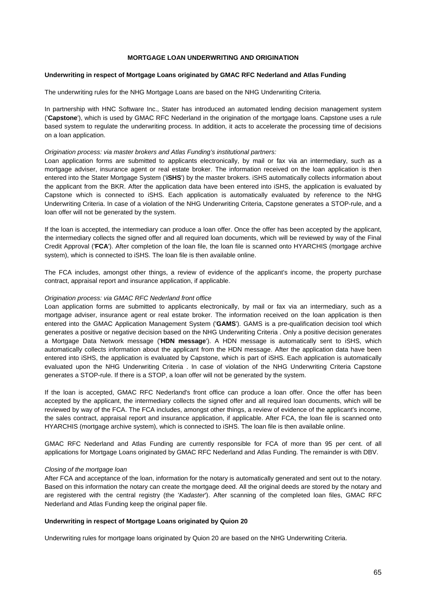## **MORTGAGE LOAN UNDERWRITING AND ORIGINATION**

#### **Underwriting in respect of Mortgage Loans originated by GMAC RFC Nederland and Atlas Funding**

The underwriting rules for the NHG Mortgage Loans are based on the NHG Underwriting Criteria.

In partnership with HNC Software Inc., Stater has introduced an automated lending decision management system ('**Capstone**'), which is used by GMAC RFC Nederland in the origination of the mortgage loans. Capstone uses a rule based system to regulate the underwriting process. In addition, it acts to accelerate the processing time of decisions on a loan application.

#### *Origination process: via master brokers and Atlas Funding's institutional partners:*

Loan application forms are submitted to applicants electronically, by mail or fax via an intermediary, such as a mortgage adviser, insurance agent or real estate broker. The information received on the loan application is then entered into the Stater Mortgage System ('**iSHS**') by the master brokers. iSHS automatically collects information about the applicant from the BKR. After the application data have been entered into iSHS, the application is evaluated by Capstone which is connected to iSHS. Each application is automatically evaluated by reference to the NHG Underwriting Criteria. In case of a violation of the NHG Underwriting Criteria, Capstone generates a STOP-rule, and a loan offer will not be generated by the system.

If the loan is accepted, the intermediary can produce a loan offer. Once the offer has been accepted by the applicant, the intermediary collects the signed offer and all required loan documents, which will be reviewed by way of the Final Credit Approval ('**FCA**'). After completion of the loan file, the loan file is scanned onto HYARCHIS (mortgage archive system), which is connected to iSHS. The loan file is then available online.

The FCA includes, amongst other things, a review of evidence of the applicant's income, the property purchase contract, appraisal report and insurance application, if applicable.

#### *Origination process: via GMAC RFC Nederland front office*

Loan application forms are submitted to applicants electronically, by mail or fax via an intermediary, such as a mortgage adviser, insurance agent or real estate broker. The information received on the loan application is then entered into the GMAC Application Management System ('**GAMS**'). GAMS is a pre-qualification decision tool which generates a positive or negative decision based on the NHG Underwriting Criteria . Only a positive decision generates a Mortgage Data Network message ('**HDN message**'). A HDN message is automatically sent to iSHS, which automatically collects information about the applicant from the HDN message. After the application data have been entered into iSHS, the application is evaluated by Capstone, which is part of iSHS. Each application is automatically evaluated upon the NHG Underwriting Criteria . In case of violation of the NHG Underwriting Criteria Capstone generates a STOP-rule. If there is a STOP, a loan offer will not be generated by the system.

If the loan is accepted, GMAC RFC Nederland's front office can produce a loan offer. Once the offer has been accepted by the applicant, the intermediary collects the signed offer and all required loan documents, which will be reviewed by way of the FCA. The FCA includes, amongst other things, a review of evidence of the applicant's income, the sales contract, appraisal report and insurance application, if applicable. After FCA, the loan file is scanned onto HYARCHIS (mortgage archive system), which is connected to iSHS. The loan file is then available online.

GMAC RFC Nederland and Atlas Funding are currently responsible for FCA of more than 95 per cent. of all applications for Mortgage Loans originated by GMAC RFC Nederland and Atlas Funding. The remainder is with DBV.

#### *Closing of the mortgage loan*

After FCA and acceptance of the loan, information for the notary is automatically generated and sent out to the notary. Based on this information the notary can create the mortgage deed. All the original deeds are stored by the notary and are registered with the central registry (the '*Kadaster*'). After scanning of the completed loan files, GMAC RFC Nederland and Atlas Funding keep the original paper file.

#### **Underwriting in respect of Mortgage Loans originated by Quion 20**

Underwriting rules for mortgage loans originated by Quion 20 are based on the NHG Underwriting Criteria.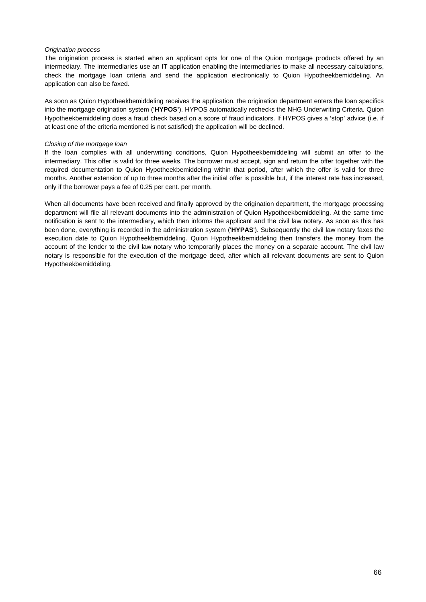## *Origination process*

The origination process is started when an applicant opts for one of the Quion mortgage products offered by an intermediary. The intermediaries use an IT application enabling the intermediaries to make all necessary calculations, check the mortgage loan criteria and send the application electronically to Quion Hypotheekbemiddeling. An application can also be faxed.

As soon as Quion Hypotheekbemiddeling receives the application, the origination department enters the loan specifics into the mortgage origination system ('**HYPOS'**). HYPOS automatically rechecks the NHG Underwriting Criteria. Quion Hypotheekbemiddeling does a fraud check based on a score of fraud indicators. If HYPOS gives a 'stop' advice (i.e. if at least one of the criteria mentioned is not satisfied) the application will be declined.

## *Closing of the mortgage loan*

If the loan complies with all underwriting conditions, Quion Hypotheekbemiddeling will submit an offer to the intermediary. This offer is valid for three weeks. The borrower must accept, sign and return the offer together with the required documentation to Quion Hypotheekbemiddeling within that period, after which the offer is valid for three months. Another extension of up to three months after the initial offer is possible but, if the interest rate has increased, only if the borrower pays a fee of 0.25 per cent. per month.

When all documents have been received and finally approved by the origination department, the mortgage processing department will file all relevant documents into the administration of Quion Hypotheekbemiddeling. At the same time notification is sent to the intermediary, which then informs the applicant and the civil law notary. As soon as this has been done, everything is recorded in the administration system ('**HYPAS**'). Subsequently the civil law notary faxes the execution date to Quion Hypotheekbemiddeling. Quion Hypotheekbemiddeling then transfers the money from the account of the lender to the civil law notary who temporarily places the money on a separate account. The civil law notary is responsible for the execution of the mortgage deed, after which all relevant documents are sent to Quion Hypotheekbemiddeling.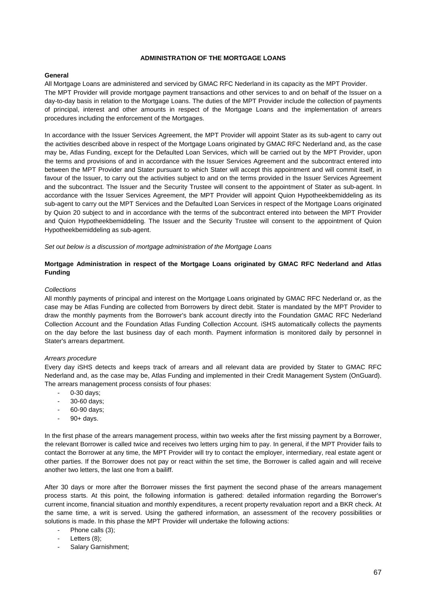## **ADMINISTRATION OF THE MORTGAGE LOANS**

# **General**

All Mortgage Loans are administered and serviced by GMAC RFC Nederland in its capacity as the MPT Provider. The MPT Provider will provide mortgage payment transactions and other services to and on behalf of the Issuer on a day-to-day basis in relation to the Mortgage Loans. The duties of the MPT Provider include the collection of payments of principal, interest and other amounts in respect of the Mortgage Loans and the implementation of arrears procedures including the enforcement of the Mortgages.

In accordance with the Issuer Services Agreement, the MPT Provider will appoint Stater as its sub-agent to carry out the activities described above in respect of the Mortgage Loans originated by GMAC RFC Nederland and, as the case may be, Atlas Funding, except for the Defaulted Loan Services, which will be carried out by the MPT Provider, upon the terms and provisions of and in accordance with the Issuer Services Agreement and the subcontract entered into between the MPT Provider and Stater pursuant to which Stater will accept this appointment and will commit itself, in favour of the Issuer, to carry out the activities subject to and on the terms provided in the Issuer Services Agreement and the subcontract. The Issuer and the Security Trustee will consent to the appointment of Stater as sub-agent. In accordance with the Issuer Services Agreement, the MPT Provider will appoint Quion Hypotheekbemiddeling as its sub-agent to carry out the MPT Services and the Defaulted Loan Services in respect of the Mortgage Loans originated by Quion 20 subject to and in accordance with the terms of the subcontract entered into between the MPT Provider and Quion Hypotheekbemiddeling. The Issuer and the Security Trustee will consent to the appointment of Quion Hypotheekbemiddeling as sub-agent.

*Set out below is a discussion of mortgage administration of the Mortgage Loans* 

# **Mortgage Administration in respect of the Mortgage Loans originated by GMAC RFC Nederland and Atlas Funding**

#### *Collections*

All monthly payments of principal and interest on the Mortgage Loans originated by GMAC RFC Nederland or, as the case may be Atlas Funding are collected from Borrowers by direct debit. Stater is mandated by the MPT Provider to draw the monthly payments from the Borrower's bank account directly into the Foundation GMAC RFC Nederland Collection Account and the Foundation Atlas Funding Collection Account. iSHS automatically collects the payments on the day before the last business day of each month. Payment information is monitored daily by personnel in Stater's arrears department.

#### *Arrears procedure*

Every day iSHS detects and keeps track of arrears and all relevant data are provided by Stater to GMAC RFC Nederland and, as the case may be, Atlas Funding and implemented in their Credit Management System (OnGuard). The arrears management process consists of four phases:

- 0-30 days;
- 30-60 days;
- 60-90 days;
- 90+ days.

In the first phase of the arrears management process, within two weeks after the first missing payment by a Borrower, the relevant Borrower is called twice and receives two letters urging him to pay. In general, if the MPT Provider fails to contact the Borrower at any time, the MPT Provider will try to contact the employer, intermediary, real estate agent or other parties. If the Borrower does not pay or react within the set time, the Borrower is called again and will receive another two letters, the last one from a bailiff.

After 30 days or more after the Borrower misses the first payment the second phase of the arrears management process starts. At this point, the following information is gathered: detailed information regarding the Borrower's current income, financial situation and monthly expenditures, a recent property revaluation report and a BKR check. At the same time, a writ is served. Using the gathered information, an assessment of the recovery possibilities or solutions is made. In this phase the MPT Provider will undertake the following actions:

- Phone calls (3);
- Letters (8);
- Salary Garnishment;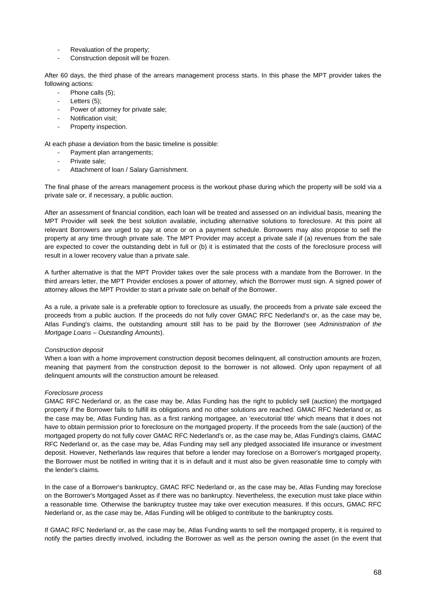- Revaluation of the property;
- Construction deposit will be frozen.

After 60 days, the third phase of the arrears management process starts. In this phase the MPT provider takes the following actions:

- Phone calls (5):
- Letters  $(5)$ ;
- Power of attorney for private sale;
- Notification visit;
- Property inspection.

At each phase a deviation from the basic timeline is possible:

- Payment plan arrangements;
- Private sale;
- Attachment of loan / Salary Garnishment.

The final phase of the arrears management process is the workout phase during which the property will be sold via a private sale or, if necessary, a public auction.

After an assessment of financial condition, each loan will be treated and assessed on an individual basis, meaning the MPT Provider will seek the best solution available, including alternative solutions to foreclosure. At this point all relevant Borrowers are urged to pay at once or on a payment schedule. Borrowers may also propose to sell the property at any time through private sale. The MPT Provider may accept a private sale if (a) revenues from the sale are expected to cover the outstanding debt in full or (b) it is estimated that the costs of the foreclosure process will result in a lower recovery value than a private sale.

A further alternative is that the MPT Provider takes over the sale process with a mandate from the Borrower. In the third arrears letter, the MPT Provider encloses a power of attorney, which the Borrower must sign. A signed power of attorney allows the MPT Provider to start a private sale on behalf of the Borrower.

As a rule, a private sale is a preferable option to foreclosure as usually, the proceeds from a private sale exceed the proceeds from a public auction. If the proceeds do not fully cover GMAC RFC Nederland's or, as the case may be, Atlas Funding's claims, the outstanding amount still has to be paid by the Borrower (see *Administration of the Mortgage Loans – Outstanding Amounts*).

#### *Construction deposit*

When a loan with a home improvement construction deposit becomes delinquent, all construction amounts are frozen, meaning that payment from the construction deposit to the borrower is not allowed. Only upon repayment of all delinquent amounts will the construction amount be released.

#### *Foreclosure process*

GMAC RFC Nederland or, as the case may be, Atlas Funding has the right to publicly sell (auction) the mortgaged property if the Borrower fails to fulfill its obligations and no other solutions are reached. GMAC RFC Nederland or, as the case may be, Atlas Funding has, as a first ranking mortgagee, an 'executorial title' which means that it does not have to obtain permission prior to foreclosure on the mortgaged property. If the proceeds from the sale (auction) of the mortgaged property do not fully cover GMAC RFC Nederland's or, as the case may be, Atlas Funding's claims, GMAC RFC Nederland or, as the case may be, Atlas Funding may sell any pledged associated life insurance or investment deposit. However, Netherlands law requires that before a lender may foreclose on a Borrower's mortgaged property, the Borrower must be notified in writing that it is in default and it must also be given reasonable time to comply with the lender's claims.

In the case of a Borrower's bankruptcy, GMAC RFC Nederland or, as the case may be, Atlas Funding may foreclose on the Borrower's Mortgaged Asset as if there was no bankruptcy. Nevertheless, the execution must take place within a reasonable time. Otherwise the bankruptcy trustee may take over execution measures. If this occurs, GMAC RFC Nederland or, as the case may be, Atlas Funding will be obliged to contribute to the bankruptcy costs.

If GMAC RFC Nederland or, as the case may be, Atlas Funding wants to sell the mortgaged property, it is required to notify the parties directly involved, including the Borrower as well as the person owning the asset (in the event that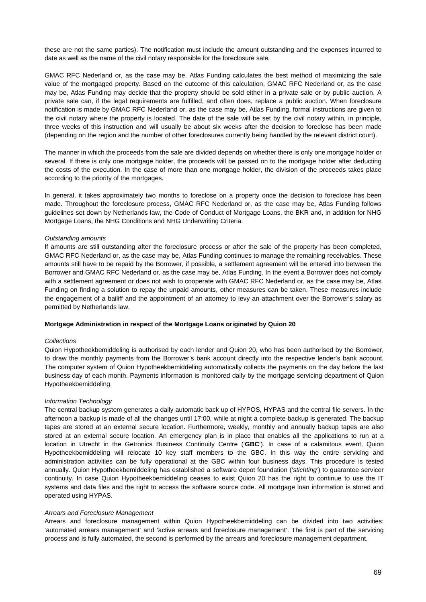these are not the same parties). The notification must include the amount outstanding and the expenses incurred to date as well as the name of the civil notary responsible for the foreclosure sale.

GMAC RFC Nederland or, as the case may be, Atlas Funding calculates the best method of maximizing the sale value of the mortgaged property. Based on the outcome of this calculation, GMAC RFC Nederland or, as the case may be, Atlas Funding may decide that the property should be sold either in a private sale or by public auction. A private sale can, if the legal requirements are fulfilled, and often does, replace a public auction. When foreclosure notification is made by GMAC RFC Nederland or, as the case may be, Atlas Funding, formal instructions are given to the civil notary where the property is located. The date of the sale will be set by the civil notary within, in principle, three weeks of this instruction and will usually be about six weeks after the decision to foreclose has been made (depending on the region and the number of other foreclosures currently being handled by the relevant district court).

The manner in which the proceeds from the sale are divided depends on whether there is only one mortgage holder or several. If there is only one mortgage holder, the proceeds will be passed on to the mortgage holder after deducting the costs of the execution. In the case of more than one mortgage holder, the division of the proceeds takes place according to the priority of the mortgages.

In general, it takes approximately two months to foreclose on a property once the decision to foreclose has been made. Throughout the foreclosure process, GMAC RFC Nederland or, as the case may be, Atlas Funding follows guidelines set down by Netherlands law, the Code of Conduct of Mortgage Loans, the BKR and, in addition for NHG Mortgage Loans, the NHG Conditions and NHG Underwriting Criteria.

#### *Outstanding amounts*

If amounts are still outstanding after the foreclosure process or after the sale of the property has been completed, GMAC RFC Nederland or, as the case may be, Atlas Funding continues to manage the remaining receivables. These amounts still have to be repaid by the Borrower, if possible, a settlement agreement will be entered into between the Borrower and GMAC RFC Nederland or, as the case may be, Atlas Funding. In the event a Borrower does not comply with a settlement agreement or does not wish to cooperate with GMAC RFC Nederland or, as the case may be, Atlas Funding on finding a solution to repay the unpaid amounts, other measures can be taken. These measures include the engagement of a bailiff and the appointment of an attorney to levy an attachment over the Borrower's salary as permitted by Netherlands law.

#### **Mortgage Administration in respect of the Mortgage Loans originated by Quion 20**

#### *Collections*

Quion Hypotheekbemiddeling is authorised by each lender and Quion 20, who has been authorised by the Borrower, to draw the monthly payments from the Borrower's bank account directly into the respective lender's bank account. The computer system of Quion Hypotheekbemiddeling automatically collects the payments on the day before the last business day of each month. Payments information is monitored daily by the mortgage servicing department of Quion Hypotheekbemiddeling.

#### *Information Technology*

The central backup system generates a daily automatic back up of HYPOS, HYPAS and the central file servers. In the afternoon a backup is made of all the changes until 17:00, while at night a complete backup is generated. The backup tapes are stored at an external secure location. Furthermore, weekly, monthly and annually backup tapes are also stored at an external secure location. An emergency plan is in place that enables all the applications to run at a location in Utrecht in the Getronics Business Continuity Centre ('**GBC**'). In case of a calamitous event, Quion Hypotheekbemiddeling will relocate 10 key staff members to the GBC. In this way the entire servicing and administration activities can be fully operational at the GBC within four business days. This procedure is tested annually. Quion Hypotheekbemiddeling has established a software depot foundation ('*stichting'*) to guarantee servicer continuity. In case Quion Hypotheekbemiddeling ceases to exist Quion 20 has the right to continue to use the IT systems and data files and the right to access the software source code. All mortgage loan information is stored and operated using HYPAS.

#### *Arrears and Foreclosure Management*

Arrears and foreclosure management within Quion Hypotheekbemiddeling can be divided into two activities: 'automated arrears management' and 'active arrears and foreclosure management'. The first is part of the servicing process and is fully automated, the second is performed by the arrears and foreclosure management department.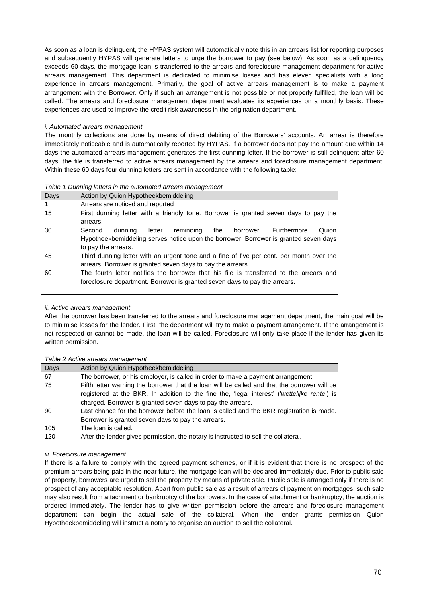As soon as a loan is delinquent, the HYPAS system will automatically note this in an arrears list for reporting purposes and subsequently HYPAS will generate letters to urge the borrower to pay (see below). As soon as a delinquency exceeds 60 days, the mortgage loan is transferred to the arrears and foreclosure management department for active arrears management. This department is dedicated to minimise losses and has eleven specialists with a long experience in arrears management. Primarily, the goal of active arrears management is to make a payment arrangement with the Borrower. Only if such an arrangement is not possible or not properly fulfilled, the loan will be called. The arrears and foreclosure management department evaluates its experiences on a monthly basis. These experiences are used to improve the credit risk awareness in the origination department.

## *i. Automated arrears management*

The monthly collections are done by means of direct debiting of the Borrowers' accounts. An arrear is therefore immediately noticeable and is automatically reported by HYPAS. If a borrower does not pay the amount due within 14 days the automated arrears management generates the first dunning letter. If the borrower is still delinquent after 60 days, the file is transferred to active arrears management by the arrears and foreclosure management department. Within these 60 days four dunning letters are sent in accordance with the following table:

#### *Table 1 Dunning letters in the automated arrears management*

| Days | Action by Quion Hypotheekbemiddeling                                                                                                                                                                |
|------|-----------------------------------------------------------------------------------------------------------------------------------------------------------------------------------------------------|
|      | Arrears are noticed and reported                                                                                                                                                                    |
| 15   | First dunning letter with a friendly tone. Borrower is granted seven days to pay the<br>arrears.                                                                                                    |
| 30   | reminding<br>Second<br>Furthermore<br>Quion<br>dunning<br>letter<br>the<br>borrower.<br>Hypotheekbemiddeling serves notice upon the borrower. Borrower is granted seven days<br>to pay the arrears. |
| 45   | Third dunning letter with an urgent tone and a fine of five per cent. per month over the<br>arrears. Borrower is granted seven days to pay the arrears.                                             |
| 60   | The fourth letter notifies the borrower that his file is transferred to the arrears and<br>foreclosure department. Borrower is granted seven days to pay the arrears.                               |

# *ii. Active arrears management*

After the borrower has been transferred to the arrears and foreclosure management department, the main goal will be to minimise losses for the lender. First, the department will try to make a payment arrangement. If the arrangement is not respected or cannot be made, the loan will be called. Foreclosure will only take place if the lender has given its written permission.

# *Table 2 Active arrears management*

|      | <u>lavie z Active alieals lilaliagellielit</u>                                               |
|------|----------------------------------------------------------------------------------------------|
| Days | Action by Quion Hypotheekbemiddeling                                                         |
| 67   | The borrower, or his employer, is called in order to make a payment arrangement.             |
| 75   | Fifth letter warning the borrower that the loan will be called and that the borrower will be |
|      | registered at the BKR. In addition to the fine the, 'legal interest' ('wettelijke rente') is |
|      | charged. Borrower is granted seven days to pay the arrears.                                  |
| 90   | Last chance for the borrower before the loan is called and the BKR registration is made.     |
|      | Borrower is granted seven days to pay the arrears.                                           |
| 105  | The loan is called.                                                                          |
| 120  | After the lender gives permission, the notary is instructed to sell the collateral.          |

# *iii. Foreclosure management*

If there is a failure to comply with the agreed payment schemes, or if it is evident that there is no prospect of the premium arrears being paid in the near future, the mortgage loan will be declared immediately due. Prior to public sale of property, borrowers are urged to sell the property by means of private sale. Public sale is arranged only if there is no prospect of any acceptable resolution. Apart from public sale as a result of arrears of payment on mortgages, such sale may also result from attachment or bankruptcy of the borrowers. In the case of attachment or bankruptcy, the auction is ordered immediately. The lender has to give written permission before the arrears and foreclosure management department can begin the actual sale of the collateral. When the lender grants permission Quion Hypotheekbemiddeling will instruct a notary to organise an auction to sell the collateral.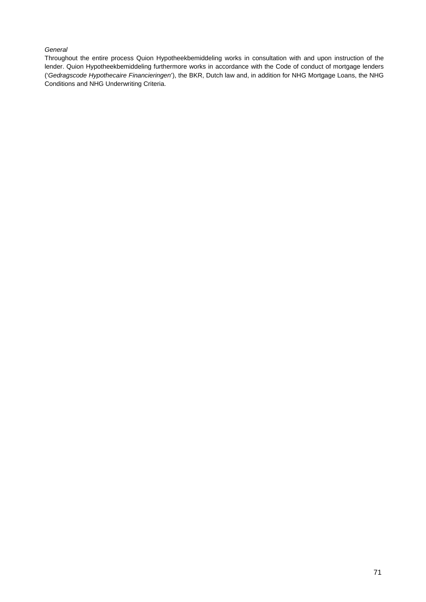# *General*

Throughout the entire process Quion Hypotheekbemiddeling works in consultation with and upon instruction of the lender. Quion Hypotheekbemiddeling furthermore works in accordance with the Code of conduct of mortgage lenders ('*Gedragscode Hypothecaire Financieringen*'), the BKR, Dutch law and, in addition for NHG Mortgage Loans, the NHG Conditions and NHG Underwriting Criteria.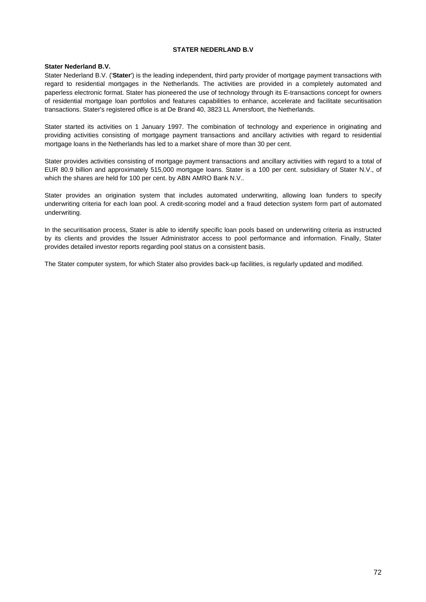## **STATER NEDERLAND B.V**

## **Stater Nederland B.V.**

Stater Nederland B.V. ('**Stater**') is the leading independent, third party provider of mortgage payment transactions with regard to residential mortgages in the Netherlands. The activities are provided in a completely automated and paperless electronic format. Stater has pioneered the use of technology through its E-transactions concept for owners of residential mortgage loan portfolios and features capabilities to enhance, accelerate and facilitate securitisation transactions. Stater's registered office is at De Brand 40, 3823 LL Amersfoort, the Netherlands.

Stater started its activities on 1 January 1997. The combination of technology and experience in originating and providing activities consisting of mortgage payment transactions and ancillary activities with regard to residential mortgage loans in the Netherlands has led to a market share of more than 30 per cent.

Stater provides activities consisting of mortgage payment transactions and ancillary activities with regard to a total of EUR 80.9 billion and approximately 515,000 mortgage loans. Stater is a 100 per cent. subsidiary of Stater N.V., of which the shares are held for 100 per cent. by ABN AMRO Bank N.V..

Stater provides an origination system that includes automated underwriting, allowing loan funders to specify underwriting criteria for each loan pool. A credit-scoring model and a fraud detection system form part of automated underwriting.

In the securitisation process, Stater is able to identify specific loan pools based on underwriting criteria as instructed by its clients and provides the Issuer Administrator access to pool performance and information. Finally, Stater provides detailed investor reports regarding pool status on a consistent basis.

The Stater computer system, for which Stater also provides back-up facilities, is regularly updated and modified.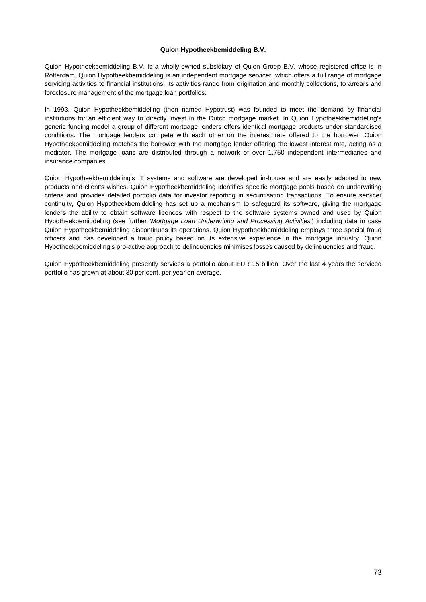### **Quion Hypotheekbemiddeling B.V.**

Quion Hypotheekbemiddeling B.V. is a wholly-owned subsidiary of Quion Groep B.V. whose registered office is in Rotterdam. Quion Hypotheekbemiddeling is an independent mortgage servicer, which offers a full range of mortgage servicing activities to financial institutions. Its activities range from origination and monthly collections, to arrears and foreclosure management of the mortgage loan portfolios.

In 1993, Quion Hypotheekbemiddeling (then named Hypotrust) was founded to meet the demand by financial institutions for an efficient way to directly invest in the Dutch mortgage market. In Quion Hypotheekbemiddeling's generic funding model a group of different mortgage lenders offers identical mortgage products under standardised conditions. The mortgage lenders compete with each other on the interest rate offered to the borrower. Quion Hypotheekbemiddeling matches the borrower with the mortgage lender offering the lowest interest rate, acting as a mediator. The mortgage loans are distributed through a network of over 1,750 independent intermediaries and insurance companies.

Quion Hypotheekbemiddeling's IT systems and software are developed in-house and are easily adapted to new products and client's wishes. Quion Hypotheekbemiddeling identifies specific mortgage pools based on underwriting criteria and provides detailed portfolio data for investor reporting in securitisation transactions. To ensure servicer continuity, Quion Hypotheekbemiddeling has set up a mechanism to safeguard its software, giving the mortgage lenders the ability to obtain software licences with respect to the software systems owned and used by Quion Hypotheekbemiddeling (see further *'Mortgage Loan Underwriting and Processing Activities*') including data in case Quion Hypotheekbemiddeling discontinues its operations. Quion Hypotheekbemiddeling employs three special fraud officers and has developed a fraud policy based on its extensive experience in the mortgage industry. Quion Hypotheekbemiddeling's pro-active approach to delinquencies minimises losses caused by delinquencies and fraud.

Quion Hypotheekbemiddeling presently services a portfolio about EUR 15 billion. Over the last 4 years the serviced portfolio has grown at about 30 per cent. per year on average.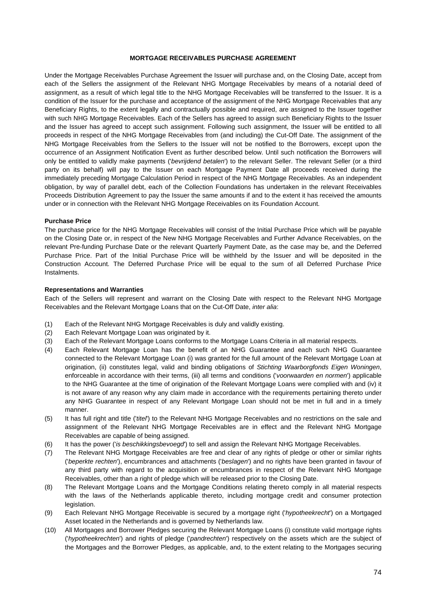### **MORTGAGE RECEIVABLES PURCHASE AGREEMENT**

Under the Mortgage Receivables Purchase Agreement the Issuer will purchase and, on the Closing Date, accept from each of the Sellers the assignment of the Relevant NHG Mortgage Receivables by means of a notarial deed of assignment, as a result of which legal title to the NHG Mortgage Receivables will be transferred to the Issuer. It is a condition of the Issuer for the purchase and acceptance of the assignment of the NHG Mortgage Receivables that any Beneficiary Rights, to the extent legally and contractually possible and required, are assigned to the Issuer together with such NHG Mortgage Receivables. Each of the Sellers has agreed to assign such Beneficiary Rights to the Issuer and the Issuer has agreed to accept such assignment. Following such assignment, the Issuer will be entitled to all proceeds in respect of the NHG Mortgage Receivables from (and including) the Cut-Off Date. The assignment of the NHG Mortgage Receivables from the Sellers to the Issuer will not be notified to the Borrowers, except upon the occurrence of an Assignment Notification Event as further described below. Until such notification the Borrowers will only be entitled to validly make payments ('*bevrijdend betalen*') to the relevant Seller. The relevant Seller (or a third party on its behalf) will pay to the Issuer on each Mortgage Payment Date all proceeds received during the immediately preceding Mortgage Calculation Period in respect of the NHG Mortgage Receivables. As an independent obligation, by way of parallel debt, each of the Collection Foundations has undertaken in the relevant Receivables Proceeds Distribution Agreement to pay the Issuer the same amounts if and to the extent it has received the amounts under or in connection with the Relevant NHG Mortgage Receivables on its Foundation Account.

#### **Purchase Price**

The purchase price for the NHG Mortgage Receivables will consist of the Initial Purchase Price which will be payable on the Closing Date or, in respect of the New NHG Mortgage Receivables and Further Advance Receivables, on the relevant Pre-funding Purchase Date or the relevant Quarterly Payment Date, as the case may be, and the Deferred Purchase Price. Part of the Initial Purchase Price will be withheld by the Issuer and will be deposited in the Construction Account. The Deferred Purchase Price will be equal to the sum of all Deferred Purchase Price Instalments.

#### **Representations and Warranties**

Each of the Sellers will represent and warrant on the Closing Date with respect to the Relevant NHG Mortgage Receivables and the Relevant Mortgage Loans that on the Cut-Off Date, *inter alia*:

- (1) Each of the Relevant NHG Mortgage Receivables is duly and validly existing.
- (2) Each Relevant Mortgage Loan was originated by it.
- (3) Each of the Relevant Mortgage Loans conforms to the Mortgage Loans Criteria in all material respects.
- (4) Each Relevant Mortgage Loan has the benefit of an NHG Guarantee and each such NHG Guarantee connected to the Relevant Mortgage Loan (i) was granted for the full amount of the Relevant Mortgage Loan at origination, (ii) constitutes legal, valid and binding obligations of *Stichting Waarborgfonds Eigen Woningen*, enforceable in accordance with their terms, (iii) all terms and conditions ('*voorwaarden en normen*') applicable to the NHG Guarantee at the time of origination of the Relevant Mortgage Loans were complied with and (iv) it is not aware of any reason why any claim made in accordance with the requirements pertaining thereto under any NHG Guarantee in respect of any Relevant Mortgage Loan should not be met in full and in a timely manner.
- (5) It has full right and title ('*titel*') to the Relevant NHG Mortgage Receivables and no restrictions on the sale and assignment of the Relevant NHG Mortgage Receivables are in effect and the Relevant NHG Mortgage Receivables are capable of being assigned.
- (6) It has the power ('*is beschikkingsbevoegd*') to sell and assign the Relevant NHG Mortgage Receivables.
- (7) The Relevant NHG Mortgage Receivables are free and clear of any rights of pledge or other or similar rights ('*beperkte rechten*'), encumbrances and attachments ('*beslagen*') and no rights have been granted in favour of any third party with regard to the acquisition or encumbrances in respect of the Relevant NHG Mortgage Receivables, other than a right of pledge which will be released prior to the Closing Date.
- (8) The Relevant Mortgage Loans and the Mortgage Conditions relating thereto comply in all material respects with the laws of the Netherlands applicable thereto, including mortgage credit and consumer protection legislation.
- (9) Each Relevant NHG Mortgage Receivable is secured by a mortgage right ('*hypotheekrecht*') on a Mortgaged Asset located in the Netherlands and is governed by Netherlands law.
- (10) All Mortgages and Borrower Pledges securing the Relevant Mortgage Loans (i) constitute valid mortgage rights ('*hypotheekrechten*') and rights of pledge ('*pandrechten*') respectively on the assets which are the subject of the Mortgages and the Borrower Pledges, as applicable, and, to the extent relating to the Mortgages securing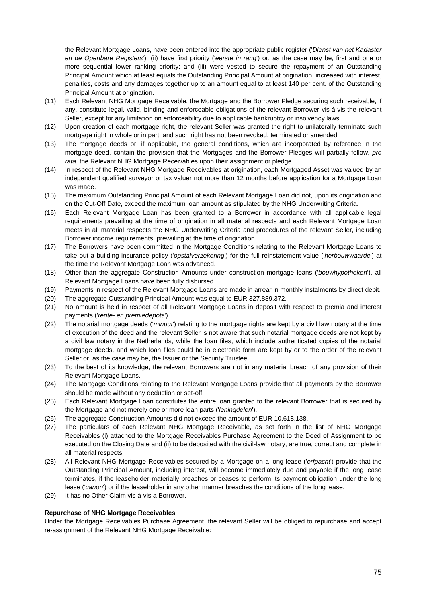the Relevant Mortgage Loans, have been entered into the appropriate public register ('*Dienst van het Kadaster en de Openbare Registers*'); (ii) have first priority ('*eerste in rang*') or, as the case may be, first and one or more sequential lower ranking priority; and (iii) were vested to secure the repayment of an Outstanding Principal Amount which at least equals the Outstanding Principal Amount at origination, increased with interest, penalties, costs and any damages together up to an amount equal to at least 140 per cent. of the Outstanding Principal Amount at origination.

- (11) Each Relevant NHG Mortgage Receivable, the Mortgage and the Borrower Pledge securing such receivable, if any, constitute legal, valid, binding and enforceable obligations of the relevant Borrower vis-à-vis the relevant Seller, except for any limitation on enforceability due to applicable bankruptcy or insolvency laws.
- (12) Upon creation of each mortgage right, the relevant Seller was granted the right to unilaterally terminate such mortgage right in whole or in part, and such right has not been revoked, terminated or amended.
- (13) The mortgage deeds or, if applicable, the general conditions, which are incorporated by reference in the mortgage deed, contain the provision that the Mortgages and the Borrower Pledges will partially follow, *pro rata*, the Relevant NHG Mortgage Receivables upon their assignment or pledge.
- (14) In respect of the Relevant NHG Mortgage Receivables at origination, each Mortgaged Asset was valued by an independent qualified surveyor or tax valuer not more than 12 months before application for a Mortgage Loan was made.
- (15) The maximum Outstanding Principal Amount of each Relevant Mortgage Loan did not, upon its origination and on the Cut-Off Date, exceed the maximum loan amount as stipulated by the NHG Underwriting Criteria.
- (16) Each Relevant Mortgage Loan has been granted to a Borrower in accordance with all applicable legal requirements prevailing at the time of origination in all material respects and each Relevant Mortgage Loan meets in all material respects the NHG Underwriting Criteria and procedures of the relevant Seller, including Borrower income requirements, prevailing at the time of origination.
- (17) The Borrowers have been committed in the Mortgage Conditions relating to the Relevant Mortgage Loans to take out a building insurance policy ('*opstalverzekering*') for the full reinstatement value ('*herbouwwaarde*') at the time the Relevant Mortgage Loan was advanced.
- (18) Other than the aggregate Construction Amounts under construction mortgage loans ('*bouwhypotheken*'), all Relevant Mortgage Loans have been fully disbursed.
- (19) Payments in respect of the Relevant Mortgage Loans are made in arrear in monthly instalments by direct debit.
- (20) The aggregate Outstanding Principal Amount was equal to EUR 327,889,372.
- (21) No amount is held in respect of all Relevant Mortgage Loans in deposit with respect to premia and interest payments ('*rente- en premiedepots*').
- (22) The notarial mortgage deeds ('*minuut*') relating to the mortgage rights are kept by a civil law notary at the time of execution of the deed and the relevant Seller is not aware that such notarial mortgage deeds are not kept by a civil law notary in the Netherlands, while the loan files, which include authenticated copies of the notarial mortgage deeds, and which loan files could be in electronic form are kept by or to the order of the relevant Seller or, as the case may be, the Issuer or the Security Trustee.
- (23) To the best of its knowledge, the relevant Borrowers are not in any material breach of any provision of their Relevant Mortgage Loans.
- (24) The Mortgage Conditions relating to the Relevant Mortgage Loans provide that all payments by the Borrower should be made without any deduction or set-off.
- (25) Each Relevant Mortgage Loan constitutes the entire loan granted to the relevant Borrower that is secured by the Mortgage and not merely one or more loan parts ('*leningdelen*').
- (26) The aggregate Construction Amounts did not exceed the amount of EUR 10,618,138.
- (27) The particulars of each Relevant NHG Mortgage Receivable, as set forth in the list of NHG Mortgage Receivables (i) attached to the Mortgage Receivables Purchase Agreement to the Deed of Assignment to be executed on the Closing Date and (ii) to be deposited with the civil-law notary, are true, correct and complete in all material respects.
- (28) All Relevant NHG Mortgage Receivables secured by a Mortgage on a long lease ('*erfpacht*') provide that the Outstanding Principal Amount, including interest, will become immediately due and payable if the long lease terminates, if the leaseholder materially breaches or ceases to perform its payment obligation under the long lease ('*canon*') or if the leaseholder in any other manner breaches the conditions of the long lease.
- (29) It has no Other Claim vis-à-vis a Borrower.

## **Repurchase of NHG Mortgage Receivables**

Under the Mortgage Receivables Purchase Agreement, the relevant Seller will be obliged to repurchase and accept re-assignment of the Relevant NHG Mortgage Receivable: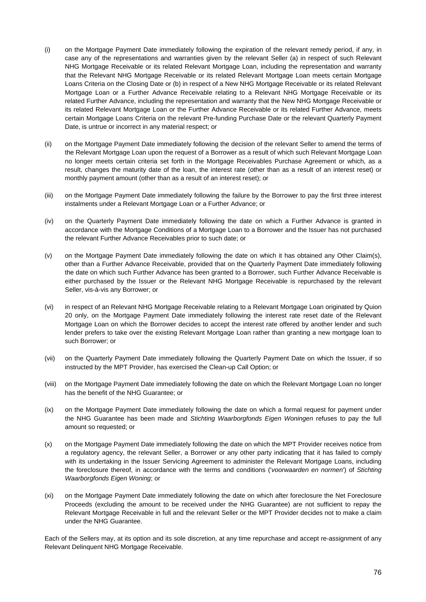- (i) on the Mortgage Payment Date immediately following the expiration of the relevant remedy period, if any, in case any of the representations and warranties given by the relevant Seller (a) in respect of such Relevant NHG Mortgage Receivable or its related Relevant Mortgage Loan, including the representation and warranty that the Relevant NHG Mortgage Receivable or its related Relevant Mortgage Loan meets certain Mortgage Loans Criteria on the Closing Date or (b) in respect of a New NHG Mortgage Receivable or its related Relevant Mortgage Loan or a Further Advance Receivable relating to a Relevant NHG Mortgage Receivable or its related Further Advance, including the representation and warranty that the New NHG Mortgage Receivable or its related Relevant Mortgage Loan or the Further Advance Receivable or its related Further Advance, meets certain Mortgage Loans Criteria on the relevant Pre-funding Purchase Date or the relevant Quarterly Payment Date, is untrue or incorrect in any material respect; or
- (ii) on the Mortgage Payment Date immediately following the decision of the relevant Seller to amend the terms of the Relevant Mortgage Loan upon the request of a Borrower as a result of which such Relevant Mortgage Loan no longer meets certain criteria set forth in the Mortgage Receivables Purchase Agreement or which, as a result, changes the maturity date of the loan, the interest rate (other than as a result of an interest reset) or monthly payment amount (other than as a result of an interest reset); or
- (iii) on the Mortgage Payment Date immediately following the failure by the Borrower to pay the first three interest instalments under a Relevant Mortgage Loan or a Further Advance; or
- (iv) on the Quarterly Payment Date immediately following the date on which a Further Advance is granted in accordance with the Mortgage Conditions of a Mortgage Loan to a Borrower and the Issuer has not purchased the relevant Further Advance Receivables prior to such date; or
- (v) on the Mortgage Payment Date immediately following the date on which it has obtained any Other Claim(s), other than a Further Advance Receivable, provided that on the Quarterly Payment Date immediately following the date on which such Further Advance has been granted to a Borrower, such Further Advance Receivable is either purchased by the Issuer or the Relevant NHG Mortgage Receivable is repurchased by the relevant Seller, vis-à-vis any Borrower; or
- (vi) in respect of an Relevant NHG Mortgage Receivable relating to a Relevant Mortgage Loan originated by Quion 20 only, on the Mortgage Payment Date immediately following the interest rate reset date of the Relevant Mortgage Loan on which the Borrower decides to accept the interest rate offered by another lender and such lender prefers to take over the existing Relevant Mortgage Loan rather than granting a new mortgage loan to such Borrower; or
- (vii) on the Quarterly Payment Date immediately following the Quarterly Payment Date on which the Issuer, if so instructed by the MPT Provider, has exercised the Clean-up Call Option; or
- (viii) on the Mortgage Payment Date immediately following the date on which the Relevant Mortgage Loan no longer has the benefit of the NHG Guarantee; or
- (ix) on the Mortgage Payment Date immediately following the date on which a formal request for payment under the NHG Guarantee has been made and *Stichting Waarborgfonds Eigen Woningen* refuses to pay the full amount so requested; or
- (x) on the Mortgage Payment Date immediately following the date on which the MPT Provider receives notice from a regulatory agency, the relevant Seller, a Borrower or any other party indicating that it has failed to comply with its undertaking in the Issuer Servicing Agreement to administer the Relevant Mortgage Loans, including the foreclosure thereof, in accordance with the terms and conditions ('*voorwaarden en normen*') of *Stichting Waarborgfonds Eigen Woning*; or
- (xi) on the Mortgage Payment Date immediately following the date on which after foreclosure the Net Foreclosure Proceeds (excluding the amount to be received under the NHG Guarantee) are not sufficient to repay the Relevant Mortgage Receivable in full and the relevant Seller or the MPT Provider decides not to make a claim under the NHG Guarantee.

Each of the Sellers may, at its option and its sole discretion, at any time repurchase and accept re-assignment of any Relevant Delinquent NHG Mortgage Receivable.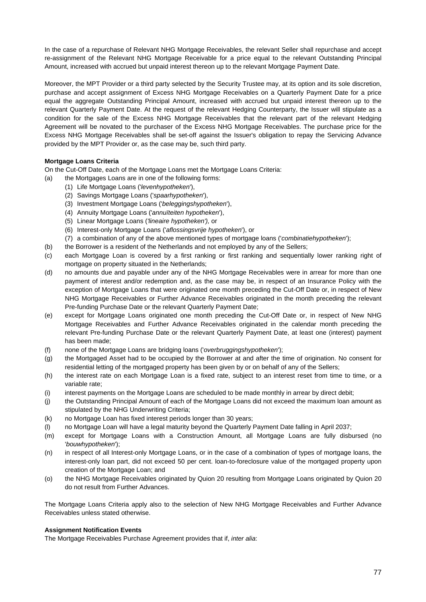In the case of a repurchase of Relevant NHG Mortgage Receivables, the relevant Seller shall repurchase and accept re-assignment of the Relevant NHG Mortgage Receivable for a price equal to the relevant Outstanding Principal Amount, increased with accrued but unpaid interest thereon up to the relevant Mortgage Payment Date.

Moreover, the MPT Provider or a third party selected by the Security Trustee may, at its option and its sole discretion, purchase and accept assignment of Excess NHG Mortgage Receivables on a Quarterly Payment Date for a price equal the aggregate Outstanding Principal Amount, increased with accrued but unpaid interest thereon up to the relevant Quarterly Payment Date. At the request of the relevant Hedging Counterparty, the Issuer will stipulate as a condition for the sale of the Excess NHG Mortgage Receivables that the relevant part of the relevant Hedging Agreement will be novated to the purchaser of the Excess NHG Mortgage Receivables. The purchase price for the Excess NHG Mortgage Receivables shall be set-off against the Issuer's obligation to repay the Servicing Advance provided by the MPT Provider or, as the case may be, such third party.

## **Mortgage Loans Criteria**

On the Cut-Off Date, each of the Mortgage Loans met the Mortgage Loans Criteria:

- (a) the Mortgages Loans are in one of the following forms:
	- (1) Life Mortgage Loans ('*levenhypotheken*'),
	- (2) Savings Mortgage Loans ('*spaarhypotheken*'),
	- (3) Investment Mortgage Loans ('*beleggingshypotheken*'),
	- (4) Annuity Mortgage Loans ('*annuïteiten hypotheken*'),
	- (5) Linear Mortgage Loans (*'lineaire hypotheken'),* or
	- (6) Interest-only Mortgage Loans ('*aflossingsvrije hypotheken*'), or
	- (7) a combination of any of the above mentioned types of mortgage loans ('*combinatiehypotheken*');
- (b) the Borrower is a resident of the Netherlands and not employed by any of the Sellers;
- (c) each Mortgage Loan is covered by a first ranking or first ranking and sequentially lower ranking right of mortgage on property situated in the Netherlands;
- (d) no amounts due and payable under any of the NHG Mortgage Receivables were in arrear for more than one payment of interest and/or redemption and, as the case may be, in respect of an Insurance Policy with the exception of Mortgage Loans that were originated one month preceding the Cut-Off Date or, in respect of New NHG Mortgage Receivables or Further Advance Receivables originated in the month preceding the relevant Pre-funding Purchase Date or the relevant Quarterly Payment Date;
- (e) except for Mortgage Loans originated one month preceding the Cut-Off Date or, in respect of New NHG Mortgage Receivables and Further Advance Receivables originated in the calendar month preceding the relevant Pre-funding Purchase Date or the relevant Quarterly Payment Date, at least one (interest) payment has been made;
- (f) none of the Mortgage Loans are bridging loans ('*overbruggingshypotheken*');
- (g) the Mortgaged Asset had to be occupied by the Borrower at and after the time of origination. No consent for residential letting of the mortgaged property has been given by or on behalf of any of the Sellers;
- (h) the interest rate on each Mortgage Loan is a fixed rate, subject to an interest reset from time to time, or a variable rate;
- (i) interest payments on the Mortgage Loans are scheduled to be made monthly in arrear by direct debit;
- (j) the Outstanding Principal Amount of each of the Mortgage Loans did not exceed the maximum loan amount as stipulated by the NHG Underwriting Criteria;
- (k) no Mortgage Loan has fixed interest periods longer than 30 years;
- (l) no Mortgage Loan will have a legal maturity beyond the Quarterly Payment Date falling in April 2037;
- (m) except for Mortgage Loans with a Construction Amount, all Mortgage Loans are fully disbursed (no '*bouwhypotheken*');
- (n) in respect of all Interest-only Mortgage Loans, or in the case of a combination of types of mortgage loans, the interest-only loan part, did not exceed 50 per cent. loan-to-foreclosure value of the mortgaged property upon creation of the Mortgage Loan; and
- (o) the NHG Mortgage Receivables originated by Quion 20 resulting from Mortgage Loans originated by Quion 20 do not result from Further Advances.

The Mortgage Loans Criteria apply also to the selection of New NHG Mortgage Receivables and Further Advance Receivables unless stated otherwise.

#### **Assignment Notification Events**

The Mortgage Receivables Purchase Agreement provides that if, *inter alia*: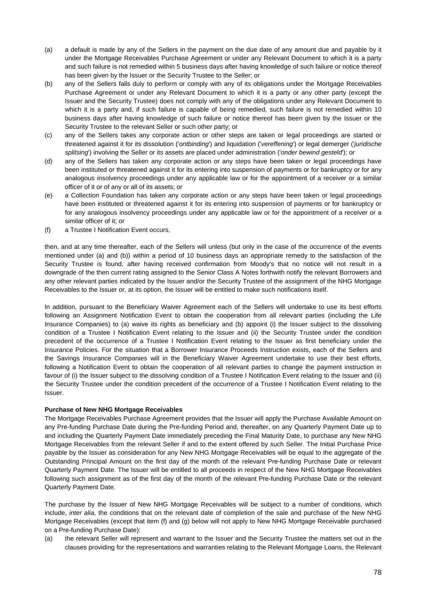- (a) a default is made by any of the Sellers in the payment on the due date of any amount due and payable by it under the Mortgage Receivables Purchase Agreement or under any Relevant Document to which it is a party and such failure is not remedied within 5 business days after having knowledge of such failure or notice thereof has been given by the Issuer or the Security Trustee to the Seller; or
- (b) any of the Sellers fails duly to perform or comply with any of its obligations under the Mortgage Receivables Purchase Agreement or under any Relevant Document to which it is a party or any other party (except the Issuer and the Security Trustee) does not comply with any of the obligations under any Relevant Document to which it is a party and, if such failure is capable of being remedied, such failure is not remedied within 10 business days after having knowledge of such failure or notice thereof has been given by the Issuer or the Security Trustee to the relevant Seller or such other party; or
- (c) any of the Sellers takes any corporate action or other steps are taken or legal proceedings are started or threatened against it for its dissolution ('*ontbinding*') and liquidation ('*vereffening*') or legal demerger ('*juridische splitsing*') involving the Seller or its assets are placed under administration ('*onder bewind gesteld*'); or
- (d) any of the Sellers has taken any corporate action or any steps have been taken or legal proceedings have been instituted or threatened against it for its entering into suspension of payments or for bankruptcy or for any analogous insolvency proceedings under any applicable law or for the appointment of a receiver or a similar officer of it or of any or all of its assets; or
- (e) a Collection Foundation has taken any corporate action or any steps have been taken or legal proceedings have been instituted or threatened against it for its entering into suspension of payments or for bankruptcy or for any analogous insolvency proceedings under any applicable law or for the appointment of a receiver or a similar officer of it; or
- (f) a Trustee I Notification Event occurs,

then, and at any time thereafter, each of the Sellers will unless (but only in the case of the occurrence of the events mentioned under (a) and (b)) within a period of 10 business days an appropriate remedy to the satisfaction of the Security Trustee is found, after having received confirmation from Moody's that no notice will not result in a downgrade of the then current rating assigned to the Senior Class A Notes forthwith notify the relevant Borrowers and any other relevant parties indicated by the Issuer and/or the Security Trustee of the assignment of the NHG Mortgage Receivables to the Issuer or, at its option, the Issuer will be entitled to make such notifications itself.

In addition, pursuant to the Beneficiary Waiver Agreement each of the Sellers will undertake to use its best efforts following an Assignment Notification Event to obtain the cooperation from all relevant parties (including the Life Insurance Companies) to (a) waive its rights as beneficiary and (b) appoint (i) the Issuer subject to the dissolving condition of a Trustee I Notification Event relating to the Issuer and (ii) the Security Trustee under the condition precedent of the occurrence of a Trustee I Notification Event relating to the Issuer as first beneficiary under the Insurance Policies. For the situation that a Borrower Insurance Proceeds Instruction exists, each of the Sellers and the Savings Insurance Companies will in the Beneficiary Waiver Agreement undertake to use their best efforts, following a Notification Event to obtain the cooperation of all relevant parties to change the payment instruction in favour of (i) the Issuer subject to the dissolving condition of a Trustee I Notification Event relating to the Issuer and (ii) the Security Trustee under the condition precedent of the occurrence of a Trustee I Notification Event relating to the Issuer.

## **Purchase of New NHG Mortgage Receivables**

The Mortgage Receivables Purchase Agreement provides that the Issuer will apply the Purchase Available Amount on any Pre-funding Purchase Date during the Pre-funding Period and, thereafter, on any Quarterly Payment Date up to and including the Quarterly Payment Date immediately preceding the Final Maturity Date, to purchase any New NHG Mortgage Receivables from the relevant Seller if and to the extent offered by such Seller. The Initial Purchase Price payable by the Issuer as consideration for any New NHG Mortgage Receivables will be equal to the aggregate of the Outstanding Principal Amount on the first day of the month of the relevant Pre-funding Purchase Date or relevant Quarterly Payment Date. The Issuer will be entitled to all proceeds in respect of the New NHG Mortgage Receivables following such assignment as of the first day of the month of the relevant Pre-funding Purchase Date or the relevant Quarterly Payment Date.

The purchase by the Issuer of New NHG Mortgage Receivables will be subject to a number of conditions, which include, *inter alia*, the conditions that on the relevant date of completion of the sale and purchase of the New NHG Mortgage Receivables (except that item (f) and (g) below will not apply to New NHG Mortgage Receivable purchased on a Pre-funding Purchase Date):

(a) the relevant Seller will represent and warrant to the Issuer and the Security Trustee the matters set out in the clauses providing for the representations and warranties relating to the Relevant Mortgage Loans, the Relevant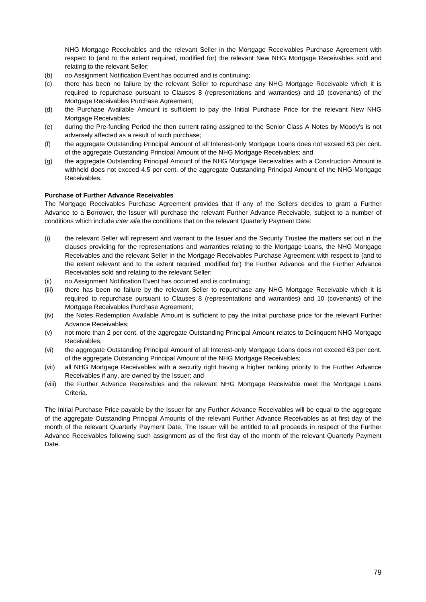NHG Mortgage Receivables and the relevant Seller in the Mortgage Receivables Purchase Agreement with respect to (and to the extent required, modified for) the relevant New NHG Mortgage Receivables sold and relating to the relevant Seller;

- (b) no Assignment Notification Event has occurred and is continuing;
- (c) there has been no failure by the relevant Seller to repurchase any NHG Mortgage Receivable which it is required to repurchase pursuant to Clauses 8 (representations and warranties) and 10 (covenants) of the Mortgage Receivables Purchase Agreement;
- (d) the Purchase Available Amount is sufficient to pay the Initial Purchase Price for the relevant New NHG Mortgage Receivables;
- (e) during the Pre-funding Period the then current rating assigned to the Senior Class A Notes by Moody's is not adversely affected as a result of such purchase;
- (f) the aggregate Outstanding Principal Amount of all Interest-only Mortgage Loans does not exceed 63 per cent. of the aggregate Outstanding Principal Amount of the NHG Mortgage Receivables; and
- (g) the aggregate Outstanding Principal Amount of the NHG Mortgage Receivables with a Construction Amount is withheld does not exceed 4.5 per cent. of the aggregate Outstanding Principal Amount of the NHG Mortgage Receivables.

### **Purchase of Further Advance Receivables**

The Mortgage Receivables Purchase Agreement provides that if any of the Sellers decides to grant a Further Advance to a Borrower, the Issuer will purchase the relevant Further Advance Receivable, subject to a number of conditions which include *inter alia* the conditions that on the relevant Quarterly Payment Date:

- (i) the relevant Seller will represent and warrant to the Issuer and the Security Trustee the matters set out in the clauses providing for the representations and warranties relating to the Mortgage Loans, the NHG Mortgage Receivables and the relevant Seller in the Mortgage Receivables Purchase Agreement with respect to (and to the extent relevant and to the extent required, modified for) the Further Advance and the Further Advance Receivables sold and relating to the relevant Seller;
- (ii) no Assignment Notification Event has occurred and is continuing;
- (iii) there has been no failure by the relevant Seller to repurchase any NHG Mortgage Receivable which it is required to repurchase pursuant to Clauses 8 (representations and warranties) and 10 (covenants) of the Mortgage Receivables Purchase Agreement;
- (iv) the Notes Redemption Available Amount is sufficient to pay the initial purchase price for the relevant Further Advance Receivables;
- (v) not more than 2 per cent. of the aggregate Outstanding Principal Amount relates to Delinquent NHG Mortgage Receivables;
- (vi) the aggregate Outstanding Principal Amount of all Interest-only Mortgage Loans does not exceed 63 per cent. of the aggregate Outstanding Principal Amount of the NHG Mortgage Receivables;
- (vii) all NHG Mortgage Receivables with a security right having a higher ranking priority to the Further Advance Receivables if any, are owned by the Issuer; and
- (viii) the Further Advance Receivables and the relevant NHG Mortgage Receivable meet the Mortgage Loans Criteria.

The Initial Purchase Price payable by the Issuer for any Further Advance Receivables will be equal to the aggregate of the aggregate Outstanding Principal Amounts of the relevant Further Advance Receivables as at first day of the month of the relevant Quarterly Payment Date. The Issuer will be entitled to all proceeds in respect of the Further Advance Receivables following such assignment as of the first day of the month of the relevant Quarterly Payment Date.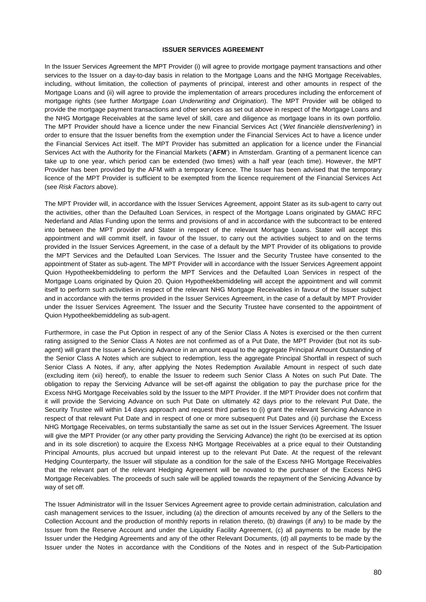#### **ISSUER SERVICES AGREEMENT**

In the Issuer Services Agreement the MPT Provider (i) will agree to provide mortgage payment transactions and other services to the Issuer on a day-to-day basis in relation to the Mortgage Loans and the NHG Mortgage Receivables, including, without limitation, the collection of payments of principal, interest and other amounts in respect of the Mortgage Loans and (ii) will agree to provide the implementation of arrears procedures including the enforcement of mortgage rights (see further *Mortgage Loan Underwriting and Origination*). The MPT Provider will be obliged to provide the mortgage payment transactions and other services as set out above in respect of the Mortgage Loans and the NHG Mortgage Receivables at the same level of skill, care and diligence as mortgage loans in its own portfolio. The MPT Provider should have a licence under the new Financial Services Act (*'Wet financiële dienstverlening'*) in order to ensure that the Issuer benefits from the exemption under the Financial Services Act to have a licence under the Financial Services Act itself. The MPT Provider has submitted an application for a licence under the Financial Services Act with the Authority for the Financial Markets ('**AFM**') in Amsterdam. Granting of a permanent licence can take up to one year, which period can be extended (two times) with a half year (each time). However, the MPT Provider has been provided by the AFM with a temporary licence. The Issuer has been advised that the temporary licence of the MPT Provider is sufficient to be exempted from the licence requirement of the Financial Services Act (see *Risk Factors* above).

The MPT Provider will, in accordance with the Issuer Services Agreement, appoint Stater as its sub-agent to carry out the activities, other than the Defaulted Loan Services, in respect of the Mortgage Loans originated by GMAC RFC Nederland and Atlas Funding upon the terms and provisions of and in accordance with the subcontract to be entered into between the MPT provider and Stater in respect of the relevant Mortgage Loans. Stater will accept this appointment and will commit itself, in favour of the Issuer, to carry out the activities subject to and on the terms provided in the Issuer Services Agreement, in the case of a default by the MPT Provider of its obligations to provide the MPT Services and the Defaulted Loan Services. The Issuer and the Security Trustee have consented to the appointment of Stater as sub-agent. The MPT Provider will in accordance with the Issuer Services Agreement appoint Quion Hypotheekbemiddeling to perform the MPT Services and the Defaulted Loan Services in respect of the Mortgage Loans originated by Quion 20. Quion Hypotheekbemiddeling will accept the appointment and will commit itself to perform such activities in respect of the relevant NHG Mortgage Receivables in favour of the Issuer subject and in accordance with the terms provided in the Issuer Services Agreement, in the case of a default by MPT Provider under the Issuer Services Agreement. The Issuer and the Security Trustee have consented to the appointment of Quion Hypotheekbemiddeling as sub-agent.

Furthermore, in case the Put Option in respect of any of the Senior Class A Notes is exercised or the then current rating assigned to the Senior Class A Notes are not confirmed as of a Put Date, the MPT Provider (but not its subagent) will grant the Issuer a Servicing Advance in an amount equal to the aggregate Principal Amount Outstanding of the Senior Class A Notes which are subject to redemption, less the aggregate Principal Shortfall in respect of such Senior Class A Notes, if any, after applying the Notes Redemption Available Amount in respect of such date (excluding item (xii) hereof), to enable the Issuer to redeem such Senior Class A Notes on such Put Date. The obligation to repay the Servicing Advance will be set-off against the obligation to pay the purchase price for the Excess NHG Mortgage Receivables sold by the Issuer to the MPT Provider. If the MPT Provider does not confirm that it will provide the Servicing Advance on such Put Date on ultimately 42 days prior to the relevant Put Date, the Security Trustee will within 14 days approach and request third parties to (i) grant the relevant Servicing Advance in respect of that relevant Put Date and in respect of one or more subsequent Put Dates and (ii) purchase the Excess NHG Mortgage Receivables, on terms substantially the same as set out in the Issuer Services Agreement. The Issuer will give the MPT Provider (or any other party providing the Servicing Advance) the right (to be exercised at its option and in its sole discretion) to acquire the Excess NHG Mortgage Receivables at a price equal to their Outstanding Principal Amounts, plus accrued but unpaid interest up to the relevant Put Date. At the request of the relevant Hedging Counterparty, the Issuer will stipulate as a condition for the sale of the Excess NHG Mortgage Receivables that the relevant part of the relevant Hedging Agreement will be novated to the purchaser of the Excess NHG Mortgage Receivables. The proceeds of such sale will be applied towards the repayment of the Servicing Advance by way of set off.

The Issuer Administrator will in the Issuer Services Agreement agree to provide certain administration, calculation and cash management services to the Issuer, including (a) the direction of amounts received by any of the Sellers to the Collection Account and the production of monthly reports in relation thereto, (b) drawings (if any) to be made by the Issuer from the Reserve Account and under the Liquidity Facility Agreement, (c) all payments to be made by the Issuer under the Hedging Agreements and any of the other Relevant Documents, (d) all payments to be made by the Issuer under the Notes in accordance with the Conditions of the Notes and in respect of the Sub-Participation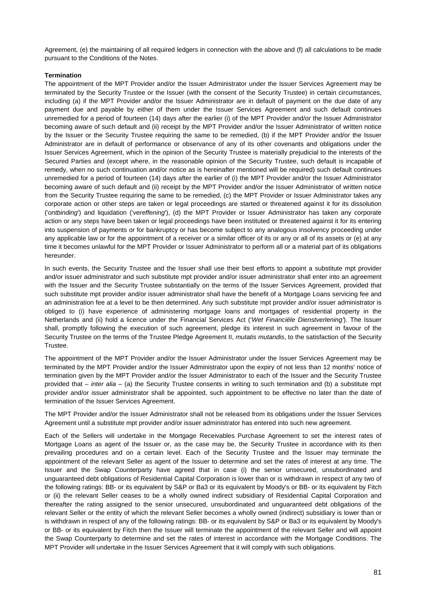Agreement, (e) the maintaining of all required ledgers in connection with the above and (f) all calculations to be made pursuant to the Conditions of the Notes.

### **Termination**

The appointment of the MPT Provider and/or the Issuer Administrator under the Issuer Services Agreement may be terminated by the Security Trustee or the Issuer (with the consent of the Security Trustee) in certain circumstances, including (a) if the MPT Provider and/or the Issuer Administrator are in default of payment on the due date of any payment due and payable by either of them under the Issuer Services Agreement and such default continues unremedied for a period of fourteen (14) days after the earlier (i) of the MPT Provider and/or the Issuer Administrator becoming aware of such default and (ii) receipt by the MPT Provider and/or the Issuer Administrator of written notice by the Issuer or the Security Trustee requiring the same to be remedied, (b) if the MPT Provider and/or the Issuer Administrator are in default of performance or observance of any of its other covenants and obligations under the Issuer Services Agreement, which in the opinion of the Security Trustee is materially prejudicial to the interests of the Secured Parties and (except where, in the reasonable opinion of the Security Trustee, such default is incapable of remedy, when no such continuation and/or notice as is hereinafter mentioned will be required) such default continues unremedied for a period of fourteen (14) days after the earlier of (i) the MPT Provider and/or the Issuer Administrator becoming aware of such default and (ii) receipt by the MPT Provider and/or the Issuer Administrator of written notice from the Security Trustee requiring the same to be remedied, (c) the MPT Provider or Issuer Administrator takes any corporate action or other steps are taken or legal proceedings are started or threatened against it for its dissolution ('*ontbinding*') and liquidation ('*vereffening*'), (d) the MPT Provider or Issuer Administrator has taken any corporate action or any steps have been taken or legal proceedings have been instituted or threatened against it for its entering into suspension of payments or for bankruptcy or has become subject to any analogous insolvency proceeding under any applicable law or for the appointment of a receiver or a similar officer of its or any or all of its assets or (e) at any time it becomes unlawful for the MPT Provider or Issuer Administrator to perform all or a material part of its obligations hereunder.

In such events, the Security Trustee and the Issuer shall use their best efforts to appoint a substitute mpt provider and/or issuer administrator and such substitute mpt provider and/or issuer administrator shall enter into an agreement with the Issuer and the Security Trustee substantially on the terms of the Issuer Services Agreement, provided that such substitute mpt provider and/or issuer administrator shall have the benefit of a Mortgage Loans servicing fee and an administration fee at a level to be then determined. Any such substitute mpt provider and/or issuer administrator is obliged to (i) have experience of administering mortgage loans and mortgages of residential property in the Netherlands and (ii) hold a licence under the Financial Services Act ('*Wet Financiële Dienstverlening'*). The Issuer shall, promptly following the execution of such agreement, pledge its interest in such agreement in favour of the Security Trustee on the terms of the Trustee Pledge Agreement II, *mutatis mutandis*, to the satisfaction of the Security Trustee.

The appointment of the MPT Provider and/or the Issuer Administrator under the Issuer Services Agreement may be terminated by the MPT Provider and/or the Issuer Administrator upon the expiry of not less than 12 months' notice of termination given by the MPT Provider and/or the Issuer Administrator to each of the Issuer and the Security Trustee provided that – *inter alia* – (a) the Security Trustee consents in writing to such termination and (b) a substitute mpt provider and/or issuer administrator shall be appointed, such appointment to be effective no later than the date of termination of the Issuer Services Agreement.

The MPT Provider and/or the Issuer Administrator shall not be released from its obligations under the Issuer Services Agreement until a substitute mpt provider and/or issuer administrator has entered into such new agreement.

Each of the Sellers will undertake in the Mortgage Receivables Purchase Agreement to set the interest rates of Mortgage Loans as agent of the Issuer or, as the case may be, the Security Trustee in accordance with its then prevailing procedures and on a certain level. Each of the Security Trustee and the Issuer may terminate the appointment of the relevant Seller as agent of the Issuer to determine and set the rates of interest at any time. The Issuer and the Swap Counterparty have agreed that in case (i) the senior unsecured, unsubordinated and unguaranteed debt obligations of Residential Capital Corporation is lower than or is withdrawn in respect of any two of the following ratings: BB- or its equivalent by S&P or Ba3 or its equivalent by Moody's or BB- or its equivalent by Fitch or (ii) the relevant Seller ceases to be a wholly owned indirect subsidiary of Residential Capital Corporation and thereafter the rating assigned to the senior unsecured, unsubordinated and unguaranteed debt obligations of the relevant Seller or the entity of which the relevant Seller becomes a wholly owned (indirect) subsidiary is lower than or is withdrawn in respect of any of the following ratings: BB- or its equivalent by S&P or Ba3 or its equivalent by Moody's or BB- or its equivalent by Fitch then the Issuer will terminate the appointment of the relevant Seller and will appoint the Swap Counterparty to determine and set the rates of interest in accordance with the Mortgage Conditions. The MPT Provider will undertake in the Issuer Services Agreement that it will comply with such obligations.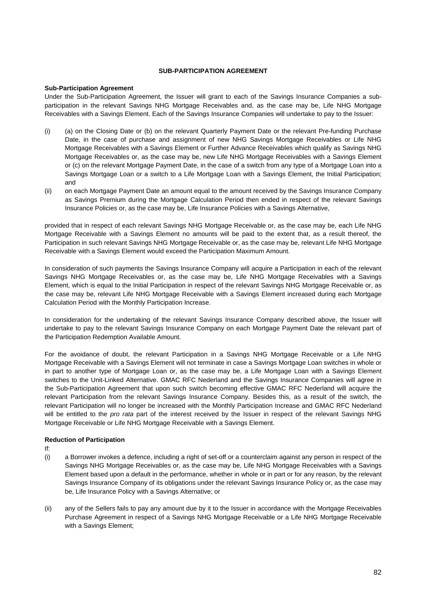## **SUB-PARTICIPATION AGREEMENT**

### **Sub-Participation Agreement**

Under the Sub-Participation Agreement, the Issuer will grant to each of the Savings Insurance Companies a subparticipation in the relevant Savings NHG Mortgage Receivables and, as the case may be, Life NHG Mortgage Receivables with a Savings Element. Each of the Savings Insurance Companies will undertake to pay to the Issuer:

- (i) (a) on the Closing Date or (b) on the relevant Quarterly Payment Date or the relevant Pre-funding Purchase Date, in the case of purchase and assignment of new NHG Savings Mortgage Receivables or Life NHG Mortgage Receivables with a Savings Element or Further Advance Receivables which qualify as Savings NHG Mortgage Receivables or, as the case may be, new Life NHG Mortgage Receivables with a Savings Element or (c) on the relevant Mortgage Payment Date, in the case of a switch from any type of a Mortgage Loan into a Savings Mortgage Loan or a switch to a Life Mortgage Loan with a Savings Element, the Initial Participation; and
- (ii) on each Mortgage Payment Date an amount equal to the amount received by the Savings Insurance Company as Savings Premium during the Mortgage Calculation Period then ended in respect of the relevant Savings Insurance Policies or, as the case may be, Life Insurance Policies with a Savings Alternative,

provided that in respect of each relevant Savings NHG Mortgage Receivable or, as the case may be, each Life NHG Mortgage Receivable with a Savings Element no amounts will be paid to the extent that, as a result thereof, the Participation in such relevant Savings NHG Mortgage Receivable or, as the case may be, relevant Life NHG Mortgage Receivable with a Savings Element would exceed the Participation Maximum Amount.

In consideration of such payments the Savings Insurance Company will acquire a Participation in each of the relevant Savings NHG Mortgage Receivables or, as the case may be, Life NHG Mortgage Receivables with a Savings Element, which is equal to the Initial Participation in respect of the relevant Savings NHG Mortgage Receivable or, as the case may be, relevant Life NHG Mortgage Receivable with a Savings Element increased during each Mortgage Calculation Period with the Monthly Participation Increase.

In consideration for the undertaking of the relevant Savings Insurance Company described above, the Issuer will undertake to pay to the relevant Savings Insurance Company on each Mortgage Payment Date the relevant part of the Participation Redemption Available Amount.

For the avoidance of doubt, the relevant Participation in a Savings NHG Mortgage Receivable or a Life NHG Mortgage Receivable with a Savings Element will not terminate in case a Savings Mortgage Loan switches in whole or in part to another type of Mortgage Loan or, as the case may be, a Life Mortgage Loan with a Savings Element switches to the Unit-Linked Alternative. GMAC RFC Nederland and the Savings Insurance Companies will agree in the Sub-Participation Agreement that upon such switch becoming effective GMAC RFC Nederland will acquire the relevant Participation from the relevant Savings Insurance Company. Besides this, as a result of the switch, the relevant Participation will no longer be increased with the Monthly Participation Increase and GMAC RFC Nederland will be entitled to the *pro rata* part of the interest received by the Issuer in respect of the relevant Savings NHG Mortgage Receivable or Life NHG Mortgage Receivable with a Savings Element.

## **Reduction of Participation**

- If:
- (i) a Borrower invokes a defence, including a right of set-off or a counterclaim against any person in respect of the Savings NHG Mortgage Receivables or, as the case may be, Life NHG Mortgage Receivables with a Savings Element based upon a default in the performance, whether in whole or in part or for any reason, by the relevant Savings Insurance Company of its obligations under the relevant Savings Insurance Policy or, as the case may be, Life Insurance Policy with a Savings Alternative; or
- (ii) any of the Sellers fails to pay any amount due by it to the Issuer in accordance with the Mortgage Receivables Purchase Agreement in respect of a Savings NHG Mortgage Receivable or a Life NHG Mortgage Receivable with a Savings Element;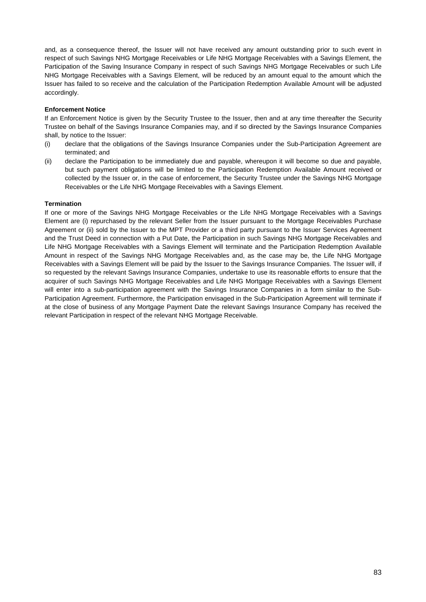and, as a consequence thereof, the Issuer will not have received any amount outstanding prior to such event in respect of such Savings NHG Mortgage Receivables or Life NHG Mortgage Receivables with a Savings Element, the Participation of the Saving Insurance Company in respect of such Savings NHG Mortgage Receivables or such Life NHG Mortgage Receivables with a Savings Element, will be reduced by an amount equal to the amount which the Issuer has failed to so receive and the calculation of the Participation Redemption Available Amount will be adjusted accordingly.

## **Enforcement Notice**

If an Enforcement Notice is given by the Security Trustee to the Issuer, then and at any time thereafter the Security Trustee on behalf of the Savings Insurance Companies may, and if so directed by the Savings Insurance Companies shall, by notice to the Issuer:

- (i) declare that the obligations of the Savings Insurance Companies under the Sub-Participation Agreement are terminated; and
- (ii) declare the Participation to be immediately due and payable, whereupon it will become so due and payable, but such payment obligations will be limited to the Participation Redemption Available Amount received or collected by the Issuer or, in the case of enforcement, the Security Trustee under the Savings NHG Mortgage Receivables or the Life NHG Mortgage Receivables with a Savings Element.

## **Termination**

If one or more of the Savings NHG Mortgage Receivables or the Life NHG Mortgage Receivables with a Savings Element are (i) repurchased by the relevant Seller from the Issuer pursuant to the Mortgage Receivables Purchase Agreement or (ii) sold by the Issuer to the MPT Provider or a third party pursuant to the Issuer Services Agreement and the Trust Deed in connection with a Put Date, the Participation in such Savings NHG Mortgage Receivables and Life NHG Mortgage Receivables with a Savings Element will terminate and the Participation Redemption Available Amount in respect of the Savings NHG Mortgage Receivables and, as the case may be, the Life NHG Mortgage Receivables with a Savings Element will be paid by the Issuer to the Savings Insurance Companies. The Issuer will, if so requested by the relevant Savings Insurance Companies, undertake to use its reasonable efforts to ensure that the acquirer of such Savings NHG Mortgage Receivables and Life NHG Mortgage Receivables with a Savings Element will enter into a sub-participation agreement with the Savings Insurance Companies in a form similar to the Sub-Participation Agreement. Furthermore, the Participation envisaged in the Sub-Participation Agreement will terminate if at the close of business of any Mortgage Payment Date the relevant Savings Insurance Company has received the relevant Participation in respect of the relevant NHG Mortgage Receivable.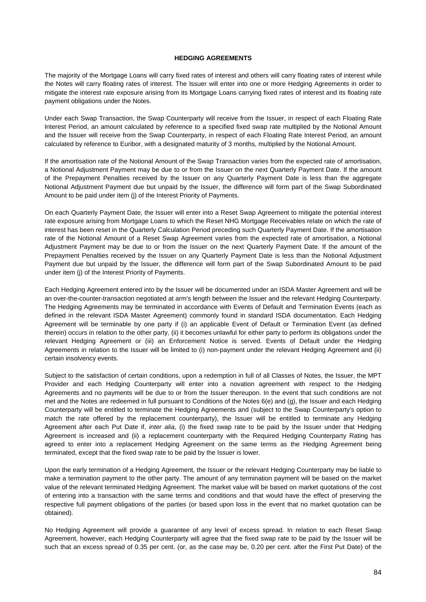#### **HEDGING AGREEMENTS**

The majority of the Mortgage Loans will carry fixed rates of interest and others will carry floating rates of interest while the Notes will carry floating rates of interest. The Issuer will enter into one or more Hedging Agreements in order to mitigate the interest rate exposure arising from its Mortgage Loans carrying fixed rates of interest and its floating rate payment obligations under the Notes.

Under each Swap Transaction, the Swap Counterparty will receive from the Issuer, in respect of each Floating Rate Interest Period, an amount calculated by reference to a specified fixed swap rate multiplied by the Notional Amount and the Issuer will receive from the Swap Counterparty, in respect of each Floating Rate Interest Period, an amount calculated by reference to Euribor, with a designated maturity of 3 months, multiplied by the Notional Amount.

If the amortisation rate of the Notional Amount of the Swap Transaction varies from the expected rate of amortisation, a Notional Adjustment Payment may be due to or from the Issuer on the next Quarterly Payment Date. If the amount of the Prepayment Penalties received by the Issuer on any Quarterly Payment Date is less than the aggregate Notional Adjustment Payment due but unpaid by the Issuer, the difference will form part of the Swap Subordinated Amount to be paid under item (j) of the Interest Priority of Payments.

On each Quarterly Payment Date, the Issuer will enter into a Reset Swap Agreement to mitigate the potential interest rate exposure arising from Mortgage Loans to which the Reset NHG Mortgage Receivables relate on which the rate of interest has been reset in the Quarterly Calculation Period preceding such Quarterly Payment Date. If the amortisation rate of the Notional Amount of a Reset Swap Agreement varies from the expected rate of amortisation, a Notional Adjustment Payment may be due to or from the Issuer on the next Quarterly Payment Date. If the amount of the Prepayment Penalties received by the Issuer on any Quarterly Payment Date is less than the Notional Adjustment Payment due but unpaid by the Issuer, the difference will form part of the Swap Subordinated Amount to be paid under item (j) of the Interest Priority of Payments.

Each Hedging Agreement entered into by the Issuer will be documented under an ISDA Master Agreement and will be an over-the-counter-transaction negotiated at arm's length between the Issuer and the relevant Hedging Counterparty. The Hedging Agreements may be terminated in accordance with Events of Default and Termination Events (each as defined in the relevant ISDA Master Agreement) commonly found in standard ISDA documentation. Each Hedging Agreement will be terminable by one party if (i) an applicable Event of Default or Termination Event (as defined therein) occurs in relation to the other party, (ii) it becomes unlawful for either party to perform its obligations under the relevant Hedging Agreement or (iii) an Enforcement Notice is served. Events of Default under the Hedging Agreements in relation to the Issuer will be limited to (i) non-payment under the relevant Hedging Agreement and (ii) certain insolvency events.

Subject to the satisfaction of certain conditions, upon a redemption in full of all Classes of Notes, the Issuer, the MPT Provider and each Hedging Counterparty will enter into a novation agreement with respect to the Hedging Agreements and no payments will be due to or from the Issuer thereupon. In the event that such conditions are not met and the Notes are redeemed in full pursuant to Conditions of the Notes 6(e) and (g), the Issuer and each Hedging Counterparty will be entitled to terminate the Hedging Agreements and (subject to the Swap Counterparty's option to match the rate offered by the replacement counterparty), the Issuer will be entitled to terminate any Hedging Agreement after each Put Date if, *inter alia*, (i) the fixed swap rate to be paid by the Issuer under that Hedging Agreement is increased and (ii) a replacement counterparty with the Required Hedging Counterparty Rating has agreed to enter into a replacement Hedging Agreement on the same terms as the Hedging Agreement being terminated, except that the fixed swap rate to be paid by the Issuer is lower.

Upon the early termination of a Hedging Agreement, the Issuer or the relevant Hedging Counterparty may be liable to make a termination payment to the other party. The amount of any termination payment will be based on the market value of the relevant terminated Hedging Agreement. The market value will be based on market quotations of the cost of entering into a transaction with the same terms and conditions and that would have the effect of preserving the respective full payment obligations of the parties (or based upon loss in the event that no market quotation can be obtained).

No Hedging Agreement will provide a guarantee of any level of excess spread. In relation to each Reset Swap Agreement, however, each Hedging Counterparty will agree that the fixed swap rate to be paid by the Issuer will be such that an excess spread of 0.35 per cent. (or, as the case may be, 0.20 per cent. after the First Put Date) of the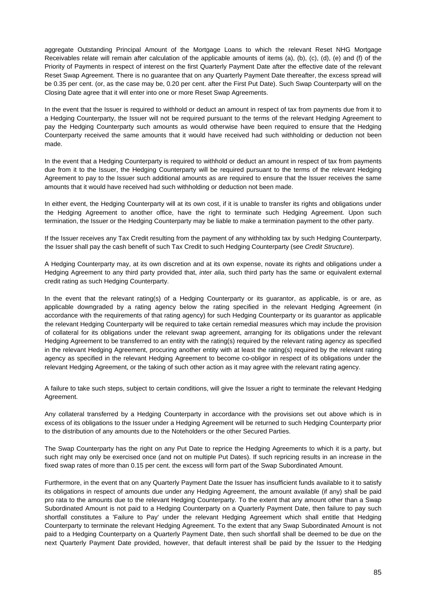aggregate Outstanding Principal Amount of the Mortgage Loans to which the relevant Reset NHG Mortgage Receivables relate will remain after calculation of the applicable amounts of items (a), (b), (c), (d), (e) and (f) of the Priority of Payments in respect of interest on the first Quarterly Payment Date after the effective date of the relevant Reset Swap Agreement. There is no guarantee that on any Quarterly Payment Date thereafter, the excess spread will be 0.35 per cent. (or, as the case may be, 0.20 per cent. after the First Put Date). Such Swap Counterparty will on the Closing Date agree that it will enter into one or more Reset Swap Agreements.

In the event that the Issuer is required to withhold or deduct an amount in respect of tax from payments due from it to a Hedging Counterparty, the Issuer will not be required pursuant to the terms of the relevant Hedging Agreement to pay the Hedging Counterparty such amounts as would otherwise have been required to ensure that the Hedging Counterparty received the same amounts that it would have received had such withholding or deduction not been made.

In the event that a Hedging Counterparty is required to withhold or deduct an amount in respect of tax from payments due from it to the Issuer, the Hedging Counterparty will be required pursuant to the terms of the relevant Hedging Agreement to pay to the Issuer such additional amounts as are required to ensure that the Issuer receives the same amounts that it would have received had such withholding or deduction not been made.

In either event, the Hedging Counterparty will at its own cost, if it is unable to transfer its rights and obligations under the Hedging Agreement to another office, have the right to terminate such Hedging Agreement. Upon such termination, the Issuer or the Hedging Counterparty may be liable to make a termination payment to the other party.

If the Issuer receives any Tax Credit resulting from the payment of any withholding tax by such Hedging Counterparty, the Issuer shall pay the cash benefit of such Tax Credit to such Hedging Counterparty (see *Credit Structure*).

A Hedging Counterparty may, at its own discretion and at its own expense, novate its rights and obligations under a Hedging Agreement to any third party provided that, *inter alia*, such third party has the same or equivalent external credit rating as such Hedging Counterparty.

In the event that the relevant rating(s) of a Hedging Counterparty or its guarantor, as applicable, is or are, as applicable downgraded by a rating agency below the rating specified in the relevant Hedging Agreement (in accordance with the requirements of that rating agency) for such Hedging Counterparty or its guarantor as applicable the relevant Hedging Counterparty will be required to take certain remedial measures which may include the provision of collateral for its obligations under the relevant swap agreement, arranging for its obligations under the relevant Hedging Agreement to be transferred to an entity with the rating(s) required by the relevant rating agency as specified in the relevant Hedging Agreement, procuring another entity with at least the rating(s) required by the relevant rating agency as specified in the relevant Hedging Agreement to become co-obligor in respect of its obligations under the relevant Hedging Agreement, or the taking of such other action as it may agree with the relevant rating agency.

A failure to take such steps, subject to certain conditions, will give the Issuer a right to terminate the relevant Hedging Agreement.

Any collateral transferred by a Hedging Counterparty in accordance with the provisions set out above which is in excess of its obligations to the Issuer under a Hedging Agreement will be returned to such Hedging Counterparty prior to the distribution of any amounts due to the Noteholders or the other Secured Parties.

The Swap Counterparty has the right on any Put Date to reprice the Hedging Agreements to which it is a party, but such right may only be exercised once (and not on multiple Put Dates). If such repricing results in an increase in the fixed swap rates of more than 0.15 per cent. the excess will form part of the Swap Subordinated Amount.

Furthermore, in the event that on any Quarterly Payment Date the Issuer has insufficient funds available to it to satisfy its obligations in respect of amounts due under any Hedging Agreement, the amount available (if any) shall be paid pro rata to the amounts due to the relevant Hedging Counterparty. To the extent that any amount other than a Swap Subordinated Amount is not paid to a Hedging Counterparty on a Quarterly Payment Date, then failure to pay such shortfall constitutes a 'Failure to Pay' under the relevant Hedging Agreement which shall entitle that Hedging Counterparty to terminate the relevant Hedging Agreement. To the extent that any Swap Subordinated Amount is not paid to a Hedging Counterparty on a Quarterly Payment Date, then such shortfall shall be deemed to be due on the next Quarterly Payment Date provided, however, that default interest shall be paid by the Issuer to the Hedging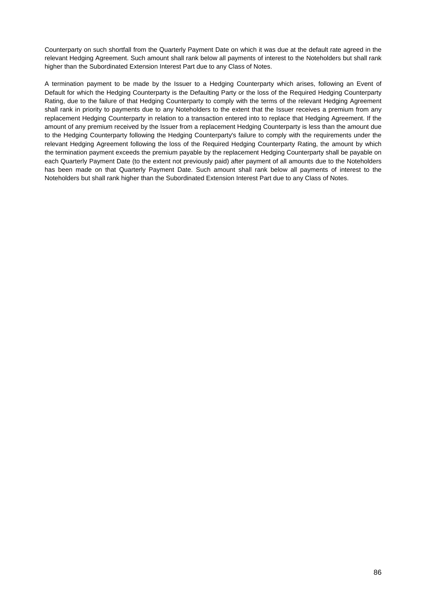Counterparty on such shortfall from the Quarterly Payment Date on which it was due at the default rate agreed in the relevant Hedging Agreement. Such amount shall rank below all payments of interest to the Noteholders but shall rank higher than the Subordinated Extension Interest Part due to any Class of Notes.

A termination payment to be made by the Issuer to a Hedging Counterparty which arises, following an Event of Default for which the Hedging Counterparty is the Defaulting Party or the loss of the Required Hedging Counterparty Rating, due to the failure of that Hedging Counterparty to comply with the terms of the relevant Hedging Agreement shall rank in priority to payments due to any Noteholders to the extent that the Issuer receives a premium from any replacement Hedging Counterparty in relation to a transaction entered into to replace that Hedging Agreement. If the amount of any premium received by the Issuer from a replacement Hedging Counterparty is less than the amount due to the Hedging Counterparty following the Hedging Counterparty's failure to comply with the requirements under the relevant Hedging Agreement following the loss of the Required Hedging Counterparty Rating, the amount by which the termination payment exceeds the premium payable by the replacement Hedging Counterparty shall be payable on each Quarterly Payment Date (to the extent not previously paid) after payment of all amounts due to the Noteholders has been made on that Quarterly Payment Date. Such amount shall rank below all payments of interest to the Noteholders but shall rank higher than the Subordinated Extension Interest Part due to any Class of Notes.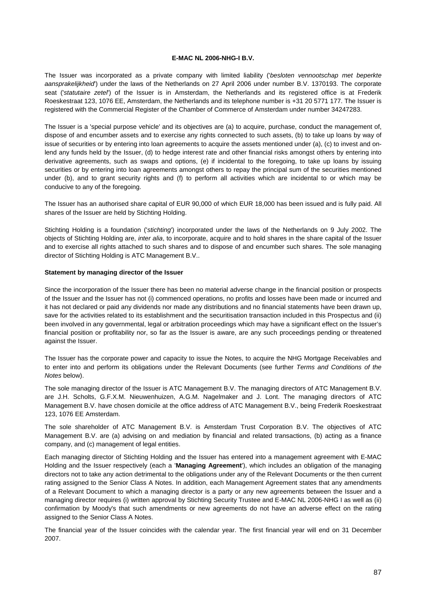### **E-MAC NL 2006-NHG-I B.V.**

The Issuer was incorporated as a private company with limited liability ('*besloten vennootschap met beperkte aansprakelijkheid*') under the laws of the Netherlands on 27 April 2006 under number B.V. 1370193. The corporate seat ('*statutaire zetel*') of the Issuer is in Amsterdam, the Netherlands and its registered office is at Frederik Roeskestraat 123, 1076 EE, Amsterdam, the Netherlands and its telephone number is +31 20 5771 177. The Issuer is registered with the Commercial Register of the Chamber of Commerce of Amsterdam under number 34247283.

The Issuer is a 'special purpose vehicle' and its objectives are (a) to acquire, purchase, conduct the management of, dispose of and encumber assets and to exercise any rights connected to such assets, (b) to take up loans by way of issue of securities or by entering into loan agreements to acquire the assets mentioned under (a), (c) to invest and onlend any funds held by the Issuer, (d) to hedge interest rate and other financial risks amongst others by entering into derivative agreements, such as swaps and options, (e) if incidental to the foregoing, to take up loans by issuing securities or by entering into loan agreements amongst others to repay the principal sum of the securities mentioned under (b), and to grant security rights and (f) to perform all activities which are incidental to or which may be conducive to any of the foregoing.

The Issuer has an authorised share capital of EUR 90,000 of which EUR 18,000 has been issued and is fully paid. All shares of the Issuer are held by Stichting Holding.

Stichting Holding is a foundation ('*stichting*') incorporated under the laws of the Netherlands on 9 July 2002. The objects of Stichting Holding are, *inter alia*, to incorporate, acquire and to hold shares in the share capital of the Issuer and to exercise all rights attached to such shares and to dispose of and encumber such shares. The sole managing director of Stichting Holding is ATC Management B.V..

#### **Statement by managing director of the Issuer**

Since the incorporation of the Issuer there has been no material adverse change in the financial position or prospects of the Issuer and the Issuer has not (i) commenced operations, no profits and losses have been made or incurred and it has not declared or paid any dividends nor made any distributions and no financial statements have been drawn up, save for the activities related to its establishment and the securitisation transaction included in this Prospectus and (ii) been involved in any governmental, legal or arbitration proceedings which may have a significant effect on the Issuer's financial position or profitability nor, so far as the Issuer is aware, are any such proceedings pending or threatened against the Issuer.

The Issuer has the corporate power and capacity to issue the Notes, to acquire the NHG Mortgage Receivables and to enter into and perform its obligations under the Relevant Documents (see further *Terms and Conditions of the Notes* below).

The sole managing director of the Issuer is ATC Management B.V. The managing directors of ATC Management B.V. are J.H. Scholts, G.F.X.M. Nieuwenhuizen, A.G.M. Nagelmaker and J. Lont. The managing directors of ATC Management B.V. have chosen domicile at the office address of ATC Management B.V., being Frederik Roeskestraat 123, 1076 EE Amsterdam.

The sole shareholder of ATC Management B.V. is Amsterdam Trust Corporation B.V. The objectives of ATC Management B.V. are (a) advising on and mediation by financial and related transactions, (b) acting as a finance company, and (c) management of legal entities.

Each managing director of Stichting Holding and the Issuer has entered into a management agreement with E-MAC Holding and the Issuer respectively (each a '**Managing Agreement**'), which includes an obligation of the managing directors not to take any action detrimental to the obligations under any of the Relevant Documents or the then current rating assigned to the Senior Class A Notes. In addition, each Management Agreement states that any amendments of a Relevant Document to which a managing director is a party or any new agreements between the Issuer and a managing director requires (i) written approval by Stichting Security Trustee and E-MAC NL 2006-NHG I as well as (ii) confirmation by Moody's that such amendments or new agreements do not have an adverse effect on the rating assigned to the Senior Class A Notes.

The financial year of the Issuer coincides with the calendar year. The first financial year will end on 31 December 2007.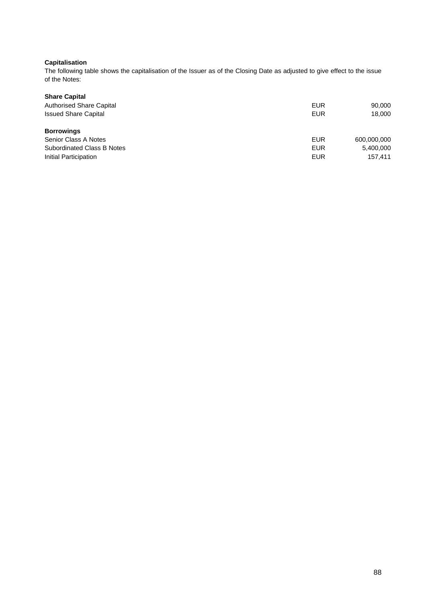# **Capitalisation**

The following table shows the capitalisation of the Issuer as of the Closing Date as adjusted to give effect to the issue of the Notes:

| <b>Share Capital</b>                                           |                   |                  |
|----------------------------------------------------------------|-------------------|------------------|
| <b>Authorised Share Capital</b><br><b>Issued Share Capital</b> | <b>EUR</b><br>EUR | 90,000<br>18,000 |
|                                                                |                   |                  |
| Senior Class A Notes                                           | EUR               | 600.000.000      |
| Subordinated Class B Notes                                     | EUR               | 5,400,000        |
| Initial Participation                                          | EUR               | 157.411          |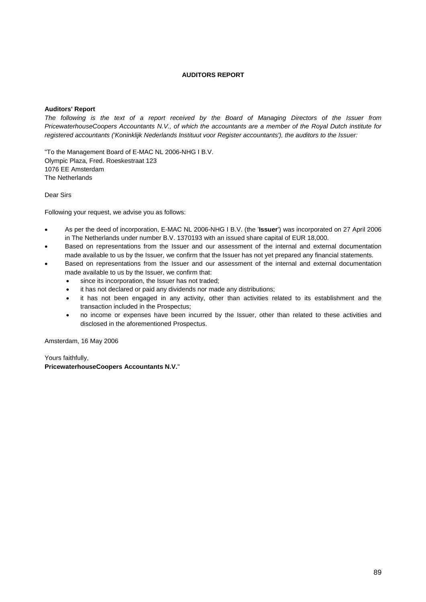## **AUDITORS REPORT**

### **Auditors' Report**

*The following is the text of a report received by the Board of Managing Directors of the Issuer from PricewaterhouseCoopers Accountants N.V., of which the accountants are a member of the Royal Dutch institute for registered accountants ('Koninklijk Nederlands Instituut voor Register accountants'), the auditors to the Issuer:* 

"To the Management Board of E-MAC NL 2006-NHG I B.V. Olympic Plaza, Fred. Roeskestraat 123 1076 EE Amsterdam The Netherlands

Dear Sirs

Following your request, we advise you as follows:

- As per the deed of incorporation, E-MAC NL 2006-NHG I B.V. (the '**Issuer**') was incorporated on 27 April 2006 in The Netherlands under number B.V. 1370193 with an issued share capital of EUR 18,000.
- Based on representations from the Issuer and our assessment of the internal and external documentation made available to us by the Issuer, we confirm that the Issuer has not yet prepared any financial statements.
- Based on representations from the Issuer and our assessment of the internal and external documentation made available to us by the Issuer, we confirm that:
	- since its incorporation, the Issuer has not traded;
	- it has not declared or paid any dividends nor made any distributions;
	- it has not been engaged in any activity, other than activities related to its establishment and the transaction included in the Prospectus;
	- no income or expenses have been incurred by the Issuer, other than related to these activities and disclosed in the aforementioned Prospectus.

Amsterdam, 16 May 2006

Yours faithfully, **PricewaterhouseCoopers Accountants N.V.**"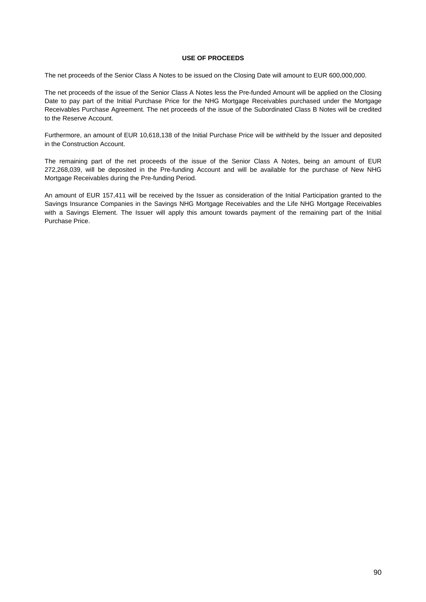### **USE OF PROCEEDS**

The net proceeds of the Senior Class A Notes to be issued on the Closing Date will amount to EUR 600,000,000.

The net proceeds of the issue of the Senior Class A Notes less the Pre-funded Amount will be applied on the Closing Date to pay part of the Initial Purchase Price for the NHG Mortgage Receivables purchased under the Mortgage Receivables Purchase Agreement. The net proceeds of the issue of the Subordinated Class B Notes will be credited to the Reserve Account.

Furthermore, an amount of EUR 10,618,138 of the Initial Purchase Price will be withheld by the Issuer and deposited in the Construction Account.

The remaining part of the net proceeds of the issue of the Senior Class A Notes, being an amount of EUR 272,268,039, will be deposited in the Pre-funding Account and will be available for the purchase of New NHG Mortgage Receivables during the Pre-funding Period.

An amount of EUR 157,411 will be received by the Issuer as consideration of the Initial Participation granted to the Savings Insurance Companies in the Savings NHG Mortgage Receivables and the Life NHG Mortgage Receivables with a Savings Element. The Issuer will apply this amount towards payment of the remaining part of the Initial Purchase Price.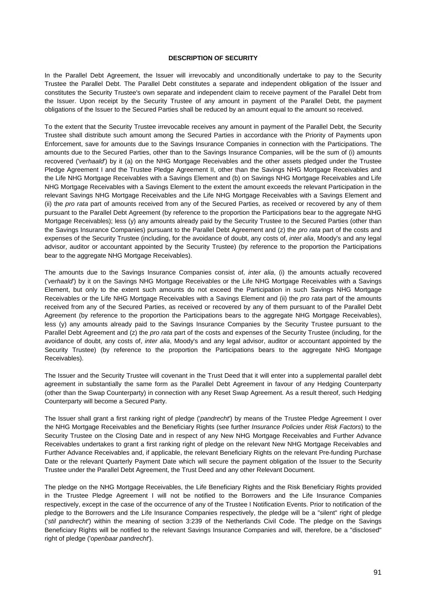#### **DESCRIPTION OF SECURITY**

In the Parallel Debt Agreement, the Issuer will irrevocably and unconditionally undertake to pay to the Security Trustee the Parallel Debt. The Parallel Debt constitutes a separate and independent obligation of the Issuer and constitutes the Security Trustee's own separate and independent claim to receive payment of the Parallel Debt from the Issuer. Upon receipt by the Security Trustee of any amount in payment of the Parallel Debt, the payment obligations of the Issuer to the Secured Parties shall be reduced by an amount equal to the amount so received.

To the extent that the Security Trustee irrevocable receives any amount in payment of the Parallel Debt, the Security Trustee shall distribute such amount among the Secured Parties in accordance with the Priority of Payments upon Enforcement, save for amounts due to the Savings Insurance Companies in connection with the Participations. The amounts due to the Secured Parties, other than to the Savings Insurance Companies, will be the sum of (i) amounts recovered ('*verhaald*') by it (a) on the NHG Mortgage Receivables and the other assets pledged under the Trustee Pledge Agreement I and the Trustee Pledge Agreement II, other than the Savings NHG Mortgage Receivables and the Life NHG Mortgage Receivables with a Savings Element and (b) on Savings NHG Mortgage Receivables and Life NHG Mortgage Receivables with a Savings Element to the extent the amount exceeds the relevant Participation in the relevant Savings NHG Mortgage Receivables and the Life NHG Mortgage Receivables with a Savings Element and (ii) the *pro rata* part of amounts received from any of the Secured Parties, as received or recovered by any of them pursuant to the Parallel Debt Agreement (by reference to the proportion the Participations bear to the aggregate NHG Mortgage Receivables); less (y) any amounts already paid by the Security Trustee to the Secured Parties (other than the Savings Insurance Companies) pursuant to the Parallel Debt Agreement and (z) the *pro rata* part of the costs and expenses of the Security Trustee (including, for the avoidance of doubt, any costs of, *inter alia*, Moody's and any legal advisor, auditor or accountant appointed by the Security Trustee) (by reference to the proportion the Participations bear to the aggregate NHG Mortgage Receivables).

The amounts due to the Savings Insurance Companies consist of, *inter alia*, (i) the amounts actually recovered ('*verhaald*') by it on the Savings NHG Mortgage Receivables or the Life NHG Mortgage Receivables with a Savings Element, but only to the extent such amounts do not exceed the Participation in such Savings NHG Mortgage Receivables or the Life NHG Mortgage Receivables with a Savings Element and (ii) the *pro rata* part of the amounts received from any of the Secured Parties, as received or recovered by any of them pursuant to of the Parallel Debt Agreement (by reference to the proportion the Participations bears to the aggregate NHG Mortgage Receivables), less (y) any amounts already paid to the Savings Insurance Companies by the Security Trustee pursuant to the Parallel Debt Agreement and (z) the *pro rata* part of the costs and expenses of the Security Trustee (including, for the avoidance of doubt, any costs of, *inter alia*, Moody's and any legal advisor, auditor or accountant appointed by the Security Trustee) (by reference to the proportion the Participations bears to the aggregate NHG Mortgage Receivables).

The Issuer and the Security Trustee will covenant in the Trust Deed that it will enter into a supplemental parallel debt agreement in substantially the same form as the Parallel Debt Agreement in favour of any Hedging Counterparty (other than the Swap Counterparty) in connection with any Reset Swap Agreement. As a result thereof, such Hedging Counterparty will become a Secured Party.

The Issuer shall grant a first ranking right of pledge ('*pandrecht*') by means of the Trustee Pledge Agreement I over the NHG Mortgage Receivables and the Beneficiary Rights (see further *Insurance Policies* under *Risk Factors*) to the Security Trustee on the Closing Date and in respect of any New NHG Mortgage Receivables and Further Advance Receivables undertakes to grant a first ranking right of pledge on the relevant New NHG Mortgage Receivables and Further Advance Receivables and, if applicable, the relevant Beneficiary Rights on the relevant Pre-funding Purchase Date or the relevant Quarterly Payment Date which will secure the payment obligation of the Issuer to the Security Trustee under the Parallel Debt Agreement, the Trust Deed and any other Relevant Document.

The pledge on the NHG Mortgage Receivables, the Life Beneficiary Rights and the Risk Beneficiary Rights provided in the Trustee Pledge Agreement I will not be notified to the Borrowers and the Life Insurance Companies respectively, except in the case of the occurrence of any of the Trustee I Notification Events. Prior to notification of the pledge to the Borrowers and the Life Insurance Companies respectively, the pledge will be a "silent" right of pledge ('*stil pandrecht*') within the meaning of section 3:239 of the Netherlands Civil Code. The pledge on the Savings Beneficiary Rights will be notified to the relevant Savings Insurance Companies and will, therefore, be a "disclosed" right of pledge ('*openbaar pandrecht*').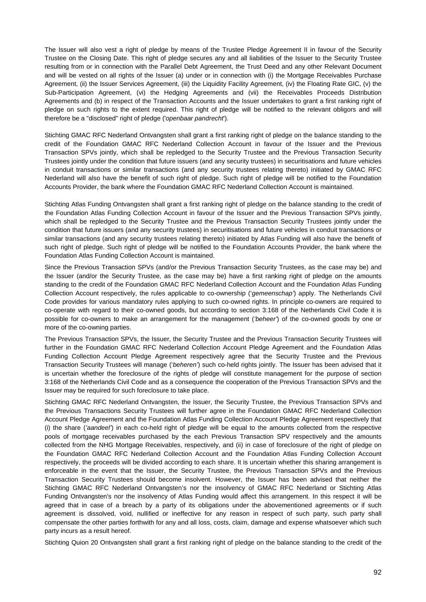The Issuer will also vest a right of pledge by means of the Trustee Pledge Agreement II in favour of the Security Trustee on the Closing Date. This right of pledge secures any and all liabilities of the Issuer to the Security Trustee resulting from or in connection with the Parallel Debt Agreement, the Trust Deed and any other Relevant Document and will be vested on all rights of the Issuer (a) under or in connection with (i) the Mortgage Receivables Purchase Agreement, (ii) the Issuer Services Agreement, (iii) the Liquidity Facility Agreement, (iv) the Floating Rate GIC, (v) the Sub-Participation Agreement, (vi) the Hedging Agreements and (vii) the Receivables Proceeds Distribution Agreements and (b) in respect of the Transaction Accounts and the Issuer undertakes to grant a first ranking right of pledge on such rights to the extent required. This right of pledge will be notified to the relevant obligors and will therefore be a "disclosed" right of pledge ('*openbaar pandrecht*').

Stichting GMAC RFC Nederland Ontvangsten shall grant a first ranking right of pledge on the balance standing to the credit of the Foundation GMAC RFC Nederland Collection Account in favour of the Issuer and the Previous Transaction SPVs jointly, which shall be repledged to the Security Trustee and the Previous Transaction Security Trustees jointly under the condition that future issuers (and any security trustees) in securitisations and future vehicles in conduit transactions or similar transactions (and any security trustees relating thereto) initiated by GMAC RFC Nederland will also have the benefit of such right of pledge. Such right of pledge will be notified to the Foundation Accounts Provider, the bank where the Foundation GMAC RFC Nederland Collection Account is maintained.

Stichting Atlas Funding Ontvangsten shall grant a first ranking right of pledge on the balance standing to the credit of the Foundation Atlas Funding Collection Account in favour of the Issuer and the Previous Transaction SPVs jointly, which shall be repledged to the Security Trustee and the Previous Transaction Security Trustees jointly under the condition that future issuers (and any security trustees) in securitisations and future vehicles in conduit transactions or similar transactions (and any security trustees relating thereto) initiated by Atlas Funding will also have the benefit of such right of pledge. Such right of pledge will be notified to the Foundation Accounts Provider, the bank where the Foundation Atlas Funding Collection Account is maintained.

Since the Previous Transaction SPVs (and/or the Previous Transaction Security Trustees, as the case may be) and the Issuer (and/or the Security Trustee, as the case may be) have a first ranking right of pledge on the amounts standing to the credit of the Foundation GMAC RFC Nederland Collection Account and the Foundation Atlas Funding Collection Account respectively, the rules applicable to co-ownership ('*gemeenschap'*) apply. The Netherlands Civil Code provides for various mandatory rules applying to such co-owned rights. In principle co-owners are required to co-operate with regard to their co-owned goods, but according to section 3:168 of the Netherlands Civil Code it is possible for co-owners to make an arrangement for the management (*'beheer'*) of the co-owned goods by one or more of the co-owning parties.

The Previous Transaction SPVs, the Issuer, the Security Trustee and the Previous Transaction Security Trustees will further in the Foundation GMAC RFC Nederland Collection Account Pledge Agreement and the Foundation Atlas Funding Collection Account Pledge Agreement respectively agree that the Security Trustee and the Previous Transaction Security Trustees will manage ('*beheren'*) such co-held rights jointly. The Issuer has been advised that it is uncertain whether the foreclosure of the rights of pledge will constitute management for the purpose of section 3:168 of the Netherlands Civil Code and as a consequence the cooperation of the Previous Transaction SPVs and the Issuer may be required for such foreclosure to take place.

Stichting GMAC RFC Nederland Ontvangsten, the Issuer, the Security Trustee, the Previous Transaction SPVs and the Previous Transactions Security Trustees will further agree in the Foundation GMAC RFC Nederland Collection Account Pledge Agreement and the Foundation Atlas Funding Collection Account Pledge Agreement respectively that (i) the share (*'aandeel'*) in each co-held right of pledge will be equal to the amounts collected from the respective pools of mortgage receivables purchased by the each Previous Transaction SPV respectively and the amounts collected from the NHG Mortgage Receivables, respectively, and (ii) in case of foreclosure of the right of pledge on the Foundation GMAC RFC Nederland Collection Account and the Foundation Atlas Funding Collection Account respectively, the proceeds will be divided according to each share. It is uncertain whether this sharing arrangement is enforceable in the event that the Issuer, the Security Trustee, the Previous Transaction SPVs and the Previous Transaction Security Trustees should become insolvent. However, the Issuer has been advised that neither the Stichting GMAC RFC Nederland Ontvangsten's nor the insolvency of GMAC RFC Nederland or Stichting Atlas Funding Ontvangsten's nor the insolvency of Atlas Funding would affect this arrangement. In this respect it will be agreed that in case of a breach by a party of its obligations under the abovementioned agreements or if such agreement is dissolved, void, nullified or ineffective for any reason in respect of such party, such party shall compensate the other parties forthwith for any and all loss, costs, claim, damage and expense whatsoever which such party incurs as a result hereof.

Stichting Quion 20 Ontvangsten shall grant a first ranking right of pledge on the balance standing to the credit of the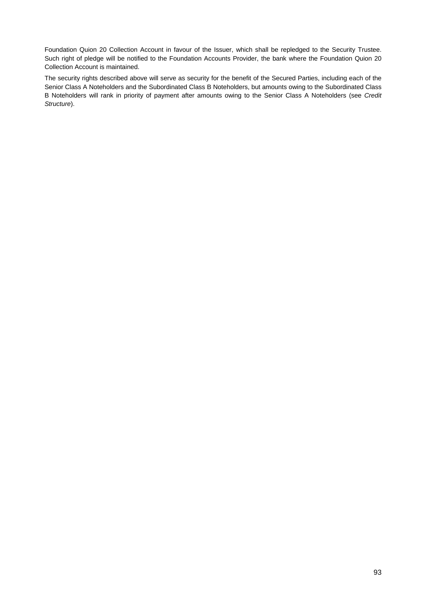Foundation Quion 20 Collection Account in favour of the Issuer, which shall be repledged to the Security Trustee. Such right of pledge will be notified to the Foundation Accounts Provider, the bank where the Foundation Quion 20 Collection Account is maintained.

The security rights described above will serve as security for the benefit of the Secured Parties, including each of the Senior Class A Noteholders and the Subordinated Class B Noteholders, but amounts owing to the Subordinated Class B Noteholders will rank in priority of payment after amounts owing to the Senior Class A Noteholders (see *Credit Structure*).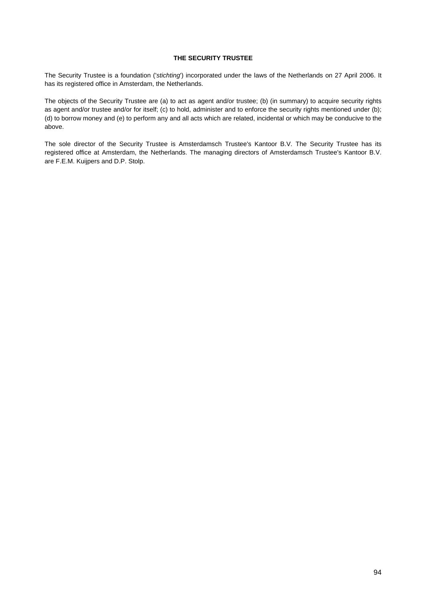### **THE SECURITY TRUSTEE**

The Security Trustee is a foundation ('*stichting*') incorporated under the laws of the Netherlands on 27 April 2006. It has its registered office in Amsterdam, the Netherlands.

The objects of the Security Trustee are (a) to act as agent and/or trustee; (b) (in summary) to acquire security rights as agent and/or trustee and/or for itself; (c) to hold, administer and to enforce the security rights mentioned under (b); (d) to borrow money and (e) to perform any and all acts which are related, incidental or which may be conducive to the above.

The sole director of the Security Trustee is Amsterdamsch Trustee's Kantoor B.V. The Security Trustee has its registered office at Amsterdam, the Netherlands. The managing directors of Amsterdamsch Trustee's Kantoor B.V. are F.E.M. Kuijpers and D.P. Stolp.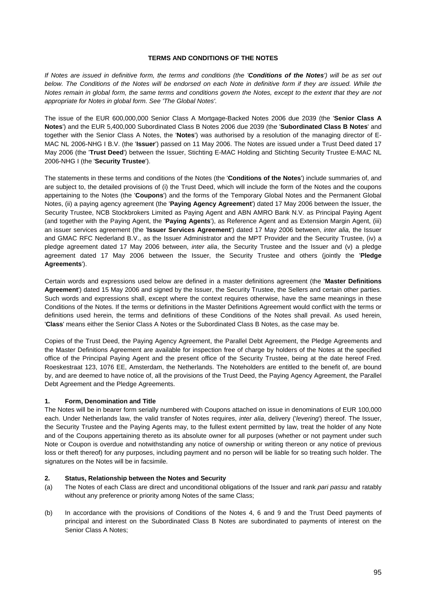### **TERMS AND CONDITIONS OF THE NOTES**

*If Notes are issued in definitive form, the terms and conditions (the 'Conditions of the Notes') will be as set out below. The Conditions of the Notes will be endorsed on each Note in definitive form if they are issued. While the Notes remain in global form, the same terms and conditions govern the Notes, except to the extent that they are not appropriate for Notes in global form. See 'The Global Notes'.* 

The issue of the EUR 600,000,000 Senior Class A Mortgage-Backed Notes 2006 due 2039 (the '**Senior Class A Notes**') and the EUR 5,400,000 Subordinated Class B Notes 2006 due 2039 (the '**Subordinated Class B Notes**' and together with the Senior Class A Notes, the '**Notes**') was authorised by a resolution of the managing director of E-MAC NL 2006-NHG I B.V. (the '**Issuer**') passed on 11 May 2006. The Notes are issued under a Trust Deed dated 17 May 2006 (the '**Trust Deed**') between the Issuer, Stichting E-MAC Holding and Stichting Security Trustee E-MAC NL 2006-NHG I (the '**Security Trustee**').

The statements in these terms and conditions of the Notes (the '**Conditions of the Notes**') include summaries of, and are subject to, the detailed provisions of (i) the Trust Deed, which will include the form of the Notes and the coupons appertaining to the Notes (the '**Coupons**') and the forms of the Temporary Global Notes and the Permanent Global Notes, (ii) a paying agency agreement (the '**Paying Agency Agreement**') dated 17 May 2006 between the Issuer, the Security Trustee, NCB Stockbrokers Limited as Paying Agent and ABN AMRO Bank N.V. as Principal Paying Agent (and together with the Paying Agent, the '**Paying Agents**'), as Reference Agent and as Extension Margin Agent, (iii) an issuer services agreement (the '**Issuer Services Agreement**') dated 17 May 2006 between, *inter alia,* the Issuer and GMAC RFC Nederland B.V., as the Issuer Administrator and the MPT Provider and the Security Trustee, (iv) a pledge agreement dated 17 May 2006 between, *inter alia*, the Security Trustee and the Issuer and (v) a pledge agreement dated 17 May 2006 between the Issuer, the Security Trustee and others (jointly the '**Pledge Agreements**').

Certain words and expressions used below are defined in a master definitions agreement (the '**Master Definitions Agreement**') dated 15 May 2006 and signed by the Issuer, the Security Trustee, the Sellers and certain other parties. Such words and expressions shall, except where the context requires otherwise, have the same meanings in these Conditions of the Notes. If the terms or definitions in the Master Definitions Agreement would conflict with the terms or definitions used herein, the terms and definitions of these Conditions of the Notes shall prevail. As used herein, '**Class**' means either the Senior Class A Notes or the Subordinated Class B Notes, as the case may be.

Copies of the Trust Deed, the Paying Agency Agreement, the Parallel Debt Agreement, the Pledge Agreements and the Master Definitions Agreement are available for inspection free of charge by holders of the Notes at the specified office of the Principal Paying Agent and the present office of the Security Trustee, being at the date hereof Fred. Roeskestraat 123, 1076 EE, Amsterdam, the Netherlands. The Noteholders are entitled to the benefit of, are bound by, and are deemed to have notice of, all the provisions of the Trust Deed, the Paying Agency Agreement, the Parallel Debt Agreement and the Pledge Agreements.

#### **1. Form, Denomination and Title**

The Notes will be in bearer form serially numbered with Coupons attached on issue in denominations of EUR 100,000 each. Under Netherlands law, the valid transfer of Notes requires, *inter alia*, delivery ('*levering*') thereof. The Issuer, the Security Trustee and the Paying Agents may, to the fullest extent permitted by law, treat the holder of any Note and of the Coupons appertaining thereto as its absolute owner for all purposes (whether or not payment under such Note or Coupon is overdue and notwithstanding any notice of ownership or writing thereon or any notice of previous loss or theft thereof) for any purposes, including payment and no person will be liable for so treating such holder. The signatures on the Notes will be in facsimile.

#### **2. Status, Relationship between the Notes and Security**

- (a) The Notes of each Class are direct and unconditional obligations of the Issuer and rank *pari passu* and ratably without any preference or priority among Notes of the same Class;
- (b) In accordance with the provisions of Conditions of the Notes 4, 6 and 9 and the Trust Deed payments of principal and interest on the Subordinated Class B Notes are subordinated to payments of interest on the Senior Class A Notes;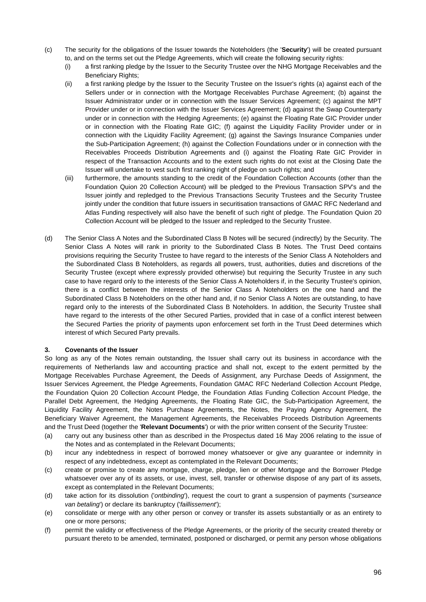- (c) The security for the obligations of the Issuer towards the Noteholders (the '**Security**') will be created pursuant to, and on the terms set out the Pledge Agreements, which will create the following security rights:
	- (i) a first ranking pledge by the Issuer to the Security Trustee over the NHG Mortgage Receivables and the Beneficiary Rights;
	- (ii) a first ranking pledge by the Issuer to the Security Trustee on the Issuer's rights (a) against each of the Sellers under or in connection with the Mortgage Receivables Purchase Agreement; (b) against the Issuer Administrator under or in connection with the Issuer Services Agreement; (c) against the MPT Provider under or in connection with the Issuer Services Agreement; (d) against the Swap Counterparty under or in connection with the Hedging Agreements; (e) against the Floating Rate GIC Provider under or in connection with the Floating Rate GIC; (f) against the Liquidity Facility Provider under or in connection with the Liquidity Facility Agreement; (g) against the Savings Insurance Companies under the Sub-Participation Agreement; (h) against the Collection Foundations under or in connection with the Receivables Proceeds Distribution Agreements and (i) against the Floating Rate GIC Provider in respect of the Transaction Accounts and to the extent such rights do not exist at the Closing Date the Issuer will undertake to vest such first ranking right of pledge on such rights; and
	- (iii) furthermore, the amounts standing to the credit of the Foundation Collection Accounts (other than the Foundation Quion 20 Collection Account) will be pledged to the Previous Transaction SPV's and the Issuer jointly and repledged to the Previous Transactions Security Trustees and the Security Trustee jointly under the condition that future issuers in securitisation transactions of GMAC RFC Nederland and Atlas Funding respectively will also have the benefit of such right of pledge. The Foundation Quion 20 Collection Account will be pledged to the Issuer and repledged to the Security Trustee.
- (d) The Senior Class A Notes and the Subordinated Class B Notes will be secured (indirectly) by the Security. The Senior Class A Notes will rank in priority to the Subordinated Class B Notes. The Trust Deed contains provisions requiring the Security Trustee to have regard to the interests of the Senior Class A Noteholders and the Subordinated Class B Noteholders, as regards all powers, trust, authorities, duties and discretions of the Security Trustee (except where expressly provided otherwise) but requiring the Security Trustee in any such case to have regard only to the interests of the Senior Class A Noteholders if, in the Security Trustee's opinion, there is a conflict between the interests of the Senior Class A Noteholders on the one hand and the Subordinated Class B Noteholders on the other hand and, if no Senior Class A Notes are outstanding, to have regard only to the interests of the Subordinated Class B Noteholders. In addition, the Security Trustee shall have regard to the interests of the other Secured Parties, provided that in case of a conflict interest between the Secured Parties the priority of payments upon enforcement set forth in the Trust Deed determines which interest of which Secured Party prevails.

## **3. Covenants of the Issuer**

So long as any of the Notes remain outstanding, the Issuer shall carry out its business in accordance with the requirements of Netherlands law and accounting practice and shall not, except to the extent permitted by the Mortgage Receivables Purchase Agreement, the Deeds of Assignment, any Purchase Deeds of Assignment, the Issuer Services Agreement, the Pledge Agreements, Foundation GMAC RFC Nederland Collection Account Pledge, the Foundation Quion 20 Collection Account Pledge, the Foundation Atlas Funding Collection Account Pledge, the Parallel Debt Agreement, the Hedging Agreements, the Floating Rate GIC, the Sub-Participation Agreement, the Liquidity Facility Agreement, the Notes Purchase Agreements, the Notes, the Paying Agency Agreement, the Beneficiary Waiver Agreement, the Management Agreements, the Receivables Proceeds Distribution Agreements and the Trust Deed (together the '**Relevant Documents**') or with the prior written consent of the Security Trustee:

- (a) carry out any business other than as described in the Prospectus dated 16 May 2006 relating to the issue of the Notes and as contemplated in the Relevant Documents;
- (b) incur any indebtedness in respect of borrowed money whatsoever or give any guarantee or indemnity in respect of any indebtedness, except as contemplated in the Relevant Documents;
- (c) create or promise to create any mortgage, charge, pledge, lien or other Mortgage and the Borrower Pledge whatsoever over any of its assets, or use, invest, sell, transfer or otherwise dispose of any part of its assets, except as contemplated in the Relevant Documents;
- (d) take action for its dissolution ('*ontbinding*'), request the court to grant a suspension of payments ('*surseance van betaling*') or declare its bankruptcy ('*faillissement*');
- (e) consolidate or merge with any other person or convey or transfer its assets substantially or as an entirety to one or more persons;
- (f) permit the validity or effectiveness of the Pledge Agreements, or the priority of the security created thereby or pursuant thereto to be amended, terminated, postponed or discharged, or permit any person whose obligations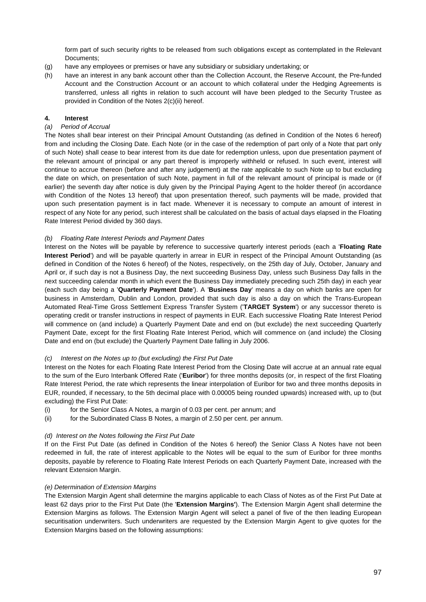form part of such security rights to be released from such obligations except as contemplated in the Relevant Documents;

- (g) have any employees or premises or have any subsidiary or subsidiary undertaking; or
- (h) have an interest in any bank account other than the Collection Account, the Reserve Account, the Pre-funded Account and the Construction Account or an account to which collateral under the Hedging Agreements is transferred, unless all rights in relation to such account will have been pledged to the Security Trustee as provided in Condition of the Notes 2(c)(ii) hereof.

## **4. Interest**

## *(a) Period of Accrual*

The Notes shall bear interest on their Principal Amount Outstanding (as defined in Condition of the Notes 6 hereof) from and including the Closing Date. Each Note (or in the case of the redemption of part only of a Note that part only of such Note) shall cease to bear interest from its due date for redemption unless, upon due presentation payment of the relevant amount of principal or any part thereof is improperly withheld or refused. In such event, interest will continue to accrue thereon (before and after any judgement) at the rate applicable to such Note up to but excluding the date on which, on presentation of such Note, payment in full of the relevant amount of principal is made or (if earlier) the seventh day after notice is duly given by the Principal Paying Agent to the holder thereof (in accordance with Condition of the Notes 13 hereof) that upon presentation thereof, such payments will be made, provided that upon such presentation payment is in fact made. Whenever it is necessary to compute an amount of interest in respect of any Note for any period, such interest shall be calculated on the basis of actual days elapsed in the Floating Rate Interest Period divided by 360 days.

### *(b) Floating Rate Interest Periods and Payment Dates*

Interest on the Notes will be payable by reference to successive quarterly interest periods (each a '**Floating Rate Interest Period**') and will be payable quarterly in arrear in EUR in respect of the Principal Amount Outstanding (as defined in Condition of the Notes 6 hereof) of the Notes, respectively, on the 25th day of July, October, January and April or, if such day is not a Business Day, the next succeeding Business Day, unless such Business Day falls in the next succeeding calendar month in which event the Business Day immediately preceding such 25th day) in each year (each such day being a '**Quarterly Payment Date**'). A '**Business Day**' means a day on which banks are open for business in Amsterdam, Dublin and London, provided that such day is also a day on which the Trans-European Automated Real-Time Gross Settlement Express Transfer System ('**TARGET System**') or any successor thereto is operating credit or transfer instructions in respect of payments in EUR. Each successive Floating Rate Interest Period will commence on (and include) a Quarterly Payment Date and end on (but exclude) the next succeeding Quarterly Payment Date, except for the first Floating Rate Interest Period, which will commence on (and include) the Closing Date and end on (but exclude) the Quarterly Payment Date falling in July 2006.

#### *(c) Interest on the Notes up to (but excluding) the First Put Date*

Interest on the Notes for each Floating Rate Interest Period from the Closing Date will accrue at an annual rate equal to the sum of the Euro Interbank Offered Rate ('**Euribor**') for three months deposits (or, in respect of the first Floating Rate Interest Period, the rate which represents the linear interpolation of Euribor for two and three months deposits in EUR, rounded, if necessary, to the 5th decimal place with 0.00005 being rounded upwards) increased with, up to (but excluding) the First Put Date:

- (i) for the Senior Class A Notes, a margin of 0.03 per cent. per annum; and
- (ii) for the Subordinated Class B Notes, a margin of 2.50 per cent. per annum.

## *(d) Interest on the Notes following the First Put Date*

If on the First Put Date (as defined in Condition of the Notes 6 hereof) the Senior Class A Notes have not been redeemed in full, the rate of interest applicable to the Notes will be equal to the sum of Euribor for three months deposits, payable by reference to Floating Rate Interest Periods on each Quarterly Payment Date, increased with the relevant Extension Margin.

#### *(e) Determination of Extension Margins*

The Extension Margin Agent shall determine the margins applicable to each Class of Notes as of the First Put Date at least 62 days prior to the First Put Date (the '**Extension Margins'**). The Extension Margin Agent shall determine the Extension Margins as follows. The Extension Margin Agent will select a panel of five of the then leading European securitisation underwriters. Such underwriters are requested by the Extension Margin Agent to give quotes for the Extension Margins based on the following assumptions: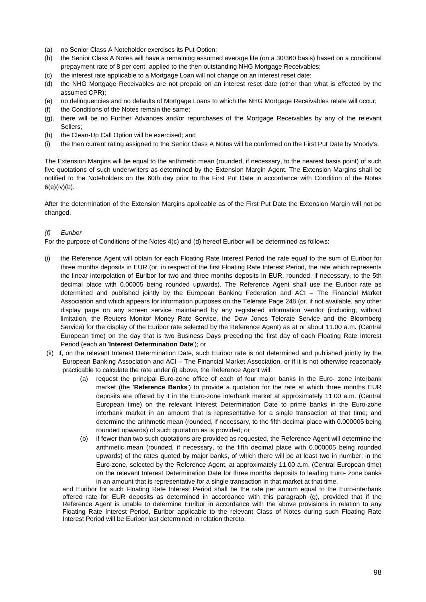- (a) no Senior Class A Noteholder exercises its Put Option;
- (b) the Senior Class A Notes will have a remaining assumed average life (on a 30/360 basis) based on a conditional prepayment rate of 8 per cent. applied to the then outstanding NHG Mortgage Receivables;
- (c) the interest rate applicable to a Mortgage Loan will not change on an interest reset date;
- (d) the NHG Mortgage Receivables are not prepaid on an interest reset date (other than what is effected by the assumed CPR);
- (e) no delinquencies and no defaults of Mortgage Loans to which the NHG Mortgage Receivables relate will occur;
- (f) the Conditions of the Notes remain the same;
- (g). there will be no Further Advances and/or repurchases of the Mortgage Receivables by any of the relevant Sellers;
- (h) the Clean-Up Call Option will be exercised; and
- the then current rating assigned to the Senior Class A Notes will be confirmed on the First Put Date by Moody's.

The Extension Margins will be equal to the arithmetic mean (rounded, if necessary, to the nearest basis point) of such five quotations of such underwriters as determined by the Extension Margin Agent. The Extension Margins shall be notified to the Noteholders on the 60th day prior to the First Put Date in accordance with Condition of the Notes  $6(e)(iv)(b)$ .

After the determination of the Extension Margins applicable as of the First Put Date the Extension Margin will not be changed.

### *(f) Euribor*

For the purpose of Conditions of the Notes 4(c) and (d) hereof Euribor will be determined as follows:

- (i) the Reference Agent will obtain for each Floating Rate Interest Period the rate equal to the sum of Euribor for three months deposits in EUR (or, in respect of the first Floating Rate Interest Period, the rate which represents the linear interpolation of Euribor for two and three months deposits in EUR, rounded, if necessary, to the 5th decimal place with 0.00005 being rounded upwards). The Reference Agent shall use the Euribor rate as determined and published jointly by the European Banking Federation and ACI – The Financial Market Association and which appears for information purposes on the Telerate Page 248 (or, if not available, any other display page on any screen service maintained by any registered information vendor (including, without limitation, the Reuters Monitor Money Rate Service, the Dow Jones Telerate Service and the Bloomberg Service) for the display of the Euribor rate selected by the Reference Agent) as at or about 11.00 a.m. (Central European time) on the day that is two Business Days preceding the first day of each Floating Rate Interest Period (each an '**Interest Determination Date**'); or
- (ii) if, on the relevant Interest Determination Date, such Euribor rate is not determined and published jointly by the European Banking Association and ACI – The Financial Market Association, or if it is not otherwise reasonably practicable to calculate the rate under (i) above, the Reference Agent will:
	- (a) request the principal Euro-zone office of each of four major banks in the Euro- zone interbank market (the '**Reference Banks**') to provide a quotation for the rate at which three months EUR deposits are offered by it in the Euro-zone interbank market at approximately 11.00 a.m. (Central European time) on the relevant Interest Determination Date to prime banks in the Euro-zone interbank market in an amount that is representative for a single transaction at that time; and determine the arithmetic mean (rounded, if necessary, to the fifth decimal place with 0.000005 being rounded upwards) of such quotation as is provided; or
	- (b) if fewer than two such quotations are provided as requested, the Reference Agent will determine the arithmetic mean (rounded, if necessary, to the fifth decimal place with 0.000005 being rounded upwards) of the rates quoted by major banks, of which there will be at least two in number, in the Euro-zone, selected by the Reference Agent, at approximately 11.00 a.m. (Central European time) on the relevant Interest Determination Date for three months deposits to leading Euro- zone banks in an amount that is representative for a single transaction in that market at that time,

and Euribor for such Floating Rate Interest Period shall be the rate per annum equal to the Euro-interbank offered rate for EUR deposits as determined in accordance with this paragraph (g), provided that if the Reference Agent is unable to determine Euribor in accordance with the above provisions in relation to any Floating Rate Interest Period, Euribor applicable to the relevant Class of Notes during such Floating Rate Interest Period will be Euribor last determined in relation thereto.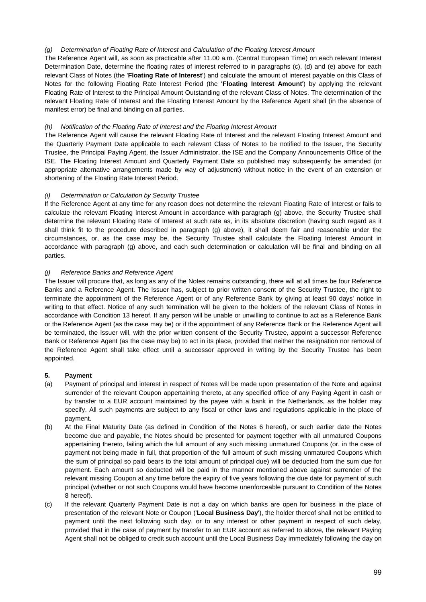## *(g)* Determination of Floating Rate of Interest and Calculation of the Floating Interest Amount

The Reference Agent will, as soon as practicable after 11.00 a.m. (Central European Time) on each relevant Interest Determination Date, determine the floating rates of interest referred to in paragraphs (c), (d) and (e) above for each relevant Class of Notes (the '**Floating Rate of Interest**') and calculate the amount of interest payable on this Class of Notes for the following Floating Rate Interest Period (the **'Floating Interest Amount**') by applying the relevant Floating Rate of Interest to the Principal Amount Outstanding of the relevant Class of Notes. The determination of the relevant Floating Rate of Interest and the Floating Interest Amount by the Reference Agent shall (in the absence of manifest error) be final and binding on all parties.

## *(h) Notification of the Floating Rate of Interest and the Floating Interest Amount*

The Reference Agent will cause the relevant Floating Rate of Interest and the relevant Floating Interest Amount and the Quarterly Payment Date applicable to each relevant Class of Notes to be notified to the Issuer, the Security Trustee, the Principal Paying Agent, the Issuer Administrator, the ISE and the Company Announcements Office of the ISE. The Floating Interest Amount and Quarterly Payment Date so published may subsequently be amended (or appropriate alternative arrangements made by way of adjustment) without notice in the event of an extension or shortening of the Floating Rate Interest Period.

## *(i) Determination or Calculation by Security Trustee*

If the Reference Agent at any time for any reason does not determine the relevant Floating Rate of Interest or fails to calculate the relevant Floating Interest Amount in accordance with paragraph (g) above, the Security Trustee shall determine the relevant Floating Rate of Interest at such rate as, in its absolute discretion (having such regard as it shall think fit to the procedure described in paragraph (g) above), it shall deem fair and reasonable under the circumstances, or, as the case may be, the Security Trustee shall calculate the Floating Interest Amount in accordance with paragraph (g) above, and each such determination or calculation will be final and binding on all parties.

## *(j) Reference Banks and Reference Agent*

The Issuer will procure that, as long as any of the Notes remains outstanding, there will at all times be four Reference Banks and a Reference Agent. The Issuer has, subject to prior written consent of the Security Trustee, the right to terminate the appointment of the Reference Agent or of any Reference Bank by giving at least 90 days' notice in writing to that effect. Notice of any such termination will be given to the holders of the relevant Class of Notes in accordance with Condition 13 hereof. If any person will be unable or unwilling to continue to act as a Reference Bank or the Reference Agent (as the case may be) or if the appointment of any Reference Bank or the Reference Agent will be terminated, the Issuer will, with the prior written consent of the Security Trustee, appoint a successor Reference Bank or Reference Agent (as the case may be) to act in its place, provided that neither the resignation nor removal of the Reference Agent shall take effect until a successor approved in writing by the Security Trustee has been appointed.

## **5. Payment**

- (a) Payment of principal and interest in respect of Notes will be made upon presentation of the Note and against surrender of the relevant Coupon appertaining thereto, at any specified office of any Paying Agent in cash or by transfer to a EUR account maintained by the payee with a bank in the Netherlands, as the holder may specify. All such payments are subject to any fiscal or other laws and regulations applicable in the place of payment.
- (b) At the Final Maturity Date (as defined in Condition of the Notes 6 hereof), or such earlier date the Notes become due and payable, the Notes should be presented for payment together with all unmatured Coupons appertaining thereto, failing which the full amount of any such missing unmatured Coupons (or, in the case of payment not being made in full, that proportion of the full amount of such missing unmatured Coupons which the sum of principal so paid bears to the total amount of principal due) will be deducted from the sum due for payment. Each amount so deducted will be paid in the manner mentioned above against surrender of the relevant missing Coupon at any time before the expiry of five years following the due date for payment of such principal (whether or not such Coupons would have become unenforceable pursuant to Condition of the Notes 8 hereof).
- (c) If the relevant Quarterly Payment Date is not a day on which banks are open for business in the place of presentation of the relevant Note or Coupon ('**Local Business Day**'), the holder thereof shall not be entitled to payment until the next following such day, or to any interest or other payment in respect of such delay, provided that in the case of payment by transfer to an EUR account as referred to above, the relevant Paying Agent shall not be obliged to credit such account until the Local Business Day immediately following the day on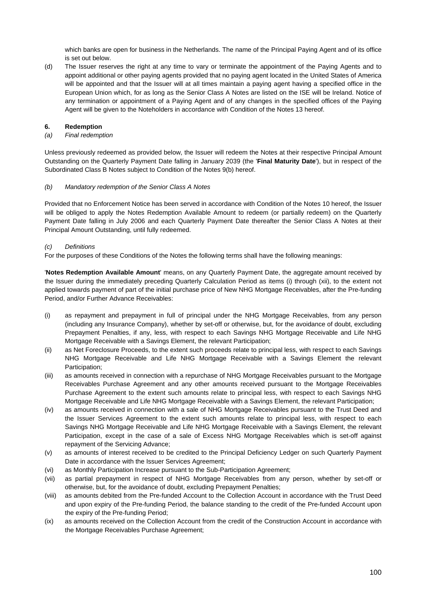which banks are open for business in the Netherlands. The name of the Principal Paying Agent and of its office is set out below.

(d) The Issuer reserves the right at any time to vary or terminate the appointment of the Paying Agents and to appoint additional or other paying agents provided that no paying agent located in the United States of America will be appointed and that the Issuer will at all times maintain a paying agent having a specified office in the European Union which, for as long as the Senior Class A Notes are listed on the ISE will be Ireland. Notice of any termination or appointment of a Paying Agent and of any changes in the specified offices of the Paying Agent will be given to the Noteholders in accordance with Condition of the Notes 13 hereof.

## **6. Redemption**

### *(a) Final redemption*

Unless previously redeemed as provided below, the Issuer will redeem the Notes at their respective Principal Amount Outstanding on the Quarterly Payment Date falling in January 2039 (the '**Final Maturity Date**'), but in respect of the Subordinated Class B Notes subject to Condition of the Notes 9(b) hereof.

### *(b) Mandatory redemption of the Senior Class A Notes*

Provided that no Enforcement Notice has been served in accordance with Condition of the Notes 10 hereof, the Issuer will be obliged to apply the Notes Redemption Available Amount to redeem (or partially redeem) on the Quarterly Payment Date falling in July 2006 and each Quarterly Payment Date thereafter the Senior Class A Notes at their Principal Amount Outstanding, until fully redeemed.

### *(c) Definitions*

For the purposes of these Conditions of the Notes the following terms shall have the following meanings:

'**Notes Redemption Available Amount**' means, on any Quarterly Payment Date, the aggregate amount received by the Issuer during the immediately preceding Quarterly Calculation Period as items (i) through (xii), to the extent not applied towards payment of part of the initial purchase price of New NHG Mortgage Receivables, after the Pre-funding Period, and/or Further Advance Receivables:

- (i) as repayment and prepayment in full of principal under the NHG Mortgage Receivables, from any person (including any Insurance Company), whether by set-off or otherwise, but, for the avoidance of doubt, excluding Prepayment Penalties, if any, less, with respect to each Savings NHG Mortgage Receivable and Life NHG Mortgage Receivable with a Savings Element, the relevant Participation;
- (ii) as Net Foreclosure Proceeds, to the extent such proceeds relate to principal less, with respect to each Savings NHG Mortgage Receivable and Life NHG Mortgage Receivable with a Savings Element the relevant Participation;
- (iii) as amounts received in connection with a repurchase of NHG Mortgage Receivables pursuant to the Mortgage Receivables Purchase Agreement and any other amounts received pursuant to the Mortgage Receivables Purchase Agreement to the extent such amounts relate to principal less, with respect to each Savings NHG Mortgage Receivable and Life NHG Mortgage Receivable with a Savings Element, the relevant Participation;
- (iv) as amounts received in connection with a sale of NHG Mortgage Receivables pursuant to the Trust Deed and the Issuer Services Agreement to the extent such amounts relate to principal less, with respect to each Savings NHG Mortgage Receivable and Life NHG Mortgage Receivable with a Savings Element, the relevant Participation, except in the case of a sale of Excess NHG Mortgage Receivables which is set-off against repayment of the Servicing Advance;
- (v) as amounts of interest received to be credited to the Principal Deficiency Ledger on such Quarterly Payment Date in accordance with the Issuer Services Agreement;
- (vi) as Monthly Participation Increase pursuant to the Sub-Participation Agreement;
- (vii) as partial prepayment in respect of NHG Mortgage Receivables from any person, whether by set-off or otherwise, but, for the avoidance of doubt, excluding Prepayment Penalties;
- (viii) as amounts debited from the Pre-funded Account to the Collection Account in accordance with the Trust Deed and upon expiry of the Pre-funding Period, the balance standing to the credit of the Pre-funded Account upon the expiry of the Pre-funding Period;
- (ix) as amounts received on the Collection Account from the credit of the Construction Account in accordance with the Mortgage Receivables Purchase Agreement;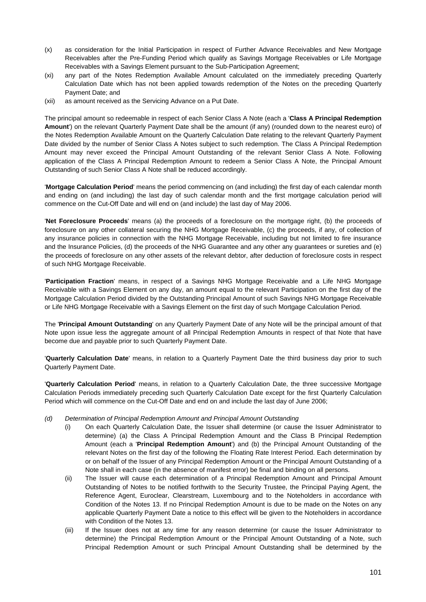- (x) as consideration for the Initial Participation in respect of Further Advance Receivables and New Mortgage Receivables after the Pre-Funding Period which qualify as Savings Mortgage Receivables or Life Mortgage Receivables with a Savings Element pursuant to the Sub-Participation Agreement;
- (xi) any part of the Notes Redemption Available Amount calculated on the immediately preceding Quarterly Calculation Date which has not been applied towards redemption of the Notes on the preceding Quarterly Payment Date; and
- (xii) as amount received as the Servicing Advance on a Put Date.

The principal amount so redeemable in respect of each Senior Class A Note (each a '**Class A Principal Redemption Amount**') on the relevant Quarterly Payment Date shall be the amount (if any) (rounded down to the nearest euro) of the Notes Redemption Available Amount on the Quarterly Calculation Date relating to the relevant Quarterly Payment Date divided by the number of Senior Class A Notes subject to such redemption. The Class A Principal Redemption Amount may never exceed the Principal Amount Outstanding of the relevant Senior Class A Note. Following application of the Class A Principal Redemption Amount to redeem a Senior Class A Note, the Principal Amount Outstanding of such Senior Class A Note shall be reduced accordingly.

'**Mortgage Calculation Period**' means the period commencing on (and including) the first day of each calendar month and ending on (and including) the last day of such calendar month and the first mortgage calculation period will commence on the Cut-Off Date and will end on (and include) the last day of May 2006.

'**Net Foreclosure Proceeds**' means (a) the proceeds of a foreclosure on the mortgage right, (b) the proceeds of foreclosure on any other collateral securing the NHG Mortgage Receivable, (c) the proceeds, if any, of collection of any insurance policies in connection with the NHG Mortgage Receivable, including but not limited to fire insurance and the Insurance Policies, (d) the proceeds of the NHG Guarantee and any other any guarantees or sureties and (e) the proceeds of foreclosure on any other assets of the relevant debtor, after deduction of foreclosure costs in respect of such NHG Mortgage Receivable.

'**Participation Fraction**' means, in respect of a Savings NHG Mortgage Receivable and a Life NHG Mortgage Receivable with a Savings Element on any day, an amount equal to the relevant Participation on the first day of the Mortgage Calculation Period divided by the Outstanding Principal Amount of such Savings NHG Mortgage Receivable or Life NHG Mortgage Receivable with a Savings Element on the first day of such Mortgage Calculation Period.

The '**Principal Amount Outstanding**' on any Quarterly Payment Date of any Note will be the principal amount of that Note upon issue less the aggregate amount of all Principal Redemption Amounts in respect of that Note that have become due and payable prior to such Quarterly Payment Date.

'**Quarterly Calculation Date**' means, in relation to a Quarterly Payment Date the third business day prior to such Quarterly Payment Date.

'**Quarterly Calculation Period**' means, in relation to a Quarterly Calculation Date, the three successive Mortgage Calculation Periods immediately preceding such Quarterly Calculation Date except for the first Quarterly Calculation Period which will commence on the Cut-Off Date and end on and include the last day of June 2006;

- *(d) Determination of Principal Redemption Amount and Principal Amount Outstanding* 
	- (i) On each Quarterly Calculation Date, the Issuer shall determine (or cause the Issuer Administrator to determine) (a) the Class A Principal Redemption Amount and the Class B Principal Redemption Amount (each a '**Principal Redemption Amount**') and (b) the Principal Amount Outstanding of the relevant Notes on the first day of the following the Floating Rate Interest Period. Each determination by or on behalf of the Issuer of any Principal Redemption Amount or the Principal Amount Outstanding of a Note shall in each case (in the absence of manifest error) be final and binding on all persons.
	- (ii) The Issuer will cause each determination of a Principal Redemption Amount and Principal Amount Outstanding of Notes to be notified forthwith to the Security Trustee, the Principal Paying Agent, the Reference Agent, Euroclear, Clearstream, Luxembourg and to the Noteholders in accordance with Condition of the Notes 13. If no Principal Redemption Amount is due to be made on the Notes on any applicable Quarterly Payment Date a notice to this effect will be given to the Noteholders in accordance with Condition of the Notes 13.
	- (iii) If the Issuer does not at any time for any reason determine (or cause the Issuer Administrator to determine) the Principal Redemption Amount or the Principal Amount Outstanding of a Note, such Principal Redemption Amount or such Principal Amount Outstanding shall be determined by the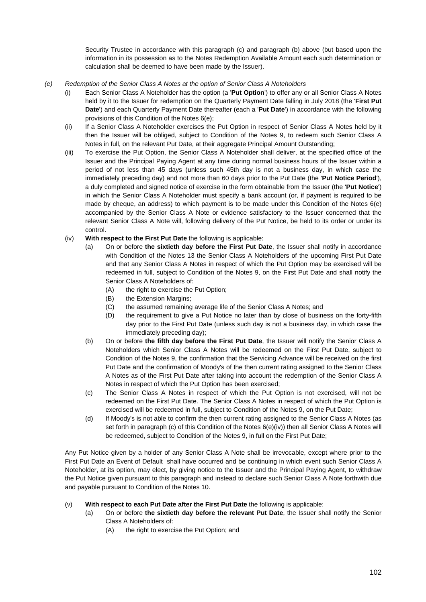Security Trustee in accordance with this paragraph (c) and paragraph (b) above (but based upon the information in its possession as to the Notes Redemption Available Amount each such determination or calculation shall be deemed to have been made by the Issuer).

- *(e) Redemption of the Senior Class A Notes at the option of Senior Class A Noteholders* 
	- (i) Each Senior Class A Noteholder has the option (a '**Put Option**') to offer any or all Senior Class A Notes held by it to the Issuer for redemption on the Quarterly Payment Date falling in July 2018 (the '**First Put Date**') and each Quarterly Payment Date thereafter (each a '**Put Date**') in accordance with the following provisions of this Condition of the Notes 6(e);
	- (ii) If a Senior Class A Noteholder exercises the Put Option in respect of Senior Class A Notes held by it then the Issuer will be obliged, subject to Condition of the Notes 9, to redeem such Senior Class A Notes in full, on the relevant Put Date, at their aggregate Principal Amount Outstanding;
	- (iii) To exercise the Put Option, the Senior Class A Noteholder shall deliver, at the specified office of the Issuer and the Principal Paying Agent at any time during normal business hours of the Issuer within a period of not less than 45 days (unless such 45th day is not a business day, in which case the immediately preceding day) and not more than 60 days prior to the Put Date (the '**Put Notice Period**'), a duly completed and signed notice of exercise in the form obtainable from the Issuer (the '**Put Notice**') in which the Senior Class A Noteholder must specify a bank account (or, if payment is required to be made by cheque, an address) to which payment is to be made under this Condition of the Notes 6(e) accompanied by the Senior Class A Note or evidence satisfactory to the Issuer concerned that the relevant Senior Class A Note will, following delivery of the Put Notice, be held to its order or under its control.
	- (iv) **With respect to the First Put Date** the following is applicable:
		- (a) On or before **the sixtieth day before the First Put Date**, the Issuer shall notify in accordance with Condition of the Notes 13 the Senior Class A Noteholders of the upcoming First Put Date and that any Senior Class A Notes in respect of which the Put Option may be exercised will be redeemed in full, subject to Condition of the Notes 9, on the First Put Date and shall notify the Senior Class A Noteholders of:
			- (A) the right to exercise the Put Option;
			- (B) the Extension Margins;
			- (C) the assumed remaining average life of the Senior Class A Notes; and
			- (D) the requirement to give a Put Notice no later than by close of business on the forty-fifth day prior to the First Put Date (unless such day is not a business day, in which case the immediately preceding day);
		- (b) On or before **the fifth day before the First Put Date**, the Issuer will notify the Senior Class A Noteholders which Senior Class A Notes will be redeemed on the First Put Date, subject to Condition of the Notes 9, the confirmation that the Servicing Advance will be received on the first Put Date and the confirmation of Moody's of the then current rating assigned to the Senior Class A Notes as of the First Put Date after taking into account the redemption of the Senior Class A Notes in respect of which the Put Option has been exercised;
		- (c) The Senior Class A Notes in respect of which the Put Option is not exercised, will not be redeemed on the First Put Date. The Senior Class A Notes in respect of which the Put Option is exercised will be redeemed in full, subject to Condition of the Notes 9, on the Put Date;
		- (d) If Moody's is not able to confirm the then current rating assigned to the Senior Class A Notes (as set forth in paragraph (c) of this Condition of the Notes 6(e)(iv)) then all Senior Class A Notes will be redeemed, subject to Condition of the Notes 9, in full on the First Put Date;

Any Put Notice given by a holder of any Senior Class A Note shall be irrevocable, except where prior to the First Put Date an Event of Default shall have occurred and be continuing in which event such Senior Class A Noteholder, at its option, may elect, by giving notice to the Issuer and the Principal Paying Agent, to withdraw the Put Notice given pursuant to this paragraph and instead to declare such Senior Class A Note forthwith due and payable pursuant to Condition of the Notes 10.

## (v) **With respect to each Put Date after the First Put Date** the following is applicable:

- (a) On or before **the sixtieth day before the relevant Put Date**, the Issuer shall notify the Senior Class A Noteholders of:
	- (A) the right to exercise the Put Option; and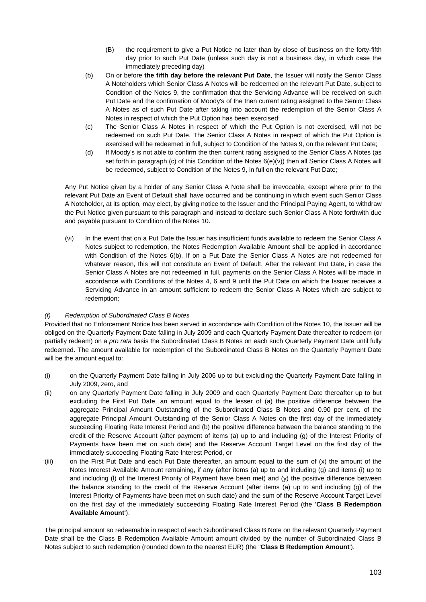- (B) the requirement to give a Put Notice no later than by close of business on the forty-fifth day prior to such Put Date (unless such day is not a business day, in which case the immediately preceding day)
- (b) On or before **the fifth day before the relevant Put Date**, the Issuer will notify the Senior Class A Noteholders which Senior Class A Notes will be redeemed on the relevant Put Date, subject to Condition of the Notes 9, the confirmation that the Servicing Advance will be received on such Put Date and the confirmation of Moody's of the then current rating assigned to the Senior Class A Notes as of such Put Date after taking into account the redemption of the Senior Class A Notes in respect of which the Put Option has been exercised;
- (c) The Senior Class A Notes in respect of which the Put Option is not exercised, will not be redeemed on such Put Date. The Senior Class A Notes in respect of which the Put Option is exercised will be redeemed in full, subject to Condition of the Notes 9, on the relevant Put Date;
- (d) If Moody's is not able to confirm the then current rating assigned to the Senior Class A Notes (as set forth in paragraph (c) of this Condition of the Notes 6(e)(v)) then all Senior Class A Notes will be redeemed, subject to Condition of the Notes 9, in full on the relevant Put Date;

Any Put Notice given by a holder of any Senior Class A Note shall be irrevocable, except where prior to the relevant Put Date an Event of Default shall have occurred and be continuing in which event such Senior Class A Noteholder, at its option, may elect, by giving notice to the Issuer and the Principal Paying Agent, to withdraw the Put Notice given pursuant to this paragraph and instead to declare such Senior Class A Note forthwith due and payable pursuant to Condition of the Notes 10.

(vi) In the event that on a Put Date the Issuer has insufficient funds available to redeem the Senior Class A Notes subject to redemption, the Notes Redemption Available Amount shall be applied in accordance with Condition of the Notes 6(b). If on a Put Date the Senior Class A Notes are not redeemed for whatever reason, this will not constitute an Event of Default. After the relevant Put Date, in case the Senior Class A Notes are not redeemed in full, payments on the Senior Class A Notes will be made in accordance with Conditions of the Notes 4, 6 and 9 until the Put Date on which the Issuer receives a Servicing Advance in an amount sufficient to redeem the Senior Class A Notes which are subject to redemption;

# *(f) Redemption of Subordinated Class B Notes*

Provided that no Enforcement Notice has been served in accordance with Condition of the Notes 10, the Issuer will be obliged on the Quarterly Payment Date falling in July 2009 and each Quarterly Payment Date thereafter to redeem (or partially redeem) on a *pro rata* basis the Subordinated Class B Notes on each such Quarterly Payment Date until fully redeemed. The amount available for redemption of the Subordinated Class B Notes on the Quarterly Payment Date will be the amount equal to:

- (i) on the Quarterly Payment Date falling in July 2006 up to but excluding the Quarterly Payment Date falling in July 2009, zero, and
- (ii) on any Quarterly Payment Date falling in July 2009 and each Quarterly Payment Date thereafter up to but excluding the First Put Date, an amount equal to the lesser of (a) the positive difference between the aggregate Principal Amount Outstanding of the Subordinated Class B Notes and 0.90 per cent. of the aggregate Principal Amount Outstanding of the Senior Class A Notes on the first day of the immediately succeeding Floating Rate Interest Period and (b) the positive difference between the balance standing to the credit of the Reserve Account (after payment of items (a) up to and including (g) of the Interest Priority of Payments have been met on such date) and the Reserve Account Target Level on the first day of the immediately succeeding Floating Rate Interest Period, or
- (iii) on the First Put Date and each Put Date thereafter, an amount equal to the sum of (x) the amount of the Notes Interest Available Amount remaining, if any (after items (a) up to and including (g) and items (i) up to and including (l) of the Interest Priority of Payment have been met) and (y) the positive difference between the balance standing to the credit of the Reserve Account (after items (a) up to and including (g) of the Interest Priority of Payments have been met on such date) and the sum of the Reserve Account Target Level on the first day of the immediately succeeding Floating Rate Interest Period (the '**Class B Redemption Available Amount'**).

The principal amount so redeemable in respect of each Subordinated Class B Note on the relevant Quarterly Payment Date shall be the Class B Redemption Available Amount amount divided by the number of Subordinated Class B Notes subject to such redemption (rounded down to the nearest EUR) (the "**Class B Redemption Amount**').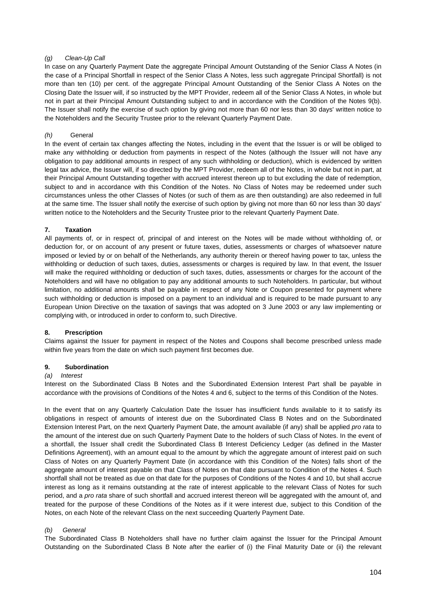### *(g) Clean-Up Call*

In case on any Quarterly Payment Date the aggregate Principal Amount Outstanding of the Senior Class A Notes (in the case of a Principal Shortfall in respect of the Senior Class A Notes, less such aggregate Principal Shortfall) is not more than ten (10) per cent. of the aggregate Principal Amount Outstanding of the Senior Class A Notes on the Closing Date the Issuer will, if so instructed by the MPT Provider, redeem all of the Senior Class A Notes, in whole but not in part at their Principal Amount Outstanding subject to and in accordance with the Condition of the Notes 9(b). The Issuer shall notify the exercise of such option by giving not more than 60 nor less than 30 days' written notice to the Noteholders and the Security Trustee prior to the relevant Quarterly Payment Date.

## *(h)* General

In the event of certain tax changes affecting the Notes, including in the event that the Issuer is or will be obliged to make any withholding or deduction from payments in respect of the Notes (although the Issuer will not have any obligation to pay additional amounts in respect of any such withholding or deduction), which is evidenced by written legal tax advice, the Issuer will, if so directed by the MPT Provider, redeem all of the Notes, in whole but not in part, at their Principal Amount Outstanding together with accrued interest thereon up to but excluding the date of redemption, subject to and in accordance with this Condition of the Notes. No Class of Notes may be redeemed under such circumstances unless the other Classes of Notes (or such of them as are then outstanding) are also redeemed in full at the same time. The Issuer shall notify the exercise of such option by giving not more than 60 nor less than 30 days' written notice to the Noteholders and the Security Trustee prior to the relevant Quarterly Payment Date.

### **7. Taxation**

All payments of, or in respect of, principal of and interest on the Notes will be made without withholding of, or deduction for, or on account of any present or future taxes, duties, assessments or charges of whatsoever nature imposed or levied by or on behalf of the Netherlands, any authority therein or thereof having power to tax, unless the withholding or deduction of such taxes, duties, assessments or charges is required by law. In that event, the Issuer will make the required withholding or deduction of such taxes, duties, assessments or charges for the account of the Noteholders and will have no obligation to pay any additional amounts to such Noteholders. In particular, but without limitation, no additional amounts shall be payable in respect of any Note or Coupon presented for payment where such withholding or deduction is imposed on a payment to an individual and is required to be made pursuant to any European Union Directive on the taxation of savings that was adopted on 3 June 2003 or any law implementing or complying with, or introduced in order to conform to, such Directive.

## **8. Prescription**

Claims against the Issuer for payment in respect of the Notes and Coupons shall become prescribed unless made within five years from the date on which such payment first becomes due.

#### **9. Subordination**

#### *(a) Interest*

Interest on the Subordinated Class B Notes and the Subordinated Extension Interest Part shall be payable in accordance with the provisions of Conditions of the Notes 4 and 6, subject to the terms of this Condition of the Notes.

In the event that on any Quarterly Calculation Date the Issuer has insufficient funds available to it to satisfy its obligations in respect of amounts of interest due on the Subordinated Class B Notes and on the Subordinated Extension Interest Part, on the next Quarterly Payment Date, the amount available (if any) shall be applied *pro rata* to the amount of the interest due on such Quarterly Payment Date to the holders of such Class of Notes. In the event of a shortfall, the Issuer shall credit the Subordinated Class B Interest Deficiency Ledger (as defined in the Master Definitions Agreement), with an amount equal to the amount by which the aggregate amount of interest paid on such Class of Notes on any Quarterly Payment Date (in accordance with this Condition of the Notes) falls short of the aggregate amount of interest payable on that Class of Notes on that date pursuant to Condition of the Notes 4. Such shortfall shall not be treated as due on that date for the purposes of Conditions of the Notes 4 and 10, but shall accrue interest as long as it remains outstanding at the rate of interest applicable to the relevant Class of Notes for such period, and a *pro rata* share of such shortfall and accrued interest thereon will be aggregated with the amount of, and treated for the purpose of these Conditions of the Notes as if it were interest due, subject to this Condition of the Notes, on each Note of the relevant Class on the next succeeding Quarterly Payment Date.

#### *(b) General*

The Subordinated Class B Noteholders shall have no further claim against the Issuer for the Principal Amount Outstanding on the Subordinated Class B Note after the earlier of (i) the Final Maturity Date or (ii) the relevant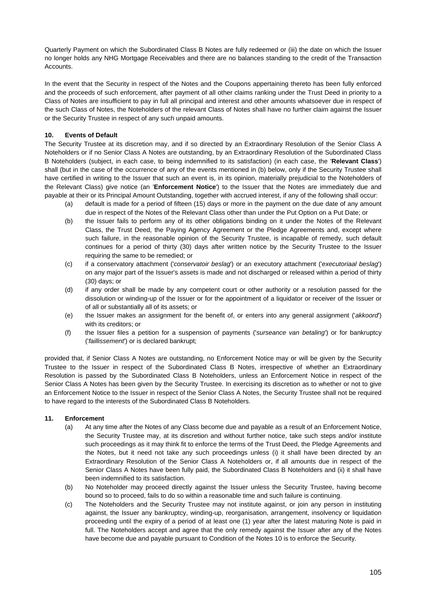Quarterly Payment on which the Subordinated Class B Notes are fully redeemed or (iii) the date on which the Issuer no longer holds any NHG Mortgage Receivables and there are no balances standing to the credit of the Transaction Accounts.

In the event that the Security in respect of the Notes and the Coupons appertaining thereto has been fully enforced and the proceeds of such enforcement, after payment of all other claims ranking under the Trust Deed in priority to a Class of Notes are insufficient to pay in full all principal and interest and other amounts whatsoever due in respect of the such Class of Notes, the Noteholders of the relevant Class of Notes shall have no further claim against the Issuer or the Security Trustee in respect of any such unpaid amounts.

# **10. Events of Default**

The Security Trustee at its discretion may, and if so directed by an Extraordinary Resolution of the Senior Class A Noteholders or if no Senior Class A Notes are outstanding, by an Extraordinary Resolution of the Subordinated Class B Noteholders (subject, in each case, to being indemnified to its satisfaction) (in each case, the '**Relevant Class**') shall (but in the case of the occurrence of any of the events mentioned in (b) below, only if the Security Trustee shall have certified in writing to the Issuer that such an event is, in its opinion, materially prejudicial to the Noteholders of the Relevant Class) give notice (an '**Enforcement Notice**') to the Issuer that the Notes are immediately due and payable at their or its Principal Amount Outstanding, together with accrued interest, if any of the following shall occur:

- (a) default is made for a period of fifteen (15) days or more in the payment on the due date of any amount due in respect of the Notes of the Relevant Class other than under the Put Option on a Put Date; or
- (b) the Issuer fails to perform any of its other obligations binding on it under the Notes of the Relevant Class, the Trust Deed, the Paying Agency Agreement or the Pledge Agreements and, except where such failure, in the reasonable opinion of the Security Trustee, is incapable of remedy, such default continues for a period of thirty (30) days after written notice by the Security Trustee to the Issuer requiring the same to be remedied; or
- (c) if a conservatory attachment ('*conservatoir beslag*') or an executory attachment ('*executoriaal beslag*') on any major part of the Issuer's assets is made and not discharged or released within a period of thirty (30) days; or
- (d) if any order shall be made by any competent court or other authority or a resolution passed for the dissolution or winding-up of the Issuer or for the appointment of a liquidator or receiver of the Issuer or of all or substantially all of its assets; or
- (e) the Issuer makes an assignment for the benefit of, or enters into any general assignment ('*akkoord*') with its creditors; or
- (f) the Issuer files a petition for a suspension of payments ('*surseance van betaling*') or for bankruptcy ('*faillissement*') or is declared bankrupt;

provided that, if Senior Class A Notes are outstanding, no Enforcement Notice may or will be given by the Security Trustee to the Issuer in respect of the Subordinated Class B Notes, irrespective of whether an Extraordinary Resolution is passed by the Subordinated Class B Noteholders, unless an Enforcement Notice in respect of the Senior Class A Notes has been given by the Security Trustee. In exercising its discretion as to whether or not to give an Enforcement Notice to the Issuer in respect of the Senior Class A Notes, the Security Trustee shall not be required to have regard to the interests of the Subordinated Class B Noteholders.

## **11. Enforcement**

- (a) At any time after the Notes of any Class become due and payable as a result of an Enforcement Notice, the Security Trustee may, at its discretion and without further notice, take such steps and/or institute such proceedings as it may think fit to enforce the terms of the Trust Deed, the Pledge Agreements and the Notes, but it need not take any such proceedings unless (i) it shall have been directed by an Extraordinary Resolution of the Senior Class A Noteholders or, if all amounts due in respect of the Senior Class A Notes have been fully paid, the Subordinated Class B Noteholders and (ii) it shall have been indemnified to its satisfaction.
- (b) No Noteholder may proceed directly against the Issuer unless the Security Trustee, having become bound so to proceed, fails to do so within a reasonable time and such failure is continuing.
- (c) The Noteholders and the Security Trustee may not institute against, or join any person in instituting against, the Issuer any bankruptcy, winding-up, reorganisation, arrangement, insolvency or liquidation proceeding until the expiry of a period of at least one (1) year after the latest maturing Note is paid in full. The Noteholders accept and agree that the only remedy against the Issuer after any of the Notes have become due and payable pursuant to Condition of the Notes 10 is to enforce the Security.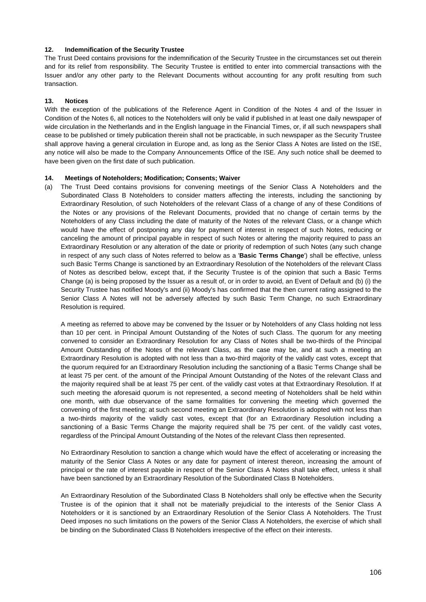### **12. Indemnification of the Security Trustee**

The Trust Deed contains provisions for the indemnification of the Security Trustee in the circumstances set out therein and for its relief from responsibility. The Security Trustee is entitled to enter into commercial transactions with the Issuer and/or any other party to the Relevant Documents without accounting for any profit resulting from such transaction.

### **13. Notices**

With the exception of the publications of the Reference Agent in Condition of the Notes 4 and of the Issuer in Condition of the Notes 6, all notices to the Noteholders will only be valid if published in at least one daily newspaper of wide circulation in the Netherlands and in the English language in the Financial Times, or, if all such newspapers shall cease to be published or timely publication therein shall not be practicable, in such newspaper as the Security Trustee shall approve having a general circulation in Europe and, as long as the Senior Class A Notes are listed on the ISE, any notice will also be made to the Company Announcements Office of the ISE. Any such notice shall be deemed to have been given on the first date of such publication.

### **14. Meetings of Noteholders; Modification; Consents; Waiver**

(a) The Trust Deed contains provisions for convening meetings of the Senior Class A Noteholders and the Subordinated Class B Noteholders to consider matters affecting the interests, including the sanctioning by Extraordinary Resolution, of such Noteholders of the relevant Class of a change of any of these Conditions of the Notes or any provisions of the Relevant Documents, provided that no change of certain terms by the Noteholders of any Class including the date of maturity of the Notes of the relevant Class, or a change which would have the effect of postponing any day for payment of interest in respect of such Notes, reducing or canceling the amount of principal payable in respect of such Notes or altering the majority required to pass an Extraordinary Resolution or any alteration of the date or priority of redemption of such Notes (any such change in respect of any such class of Notes referred to below as a '**Basic Terms Change**') shall be effective, unless such Basic Terms Change is sanctioned by an Extraordinary Resolution of the Noteholders of the relevant Class of Notes as described below, except that, if the Security Trustee is of the opinion that such a Basic Terms Change (a) is being proposed by the Issuer as a result of, or in order to avoid, an Event of Default and (b) (i) the Security Trustee has notified Moody's and (ii) Moody's has confirmed that the then current rating assigned to the Senior Class A Notes will not be adversely affected by such Basic Term Change, no such Extraordinary Resolution is required.

 A meeting as referred to above may be convened by the Issuer or by Noteholders of any Class holding not less than 10 per cent. in Principal Amount Outstanding of the Notes of such Class. The quorum for any meeting convened to consider an Extraordinary Resolution for any Class of Notes shall be two-thirds of the Principal Amount Outstanding of the Notes of the relevant Class, as the case may be, and at such a meeting an Extraordinary Resolution is adopted with not less than a two-third majority of the validly cast votes, except that the quorum required for an Extraordinary Resolution including the sanctioning of a Basic Terms Change shall be at least 75 per cent. of the amount of the Principal Amount Outstanding of the Notes of the relevant Class and the majority required shall be at least 75 per cent. of the validly cast votes at that Extraordinary Resolution. If at such meeting the aforesaid quorum is not represented, a second meeting of Noteholders shall be held within one month, with due observance of the same formalities for convening the meeting which governed the convening of the first meeting; at such second meeting an Extraordinary Resolution is adopted with not less than a two-thirds majority of the validly cast votes, except that (for an Extraordinary Resolution including a sanctioning of a Basic Terms Change the majority required shall be 75 per cent. of the validly cast votes, regardless of the Principal Amount Outstanding of the Notes of the relevant Class then represented.

No Extraordinary Resolution to sanction a change which would have the effect of accelerating or increasing the maturity of the Senior Class A Notes or any date for payment of interest thereon, increasing the amount of principal or the rate of interest payable in respect of the Senior Class A Notes shall take effect, unless it shall have been sanctioned by an Extraordinary Resolution of the Subordinated Class B Noteholders.

An Extraordinary Resolution of the Subordinated Class B Noteholders shall only be effective when the Security Trustee is of the opinion that it shall not be materially prejudicial to the interests of the Senior Class A Noteholders or it is sanctioned by an Extraordinary Resolution of the Senior Class A Noteholders. The Trust Deed imposes no such limitations on the powers of the Senior Class A Noteholders, the exercise of which shall be binding on the Subordinated Class B Noteholders irrespective of the effect on their interests.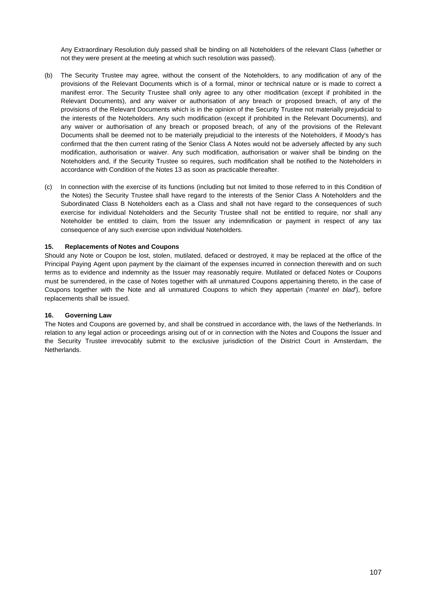Any Extraordinary Resolution duly passed shall be binding on all Noteholders of the relevant Class (whether or not they were present at the meeting at which such resolution was passed).

- (b) The Security Trustee may agree, without the consent of the Noteholders, to any modification of any of the provisions of the Relevant Documents which is of a formal, minor or technical nature or is made to correct a manifest error. The Security Trustee shall only agree to any other modification (except if prohibited in the Relevant Documents), and any waiver or authorisation of any breach or proposed breach, of any of the provisions of the Relevant Documents which is in the opinion of the Security Trustee not materially prejudicial to the interests of the Noteholders. Any such modification (except if prohibited in the Relevant Documents), and any waiver or authorisation of any breach or proposed breach, of any of the provisions of the Relevant Documents shall be deemed not to be materially prejudicial to the interests of the Noteholders, if Moody's has confirmed that the then current rating of the Senior Class A Notes would not be adversely affected by any such modification, authorisation or waiver. Any such modification, authorisation or waiver shall be binding on the Noteholders and, if the Security Trustee so requires, such modification shall be notified to the Noteholders in accordance with Condition of the Notes 13 as soon as practicable thereafter.
- (c) In connection with the exercise of its functions (including but not limited to those referred to in this Condition of the Notes) the Security Trustee shall have regard to the interests of the Senior Class A Noteholders and the Subordinated Class B Noteholders each as a Class and shall not have regard to the consequences of such exercise for individual Noteholders and the Security Trustee shall not be entitled to require, nor shall any Noteholder be entitled to claim, from the Issuer any indemnification or payment in respect of any tax consequence of any such exercise upon individual Noteholders.

### **15. Replacements of Notes and Coupons**

Should any Note or Coupon be lost, stolen, mutilated, defaced or destroyed, it may be replaced at the office of the Principal Paying Agent upon payment by the claimant of the expenses incurred in connection therewith and on such terms as to evidence and indemnity as the Issuer may reasonably require. Mutilated or defaced Notes or Coupons must be surrendered, in the case of Notes together with all unmatured Coupons appertaining thereto, in the case of Coupons together with the Note and all unmatured Coupons to which they appertain ('*mantel en blad*'), before replacements shall be issued.

## **16. Governing Law**

The Notes and Coupons are governed by, and shall be construed in accordance with, the laws of the Netherlands. In relation to any legal action or proceedings arising out of or in connection with the Notes and Coupons the Issuer and the Security Trustee irrevocably submit to the exclusive jurisdiction of the District Court in Amsterdam, the **Netherlands**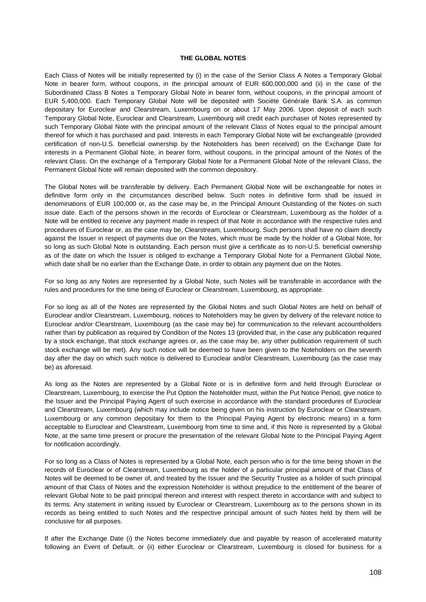### **THE GLOBAL NOTES**

Each Class of Notes will be initially represented by (i) in the case of the Senior Class A Notes a Temporary Global Note in bearer form, without coupons, in the principal amount of EUR 600,000,000 and (ii) in the case of the Subordinated Class B Notes a Temporary Global Note in bearer form, without coupons, in the principal amount of EUR 5,400,000. Each Temporary Global Note will be deposited with Sociëte Générale Bank S.A. as common depositary for Euroclear and Clearstream, Luxembourg on or about 17 May 2006. Upon deposit of each such Temporary Global Note, Euroclear and Clearstream, Luxembourg will credit each purchaser of Notes represented by such Temporary Global Note with the principal amount of the relevant Class of Notes equal to the principal amount thereof for which it has purchased and paid. Interests in each Temporary Global Note will be exchangeable (provided certification of non-U.S. beneficial ownership by the Noteholders has been received) on the Exchange Date for interests in a Permanent Global Note, in bearer form, without coupons, in the principal amount of the Notes of the relevant Class. On the exchange of a Temporary Global Note for a Permanent Global Note of the relevant Class, the Permanent Global Note will remain deposited with the common depository.

The Global Notes will be transferable by delivery. Each Permanent Global Note will be exchangeable for notes in definitive form only in the circumstances described below. Such notes in definitive form shall be issued in denominations of EUR 100,000 or, as the case may be, in the Principal Amount Outstanding of the Notes on such issue date. Each of the persons shown in the records of Euroclear or Clearstream, Luxembourg as the holder of a Note will be entitled to receive any payment made in respect of that Note in accordance with the respective rules and procedures of Euroclear or, as the case may be, Clearstream, Luxembourg. Such persons shall have no claim directly against the Issuer in respect of payments due on the Notes, which must be made by the holder of a Global Note, for so long as such Global Note is outstanding. Each person must give a certificate as to non-U.S. beneficial ownership as of the date on which the Issuer is obliged to exchange a Temporary Global Note for a Permanent Global Note, which date shall be no earlier than the Exchange Date, in order to obtain any payment due on the Notes.

For so long as any Notes are represented by a Global Note, such Notes will be transferable in accordance with the rules and procedures for the time being of Euroclear or Clearstream, Luxembourg, as appropriate.

For so long as all of the Notes are represented by the Global Notes and such Global Notes are held on behalf of Euroclear and/or Clearstream, Luxembourg, notices to Noteholders may be given by delivery of the relevant notice to Euroclear and/or Clearstream, Luxembourg (as the case may be) for communication to the relevant accountholders rather than by publication as required by Condition of the Notes 13 (provided that, in the case any publication required by a stock exchange, that stock exchange agrees or, as the case may be, any other publication requirement of such stock exchange will be met). Any such notice will be deemed to have been given to the Noteholders on the seventh day after the day on which such notice is delivered to Euroclear and/or Clearstream, Luxembourg (as the case may be) as aforesaid.

As long as the Notes are represented by a Global Note or is in definitive form and held through Euroclear or Clearstream, Luxembourg, to exercise the Put Option the Noteholder must, within the Put Notice Period, give notice to the Issuer and the Principal Paying Agent of such exercise in accordance with the standard procedures of Euroclear and Clearstream, Luxembourg (which may include notice being given on his instruction by Euroclear or Clearstream, Luxembourg or any common depositary for them to the Principal Paying Agent by electronic means) in a form acceptable to Euroclear and Clearstream, Luxembourg from time to time and, if this Note is represented by a Global Note, at the same time present or procure the presentation of the relevant Global Note to the Principal Paying Agent for notification accordingly.

For so long as a Class of Notes is represented by a Global Note, each person who is for the time being shown in the records of Euroclear or of Clearstream, Luxembourg as the holder of a particular principal amount of that Class of Notes will be deemed to be owner of, and treated by the Issuer and the Security Trustee as a holder of such principal amount of that Class of Notes and the expression Noteholder is without prejudice to the entitlement of the bearer of relevant Global Note to be paid principal thereon and interest with respect thereto in accordance with and subject to its terms. Any statement in writing issued by Euroclear or Clearstream, Luxembourg as to the persons shown in its records as being entitled to such Notes and the respective principal amount of such Notes held by them will be conclusive for all purposes.

If after the Exchange Date (i) the Notes become immediately due and payable by reason of accelerated maturity following an Event of Default, or (ii) either Euroclear or Clearstream, Luxembourg is closed for business for a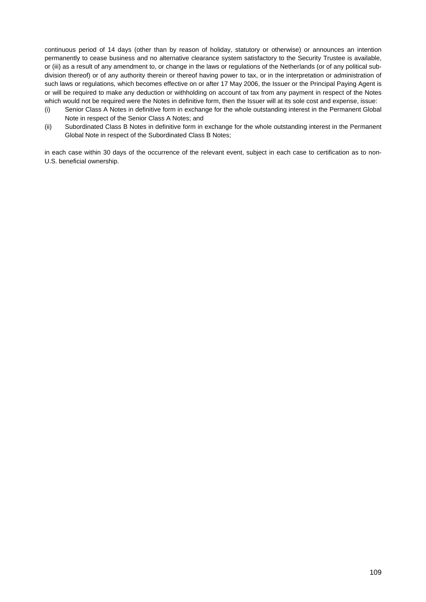continuous period of 14 days (other than by reason of holiday, statutory or otherwise) or announces an intention permanently to cease business and no alternative clearance system satisfactory to the Security Trustee is available, or (iii) as a result of any amendment to, or change in the laws or regulations of the Netherlands (or of any political subdivision thereof) or of any authority therein or thereof having power to tax, or in the interpretation or administration of such laws or regulations, which becomes effective on or after 17 May 2006, the Issuer or the Principal Paying Agent is or will be required to make any deduction or withholding on account of tax from any payment in respect of the Notes which would not be required were the Notes in definitive form, then the Issuer will at its sole cost and expense, issue:

- (i) Senior Class A Notes in definitive form in exchange for the whole outstanding interest in the Permanent Global Note in respect of the Senior Class A Notes; and
- (ii) Subordinated Class B Notes in definitive form in exchange for the whole outstanding interest in the Permanent Global Note in respect of the Subordinated Class B Notes;

in each case within 30 days of the occurrence of the relevant event, subject in each case to certification as to non-U.S. beneficial ownership.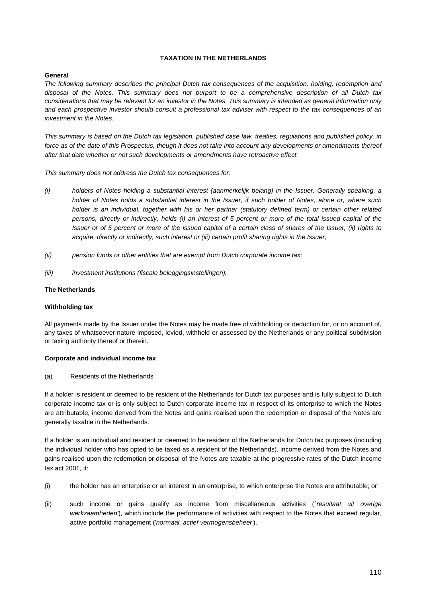### **TAXATION IN THE NETHERLANDS**

### **General**

*The following summary describes the principal Dutch tax consequences of the acquisition, holding, redemption and disposal of the Notes. This summary does not purport to be a comprehensive description of all Dutch tax considerations that may be relevant for an investor in the Notes. This summary is intended as general information only and each prospective investor should consult a professional tax adviser with respect to the tax consequences of an investment in the Notes.* 

*This summary is based on the Dutch tax legislation, published case law, treaties, regulations and published policy, in*  force as of the date of this Prospectus, though it does not take into account any developments or amendments thereof *after that date whether or not such developments or amendments have retroactive effect.* 

*This summary does not address the Dutch tax consequences for:* 

- *(i) holders of Notes holding a substantial interest (aanmerkelijk belang) in the Issuer. Generally speaking, a holder of Notes holds a substantial interest in the Issuer, if such holder of Notes, alone or, where such holder is an individual, together with his or her partner (statutory defined term) or certain other related persons, directly or indirectly, holds (i) an interest of 5 percent or more of the total issued capital of the Issuer or of 5 percent or more of the issued capital of a certain class of shares of the Issuer, (ii) rights to acquire, directly or indirectly, such interest or (iii) certain profit sharing rights in the Issuer;*
- *(ii) pension funds or other entities that are exempt from Dutch corporate income tax;*
- *(iii) investment institutions (fiscale beleggingsinstellingen).*

# **The Netherlands**

#### **Withholding tax**

All payments made by the Issuer under the Notes may be made free of withholding or deduction for, or on account of, any taxes of whatsoever nature imposed, levied, withheld or assessed by the Netherlands or any political subdivision or taxing authority thereof or therein.

#### **Corporate and individual income tax**

(a) Residents of the Netherlands

If a holder is resident or deemed to be resident of the Netherlands for Dutch tax purposes and is fully subject to Dutch corporate income tax or is only subject to Dutch corporate income tax in respect of its enterprise to which the Notes are attributable, income derived from the Notes and gains realised upon the redemption or disposal of the Notes are generally taxable in the Netherlands.

If a holder is an individual and resident or deemed to be resident of the Netherlands for Dutch tax purposes (including the individual holder who has opted to be taxed as a resident of the Netherlands), income derived from the Notes and gains realised upon the redemption or disposal of the Notes are taxable at the progressive rates of the Dutch income tax act 2001, if:

- (i) the holder has an enterprise or an interest in an enterprise, to which enterprise the Notes are attributable; or
- (ii) such income or gains qualify as income from miscellaneous activities (´*resultaat uit overige werkzaamheden'*), which include the performance of activities with respect to the Notes that exceed regular, active portfolio management ('*normaal, actief vermogensbeheer'*).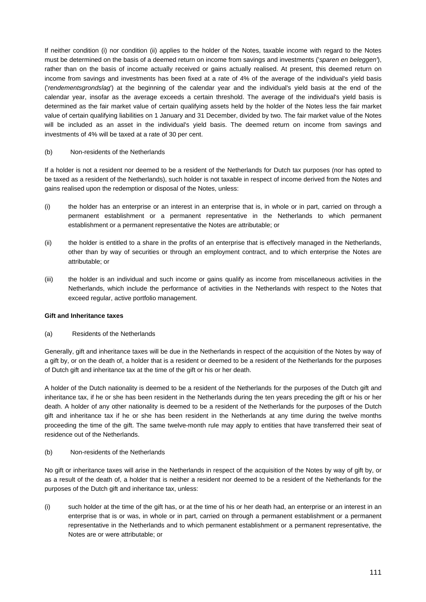If neither condition (i) nor condition (ii) applies to the holder of the Notes, taxable income with regard to the Notes must be determined on the basis of a deemed return on income from savings and investments ('*sparen en beleggen'*), rather than on the basis of income actually received or gains actually realised. At present, this deemed return on income from savings and investments has been fixed at a rate of 4% of the average of the individual's yield basis ('*rendementsgrondslag*') at the beginning of the calendar year and the individual's yield basis at the end of the calendar year, insofar as the average exceeds a certain threshold. The average of the individual's yield basis is determined as the fair market value of certain qualifying assets held by the holder of the Notes less the fair market value of certain qualifying liabilities on 1 January and 31 December, divided by two. The fair market value of the Notes will be included as an asset in the individual's yield basis. The deemed return on income from savings and investments of 4% will be taxed at a rate of 30 per cent.

### (b) Non-residents of the Netherlands

If a holder is not a resident nor deemed to be a resident of the Netherlands for Dutch tax purposes (nor has opted to be taxed as a resident of the Netherlands), such holder is not taxable in respect of income derived from the Notes and gains realised upon the redemption or disposal of the Notes, unless:

- (i) the holder has an enterprise or an interest in an enterprise that is, in whole or in part, carried on through a permanent establishment or a permanent representative in the Netherlands to which permanent establishment or a permanent representative the Notes are attributable; or
- (ii) the holder is entitled to a share in the profits of an enterprise that is effectively managed in the Netherlands, other than by way of securities or through an employment contract, and to which enterprise the Notes are attributable; or
- (iii) the holder is an individual and such income or gains qualify as income from miscellaneous activities in the Netherlands, which include the performance of activities in the Netherlands with respect to the Notes that exceed regular, active portfolio management.

# **Gift and Inheritance taxes**

(a) Residents of the Netherlands

Generally, gift and inheritance taxes will be due in the Netherlands in respect of the acquisition of the Notes by way of a gift by, or on the death of, a holder that is a resident or deemed to be a resident of the Netherlands for the purposes of Dutch gift and inheritance tax at the time of the gift or his or her death.

A holder of the Dutch nationality is deemed to be a resident of the Netherlands for the purposes of the Dutch gift and inheritance tax, if he or she has been resident in the Netherlands during the ten years preceding the gift or his or her death. A holder of any other nationality is deemed to be a resident of the Netherlands for the purposes of the Dutch gift and inheritance tax if he or she has been resident in the Netherlands at any time during the twelve months proceeding the time of the gift. The same twelve-month rule may apply to entities that have transferred their seat of residence out of the Netherlands.

(b) Non-residents of the Netherlands

No gift or inheritance taxes will arise in the Netherlands in respect of the acquisition of the Notes by way of gift by, or as a result of the death of, a holder that is neither a resident nor deemed to be a resident of the Netherlands for the purposes of the Dutch gift and inheritance tax, unless:

(i) such holder at the time of the gift has, or at the time of his or her death had, an enterprise or an interest in an enterprise that is or was, in whole or in part, carried on through a permanent establishment or a permanent representative in the Netherlands and to which permanent establishment or a permanent representative, the Notes are or were attributable; or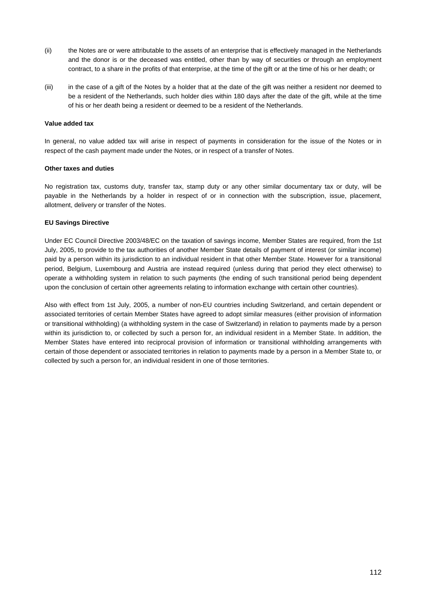- (ii) the Notes are or were attributable to the assets of an enterprise that is effectively managed in the Netherlands and the donor is or the deceased was entitled, other than by way of securities or through an employment contract, to a share in the profits of that enterprise, at the time of the gift or at the time of his or her death; or
- (iii) in the case of a gift of the Notes by a holder that at the date of the gift was neither a resident nor deemed to be a resident of the Netherlands, such holder dies within 180 days after the date of the gift, while at the time of his or her death being a resident or deemed to be a resident of the Netherlands.

### **Value added tax**

In general, no value added tax will arise in respect of payments in consideration for the issue of the Notes or in respect of the cash payment made under the Notes, or in respect of a transfer of Notes.

### **Other taxes and duties**

No registration tax, customs duty, transfer tax, stamp duty or any other similar documentary tax or duty, will be payable in the Netherlands by a holder in respect of or in connection with the subscription, issue, placement, allotment, delivery or transfer of the Notes.

# **EU Savings Directive**

Under EC Council Directive 2003/48/EC on the taxation of savings income, Member States are required, from the 1st July, 2005, to provide to the tax authorities of another Member State details of payment of interest (or similar income) paid by a person within its jurisdiction to an individual resident in that other Member State. However for a transitional period, Belgium, Luxembourg and Austria are instead required (unless during that period they elect otherwise) to operate a withholding system in relation to such payments (the ending of such transitional period being dependent upon the conclusion of certain other agreements relating to information exchange with certain other countries).

Also with effect from 1st July, 2005, a number of non-EU countries including Switzerland, and certain dependent or associated territories of certain Member States have agreed to adopt similar measures (either provision of information or transitional withholding) (a withholding system in the case of Switzerland) in relation to payments made by a person within its jurisdiction to, or collected by such a person for, an individual resident in a Member State. In addition, the Member States have entered into reciprocal provision of information or transitional withholding arrangements with certain of those dependent or associated territories in relation to payments made by a person in a Member State to, or collected by such a person for, an individual resident in one of those territories.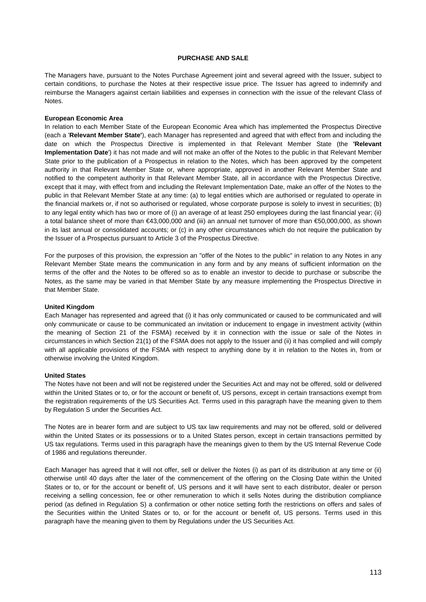#### **PURCHASE AND SALE**

The Managers have, pursuant to the Notes Purchase Agreement joint and several agreed with the Issuer, subject to certain conditions, to purchase the Notes at their respective issue price. The Issuer has agreed to indemnify and reimburse the Managers against certain liabilities and expenses in connection with the issue of the relevant Class of Notes.

#### **European Economic Area**

In relation to each Member State of the European Economic Area which has implemented the Prospectus Directive (each a '**Relevant Member State'**), each Manager has represented and agreed that with effect from and including the date on which the Prospectus Directive is implemented in that Relevant Member State (the **'Relevant Implementation Date**') it has not made and will not make an offer of the Notes to the public in that Relevant Member State prior to the publication of a Prospectus in relation to the Notes, which has been approved by the competent authority in that Relevant Member State or, where appropriate, approved in another Relevant Member State and notified to the competent authority in that Relevant Member State, all in accordance with the Prospectus Directive, except that it may, with effect from and including the Relevant Implementation Date, make an offer of the Notes to the public in that Relevant Member State at any time: (a) to legal entities which are authorised or regulated to operate in the financial markets or, if not so authorised or regulated, whose corporate purpose is solely to invest in securities; (b) to any legal entity which has two or more of (i) an average of at least 250 employees during the last financial year; (ii) a total balance sheet of more than €43,000,000 and (iii) an annual net turnover of more than €50,000,000, as shown in its last annual or consolidated accounts; or (c) in any other circumstances which do not require the publication by the Issuer of a Prospectus pursuant to Article 3 of the Prospectus Directive.

For the purposes of this provision, the expression an "offer of the Notes to the public" in relation to any Notes in any Relevant Member State means the communication in any form and by any means of sufficient information on the terms of the offer and the Notes to be offered so as to enable an investor to decide to purchase or subscribe the Notes, as the same may be varied in that Member State by any measure implementing the Prospectus Directive in that Member State.

#### **United Kingdom**

Each Manager has represented and agreed that (i) it has only communicated or caused to be communicated and will only communicate or cause to be communicated an invitation or inducement to engage in investment activity (within the meaning of Section 21 of the FSMA) received by it in connection with the issue or sale of the Notes in circumstances in which Section 21(1) of the FSMA does not apply to the Issuer and (ii) it has complied and will comply with all applicable provisions of the FSMA with respect to anything done by it in relation to the Notes in, from or otherwise involving the United Kingdom.

#### **United States**

The Notes have not been and will not be registered under the Securities Act and may not be offered, sold or delivered within the United States or to, or for the account or benefit of, US persons, except in certain transactions exempt from the registration requirements of the US Securities Act. Terms used in this paragraph have the meaning given to them by Regulation S under the Securities Act.

The Notes are in bearer form and are subject to US tax law requirements and may not be offered, sold or delivered within the United States or its possessions or to a United States person, except in certain transactions permitted by US tax regulations. Terms used in this paragraph have the meanings given to them by the US Internal Revenue Code of 1986 and regulations thereunder.

Each Manager has agreed that it will not offer, sell or deliver the Notes (i) as part of its distribution at any time or (ii) otherwise until 40 days after the later of the commencement of the offering on the Closing Date within the United States or to, or for the account or benefit of, US persons and it will have sent to each distributor, dealer or person receiving a selling concession, fee or other remuneration to which it sells Notes during the distribution compliance period (as defined in Regulation S) a confirmation or other notice setting forth the restrictions on offers and sales of the Securities within the United States or to, or for the account or benefit of, US persons. Terms used in this paragraph have the meaning given to them by Regulations under the US Securities Act.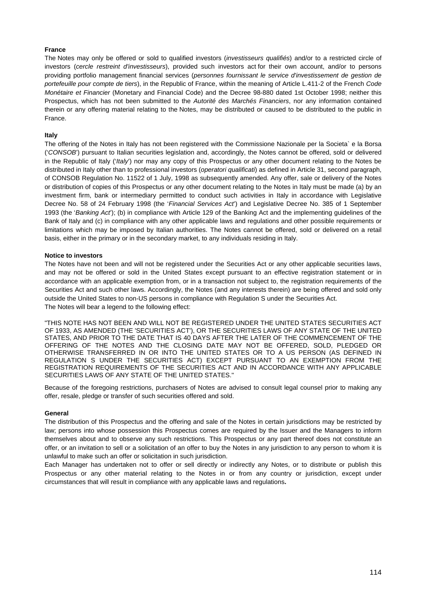# **France**

The Notes may only be offered or sold to qualified investors (*investisseurs qualifiés*) and/or to a restricted circle of investors (*cercle restreint d'investisseurs*), provided such investors act for their own account, and/or to persons providing portfolio management financial services (*personnes fournissant le service d'investissement de gestion de portefeuille pour compte de tiers*), in the Republic of France, within the meaning of Article L.411-2 of the French *Code Monétaire et Financier* (Monetary and Financial Code) and the Decree 98-880 dated 1st October 1998; neither this Prospectus, which has not been submitted to the *Autorité des Marchés Financiers*, nor any information contained therein or any offering material relating to the Notes, may be distributed or caused to be distributed to the public in France.

# **Italy**

The offering of the Notes in Italy has not been registered with the Commissione Nazionale per la Societa` e la Borsa ('*CONSOB*') pursuant to Italian securities legislation and, accordingly, the Notes cannot be offered, sold or delivered in the Republic of Italy ('*Italy*') nor may any copy of this Prospectus or any other document relating to the Notes be distributed in Italy other than to professional investors (*operatori qualificati*) as defined in Article 31, second paragraph, of CONSOB Regulation No. 11522 of 1 July, 1998 as subsequently amended. Any offer, sale or delivery of the Notes or distribution of copies of this Prospectus or any other document relating to the Notes in Italy must be made (a) by an investment firm, bank or intermediary permitted to conduct such activities in Italy in accordance with Legislative Decree No. 58 of 24 February 1998 (the '*Financial Services Act*') and Legislative Decree No. 385 of 1 September 1993 (the '*Banking Act*'); (b) in compliance with Article 129 of the Banking Act and the implementing guidelines of the Bank of Italy and (c) in compliance with any other applicable laws and regulations and other possible requirements or limitations which may be imposed by Italian authorities. The Notes cannot be offered, sold or delivered on a retail basis, either in the primary or in the secondary market, to any individuals residing in Italy.

# **Notice to investors**

The Notes have not been and will not be registered under the Securities Act or any other applicable securities laws, and may not be offered or sold in the United States except pursuant to an effective registration statement or in accordance with an applicable exemption from, or in a transaction not subject to, the registration requirements of the Securities Act and such other laws. Accordingly, the Notes (and any interests therein) are being offered and sold only outside the United States to non-US persons in compliance with Regulation S under the Securities Act. The Notes will bear a legend to the following effect:

"THIS NOTE HAS NOT BEEN AND WILL NOT BE REGISTERED UNDER THE UNITED STATES SECURITIES ACT OF 1933, AS AMENDED (THE 'SECURITIES ACT'), OR THE SECURITIES LAWS OF ANY STATE OF THE UNITED STATES, AND PRIOR TO THE DATE THAT IS 40 DAYS AFTER THE LATER OF THE COMMENCEMENT OF THE OFFERING OF THE NOTES AND THE CLOSING DATE MAY NOT BE OFFERED, SOLD, PLEDGED OR OTHERWISE TRANSFERRED IN OR INTO THE UNITED STATES OR TO A US PERSON (AS DEFINED IN REGULATION S UNDER THE SECURITIES ACT) EXCEPT PURSUANT TO AN EXEMPTION FROM THE REGISTRATION REQUIREMENTS OF THE SECURITIES ACT AND IN ACCORDANCE WITH ANY APPLICABLE SECURITIES LAWS OF ANY STATE OF THE UNITED STATES.''

Because of the foregoing restrictions, purchasers of Notes are advised to consult legal counsel prior to making any offer, resale, pledge or transfer of such securities offered and sold.

# **General**

The distribution of this Prospectus and the offering and sale of the Notes in certain jurisdictions may be restricted by law; persons into whose possession this Prospectus comes are required by the Issuer and the Managers to inform themselves about and to observe any such restrictions. This Prospectus or any part thereof does not constitute an offer, or an invitation to sell or a solicitation of an offer to buy the Notes in any jurisdiction to any person to whom it is unlawful to make such an offer or solicitation in such jurisdiction.

Each Manager has undertaken not to offer or sell directly or indirectly any Notes, or to distribute or publish this Prospectus or any other material relating to the Notes in or from any country or jurisdiction, except under circumstances that will result in compliance with any applicable laws and regulations**.**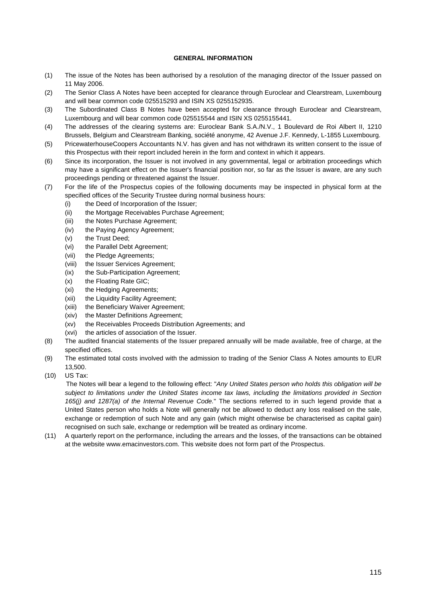### **GENERAL INFORMATION**

- (1) The issue of the Notes has been authorised by a resolution of the managing director of the Issuer passed on 11 May 2006.
- (2) The Senior Class A Notes have been accepted for clearance through Euroclear and Clearstream, Luxembourg and will bear common code 025515293 and ISIN XS 0255152935.
- (3) The Subordinated Class B Notes have been accepted for clearance through Euroclear and Clearstream, Luxembourg and will bear common code 025515544 and ISIN XS 0255155441.
- (4) The addresses of the clearing systems are: Euroclear Bank S.A./N.V., 1 Boulevard de Roi Albert II, 1210 Brussels, Belgium and Clearstream Banking, société anonyme, 42 Avenue J.F. Kennedy, L-1855 Luxembourg.
- (5) PricewaterhouseCoopers Accountants N.V. has given and has not withdrawn its written consent to the issue of this Prospectus with their report included herein in the form and context in which it appears.
- (6) Since its incorporation, the Issuer is not involved in any governmental, legal or arbitration proceedings which may have a significant effect on the Issuer's financial position nor, so far as the Issuer is aware, are any such proceedings pending or threatened against the Issuer.
- (7) For the life of the Prospectus copies of the following documents may be inspected in physical form at the specified offices of the Security Trustee during normal business hours:
	- (i) the Deed of Incorporation of the Issuer;
	- (ii) the Mortgage Receivables Purchase Agreement;
	- (iii) the Notes Purchase Agreement;
	- (iv) the Paying Agency Agreement;
	- (v) the Trust Deed;
	- (vi) the Parallel Debt Agreement;
	- (vii) the Pledge Agreements;
	- (viii) the Issuer Services Agreement;
	- (ix) the Sub-Participation Agreement;
	- (x) the Floating Rate GIC;
	- (xi) the Hedging Agreements;
	- (xii) the Liquidity Facility Agreement;
	- (xiii) the Beneficiary Waiver Agreement;
	- (xiv) the Master Definitions Agreement;
	- (xv) the Receivables Proceeds Distribution Agreements; and
	- (xvi) the articles of association of the Issuer.
- (8) The audited financial statements of the Issuer prepared annually will be made available, free of charge, at the specified offices.
- (9) The estimated total costs involved with the admission to trading of the Senior Class A Notes amounts to EUR 13,500.
- (10) US Tax:

 The Notes will bear a legend to the following effect: "*Any United States person who holds this obligation will be subject to limitations under the United States income tax laws, including the limitations provided in Section 165(j) and 1287(a) of the Internal Revenue Code.*" The sections referred to in such legend provide that a United States person who holds a Note will generally not be allowed to deduct any loss realised on the sale, exchange or redemption of such Note and any gain (which might otherwise be characterised as capital gain) recognised on such sale, exchange or redemption will be treated as ordinary income.

(11) A quarterly report on the performance, including the arrears and the losses, of the transactions can be obtained at the website www.emacinvestors.com. This website does not form part of the Prospectus.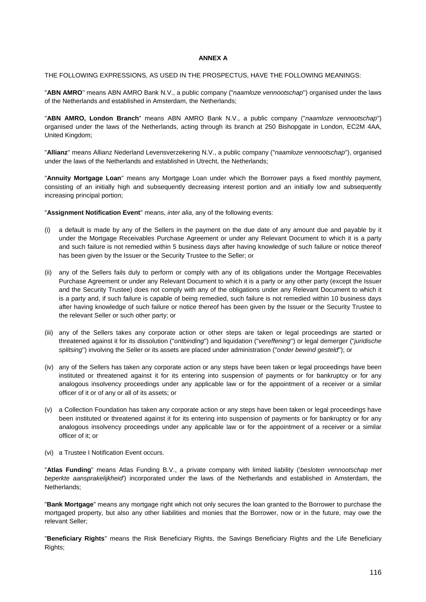#### **ANNEX A**

THE FOLLOWING EXPRESSIONS, AS USED IN THE PROSPECTUS, HAVE THE FOLLOWING MEANINGS:

"**ABN AMRO**'' means ABN AMRO Bank N.V., a public company ("*naamloze vennootschap*'') organised under the laws of the Netherlands and established in Amsterdam, the Netherlands;

"**ABN AMRO, London Branch**" means ABN AMRO Bank N.V., a public company ("*naamloze vennootschap*'') organised under the laws of the Netherlands, acting through its branch at 250 Bishopgate in London, EC2M 4AA, United Kingdom;

"**Allianz**'' means Allianz Nederland Levensverzekering N.V., a public company ("*naamloze vennootschap*''), organised under the laws of the Netherlands and established in Utrecht, the Netherlands;

"**Annuity Mortgage Loan**'' means any Mortgage Loan under which the Borrower pays a fixed monthly payment, consisting of an initially high and subsequently decreasing interest portion and an initially low and subsequently increasing principal portion;

"**Assignment Notification Event**'' means, *inter alia*, any of the following events:

- (i) a default is made by any of the Sellers in the payment on the due date of any amount due and payable by it under the Mortgage Receivables Purchase Agreement or under any Relevant Document to which it is a party and such failure is not remedied within 5 business days after having knowledge of such failure or notice thereof has been given by the Issuer or the Security Trustee to the Seller; or
- (ii) any of the Sellers fails duly to perform or comply with any of its obligations under the Mortgage Receivables Purchase Agreement or under any Relevant Document to which it is a party or any other party (except the Issuer and the Security Trustee) does not comply with any of the obligations under any Relevant Document to which it is a party and, if such failure is capable of being remedied, such failure is not remedied within 10 business days after having knowledge of such failure or notice thereof has been given by the Issuer or the Security Trustee to the relevant Seller or such other party; or
- (iii) any of the Sellers takes any corporate action or other steps are taken or legal proceedings are started or threatened against it for its dissolution ("*ontbinding*'') and liquidation ("*vereffening*'') or legal demerger ("*juridische splitsing*'') involving the Seller or its assets are placed under administration ("*onder bewind gesteld*''); or
- (iv) any of the Sellers has taken any corporate action or any steps have been taken or legal proceedings have been instituted or threatened against it for its entering into suspension of payments or for bankruptcy or for any analogous insolvency proceedings under any applicable law or for the appointment of a receiver or a similar officer of it or of any or all of its assets; or
- (v) a Collection Foundation has taken any corporate action or any steps have been taken or legal proceedings have been instituted or threatened against it for its entering into suspension of payments or for bankruptcy or for any analogous insolvency proceedings under any applicable law or for the appointment of a receiver or a similar officer of it; or
- (vi) a Trustee I Notification Event occurs.

"**Atlas Funding**" means Atlas Funding B.V., a private company with limited liability ('*besloten vennootschap met beperkte aansprakelijkheid*') incorporated under the laws of the Netherlands and established in Amsterdam, the Netherlands;

"**Bank Mortgage**" means any mortgage right which not only secures the loan granted to the Borrower to purchase the mortgaged property, but also any other liabilities and monies that the Borrower, now or in the future, may owe the relevant Seller;

"**Beneficiary Rights**'' means the Risk Beneficiary Rights, the Savings Beneficiary Rights and the Life Beneficiary Rights;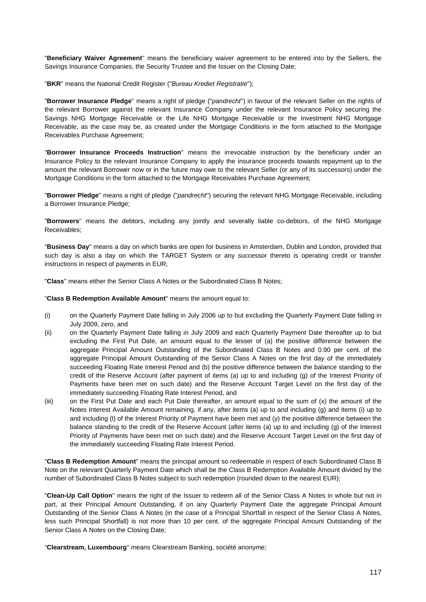"**Beneficiary Waiver Agreement**'' means the beneficiary waiver agreement to be entered into by the Sellers, the Savings Insurance Companies, the Security Trustee and the Issuer on the Closing Date;

"**BKR**'' means the National Credit Register ("*Bureau Krediet Registratie*'');

"**Borrower Insurance Pledge**'' means a right of pledge ("*pandrecht*'') in favour of the relevant Seller on the rights of the relevant Borrower against the relevant Insurance Company under the relevant Insurance Policy securing the Savings NHG Mortgage Receivable or the Life NHG Mortgage Receivable or the Investment NHG Mortgage Receivable, as the case may be, as created under the Mortgage Conditions in the form attached to the Mortgage Receivables Purchase Agreement;

"**Borrower Insurance Proceeds Instruction**'' means the irrevocable instruction by the beneficiary under an Insurance Policy to the relevant Insurance Company to apply the insurance proceeds towards repayment up to the amount the relevant Borrower now or in the future may owe to the relevant Seller (or any of its successors) under the Mortgage Conditions in the form attached to the Mortgage Receivables Purchase Agreement;

"**Borrower Pledge**'' means a right of pledge ("*pandrecht*'') securing the relevant NHG Mortgage Receivable, including a Borrower Insurance Pledge;

"**Borrowers**'' means the debtors, including any jointly and severally liable co-debtors, of the NHG Mortgage Receivables;

"**Business Day**'' means a day on which banks are open for business in Amsterdam, Dublin and London, provided that such day is also a day on which the TARGET System or any successor thereto is operating credit or transfer instructions in respect of payments in EUR;

"**Class**'' means either the Senior Class A Notes or the Subordinated Class B Notes;

"**Class B Redemption Available Amount**" means the amount equal to:

- (i) on the Quarterly Payment Date falling in July 2006 up to but excluding the Quarterly Payment Date falling in July 2009, zero, and
- (ii) on the Quarterly Payment Date falling in July 2009 and each Quarterly Payment Date thereafter up to but excluding the First Put Date, an amount equal to the lesser of (a) the positive difference between the aggregate Principal Amount Outstanding of the Subordinated Class B Notes and 0.90 per cent. of the aggregate Principal Amount Outstanding of the Senior Class A Notes on the first day of the immediately succeeding Floating Rate Interest Period and (b) the positive difference between the balance standing to the credit of the Reserve Account (after payment of items (a) up to and including (g) of the Interest Priority of Payments have been met on such date) and the Reserve Account Target Level on the first day of the immediately succeeding Floating Rate Interest Period, and
- (iii) on the First Put Date and each Put Date thereafter, an amount equal to the sum of (x) the amount of the Notes Interest Available Amount remaining, if any, after items (a) up to and including (g) and items (i) up to and including (l) of the Interest Priority of Payment have been met and (y) the positive difference between the balance standing to the credit of the Reserve Account (after items (a) up to and including (g) of the Interest Priority of Payments have been met on such date) and the Reserve Account Target Level on the first day of the immediately succeeding Floating Rate Interest Period.

"**Class B Redemption Amount**" means the principal amount so redeemable in respect of each Subordinated Class B Note on the relevant Quarterly Payment Date which shall be the Class B Redemption Available Amount divided by the number of Subordinated Class B Notes subject to such redemption (rounded down to the nearest EUR);

"**Clean-Up Call Option**'' means the right of the Issuer to redeem all of the Senior Class A Notes in whole but not in part, at their Principal Amount Outstanding, if on any Quarterly Payment Date the aggregate Principal Amount Outstanding of the Senior Class A Notes (in the case of a Principal Shortfall in respect of the Senior Class A Notes, less such Principal Shortfall) is not more than 10 per cent. of the aggregate Principal Amount Outstanding of the Senior Class A Notes on the Closing Date;

"**Clearstream, Luxembourg**'' means Clearstream Banking, société anonyme;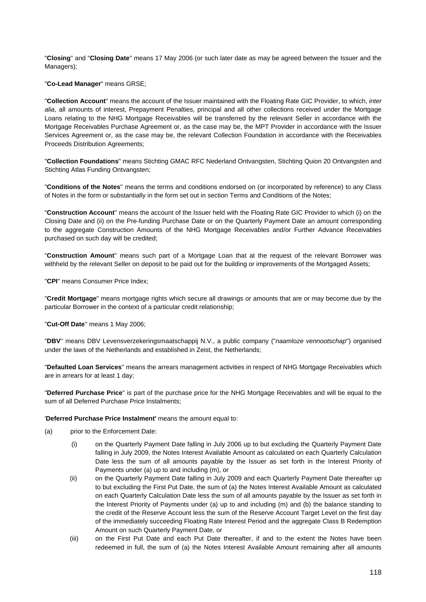"**Closing**'' and "**Closing Date**'' means 17 May 2006 (or such later date as may be agreed between the Issuer and the Managers);

"**Co-Lead Manager**" means GRSE;

"**Collection Account**'' means the account of the Issuer maintained with the Floating Rate GIC Provider, to which, *inter alia*, all amounts of interest, Prepayment Penalties, principal and all other collections received under the Mortgage Loans relating to the NHG Mortgage Receivables will be transferred by the relevant Seller in accordance with the Mortgage Receivables Purchase Agreement or, as the case may be, the MPT Provider in accordance with the Issuer Services Agreement or, as the case may be, the relevant Collection Foundation in accordance with the Receivables Proceeds Distribution Agreements;

"**Collection Foundations**" means Stichting GMAC RFC Nederland Ontvangsten, Stichting Quion 20 Ontvangsten and Stichting Atlas Funding Ontvangsten;

"**Conditions of the Notes**'' means the terms and conditions endorsed on (or incorporated by reference) to any Class of Notes in the form or substantially in the form set out in section Terms and Conditions of the Notes;

"**Construction Account**'' means the account of the Issuer held with the Floating Rate GIC Provider to which (i) on the Closing Date and (ii) on the Pre-funding Purchase Date or on the Quarterly Payment Date an amount corresponding to the aggregate Construction Amounts of the NHG Mortgage Receivables and/or Further Advance Receivables purchased on such day will be credited;

"**Construction Amount**'' means such part of a Mortgage Loan that at the request of the relevant Borrower was withheld by the relevant Seller on deposit to be paid out for the building or improvements of the Mortgaged Assets;

"**CPI**" means Consumer Price Index;

"**Credit Mortgage**" means mortgage rights which secure all drawings or amounts that are or may become due by the particular Borrower in the context of a particular credit relationship;

"**Cut-Off Date**'' means 1 May 2006;

"**DBV**'' means DBV Levensverzekeringsmaatschappij N.V., a public company ("*naamloze vennootschap*'') organised under the laws of the Netherlands and established in Zeist, the Netherlands;

"**Defaulted Loan Services**'' means the arrears management activities in respect of NHG Mortgage Receivables which are in arrears for at least 1 day;

"**Deferred Purchase Price**'' is part of the purchase price for the NHG Mortgage Receivables and will be equal to the sum of all Deferred Purchase Price Instalments;

#### '**Deferred Purchase Price Instalment'** means the amount equal to:

- (a) prior to the Enforcement Date:
	- (i) on the Quarterly Payment Date falling in July 2006 up to but excluding the Quarterly Payment Date falling in July 2009, the Notes Interest Available Amount as calculated on each Quarterly Calculation Date less the sum of all amounts payable by the Issuer as set forth in the Interest Priority of Payments under (a) up to and including (m), or
	- (ii) on the Quarterly Payment Date falling in July 2009 and each Quarterly Payment Date thereafter up to but excluding the First Put Date, the sum of (a) the Notes Interest Available Amount as calculated on each Quarterly Calculation Date less the sum of all amounts payable by the Issuer as set forth in the Interest Priority of Payments under (a) up to and including (m) and (b) the balance standing to the credit of the Reserve Account less the sum of the Reserve Account Target Level on the first day of the immediately succeeding Floating Rate Interest Period and the aggregate Class B Redemption Amount on such Quarterly Payment Date, or
	- (iii) on the First Put Date and each Put Date thereafter, if and to the extent the Notes have been redeemed in full, the sum of (a) the Notes Interest Available Amount remaining after all amounts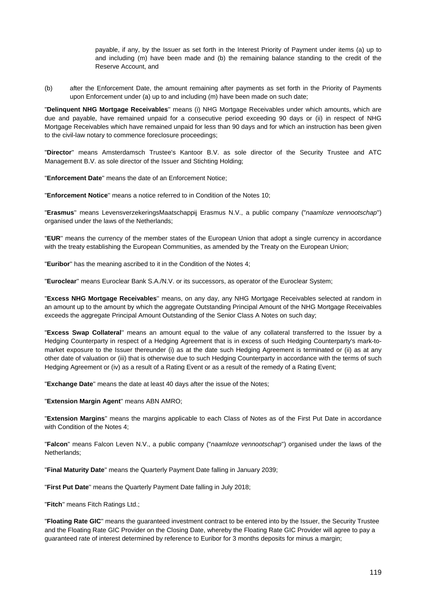payable, if any, by the Issuer as set forth in the Interest Priority of Payment under items (a) up to and including (m) have been made and (b) the remaining balance standing to the credit of the Reserve Account, and

(b) after the Enforcement Date, the amount remaining after payments as set forth in the Priority of Payments upon Enforcement under (a) up to and including (m) have been made on such date;

"**Delinquent NHG Mortgage Receivables**'' means (i) NHG Mortgage Receivables under which amounts, which are due and payable, have remained unpaid for a consecutive period exceeding 90 days or (ii) in respect of NHG Mortgage Receivables which have remained unpaid for less than 90 days and for which an instruction has been given to the civil-law notary to commence foreclosure proceedings;

"**Director**'' means Amsterdamsch Trustee's Kantoor B.V. as sole director of the Security Trustee and ATC Management B.V. as sole director of the Issuer and Stichting Holding;

"**Enforcement Date**'' means the date of an Enforcement Notice;

"**Enforcement Notice**'' means a notice referred to in Condition of the Notes 10;

"**Erasmus**'' means LevensverzekeringsMaatschappij Erasmus N.V., a public company ("*naamloze vennootschap*'') organised under the laws of the Netherlands;

"**EUR**'' means the currency of the member states of the European Union that adopt a single currency in accordance with the treaty establishing the European Communities, as amended by the Treaty on the European Union;

"**Euribor**'' has the meaning ascribed to it in the Condition of the Notes 4;

"**Euroclear**'' means Euroclear Bank S.A./N.V. or its successors, as operator of the Euroclear System;

"**Excess NHG Mortgage Receivables**'' means, on any day, any NHG Mortgage Receivables selected at random in an amount up to the amount by which the aggregate Outstanding Principal Amount of the NHG Mortgage Receivables exceeds the aggregate Principal Amount Outstanding of the Senior Class A Notes on such day;

"**Excess Swap Collateral**'' means an amount equal to the value of any collateral transferred to the Issuer by a Hedging Counterparty in respect of a Hedging Agreement that is in excess of such Hedging Counterparty's mark-tomarket exposure to the Issuer thereunder (i) as at the date such Hedging Agreement is terminated or (ii) as at any other date of valuation or (iii) that is otherwise due to such Hedging Counterparty in accordance with the terms of such Hedging Agreement or (iv) as a result of a Rating Event or as a result of the remedy of a Rating Event;

"**Exchange Date**'' means the date at least 40 days after the issue of the Notes;

"**Extension Margin Agent**'' means ABN AMRO;

"**Extension Margins**'' means the margins applicable to each Class of Notes as of the First Put Date in accordance with Condition of the Notes 4;

"**Falcon**" means Falcon Leven N.V., a public company ("*naamloze vennootschap*'') organised under the laws of the Netherlands;

"**Final Maturity Date**'' means the Quarterly Payment Date falling in January 2039;

"**First Put Date**'' means the Quarterly Payment Date falling in July 2018;

"**Fitch**'' means Fitch Ratings Ltd.;

"**Floating Rate GIC**'' means the guaranteed investment contract to be entered into by the Issuer, the Security Trustee and the Floating Rate GIC Provider on the Closing Date, whereby the Floating Rate GIC Provider will agree to pay a guaranteed rate of interest determined by reference to Euribor for 3 months deposits for minus a margin;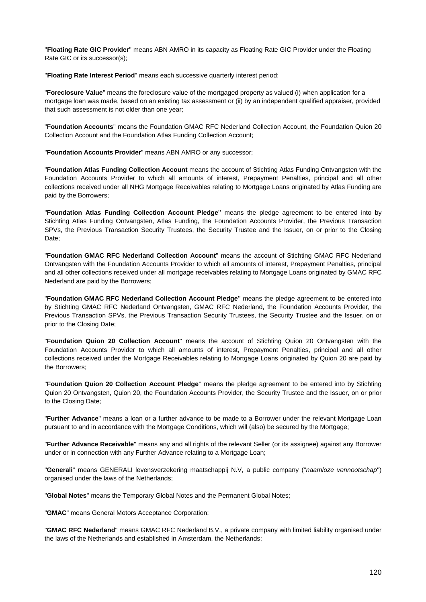''**Floating Rate GIC Provider**'' means ABN AMRO in its capacity as Floating Rate GIC Provider under the Floating Rate GIC or its successor(s);

''**Floating Rate Interest Period**'' means each successive quarterly interest period;

"**Foreclosure Value**'' means the foreclosure value of the mortgaged property as valued (i) when application for a mortgage loan was made, based on an existing tax assessment or (ii) by an independent qualified appraiser, provided that such assessment is not older than one year;

"**Foundation Accounts**" means the Foundation GMAC RFC Nederland Collection Account, the Foundation Quion 20 Collection Account and the Foundation Atlas Funding Collection Account;

"**Foundation Accounts Provider**" means ABN AMRO or any successor;

"**Foundation Atlas Funding Collection Account** means the account of Stichting Atlas Funding Ontvangsten with the Foundation Accounts Provider to which all amounts of interest, Prepayment Penalties, principal and all other collections received under all NHG Mortgage Receivables relating to Mortgage Loans originated by Atlas Funding are paid by the Borrowers;

"**Foundation Atlas Funding Collection Account Pledge**'' means the pledge agreement to be entered into by Stichting Atlas Funding Ontvangsten, Atlas Funding, the Foundation Accounts Provider, the Previous Transaction SPVs, the Previous Transaction Security Trustees, the Security Trustee and the Issuer, on or prior to the Closing Date;

"**Foundation GMAC RFC Nederland Collection Account**'' means the account of Stichting GMAC RFC Nederland Ontvangsten with the Foundation Accounts Provider to which all amounts of interest, Prepayment Penalties, principal and all other collections received under all mortgage receivables relating to Mortgage Loans originated by GMAC RFC Nederland are paid by the Borrowers;

"**Foundation GMAC RFC Nederland Collection Account Pledge**'' means the pledge agreement to be entered into by Stichting GMAC RFC Nederland Ontvangsten, GMAC RFC Nederland, the Foundation Accounts Provider, the Previous Transaction SPVs, the Previous Transaction Security Trustees, the Security Trustee and the Issuer, on or prior to the Closing Date;

"**Foundation Quion 20 Collection Account**" means the account of Stichting Quion 20 Ontvangsten with the Foundation Accounts Provider to which all amounts of interest, Prepayment Penalties, principal and all other collections received under the Mortgage Receivables relating to Mortgage Loans originated by Quion 20 are paid by the Borrowers;

"**Foundation Quion 20 Collection Account Pledge**'' means the pledge agreement to be entered into by Stichting Quion 20 Ontvangsten, Quion 20, the Foundation Accounts Provider, the Security Trustee and the Issuer, on or prior to the Closing Date;

"**Further Advance**'' means a loan or a further advance to be made to a Borrower under the relevant Mortgage Loan pursuant to and in accordance with the Mortgage Conditions, which will (also) be secured by the Mortgage;

"**Further Advance Receivable**'' means any and all rights of the relevant Seller (or its assignee) against any Borrower under or in connection with any Further Advance relating to a Mortgage Loan;

"**Generali**" means GENERALI levensverzekering maatschappij N.V, a public company ("*naamloze vennootschap*'') organised under the laws of the Netherlands;

"**Global Notes**'' means the Temporary Global Notes and the Permanent Global Notes;

"**GMAC**" means General Motors Acceptance Corporation;

"**GMAC RFC Nederland**" means GMAC RFC Nederland B.V., a private company with limited liability organised under the laws of the Netherlands and established in Amsterdam, the Netherlands;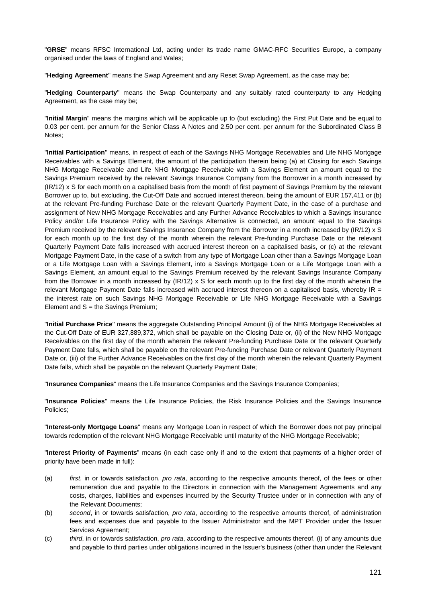"**GRSE**" means RFSC International Ltd, acting under its trade name GMAC-RFC Securities Europe, a company organised under the laws of England and Wales;

"**Hedging Agreement**'' means the Swap Agreement and any Reset Swap Agreement, as the case may be;

"**Hedging Counterparty**'' means the Swap Counterparty and any suitably rated counterparty to any Hedging Agreement, as the case may be;

"**Initial Margin**'' means the margins which will be applicable up to (but excluding) the First Put Date and be equal to 0.03 per cent. per annum for the Senior Class A Notes and 2.50 per cent. per annum for the Subordinated Class B Notes;

"**Initial Participation**'' means, in respect of each of the Savings NHG Mortgage Receivables and Life NHG Mortgage Receivables with a Savings Element, the amount of the participation therein being (a) at Closing for each Savings NHG Mortgage Receivable and Life NHG Mortgage Receivable with a Savings Element an amount equal to the Savings Premium received by the relevant Savings Insurance Company from the Borrower in a month increased by (IR/12) x S for each month on a capitalised basis from the month of first payment of Savings Premium by the relevant Borrower up to, but excluding, the Cut-Off Date and accrued interest thereon, being the amount of EUR 157,411 or (b) at the relevant Pre-funding Purchase Date or the relevant Quarterly Payment Date, in the case of a purchase and assignment of New NHG Mortgage Receivables and any Further Advance Receivables to which a Savings Insurance Policy and/or Life Insurance Policy with the Savings Alternative is connected, an amount equal to the Savings Premium received by the relevant Savings Insurance Company from the Borrower in a month increased by (IR/12) x S for each month up to the first day of the month wherein the relevant Pre-funding Purchase Date or the relevant Quarterly Payment Date falls increased with accrued interest thereon on a capitalised basis, or (c) at the relevant Mortgage Payment Date, in the case of a switch from any type of Mortgage Loan other than a Savings Mortgage Loan or a Life Mortgage Loan with a Savings Element, into a Savings Mortgage Loan or a Life Mortgage Loan with a Savings Element, an amount equal to the Savings Premium received by the relevant Savings Insurance Company from the Borrower in a month increased by (IR/12) x S for each month up to the first day of the month wherein the relevant Mortgage Payment Date falls increased with accrued interest thereon on a capitalised basis, whereby IR = the interest rate on such Savings NHG Mortgage Receivable or Life NHG Mortgage Receivable with a Savings Element and  $S =$  the Savings Premium;

"**Initial Purchase Price**'' means the aggregate Outstanding Principal Amount (i) of the NHG Mortgage Receivables at the Cut-Off Date of EUR 327,889,372, which shall be payable on the Closing Date or, (ii) of the New NHG Mortgage Receivables on the first day of the month wherein the relevant Pre-funding Purchase Date or the relevant Quarterly Payment Date falls, which shall be payable on the relevant Pre-funding Purchase Date or relevant Quarterly Payment Date or, (iii) of the Further Advance Receivables on the first day of the month wherein the relevant Quarterly Payment Date falls, which shall be payable on the relevant Quarterly Payment Date;

"**Insurance Companies**'' means the Life Insurance Companies and the Savings Insurance Companies;

"**Insurance Policies**'' means the Life Insurance Policies, the Risk Insurance Policies and the Savings Insurance Policies;

"**Interest-only Mortgage Loans**'' means any Mortgage Loan in respect of which the Borrower does not pay principal towards redemption of the relevant NHG Mortgage Receivable until maturity of the NHG Mortgage Receivable;

"**Interest Priority of Payments**" means (in each case only if and to the extent that payments of a higher order of priority have been made in full):

- (a) *first*, in or towards satisfaction, *pro rata*, according to the respective amounts thereof, of the fees or other remuneration due and payable to the Directors in connection with the Management Agreements and any costs, charges, liabilities and expenses incurred by the Security Trustee under or in connection with any of the Relevant Documents;
- (b) *second*, in or towards satisfaction, *pro rata*, according to the respective amounts thereof, of administration fees and expenses due and payable to the Issuer Administrator and the MPT Provider under the Issuer Services Agreement;
- (c) *third*, in or towards satisfaction, *pro rata*, according to the respective amounts thereof, (i) of any amounts due and payable to third parties under obligations incurred in the Issuer's business (other than under the Relevant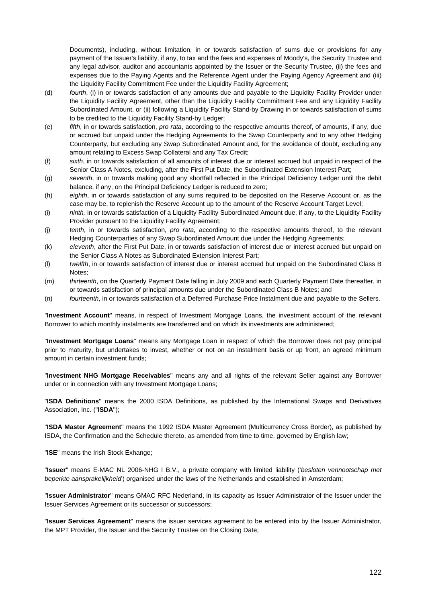Documents), including, without limitation, in or towards satisfaction of sums due or provisions for any payment of the Issuer's liability, if any, to tax and the fees and expenses of Moody's, the Security Trustee and any legal advisor, auditor and accountants appointed by the Issuer or the Security Trustee, (ii) the fees and expenses due to the Paying Agents and the Reference Agent under the Paying Agency Agreement and (iii) the Liquidity Facility Commitment Fee under the Liquidity Facility Agreement;

- (d) *fourth*, (i) in or towards satisfaction of any amounts due and payable to the Liquidity Facility Provider under the Liquidity Facility Agreement, other than the Liquidity Facility Commitment Fee and any Liquidity Facility Subordinated Amount, or (ii) following a Liquidity Facility Stand-by Drawing in or towards satisfaction of sums to be credited to the Liquidity Facility Stand-by Ledger;
- (e) *fifth*, in or towards satisfaction, *pro rata*, according to the respective amounts thereof, of amounts, if any, due or accrued but unpaid under the Hedging Agreements to the Swap Counterparty and to any other Hedging Counterparty, but excluding any Swap Subordinated Amount and, for the avoidance of doubt, excluding any amount relating to Excess Swap Collateral and any Tax Credit;
- (f) *sixth*, in or towards satisfaction of all amounts of interest due or interest accrued but unpaid in respect of the Senior Class A Notes, excluding, after the First Put Date, the Subordinated Extension Interest Part;
- (g) *seventh*, in or towards making good any shortfall reflected in the Principal Deficiency Ledger until the debit balance, if any, on the Principal Deficiency Ledger is reduced to zero;
- (h) *eighth*, in or towards satisfaction of any sums required to be deposited on the Reserve Account or, as the case may be, to replenish the Reserve Account up to the amount of the Reserve Account Target Level;
- (i) *ninth,* in or towards satisfaction of a Liquidity Facility Subordinated Amount due, if any, to the Liquidity Facility Provider pursuant to the Liquidity Facility Agreement;
- (j) *tenth*, in or towards satisfaction, *pro rata*, according to the respective amounts thereof, to the relevant Hedging Counterparties of any Swap Subordinated Amount due under the Hedging Agreements;
- (k) *eleventh*, after the First Put Date, in or towards satisfaction of interest due or interest accrued but unpaid on the Senior Class A Notes as Subordinated Extension Interest Part;
- (l) *twelfth*, in or towards satisfaction of interest due or interest accrued but unpaid on the Subordinated Class B Notes;
- (m) *thirteenth*, on the Quarterly Payment Date falling in July 2009 and each Quarterly Payment Date thereafter, in or towards satisfaction of principal amounts due under the Subordinated Class B Notes; and
- (n) *fourteenth*, in or towards satisfaction of a Deferred Purchase Price Instalment due and payable to the Sellers.

"**Investment Account**'' means, in respect of Investment Mortgage Loans, the investment account of the relevant Borrower to which monthly instalments are transferred and on which its investments are administered;

"**Investment Mortgage Loans**'' means any Mortgage Loan in respect of which the Borrower does not pay principal prior to maturity, but undertakes to invest, whether or not on an instalment basis or up front, an agreed minimum amount in certain investment funds;

"**Investment NHG Mortgage Receivables**'' means any and all rights of the relevant Seller against any Borrower under or in connection with any Investment Mortgage Loans;

"**ISDA Definitions**'' means the 2000 ISDA Definitions, as published by the International Swaps and Derivatives Association, Inc. ("**ISDA**'');

"**ISDA Master Agreement**'' means the 1992 ISDA Master Agreement (Multicurrency Cross Border), as published by ISDA, the Confirmation and the Schedule thereto, as amended from time to time, governed by English law;

"**ISE**" means the Irish Stock Exhange;

"**Issuer**'' means E-MAC NL 2006-NHG I B.V., a private company with limited liability ('*besloten vennootschap met beperkte aansprakelijkheid*') organised under the laws of the Netherlands and established in Amsterdam;

"**Issuer Administrator**'' means GMAC RFC Nederland, in its capacity as Issuer Administrator of the Issuer under the Issuer Services Agreement or its successor or successors;

"**Issuer Services Agreement**'' means the issuer services agreement to be entered into by the Issuer Administrator, the MPT Provider, the Issuer and the Security Trustee on the Closing Date;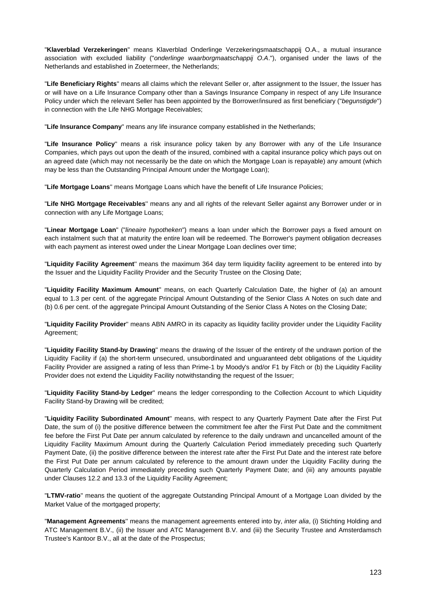"**Klaverblad Verzekeringen**" means Klaverblad Onderlinge Verzekeringsmaatschappij O.A., a mutual insurance association with excluded liability ("*onderlinge waarborgmaatschappij O.A*."), organised under the laws of the Netherlands and established in Zoetermeer, the Netherlands;

"**Life Beneficiary Rights**'' means all claims which the relevant Seller or, after assignment to the Issuer, the Issuer has or will have on a Life Insurance Company other than a Savings Insurance Company in respect of any Life Insurance Policy under which the relevant Seller has been appointed by the Borrower/insured as first beneficiary ("*begunstigde*'') in connection with the Life NHG Mortgage Receivables;

"**Life Insurance Company**'' means any life insurance company established in the Netherlands;

"**Life Insurance Policy**'' means a risk insurance policy taken by any Borrower with any of the Life Insurance Companies, which pays out upon the death of the insured, combined with a capital insurance policy which pays out on an agreed date (which may not necessarily be the date on which the Mortgage Loan is repayable) any amount (which may be less than the Outstanding Principal Amount under the Mortgage Loan);

"**Life Mortgage Loans**'' means Mortgage Loans which have the benefit of Life Insurance Policies;

"**Life NHG Mortgage Receivables**'' means any and all rights of the relevant Seller against any Borrower under or in connection with any Life Mortgage Loans;

"**Linear Mortgage Loan**" ("*lineaire hypotheken*") means a loan under which the Borrower pays a fixed amount on each instalment such that at maturity the entire loan will be redeemed. The Borrower's payment obligation decreases with each payment as interest owed under the Linear Mortgage Loan declines over time;

"**Liquidity Facility Agreement**'' means the maximum 364 day term liquidity facility agreement to be entered into by the Issuer and the Liquidity Facility Provider and the Security Trustee on the Closing Date;

"**Liquidity Facility Maximum Amount**'' means, on each Quarterly Calculation Date, the higher of (a) an amount equal to 1.3 per cent. of the aggregate Principal Amount Outstanding of the Senior Class A Notes on such date and (b) 0.6 per cent. of the aggregate Principal Amount Outstanding of the Senior Class A Notes on the Closing Date;

"**Liquidity Facility Provider**'' means ABN AMRO in its capacity as liquidity facility provider under the Liquidity Facility Agreement;

"**Liquidity Facility Stand-by Drawing**'' means the drawing of the Issuer of the entirety of the undrawn portion of the Liquidity Facility if (a) the short-term unsecured, unsubordinated and unguaranteed debt obligations of the Liquidity Facility Provider are assigned a rating of less than Prime-1 by Moody's and/or F1 by Fitch or (b) the Liquidity Facility Provider does not extend the Liquidity Facility notwithstanding the request of the Issuer;

"**Liquidity Facility Stand-by Ledger**'' means the ledger corresponding to the Collection Account to which Liquidity Facility Stand-by Drawing will be credited;

"**Liquidity Facility Subordinated Amount**'' means, with respect to any Quarterly Payment Date after the First Put Date, the sum of (i) the positive difference between the commitment fee after the First Put Date and the commitment fee before the First Put Date per annum calculated by reference to the daily undrawn and uncancelled amount of the Liquidity Facility Maximum Amount during the Quarterly Calculation Period immediately preceding such Quarterly Payment Date, (ii) the positive difference between the interest rate after the First Put Date and the interest rate before the First Put Date per annum calculated by reference to the amount drawn under the Liquidity Facility during the Quarterly Calculation Period immediately preceding such Quarterly Payment Date; and (iii) any amounts payable under Clauses 12.2 and 13.3 of the Liquidity Facility Agreement;

"**LTMV-ratio**'' means the quotient of the aggregate Outstanding Principal Amount of a Mortgage Loan divided by the Market Value of the mortgaged property;

"**Management Agreements**'' means the management agreements entered into by, *inter alia*, (i) Stichting Holding and ATC Management B.V., (ii) the Issuer and ATC Management B.V. and (iii) the Security Trustee and Amsterdamsch Trustee's Kantoor B.V., all at the date of the Prospectus;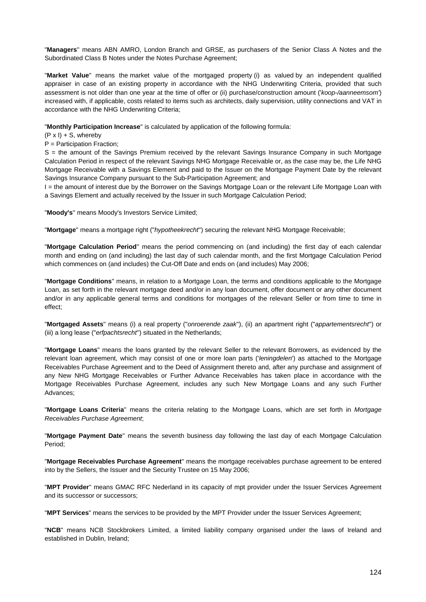"**Managers**'' means ABN AMRO, London Branch and GRSE, as purchasers of the Senior Class A Notes and the Subordinated Class B Notes under the Notes Purchase Agreement;

"**Market Value**" means the market value of the mortgaged property (i) as valued by an independent qualified appraiser in case of an existing property in accordance with the NHG Underwriting Criteria, provided that such assessment is not older than one year at the time of offer or (ii) purchase/construction amount ('*koop-/aanneemsom'*) increased with, if applicable, costs related to items such as architects, daily supervision, utility connections and VAT in accordance with the NHG Underwriting Criteria;

"**Monthly Participation Increase**'' is calculated by application of the following formula:

 $(P \times I) + S$ , whereby

P = Participation Fraction;

S = the amount of the Savings Premium received by the relevant Savings Insurance Company in such Mortgage Calculation Period in respect of the relevant Savings NHG Mortgage Receivable or, as the case may be, the Life NHG Mortgage Receivable with a Savings Element and paid to the Issuer on the Mortgage Payment Date by the relevant Savings Insurance Company pursuant to the Sub-Participation Agreement; and

I = the amount of interest due by the Borrower on the Savings Mortgage Loan or the relevant Life Mortgage Loan with a Savings Element and actually received by the Issuer in such Mortgage Calculation Period;

"**Moody's**'' means Moody's Investors Service Limited;

"**Mortgage**'' means a mortgage right ("*hypotheekrecht*'') securing the relevant NHG Mortgage Receivable;

"**Mortgage Calculation Period**'' means the period commencing on (and including) the first day of each calendar month and ending on (and including) the last day of such calendar month, and the first Mortgage Calculation Period which commences on (and includes) the Cut-Off Date and ends on (and includes) May 2006;

"**Mortgage Conditions**'' means, in relation to a Mortgage Loan, the terms and conditions applicable to the Mortgage Loan, as set forth in the relevant mortgage deed and/or in any loan document, offer document or any other document and/or in any applicable general terms and conditions for mortgages of the relevant Seller or from time to time in effect;

"**Mortgaged Assets**'' means (i) a real property ("*onroerende zaak*''), (ii) an apartment right ("*appartementsrecht*'') or (iii) a long lease ("*erfpachtsrecht*'') situated in the Netherlands;

"**Mortgage Loans**" means the loans granted by the relevant Seller to the relevant Borrowers, as evidenced by the relevant loan agreement, which may consist of one or more loan parts ('*leningdelen*') as attached to the Mortgage Receivables Purchase Agreement and to the Deed of Assignment thereto and, after any purchase and assignment of any New NHG Mortgage Receivables or Further Advance Receivables has taken place in accordance with the Mortgage Receivables Purchase Agreement, includes any such New Mortgage Loans and any such Further Advances;

"**Mortgage Loans Criteria**'' means the criteria relating to the Mortgage Loans, which are set forth in *Mortgage Receivables Purchase Agreement*;

"**Mortgage Payment Date**'' means the seventh business day following the last day of each Mortgage Calculation Period;

"**Mortgage Receivables Purchase Agreement**'' means the mortgage receivables purchase agreement to be entered into by the Sellers, the Issuer and the Security Trustee on 15 May 2006;

"**MPT Provider**'' means GMAC RFC Nederland in its capacity of mpt provider under the Issuer Services Agreement and its successor or successors;

"**MPT Services**" means the services to be provided by the MPT Provider under the Issuer Services Agreement;

"**NCB**" means NCB Stockbrokers Limited, a limited liability company organised under the laws of Ireland and established in Dublin, Ireland;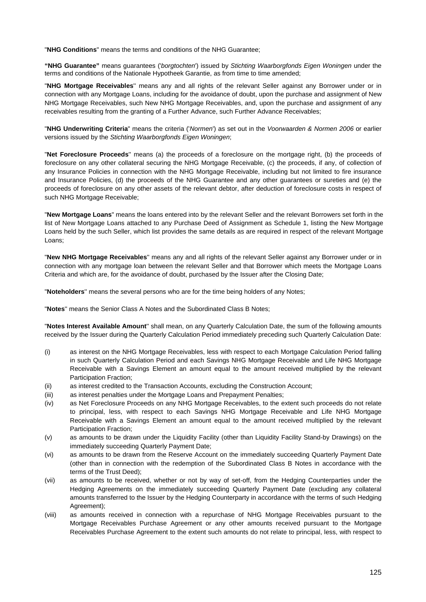"**NHG Conditions**" means the terms and conditions of the NHG Guarantee;

**"NHG Guarantee"** means guarantees ('*borgtochten*') issued by *Stichting Waarborgfonds Eigen Woningen* under the terms and conditions of the Nationale Hypotheek Garantie, as from time to time amended;

"**NHG Mortgage Receivables**'' means any and all rights of the relevant Seller against any Borrower under or in connection with any Mortgage Loans, including for the avoidance of doubt, upon the purchase and assignment of New NHG Mortgage Receivables, such New NHG Mortgage Receivables, and, upon the purchase and assignment of any receivables resulting from the granting of a Further Advance, such Further Advance Receivables;

"**NHG Underwriting Criteria**" means the criteria ('*Normen*') as set out in the *Voorwaarden & Normen 2006* or earlier versions issued by the *Stichting Waarborgfonds Eigen Woningen*;

"**Net Foreclosure Proceeds**'' means (a) the proceeds of a foreclosure on the mortgage right, (b) the proceeds of foreclosure on any other collateral securing the NHG Mortgage Receivable, (c) the proceeds, if any, of collection of any Insurance Policies in connection with the NHG Mortgage Receivable, including but not limited to fire insurance and Insurance Policies, (d) the proceeds of the NHG Guarantee and any other guarantees or sureties and (e) the proceeds of foreclosure on any other assets of the relevant debtor, after deduction of foreclosure costs in respect of such NHG Mortgage Receivable;

"**New Mortgage Loans**" means the loans entered into by the relevant Seller and the relevant Borrowers set forth in the list of New Mortgage Loans attached to any Purchase Deed of Assignment as Schedule 1, listing the New Mortgage Loans held by the such Seller, which list provides the same details as are required in respect of the relevant Mortgage Loans;

"**New NHG Mortgage Receivables**'' means any and all rights of the relevant Seller against any Borrower under or in connection with any mortgage loan between the relevant Seller and that Borrower which meets the Mortgage Loans Criteria and which are, for the avoidance of doubt, purchased by the Issuer after the Closing Date;

"**Noteholders**'' means the several persons who are for the time being holders of any Notes;

"**Notes**'' means the Senior Class A Notes and the Subordinated Class B Notes;

"**Notes Interest Available Amount**'' shall mean, on any Quarterly Calculation Date, the sum of the following amounts received by the Issuer during the Quarterly Calculation Period immediately preceding such Quarterly Calculation Date:

- (i) as interest on the NHG Mortgage Receivables, less with respect to each Mortgage Calculation Period falling in such Quarterly Calculation Period and each Savings NHG Mortgage Receivable and Life NHG Mortgage Receivable with a Savings Element an amount equal to the amount received multiplied by the relevant Participation Fraction;
- (ii) as interest credited to the Transaction Accounts, excluding the Construction Account;
- (iii) as interest penalties under the Mortgage Loans and Prepayment Penalties;
- (iv) as Net Foreclosure Proceeds on any NHG Mortgage Receivables, to the extent such proceeds do not relate to principal, less, with respect to each Savings NHG Mortgage Receivable and Life NHG Mortgage Receivable with a Savings Element an amount equal to the amount received multiplied by the relevant Participation Fraction;
- (v) as amounts to be drawn under the Liquidity Facility (other than Liquidity Facility Stand-by Drawings) on the immediately succeeding Quarterly Payment Date;
- (vi) as amounts to be drawn from the Reserve Account on the immediately succeeding Quarterly Payment Date (other than in connection with the redemption of the Subordinated Class B Notes in accordance with the terms of the Trust Deed);
- (vii) as amounts to be received, whether or not by way of set-off, from the Hedging Counterparties under the Hedging Agreements on the immediately succeeding Quarterly Payment Date (excluding any collateral amounts transferred to the Issuer by the Hedging Counterparty in accordance with the terms of such Hedging Agreement);
- (viii) as amounts received in connection with a repurchase of NHG Mortgage Receivables pursuant to the Mortgage Receivables Purchase Agreement or any other amounts received pursuant to the Mortgage Receivables Purchase Agreement to the extent such amounts do not relate to principal, less, with respect to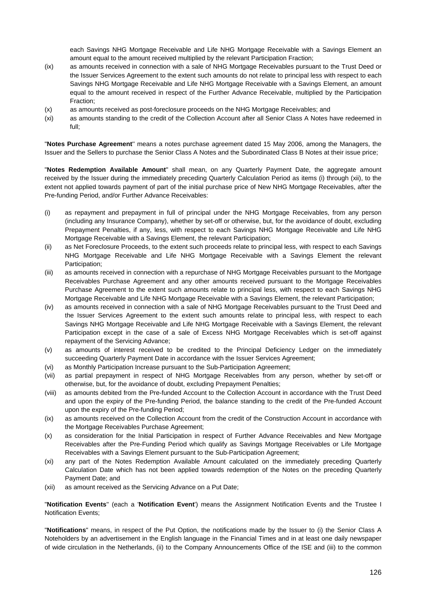each Savings NHG Mortgage Receivable and Life NHG Mortgage Receivable with a Savings Element an amount equal to the amount received multiplied by the relevant Participation Fraction;

- (ix) as amounts received in connection with a sale of NHG Mortgage Receivables pursuant to the Trust Deed or the Issuer Services Agreement to the extent such amounts do not relate to principal less with respect to each Savings NHG Mortgage Receivable and Life NHG Mortgage Receivable with a Savings Element, an amount equal to the amount received in respect of the Further Advance Receivable, multiplied by the Participation Fraction;
- (x) as amounts received as post-foreclosure proceeds on the NHG Mortgage Receivables; and
- (xi) as amounts standing to the credit of the Collection Account after all Senior Class A Notes have redeemed in full;

"**Notes Purchase Agreement**'' means a notes purchase agreement dated 15 May 2006, among the Managers, the Issuer and the Sellers to purchase the Senior Class A Notes and the Subordinated Class B Notes at their issue price;

"**Notes Redemption Available Amount**" shall mean, on any Quarterly Payment Date, the aggregate amount received by the Issuer during the immediately preceding Quarterly Calculation Period as items (i) through (xii), to the extent not applied towards payment of part of the initial purchase price of New NHG Mortgage Receivables, after the Pre-funding Period, and/or Further Advance Receivables:

- (i) as repayment and prepayment in full of principal under the NHG Mortgage Receivables, from any person (including any Insurance Company), whether by set-off or otherwise, but, for the avoidance of doubt, excluding Prepayment Penalties, if any, less, with respect to each Savings NHG Mortgage Receivable and Life NHG Mortgage Receivable with a Savings Element, the relevant Participation;
- (ii) as Net Foreclosure Proceeds, to the extent such proceeds relate to principal less, with respect to each Savings NHG Mortgage Receivable and Life NHG Mortgage Receivable with a Savings Element the relevant Participation;
- (iii) as amounts received in connection with a repurchase of NHG Mortgage Receivables pursuant to the Mortgage Receivables Purchase Agreement and any other amounts received pursuant to the Mortgage Receivables Purchase Agreement to the extent such amounts relate to principal less, with respect to each Savings NHG Mortgage Receivable and Life NHG Mortgage Receivable with a Savings Element, the relevant Participation;
- (iv) as amounts received in connection with a sale of NHG Mortgage Receivables pursuant to the Trust Deed and the Issuer Services Agreement to the extent such amounts relate to principal less, with respect to each Savings NHG Mortgage Receivable and Life NHG Mortgage Receivable with a Savings Element, the relevant Participation except in the case of a sale of Excess NHG Mortgage Receivables which is set-off against repayment of the Servicing Advance;
- (v) as amounts of interest received to be credited to the Principal Deficiency Ledger on the immediately succeeding Quarterly Payment Date in accordance with the Issuer Services Agreement;
- (vi) as Monthly Participation Increase pursuant to the Sub-Participation Agreement;
- (vii) as partial prepayment in respect of NHG Mortgage Receivables from any person, whether by set-off or otherwise, but, for the avoidance of doubt, excluding Prepayment Penalties;
- (viii) as amounts debited from the Pre-funded Account to the Collection Account in accordance with the Trust Deed and upon the expiry of the Pre-funding Period, the balance standing to the credit of the Pre-funded Account upon the expiry of the Pre-funding Period;
- (ix) as amounts received on the Collection Account from the credit of the Construction Account in accordance with the Mortgage Receivables Purchase Agreement;
- (x) as consideration for the Initial Participation in respect of Further Advance Receivables and New Mortgage Receivables after the Pre-Funding Period which qualify as Savings Mortgage Receivables or Life Mortgage Receivables with a Savings Element pursuant to the Sub-Participation Agreement;
- (xi) any part of the Notes Redemption Available Amount calculated on the immediately preceding Quarterly Calculation Date which has not been applied towards redemption of the Notes on the preceding Quarterly Payment Date; and
- (xii) as amount received as the Servicing Advance on a Put Date;

"**Notification Events**'' (each a '**Notification Event**') means the Assignment Notification Events and the Trustee I Notification Events;

"**Notifications**" means, in respect of the Put Option, the notifications made by the Issuer to (i) the Senior Class A Noteholders by an advertisement in the English language in the Financial Times and in at least one daily newspaper of wide circulation in the Netherlands, (ii) to the Company Announcements Office of the ISE and (iii) to the common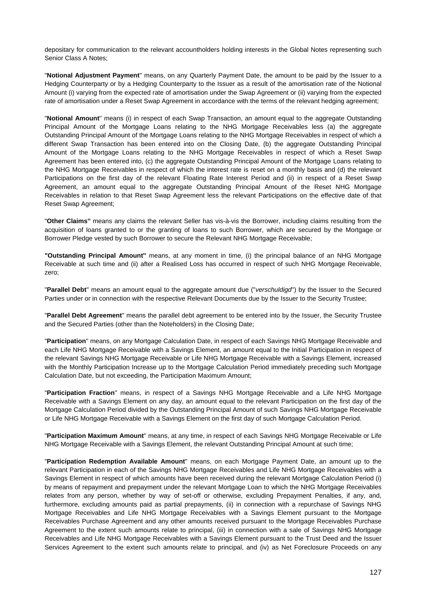depositary for communication to the relevant accountholders holding interests in the Global Notes representing such Senior Class A Notes;

"**Notional Adjustment Payment**'' means, on any Quarterly Payment Date, the amount to be paid by the Issuer to a Hedging Counterparty or by a Hedging Counterparty to the Issuer as a result of the amortisation rate of the Notional Amount (i) varying from the expected rate of amortisation under the Swap Agreement or (ii) varying from the expected rate of amortisation under a Reset Swap Agreement in accordance with the terms of the relevant hedging agreement;

"**Notional Amount**'' means (i) in respect of each Swap Transaction, an amount equal to the aggregate Outstanding Principal Amount of the Mortgage Loans relating to the NHG Mortgage Receivables less (a) the aggregate Outstanding Principal Amount of the Mortgage Loans relating to the NHG Mortgage Receivables in respect of which a different Swap Transaction has been entered into on the Closing Date, (b) the aggregate Outstanding Principal Amount of the Mortgage Loans relating to the NHG Mortgage Receivables in respect of which a Reset Swap Agreement has been entered into, (c) the aggregate Outstanding Principal Amount of the Mortgage Loans relating to the NHG Mortgage Receivables in respect of which the interest rate is reset on a monthly basis and (d) the relevant Participations on the first day of the relevant Floating Rate Interest Period and (ii) in respect of a Reset Swap Agreement, an amount equal to the aggregate Outstanding Principal Amount of the Reset NHG Mortgage Receivables in relation to that Reset Swap Agreement less the relevant Participations on the effective date of that Reset Swap Agreement;

"**Other Claims''** means any claims the relevant Seller has vis-à-vis the Borrower, including claims resulting from the acquisition of loans granted to or the granting of loans to such Borrower, which are secured by the Mortgage or Borrower Pledge vested by such Borrower to secure the Relevant NHG Mortgage Receivable;

**"Outstanding Principal Amount''** means, at any moment in time, (i) the principal balance of an NHG Mortgage Receivable at such time and (ii) after a Realised Loss has occurred in respect of such NHG Mortgage Receivable, zero;

"**Parallel Debt**'' means an amount equal to the aggregate amount due ("*verschuldigd*'') by the Issuer to the Secured Parties under or in connection with the respective Relevant Documents due by the Issuer to the Security Trustee;

"**Parallel Debt Agreement**'' means the parallel debt agreement to be entered into by the Issuer, the Security Trustee and the Secured Parties (other than the Noteholders) in the Closing Date;

"**Participation**'' means, on any Mortgage Calculation Date, in respect of each Savings NHG Mortgage Receivable and each Life NHG Mortgage Receivable with a Savings Element, an amount equal to the Initial Participation in respect of the relevant Savings NHG Mortgage Receivable or Life NHG Mortgage Receivable with a Savings Element, increased with the Monthly Participation Increase up to the Mortgage Calculation Period immediately preceding such Mortgage Calculation Date, but not exceeding, the Participation Maximum Amount;

"**Participation Fraction**'' means, in respect of a Savings NHG Mortgage Receivable and a Life NHG Mortgage Receivable with a Savings Element on any day, an amount equal to the relevant Participation on the first day of the Mortgage Calculation Period divided by the Outstanding Principal Amount of such Savings NHG Mortgage Receivable or Life NHG Mortgage Receivable with a Savings Element on the first day of such Mortgage Calculation Period.

"**Participation Maximum Amount**'' means, at any time, in respect of each Savings NHG Mortgage Receivable or Life NHG Mortgage Receivable with a Savings Element, the relevant Outstanding Principal Amount at such time;

"**Participation Redemption Available Amount**'' means, on each Mortgage Payment Date, an amount up to the relevant Participation in each of the Savings NHG Mortgage Receivables and Life NHG Mortgage Receivables with a Savings Element in respect of which amounts have been received during the relevant Mortgage Calculation Period (i) by means of repayment and prepayment under the relevant Mortgage Loan to which the NHG Mortgage Receivables relates from any person, whether by way of set-off or otherwise, excluding Prepayment Penalties, if any, and, furthermore, excluding amounts paid as partial prepayments, (ii) in connection with a repurchase of Savings NHG Mortgage Receivables and Life NHG Mortgage Receivables with a Savings Element pursuant to the Mortgage Receivables Purchase Agreement and any other amounts received pursuant to the Mortgage Receivables Purchase Agreement to the extent such amounts relate to principal, (iii) in connection with a sale of Savings NHG Mortgage Receivables and Life NHG Mortgage Receivables with a Savings Element pursuant to the Trust Deed and the Issuer Services Agreement to the extent such amounts relate to principal, and (iv) as Net Foreclosure Proceeds on any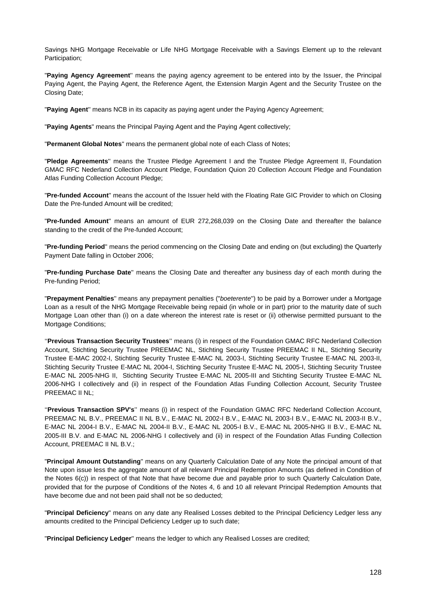Savings NHG Mortgage Receivable or Life NHG Mortgage Receivable with a Savings Element up to the relevant Participation;

"**Paying Agency Agreement**'' means the paying agency agreement to be entered into by the Issuer, the Principal Paying Agent, the Paying Agent, the Reference Agent, the Extension Margin Agent and the Security Trustee on the Closing Date;

"**Paying Agent**'' means NCB in its capacity as paying agent under the Paying Agency Agreement;

"**Paying Agents**" means the Principal Paying Agent and the Paying Agent collectively;

"**Permanent Global Notes**'' means the permanent global note of each Class of Notes;

"**Pledge Agreements**'' means the Trustee Pledge Agreement I and the Trustee Pledge Agreement II, Foundation GMAC RFC Nederland Collection Account Pledge, Foundation Quion 20 Collection Account Pledge and Foundation Atlas Funding Collection Account Pledge;

"**Pre-funded Account**'' means the account of the Issuer held with the Floating Rate GIC Provider to which on Closing Date the Pre-funded Amount will be credited;

"**Pre-funded Amount**'' means an amount of EUR 272,268,039 on the Closing Date and thereafter the balance standing to the credit of the Pre-funded Account;

"**Pre-funding Period**'' means the period commencing on the Closing Date and ending on (but excluding) the Quarterly Payment Date falling in October 2006;

"**Pre-funding Purchase Date**'' means the Closing Date and thereafter any business day of each month during the Pre-funding Period;

"**Prepayment Penalties**'' means any prepayment penalties ("*boeterente*'') to be paid by a Borrower under a Mortgage Loan as a result of the NHG Mortgage Receivable being repaid (in whole or in part) prior to the maturity date of such Mortgage Loan other than (i) on a date whereon the interest rate is reset or (ii) otherwise permitted pursuant to the Mortgage Conditions;

''**Previous Transaction Security Trustees**'' means (i) in respect of the Foundation GMAC RFC Nederland Collection Account, Stichting Security Trustee PREEMAC NL, Stichting Security Trustee PREEMAC II NL, Stichting Security Trustee E-MAC 2002-I, Stichting Security Trustee E-MAC NL 2003-I, Stichting Security Trustee E-MAC NL 2003-II, Stichting Security Trustee E-MAC NL 2004-I, Stichting Security Trustee E-MAC NL 2005-I, Stichting Security Trustee E-MAC NL 2005-NHG II, Stichting Security Trustee E-MAC NL 2005-III and Stichting Security Trustee E-MAC NL 2006-NHG I collectively and (ii) in respect of the Foundation Atlas Funding Collection Account, Security Trustee PREEMAC II NL;

''**Previous Transaction SPV's**'' means (i) in respect of the Foundation GMAC RFC Nederland Collection Account, PREEMAC NL B.V., PREEMAC II NL B.V., E-MAC NL 2002-I B.V., E-MAC NL 2003-I B.V., E-MAC NL 2003-II B.V., E-MAC NL 2004-I B.V., E-MAC NL 2004-II B.V., E-MAC NL 2005-I B.V., E-MAC NL 2005-NHG II B.V., E-MAC NL 2005-III B.V. and E-MAC NL 2006-NHG I collectively and (ii) in respect of the Foundation Atlas Funding Collection Account, PREEMAC II NL B.V.;

"**Principal Amount Outstanding**'' means on any Quarterly Calculation Date of any Note the principal amount of that Note upon issue less the aggregate amount of all relevant Principal Redemption Amounts (as defined in Condition of the Notes 6(c)) in respect of that Note that have become due and payable prior to such Quarterly Calculation Date, provided that for the purpose of Conditions of the Notes 4, 6 and 10 all relevant Principal Redemption Amounts that have become due and not been paid shall not be so deducted;

"**Principal Deficiency**" means on any date any Realised Losses debited to the Principal Deficiency Ledger less any amounts credited to the Principal Deficiency Ledger up to such date;

"**Principal Deficiency Ledger**'' means the ledger to which any Realised Losses are credited;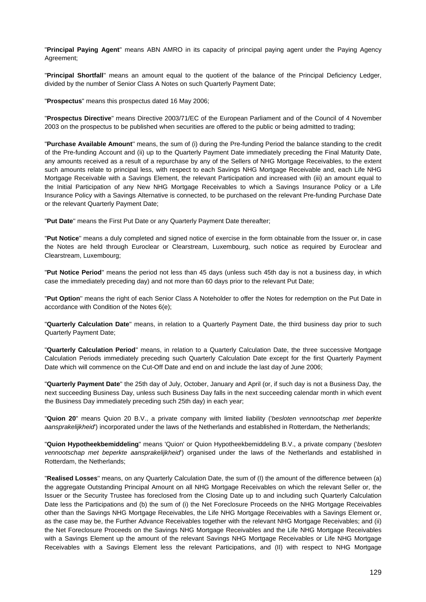"**Principal Paying Agent**" means ABN AMRO in its capacity of principal paying agent under the Paying Agency Agreement;

"**Principal Shortfall**'' means an amount equal to the quotient of the balance of the Principal Deficiency Ledger, divided by the number of Senior Class A Notes on such Quarterly Payment Date;

"**Prospectus**" means this prospectus dated 16 May 2006;

"**Prospectus Directive**" means Directive 2003/71/EC of the European Parliament and of the Council of 4 November 2003 on the prospectus to be published when securities are offered to the public or being admitted to trading;

"**Purchase Available Amount**'' means, the sum of (i) during the Pre-funding Period the balance standing to the credit of the Pre-funding Account and (ii) up to the Quarterly Payment Date immediately preceding the Final Maturity Date, any amounts received as a result of a repurchase by any of the Sellers of NHG Mortgage Receivables, to the extent such amounts relate to principal less, with respect to each Savings NHG Mortgage Receivable and, each Life NHG Mortgage Receivable with a Savings Element, the relevant Participation and increased with (iii) an amount equal to the Initial Participation of any New NHG Mortgage Receivables to which a Savings Insurance Policy or a Life Insurance Policy with a Savings Alternative is connected, to be purchased on the relevant Pre-funding Purchase Date or the relevant Quarterly Payment Date;

"**Put Date**'' means the First Put Date or any Quarterly Payment Date thereafter;

"**Put Notice**'' means a duly completed and signed notice of exercise in the form obtainable from the Issuer or, in case the Notes are held through Euroclear or Clearstream, Luxembourg, such notice as required by Euroclear and Clearstream, Luxembourg;

"**Put Notice Period**'' means the period not less than 45 days (unless such 45th day is not a business day, in which case the immediately preceding day) and not more than 60 days prior to the relevant Put Date;

"**Put Option**'' means the right of each Senior Class A Noteholder to offer the Notes for redemption on the Put Date in accordance with Condition of the Notes 6(e);

"**Quarterly Calculation Date**'' means, in relation to a Quarterly Payment Date, the third business day prior to such Quarterly Payment Date;

"**Quarterly Calculation Period**'' means, in relation to a Quarterly Calculation Date, the three successive Mortgage Calculation Periods immediately preceding such Quarterly Calculation Date except for the first Quarterly Payment Date which will commence on the Cut-Off Date and end on and include the last day of June 2006;

"**Quarterly Payment Date**'' the 25th day of July, October, January and April (or, if such day is not a Business Day, the next succeeding Business Day, unless such Business Day falls in the next succeeding calendar month in which event the Business Day immediately preceding such 25th day) in each year;

"**Quion 20**" means Quion 20 B.V., a private company with limited liability ('*besloten vennootschap met beperkte aansprakelijkheid*') incorporated under the laws of the Netherlands and established in Rotterdam, the Netherlands;

"**Quion Hypotheekbemiddeling**" means 'Quion' or Quion Hypotheekbemiddeling B.V., a private company ('*besloten vennootschap met beperkte aansprakelijkheid*') organised under the laws of the Netherlands and established in Rotterdam, the Netherlands;

"**Realised Losses**'' means, on any Quarterly Calculation Date, the sum of (I) the amount of the difference between (a) the aggregate Outstanding Principal Amount on all NHG Mortgage Receivables on which the relevant Seller or, the Issuer or the Security Trustee has foreclosed from the Closing Date up to and including such Quarterly Calculation Date less the Participations and (b) the sum of (i) the Net Foreclosure Proceeds on the NHG Mortgage Receivables other than the Savings NHG Mortgage Receivables, the Life NHG Mortgage Receivables with a Savings Element or, as the case may be, the Further Advance Receivables together with the relevant NHG Mortgage Receivables; and (ii) the Net Foreclosure Proceeds on the Savings NHG Mortgage Receivables and the Life NHG Mortgage Receivables with a Savings Element up the amount of the relevant Savings NHG Mortgage Receivables or Life NHG Mortgage Receivables with a Savings Element less the relevant Participations, and (II) with respect to NHG Mortgage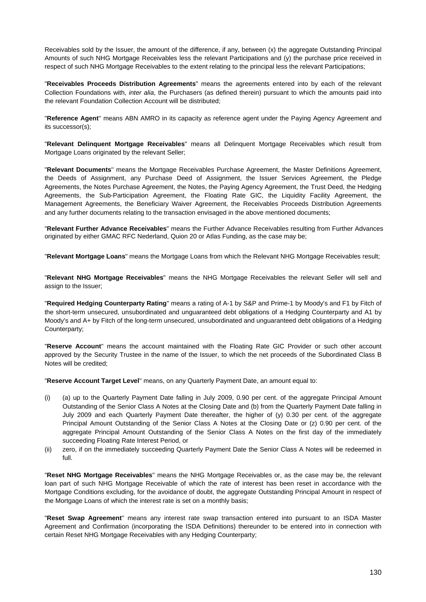Receivables sold by the Issuer, the amount of the difference, if any, between (x) the aggregate Outstanding Principal Amounts of such NHG Mortgage Receivables less the relevant Participations and (y) the purchase price received in respect of such NHG Mortgage Receivables to the extent relating to the principal less the relevant Participations;

"**Receivables Proceeds Distribution Agreements**" means the agreements entered into by each of the relevant Collection Foundations with, *inter alia*, the Purchasers (as defined therein) pursuant to which the amounts paid into the relevant Foundation Collection Account will be distributed;

"**Reference Agent**'' means ABN AMRO in its capacity as reference agent under the Paying Agency Agreement and its successor(s);

"**Relevant Delinquent Mortgage Receivables**" means all Delinquent Mortgage Receivables which result from Mortgage Loans originated by the relevant Seller;

"**Relevant Documents**'' means the Mortgage Receivables Purchase Agreement, the Master Definitions Agreement, the Deeds of Assignment, any Purchase Deed of Assignment, the Issuer Services Agreement, the Pledge Agreements, the Notes Purchase Agreement, the Notes, the Paying Agency Agreement, the Trust Deed, the Hedging Agreements, the Sub-Participation Agreement, the Floating Rate GIC, the Liquidity Facility Agreement, the Management Agreements, the Beneficiary Waiver Agreement, the Receivables Proceeds Distribution Agreements and any further documents relating to the transaction envisaged in the above mentioned documents;

"**Relevant Further Advance Receivables**" means the Further Advance Receivables resulting from Further Advances originated by either GMAC RFC Nederland, Quion 20 or Atlas Funding, as the case may be;

"**Relevant Mortgage Loans**" means the Mortgage Loans from which the Relevant NHG Mortgage Receivables result;

"**Relevant NHG Mortgage Receivables**" means the NHG Mortgage Receivables the relevant Seller will sell and assign to the Issuer;

"**Required Hedging Counterparty Rating**'' means a rating of A-1 by S&P and Prime-1 by Moody's and F1 by Fitch of the short-term unsecured, unsubordinated and unguaranteed debt obligations of a Hedging Counterparty and A1 by Moody's and A+ by Fitch of the long-term unsecured, unsubordinated and unguaranteed debt obligations of a Hedging Counterparty;

"**Reserve Account**'' means the account maintained with the Floating Rate GIC Provider or such other account approved by the Security Trustee in the name of the Issuer, to which the net proceeds of the Subordinated Class B Notes will be credited;

"**Reserve Account Target Level**'' means, on any Quarterly Payment Date, an amount equal to:

- (i) (a) up to the Quarterly Payment Date falling in July 2009, 0.90 per cent. of the aggregate Principal Amount Outstanding of the Senior Class A Notes at the Closing Date and (b) from the Quarterly Payment Date falling in July 2009 and each Quarterly Payment Date thereafter, the higher of (y) 0.30 per cent. of the aggregate Principal Amount Outstanding of the Senior Class A Notes at the Closing Date or (z) 0.90 per cent. of the aggregate Principal Amount Outstanding of the Senior Class A Notes on the first day of the immediately succeeding Floating Rate Interest Period, or
- (ii) zero, if on the immediately succeeding Quarterly Payment Date the Senior Class A Notes will be redeemed in full.

"**Reset NHG Mortgage Receivables**'' means the NHG Mortgage Receivables or, as the case may be, the relevant loan part of such NHG Mortgage Receivable of which the rate of interest has been reset in accordance with the Mortgage Conditions excluding, for the avoidance of doubt, the aggregate Outstanding Principal Amount in respect of the Mortgage Loans of which the interest rate is set on a monthly basis;

"**Reset Swap Agreement**'' means any interest rate swap transaction entered into pursuant to an ISDA Master Agreement and Confirmation (incorporating the ISDA Definitions) thereunder to be entered into in connection with certain Reset NHG Mortgage Receivables with any Hedging Counterparty;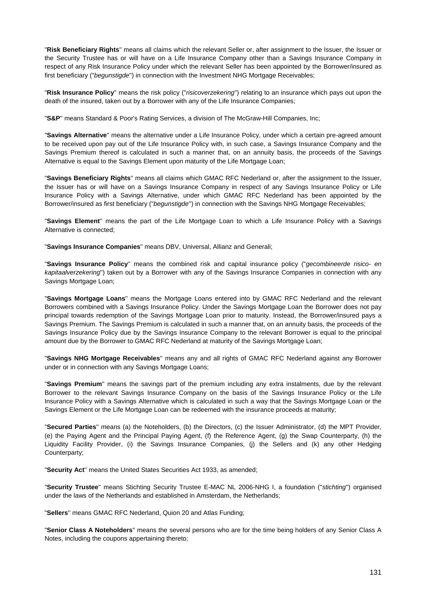"**Risk Beneficiary Rights**'' means all claims which the relevant Seller or, after assignment to the Issuer, the Issuer or the Security Trustee has or will have on a Life Insurance Company other than a Savings Insurance Company in respect of any Risk Insurance Policy under which the relevant Seller has been appointed by the Borrower/insured as first beneficiary ("*begunstigde*'') in connection with the Investment NHG Mortgage Receivables;

"**Risk Insurance Policy**'' means the risk policy ("*risicoverzekering*'') relating to an insurance which pays out upon the death of the insured, taken out by a Borrower with any of the Life Insurance Companies;

"**S&P**'' means Standard & Poor's Rating Services, a division of The McGraw-Hill Companies, Inc;

"**Savings Alternative**'' means the alternative under a Life Insurance Policy, under which a certain pre-agreed amount to be received upon pay out of the Life Insurance Policy with, in such case, a Savings Insurance Company and the Savings Premium thereof is calculated in such a manner that, on an annuity basis, the proceeds of the Savings Alternative is equal to the Savings Element upon maturity of the Life Mortgage Loan;

"**Savings Beneficiary Rights**'' means all claims which GMAC RFC Nederland or, after the assignment to the Issuer, the Issuer has or will have on a Savings Insurance Company in respect of any Savings Insurance Policy or Life Insurance Policy with a Savings Alternative, under which GMAC RFC Nederland has been appointed by the Borrower/insured as first beneficiary ("*begunstigde*'') in connection with the Savings NHG Mortgage Receivables;

"**Savings Element**'' means the part of the Life Mortgage Loan to which a Life Insurance Policy with a Savings Alternative is connected;

"**Savings Insurance Companies**'' means DBV, Universal, Allianz and Generali;

"**Savings Insurance Policy**'' means the combined risk and capital insurance policy ("*gecombineerde risico- en kapitaalverzekering*'') taken out by a Borrower with any of the Savings Insurance Companies in connection with any Savings Mortgage Loan;

"**Savings Mortgage Loans**'' means the Mortgage Loans entered into by GMAC RFC Nederland and the relevant Borrowers combined with a Savings Insurance Policy. Under the Savings Mortgage Loan the Borrower does not pay principal towards redemption of the Savings Mortgage Loan prior to maturity. Instead, the Borrower/insured pays a Savings Premium. The Savings Premium is calculated in such a manner that, on an annuity basis, the proceeds of the Savings Insurance Policy due by the Savings Insurance Company to the relevant Borrower is equal to the principal amount due by the Borrower to GMAC RFC Nederland at maturity of the Savings Mortgage Loan;

"**Savings NHG Mortgage Receivables**'' means any and all rights of GMAC RFC Nederland against any Borrower under or in connection with any Savings Mortgage Loans;

"**Savings Premium**'' means the savings part of the premium including any extra instalments, due by the relevant Borrower to the relevant Savings Insurance Company on the basis of the Savings Insurance Policy or the Life Insurance Policy with a Savings Alternative which is calculated in such a way that the Savings Mortgage Loan or the Savings Element or the Life Mortgage Loan can be redeemed with the insurance proceeds at maturity;

"**Secured Parties**'' means (a) the Noteholders, (b) the Directors, (c) the Issuer Administrator, (d) the MPT Provider, (e) the Paying Agent and the Principal Paying Agent, (f) the Reference Agent, (g) the Swap Counterparty, (h) the Liquidity Facility Provider, (i) the Savings Insurance Companies, (j) the Sellers and (k) any other Hedging Counterparty;

"**Security Act**'' means the United States Securities Act 1933, as amended;

"**Security Trustee**'' means Stichting Security Trustee E-MAC NL 2006-NHG I, a foundation ("*stichting*'') organised under the laws of the Netherlands and established in Amsterdam, the Netherlands;

"**Sellers**'' means GMAC RFC Nederland, Quion 20 and Atlas Funding;

"**Senior Class A Noteholders**'' means the several persons who are for the time being holders of any Senior Class A Notes, including the coupons appertaining thereto;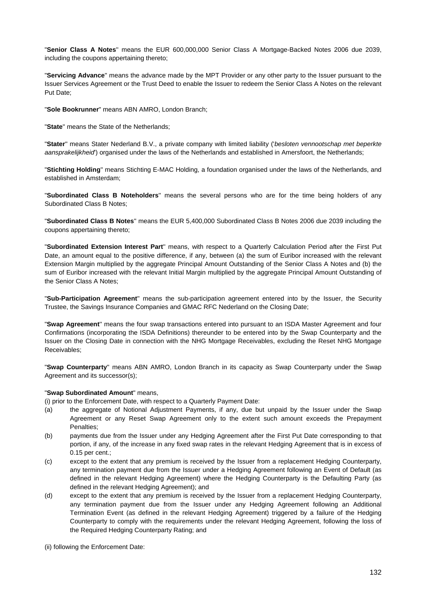"**Senior Class A Notes**'' means the EUR 600,000,000 Senior Class A Mortgage-Backed Notes 2006 due 2039, including the coupons appertaining thereto;

"**Servicing Advance**'' means the advance made by the MPT Provider or any other party to the Issuer pursuant to the Issuer Services Agreement or the Trust Deed to enable the Issuer to redeem the Senior Class A Notes on the relevant Put Date;

"**Sole Bookrunner**" means ABN AMRO, London Branch;

"**State**'' means the State of the Netherlands;

"**Stater**'' means Stater Nederland B.V., a private company with limited liability ('*besloten vennootschap met beperkte aansprakelijkheid*') organised under the laws of the Netherlands and established in Amersfoort, the Netherlands;

"**Stichting Holding**'' means Stichting E-MAC Holding, a foundation organised under the laws of the Netherlands, and established in Amsterdam;

"**Subordinated Class B Noteholders**'' means the several persons who are for the time being holders of any Subordinated Class B Notes;

"**Subordinated Class B Notes**'' means the EUR 5,400,000 Subordinated Class B Notes 2006 due 2039 including the coupons appertaining thereto;

"**Subordinated Extension Interest Part**'' means, with respect to a Quarterly Calculation Period after the First Put Date, an amount equal to the positive difference, if any, between (a) the sum of Euribor increased with the relevant Extension Margin multiplied by the aggregate Principal Amount Outstanding of the Senior Class A Notes and (b) the sum of Euribor increased with the relevant Initial Margin multiplied by the aggregate Principal Amount Outstanding of the Senior Class A Notes;

"**Sub-Participation Agreement**'' means the sub-participation agreement entered into by the Issuer, the Security Trustee, the Savings Insurance Companies and GMAC RFC Nederland on the Closing Date;

"**Swap Agreement**'' means the four swap transactions entered into pursuant to an ISDA Master Agreement and four Confirmations (incorporating the ISDA Definitions) thereunder to be entered into by the Swap Counterparty and the Issuer on the Closing Date in connection with the NHG Mortgage Receivables, excluding the Reset NHG Mortgage Receivables;

"**Swap Counterparty**'' means ABN AMRO, London Branch in its capacity as Swap Counterparty under the Swap Agreement and its successor(s);

#### "**Swap Subordinated Amount**" means,

(i) prior to the Enforcement Date, with respect to a Quarterly Payment Date:

- (a) the aggregate of Notional Adjustment Payments, if any, due but unpaid by the Issuer under the Swap Agreement or any Reset Swap Agreement only to the extent such amount exceeds the Prepayment Penalties;
- (b) payments due from the Issuer under any Hedging Agreement after the First Put Date corresponding to that portion, if any, of the increase in any fixed swap rates in the relevant Hedging Agreement that is in excess of 0.15 per cent.;
- (c) except to the extent that any premium is received by the Issuer from a replacement Hedging Counterparty, any termination payment due from the Issuer under a Hedging Agreement following an Event of Default (as defined in the relevant Hedging Agreement) where the Hedging Counterparty is the Defaulting Party (as defined in the relevant Hedging Agreement); and
- (d) except to the extent that any premium is received by the Issuer from a replacement Hedging Counterparty, any termination payment due from the Issuer under any Hedging Agreement following an Additional Termination Event (as defined in the relevant Hedging Agreement) triggered by a failure of the Hedging Counterparty to comply with the requirements under the relevant Hedging Agreement, following the loss of the Required Hedging Counterparty Rating; and

(ii) following the Enforcement Date: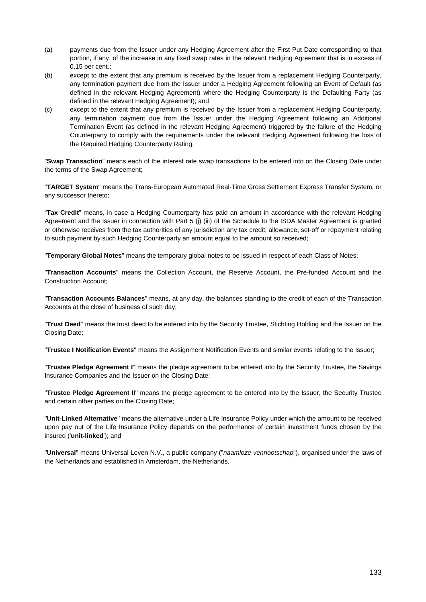- (a) payments due from the Issuer under any Hedging Agreement after the First Put Date corresponding to that portion, if any, of the increase in any fixed swap rates in the relevant Hedging Agreement that is in excess of 0.15 per cent.;
- (b) except to the extent that any premium is received by the Issuer from a replacement Hedging Counterparty, any termination payment due from the Issuer under a Hedging Agreement following an Event of Default (as defined in the relevant Hedging Agreement) where the Hedging Counterparty is the Defaulting Party (as defined in the relevant Hedging Agreement); and
- (c) except to the extent that any premium is received by the Issuer from a replacement Hedging Counterparty, any termination payment due from the Issuer under the Hedging Agreement following an Additional Termination Event (as defined in the relevant Hedging Agreement) triggered by the failure of the Hedging Counterparty to comply with the requirements under the relevant Hedging Agreement following the loss of the Required Hedging Counterparty Rating;

"**Swap Transaction**" means each of the interest rate swap transactions to be entered into on the Closing Date under the terms of the Swap Agreement;

"**TARGET System**'' means the Trans-European Automated Real-Time Gross Settlement Express Transfer System, or any successor thereto;

"**Tax Credit**" means, in case a Hedging Counterparty has paid an amount in accordance with the relevant Hedging Agreement and the Issuer in connection with Part 5 (j) (iii) of the Schedule to the ISDA Master Agreement is granted or otherwise receives from the tax authorities of any jurisdiction any tax credit, allowance, set-off or repayment relating to such payment by such Hedging Counterparty an amount equal to the amount so received;

"**Temporary Global Notes**'' means the temporary global notes to be issued in respect of each Class of Notes;

"**Transaction Accounts**'' means the Collection Account, the Reserve Account, the Pre-funded Account and the Construction Account;

"**Transaction Accounts Balances**'' means, at any day, the balances standing to the credit of each of the Transaction Accounts at the close of business of such day;

"**Trust Deed**'' means the trust deed to be entered into by the Security Trustee, Stichting Holding and the Issuer on the Closing Date;

"**Trustee I Notification Events**'' means the Assignment Notification Events and similar events relating to the Issuer;

"**Trustee Pledge Agreement I**'' means the pledge agreement to be entered into by the Security Trustee, the Savings Insurance Companies and the Issuer on the Closing Date;

"**Trustee Pledge Agreement II**'' means the pledge agreement to be entered into by the Issuer, the Security Trustee and certain other parties on the Closing Date;

"**Unit-Linked Alternative**'' means the alternative under a Life Insurance Policy under which the amount to be received upon pay out of the Life Insurance Policy depends on the performance of certain investment funds chosen by the insured ('**unit-linked**'); and

"**Universal**'' means Universal Leven N.V., a public company ("*naamloze vennootschap*"), organised under the laws of the Netherlands and established in Amsterdam, the Netherlands.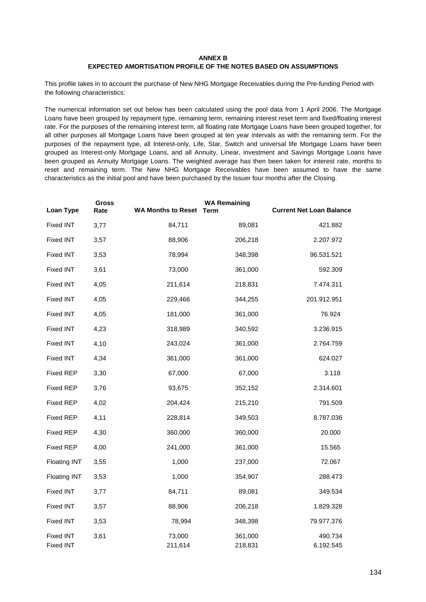### **ANNEX B**

# **EXPECTED AMORTISATION PROFILE OF THE NOTES BASED ON ASSUMPTIONS**

This profile takes in to account the purchase of New NHG Mortgage Receivables during the Pre-funding Period with the following characteristics:

The numerical information set out below has been calculated using the pool data from 1 April 2006. The Mortgage Loans have been grouped by repayment type, remaining term, remaining interest reset term and fixed/floating interest rate. For the purposes of the remaining interest term, all floating rate Mortgage Loans have been grouped together, for all other purposes all Mortgage Loans have been grouped at ten year intervals as with the remaining term. For the purposes of the repayment type, all Interest-only, Life, Star, Switch and universal life Mortgage Loans have been grouped as Interest-only Mortgage Loans, and all Annuity, Linear, investment and Savings Mortgage Loans have been grouped as Annuity Mortgage Loans. The weighted average has then been taken for interest rate, months to reset and remaining term. The New NHG Mortgage Receivables have been assumed to have the same characteristics as the initial pool and have been purchased by the Issuer four months after the Closing.

| Loan Type                            | Gross<br>Rate | <b>WA Months to Reset Term</b> | <b>WA Remaining</b> | <b>Current Net Loan Balance</b> |
|--------------------------------------|---------------|--------------------------------|---------------------|---------------------------------|
| <b>Fixed INT</b>                     | 3,77          | 84,711                         | 89,081              | 421.882                         |
| <b>Fixed INT</b>                     | 3,57          | 88,906                         | 206,218             | 2.207.972                       |
| <b>Fixed INT</b>                     | 3,53          | 78,994                         | 348,398             | 96.531.521                      |
| <b>Fixed INT</b>                     | 3,61          | 73,000                         | 361,000             | 592.309                         |
| <b>Fixed INT</b>                     | 4,05          | 211,614                        | 218,831             | 7.474.311                       |
| <b>Fixed INT</b>                     | 4,05          | 229,466                        | 344,255             | 201.912.951                     |
| <b>Fixed INT</b>                     | 4,05          | 181,000                        | 361,000             | 76.924                          |
| <b>Fixed INT</b>                     | 4,23          | 318,989                        | 340,592             | 3.236.915                       |
| <b>Fixed INT</b>                     | 4,10          | 243,024                        | 361,000             | 2.764.759                       |
| <b>Fixed INT</b>                     | 4,34          | 361,000                        | 361,000             | 624.027                         |
| <b>Fixed REP</b>                     | 3,30          | 67,000                         | 67,000              | 3.118                           |
| <b>Fixed REP</b>                     | 3,76          | 93,675                         | 352,152             | 2.314.601                       |
| <b>Fixed REP</b>                     | 4,02          | 204,424                        | 215,210             | 791.509                         |
| <b>Fixed REP</b>                     | 4,11          | 228,814                        | 349,503             | 8.787.036                       |
| <b>Fixed REP</b>                     | 4,30          | 360,000                        | 360,000             | 20.000                          |
| <b>Fixed REP</b>                     | 4,00          | 241,000                        | 361,000             | 15.565                          |
| <b>Floating INT</b>                  | 3,55          | 1,000                          | 237,000             | 72.067                          |
| <b>Floating INT</b>                  | 3,53          | 1,000                          | 354,907             | 288.473                         |
| <b>Fixed INT</b>                     | 3,77          | 84,711                         | 89,081              | 349.534                         |
| <b>Fixed INT</b>                     | 3,57          | 88,906                         | 206,218             | 1.829.328                       |
| <b>Fixed INT</b>                     | 3,53          | 78,994                         | 348,398             | 79.977.376                      |
| <b>Fixed INT</b><br><b>Fixed INT</b> | 3,61          | 73,000<br>211,614              | 361,000<br>218,831  | 490.734<br>6.192.545            |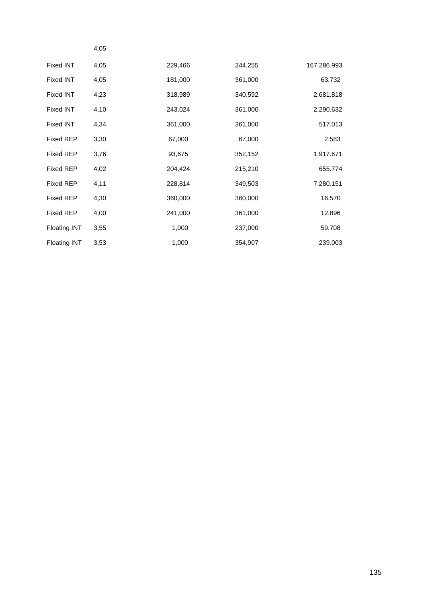|                     | 4,05 |         |         |             |
|---------------------|------|---------|---------|-------------|
| <b>Fixed INT</b>    | 4,05 | 229,466 | 344,255 | 167.286.993 |
| <b>Fixed INT</b>    | 4,05 | 181,000 | 361,000 | 63.732      |
| <b>Fixed INT</b>    | 4,23 | 318,989 | 340,592 | 2.681.818   |
| <b>Fixed INT</b>    | 4,10 | 243,024 | 361,000 | 2.290.632   |
| Fixed INT           | 4,34 | 361,000 | 361,000 | 517.013     |
| <b>Fixed REP</b>    | 3,30 | 67,000  | 67,000  | 2.583       |
| <b>Fixed REP</b>    | 3,76 | 93,675  | 352,152 | 1.917.671   |
| <b>Fixed REP</b>    | 4,02 | 204,424 | 215,210 | 655.774     |
| <b>Fixed REP</b>    | 4,11 | 228,814 | 349,503 | 7.280.151   |
| <b>Fixed REP</b>    | 4,30 | 360,000 | 360,000 | 16.570      |
| <b>Fixed REP</b>    | 4,00 | 241,000 | 361,000 | 12.896      |
| <b>Floating INT</b> | 3,55 | 1,000   | 237,000 | 59.708      |
| Floating INT        | 3,53 | 1,000   | 354,907 | 239.003     |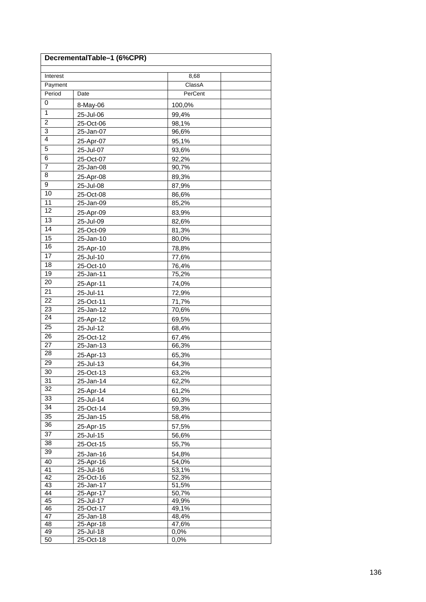| DecrementalTable-1 (6%CPR) |                        |                |  |  |
|----------------------------|------------------------|----------------|--|--|
| Interest                   |                        | 8,68           |  |  |
| Payment                    |                        | ClassA         |  |  |
| Period                     | Date                   | PerCent        |  |  |
| 0                          | 8-May-06               | 100,0%         |  |  |
| $\mathbf{1}$               | 25-Jul-06              | 99,4%          |  |  |
| $\overline{2}$             | 25-Oct-06              | 98,1%          |  |  |
| 3                          | 25-Jan-07              | 96,6%          |  |  |
| $\overline{4}$             | 25-Apr-07              | 95,1%          |  |  |
| $\overline{5}$             | 25-Jul-07              | 93,6%          |  |  |
| 6                          | 25-Oct-07              | 92,2%          |  |  |
| $\overline{7}$             | 25-Jan-08              | 90,7%          |  |  |
| 8                          | 25-Apr-08              | 89,3%          |  |  |
| 9                          | 25-Jul-08              | 87,9%          |  |  |
| 10                         | 25-Oct-08              | 86,6%          |  |  |
| 11                         | 25-Jan-09              | 85,2%          |  |  |
| $\overline{12}$            | 25-Apr-09              | 83,9%          |  |  |
| $\overline{13}$            | 25-Jul-09              | 82,6%          |  |  |
| 14                         | 25-Oct-09              | 81,3%          |  |  |
| 15                         | 25-Jan-10              | 80,0%          |  |  |
| 16                         | 25-Apr-10              | 78,8%          |  |  |
| $\overline{17}$            | 25-Jul-10              | 77,6%          |  |  |
| 18                         | 25-Oct-10              | 76,4%          |  |  |
| 19                         | 25-Jan-11              | 75,2%          |  |  |
| 20                         | 25-Apr-11              | 74,0%          |  |  |
| 21                         | 25-Jul-11              | 72,9%          |  |  |
| 22                         | 25-Oct-11              | 71,7%          |  |  |
| 23                         | 25-Jan-12              | 70,6%          |  |  |
| $\overline{24}$            | 25-Apr-12              | 69,5%          |  |  |
| 25                         | 25-Jul-12              | 68,4%          |  |  |
| 26                         | 25-Oct-12              | 67,4%          |  |  |
| 27                         | 25-Jan-13              | 66,3%          |  |  |
| 28                         | 25-Apr-13              | 65,3%          |  |  |
| 29                         | 25-Jul-13              | 64,3%          |  |  |
| 30                         | 25-Oct-13              | 63,2%          |  |  |
| 31                         | 25-Jan-14              | 62,2%          |  |  |
| 32                         | 25-Apr-14              | 61,2%          |  |  |
| 33                         | 25-Jul-14              | 60,3%          |  |  |
| $\overline{34}$            | 25-Oct-14              | 59,3%          |  |  |
| 35                         | 25-Jan-15              | 58,4%          |  |  |
| 36                         | 25-Apr-15              | 57,5%          |  |  |
| 37                         | 25-Jul-15              | 56,6%          |  |  |
| 38                         | 25-Oct-15              | 55,7%          |  |  |
| 39                         |                        |                |  |  |
| 40                         | 25-Jan-16<br>25-Apr-16 | 54,8%<br>54,0% |  |  |
| 41                         | 25-Jul-16              | 53,1%          |  |  |
| 42                         | 25-Oct-16              | 52,3%          |  |  |
| 43                         | 25-Jan-17              | 51,5%          |  |  |
| 44                         | 25-Apr-17              | 50,7%          |  |  |
| 45                         | 25-Jul-17              | 49,9%          |  |  |
| 46                         | 25-Oct-17              | 49,1%          |  |  |
| 47<br>48                   | 25-Jan-18<br>25-Apr-18 | 48,4%<br>47,6% |  |  |
| 49                         | 25-Jul-18              | 0,0%           |  |  |
| 50                         | 25-Oct-18              | 0,0%           |  |  |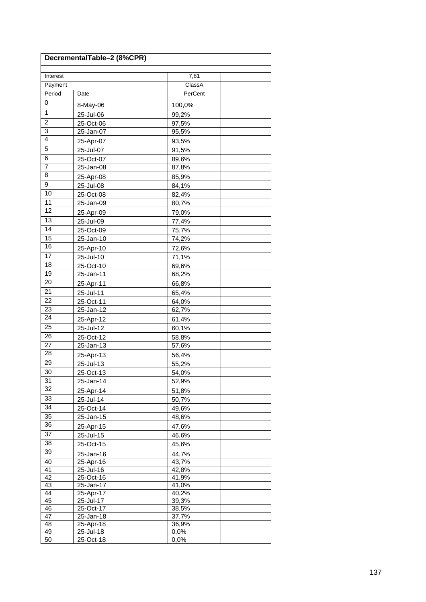| DecrementalTable-2 (8%CPR) |                        |                |  |  |
|----------------------------|------------------------|----------------|--|--|
| Interest                   |                        | 7,81           |  |  |
| Payment                    |                        | ClassA         |  |  |
| Period                     | Date                   | PerCent        |  |  |
| 0                          | 8-May-06               | 100,0%         |  |  |
| $\mathbf{1}$               | 25-Jul-06              | 99,2%          |  |  |
| $\overline{2}$             | 25-Oct-06              | 97,5%          |  |  |
| 3                          | 25-Jan-07              | 95,5%          |  |  |
| $\overline{4}$             | 25-Apr-07              | 93,5%          |  |  |
| $\overline{5}$             | 25-Jul-07              | 91,5%          |  |  |
| 6                          | 25-Oct-07              | 89,6%          |  |  |
| $\overline{7}$             | 25-Jan-08              | 87,8%          |  |  |
| 8                          | 25-Apr-08              | 85,9%          |  |  |
| 9                          | 25-Jul-08              | 84,1%          |  |  |
| 10                         | 25-Oct-08              | 82,4%          |  |  |
| 11                         | 25-Jan-09              | 80,7%          |  |  |
| $\overline{12}$            | 25-Apr-09              | 79,0%          |  |  |
| $\overline{13}$            | 25-Jul-09              | 77,4%          |  |  |
| 14                         | 25-Oct-09              | 75,7%          |  |  |
| 15                         | 25-Jan-10              | 74,2%          |  |  |
| 16                         | 25-Apr-10              | 72,6%          |  |  |
| $\overline{17}$            | 25-Jul-10              | 71,1%          |  |  |
| 18                         | 25-Oct-10              | 69,6%          |  |  |
| 19                         | 25-Jan-11              | 68,2%          |  |  |
| 20                         | 25-Apr-11              | 66,8%          |  |  |
| 21                         | 25-Jul-11              | 65,4%          |  |  |
| 22                         | 25-Oct-11              | 64,0%          |  |  |
| 23                         | 25-Jan-12              | 62,7%          |  |  |
| $\overline{24}$            | 25-Apr-12              | 61,4%          |  |  |
| 25                         | 25-Jul-12              | 60,1%          |  |  |
| 26                         | 25-Oct-12              | 58,8%          |  |  |
| 27                         | 25-Jan-13              | 57,6%          |  |  |
| 28                         | 25-Apr-13              | 56,4%          |  |  |
| 29                         | 25-Jul-13              | 55,2%          |  |  |
| 30                         | 25-Oct-13              | 54,0%          |  |  |
| 31                         | 25-Jan-14              | 52,9%          |  |  |
| 32                         | 25-Apr-14              | 51,8%          |  |  |
| 33                         | 25-Jul-14              | 50,7%          |  |  |
| $\overline{34}$            | 25-Oct-14              | 49,6%          |  |  |
| 35                         | 25-Jan-15              | 48,6%          |  |  |
| 36                         | 25-Apr-15              | 47,6%          |  |  |
| 37                         | 25-Jul-15              | 46,6%          |  |  |
| 38                         | 25-Oct-15              | 45,6%          |  |  |
| 39                         |                        | 44,7%          |  |  |
| 40                         | 25-Jan-16<br>25-Apr-16 | 43,7%          |  |  |
| 41                         | 25-Jul-16              | 42,8%          |  |  |
| 42                         | 25-Oct-16              | 41,9%          |  |  |
| 43                         | 25-Jan-17              | 41,0%          |  |  |
| 44                         | 25-Apr-17              | 40,2%          |  |  |
| 45                         | 25-Jul-17              | 39,3%          |  |  |
| 46<br>47                   | 25-Oct-17              | 38,5%          |  |  |
| 48                         | 25-Jan-18<br>25-Apr-18 | 37,7%<br>36,9% |  |  |
| 49                         | 25-Jul-18              | 0,0%           |  |  |
| 50                         | 25-Oct-18              | 0,0%           |  |  |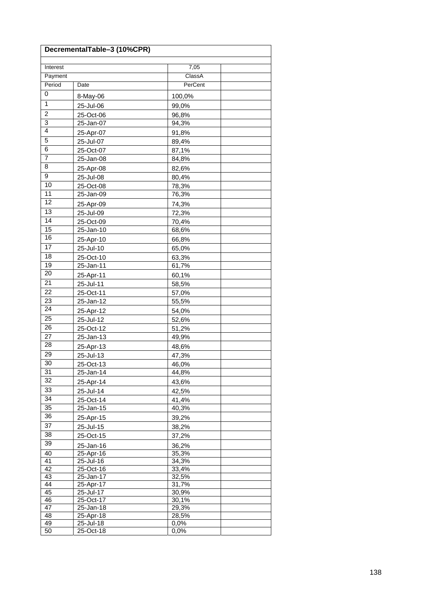| DecrementalTable-3 (10%CPR) |                        |                |  |  |
|-----------------------------|------------------------|----------------|--|--|
| Interest                    |                        | 7,05           |  |  |
| Payment                     |                        | ClassA         |  |  |
| Period                      | Date                   | PerCent        |  |  |
| 0                           | 8-May-06               | 100,0%         |  |  |
| $\mathbf{1}$                |                        | 99,0%          |  |  |
| $\boldsymbol{2}$            | 25-Jul-06<br>25-Oct-06 | 96,8%          |  |  |
| 3                           | 25-Jan-07              | 94,3%          |  |  |
| $\overline{4}$              |                        |                |  |  |
| $\overline{5}$              | 25-Apr-07<br>25-Jul-07 | 91,8%<br>89,4% |  |  |
| 6                           | 25-Oct-07              | 87,1%          |  |  |
| $\overline{7}$              | 25-Jan-08              | 84,8%          |  |  |
| 8                           |                        |                |  |  |
| 9                           | 25-Apr-08              | 82,6%          |  |  |
| 10                          | 25-Jul-08              | 80,4%          |  |  |
| 11                          | 25-Oct-08              | 78,3%          |  |  |
| $\overline{12}$             | 25-Jan-09              | 76,3%          |  |  |
| $\overline{13}$             | 25-Apr-09              | 74,3%          |  |  |
| 14                          | 25-Jul-09              | 72,3%          |  |  |
| 15                          | 25-Oct-09              | 70,4%          |  |  |
| 16                          | 25-Jan-10              | 68,6%          |  |  |
| $\overline{17}$             | 25-Apr-10              | 66,8%          |  |  |
|                             | 25-Jul-10              | 65,0%          |  |  |
| 18                          | 25-Oct-10              | 63,3%          |  |  |
| 19                          | 25-Jan-11              | 61,7%          |  |  |
| 20                          | 25-Apr-11              | 60,1%          |  |  |
| 21                          | 25-Jul-11              | 58,5%          |  |  |
| 22                          | 25-Oct-11              | 57,0%          |  |  |
| 23                          | 25-Jan-12              | 55,5%          |  |  |
| $\overline{24}$             | 25-Apr-12              | 54,0%          |  |  |
| 25                          | 25-Jul-12              | 52,6%          |  |  |
| 26                          | 25-Oct-12              | 51,2%          |  |  |
| 27                          | 25-Jan-13              | 49,9%          |  |  |
| 28                          | 25-Apr-13              | 48,6%          |  |  |
| 29                          | 25-Jul-13              | 47,3%          |  |  |
| 30                          | 25-Oct-13              | 46,0%          |  |  |
| 31                          | 25-Jan-14              | 44,8%          |  |  |
| 32                          | 25-Apr-14              | 43,6%          |  |  |
| 33                          | 25-Jul-14              | 42,5%          |  |  |
| $\overline{34}$             | 25-Oct-14              | 41,4%          |  |  |
| 35                          | 25-Jan-15              | 40,3%          |  |  |
| 36                          | 25-Apr-15              | 39,2%          |  |  |
| 37                          | 25-Jul-15              | 38,2%          |  |  |
| 38                          | 25-Oct-15              | 37,2%          |  |  |
| 39                          | 25-Jan-16              | 36,2%          |  |  |
| 40                          | 25-Apr-16              | 35,3%          |  |  |
| 41                          | 25-Jul-16              | 34,3%          |  |  |
| 42                          | 25-Oct-16              | 33,4%          |  |  |
| 43                          | 25-Jan-17              | 32,5%          |  |  |
| 44<br>45                    | 25-Apr-17<br>25-Jul-17 | 31,7%<br>30,9% |  |  |
| 46                          | 25-Oct-17              | 30,1%          |  |  |
| 47                          | 25-Jan-18              | 29,3%          |  |  |
| 48                          | 25-Apr-18              | 28,5%          |  |  |
| 49                          | 25-Jul-18              | 0,0%           |  |  |
| 50                          | 25-Oct-18              | 0,0%           |  |  |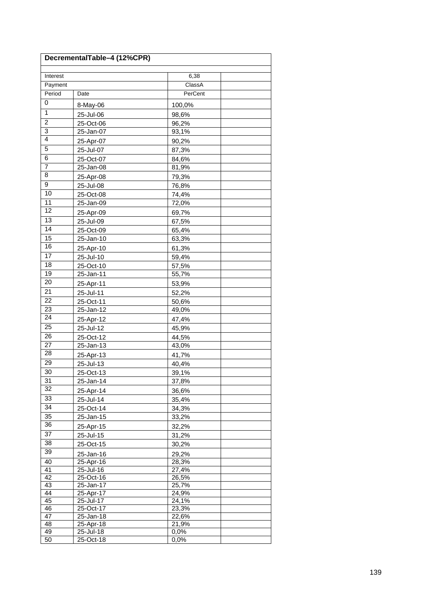| DecrementalTable-4 (12%CPR) |                        |                |  |  |
|-----------------------------|------------------------|----------------|--|--|
| Interest                    |                        | 6,38           |  |  |
| Payment                     |                        | ClassA         |  |  |
| Period                      | Date                   | PerCent        |  |  |
| 0                           | 8-May-06               | 100,0%         |  |  |
| $\mathbf{1}$                | 25-Jul-06              | 98,6%          |  |  |
| $\overline{2}$              | 25-Oct-06              | 96,2%          |  |  |
| 3                           | 25-Jan-07              | 93,1%          |  |  |
| $\overline{4}$              | 25-Apr-07              | 90,2%          |  |  |
| $\overline{5}$              | 25-Jul-07              | 87,3%          |  |  |
| 6                           | 25-Oct-07              | 84,6%          |  |  |
| $\overline{7}$              | 25-Jan-08              | 81,9%          |  |  |
| 8                           | 25-Apr-08              | 79,3%          |  |  |
| 9                           | 25-Jul-08              | 76,8%          |  |  |
| 10                          | 25-Oct-08              | 74,4%          |  |  |
| 11                          | 25-Jan-09              | 72,0%          |  |  |
| $\overline{12}$             | 25-Apr-09              | 69,7%          |  |  |
| $\overline{13}$             | 25-Jul-09              | 67,5%          |  |  |
| 14                          | 25-Oct-09              | 65,4%          |  |  |
| 15                          | 25-Jan-10              | 63,3%          |  |  |
| 16                          | 25-Apr-10              | 61,3%          |  |  |
| $\overline{17}$             | 25-Jul-10              | 59,4%          |  |  |
| 18                          | 25-Oct-10              | 57,5%          |  |  |
| 19                          | 25-Jan-11              | 55,7%          |  |  |
| 20                          | 25-Apr-11              | 53,9%          |  |  |
| 21                          | 25-Jul-11              | 52,2%          |  |  |
| 22                          | 25-Oct-11              | 50,6%          |  |  |
| 23                          | 25-Jan-12              | 49,0%          |  |  |
| $\overline{24}$             | 25-Apr-12              | 47,4%          |  |  |
| 25                          | 25-Jul-12              | 45,9%          |  |  |
| 26                          | 25-Oct-12              | 44,5%          |  |  |
| 27                          | 25-Jan-13              | 43,0%          |  |  |
| 28                          | 25-Apr-13              | 41,7%          |  |  |
| 29                          | 25-Jul-13              | 40,4%          |  |  |
| 30                          | 25-Oct-13              | 39,1%          |  |  |
| 31                          | 25-Jan-14              | 37,8%          |  |  |
| 32                          | 25-Apr-14              | 36,6%          |  |  |
| 33                          | 25-Jul-14              | 35,4%          |  |  |
| $\overline{34}$             | 25-Oct-14              | 34,3%          |  |  |
| 35                          | 25-Jan-15              | 33,2%          |  |  |
| 36                          | 25-Apr-15              | 32,2%          |  |  |
| 37                          | 25-Jul-15              | 31,2%          |  |  |
| 38                          | 25-Oct-15              | 30,2%          |  |  |
| 39                          | 25-Jan-16              | 29,2%          |  |  |
| 40                          | 25-Apr-16              | 28,3%          |  |  |
| 41                          | 25-Jul-16              | 27,4%          |  |  |
| 42                          | 25-Oct-16              | 26,5%          |  |  |
| 43                          | 25-Jan-17              | 25,7%          |  |  |
| 44<br>45                    | 25-Apr-17<br>25-Jul-17 | 24,9%<br>24,1% |  |  |
| 46                          | 25-Oct-17              | 23,3%          |  |  |
| 47                          | 25-Jan-18              | 22,6%          |  |  |
| 48                          | 25-Apr-18              | 21,9%          |  |  |
| 49                          | 25-Jul-18              | 0,0%           |  |  |
| 50                          | 25-Oct-18              | 0,0%           |  |  |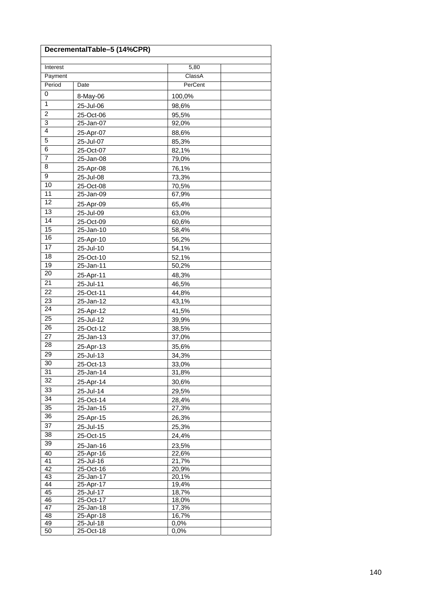| DecrementalTable-5 (14%CPR) |                        |                |  |  |
|-----------------------------|------------------------|----------------|--|--|
| Interest                    |                        | 5,80           |  |  |
| Payment                     |                        | ClassA         |  |  |
| Period                      | Date                   | PerCent        |  |  |
| 0                           | 8-May-06               | 100,0%         |  |  |
| $\mathbf{1}$                | 25-Jul-06              | 98,6%          |  |  |
| $\boldsymbol{2}$            | 25-Oct-06              | 95,5%          |  |  |
| 3                           | 25-Jan-07              | 92,0%          |  |  |
| $\overline{4}$              | 25-Apr-07              | 88,6%          |  |  |
| $\overline{5}$              | 25-Jul-07              | 85,3%          |  |  |
| 6                           | 25-Oct-07              | 82,1%          |  |  |
| $\overline{7}$              | 25-Jan-08              | 79,0%          |  |  |
| 8                           | 25-Apr-08              | 76,1%          |  |  |
| 9                           | 25-Jul-08              | 73,3%          |  |  |
| 10                          | 25-Oct-08              | 70,5%          |  |  |
| 11                          | 25-Jan-09              | 67,9%          |  |  |
| $\overline{12}$             | 25-Apr-09              | 65,4%          |  |  |
| $\overline{13}$             | 25-Jul-09              | 63,0%          |  |  |
| 14                          | 25-Oct-09              | 60,6%          |  |  |
| 15                          | 25-Jan-10              | 58,4%          |  |  |
| 16                          | 25-Apr-10              |                |  |  |
| 17                          | 25-Jul-10              | 56,2%          |  |  |
| 18                          |                        | 54,1%<br>52,1% |  |  |
| 19                          | 25-Oct-10<br>25-Jan-11 | 50,2%          |  |  |
| 20                          |                        |                |  |  |
| 21                          | 25-Apr-11              | 48,3%          |  |  |
| 22                          | 25-Jul-11              | 46,5%          |  |  |
| 23                          | 25-Oct-11<br>25-Jan-12 | 44,8%<br>43,1% |  |  |
| $\overline{24}$             |                        |                |  |  |
| 25                          | 25-Apr-12              | 41,5%          |  |  |
| 26                          | 25-Jul-12              | 39,9%          |  |  |
| 27                          | 25-Oct-12<br>25-Jan-13 | 38,5%          |  |  |
| 28                          |                        | 37,0%          |  |  |
| 29                          | 25-Apr-13              | 35,6%          |  |  |
| 30                          | 25-Jul-13              | 34,3%          |  |  |
| 31                          | 25-Oct-13<br>25-Jan-14 | 33,0%<br>31,8% |  |  |
| 32                          |                        |                |  |  |
| 33                          | 25-Apr-14              | 30,6%          |  |  |
| $\overline{34}$             | 25-Jul-14              | 29,5%          |  |  |
| 35                          | 25-Oct-14<br>25-Jan-15 | 28,4%<br>27,3% |  |  |
| 36                          |                        |                |  |  |
| 37                          | 25-Apr-15              | 26,3%          |  |  |
| 38                          | 25-Jul-15              | 25,3%          |  |  |
| 39                          | 25-Oct-15              | 24,4%          |  |  |
|                             | 25-Jan-16              | 23,5%          |  |  |
| 40<br>41                    | 25-Apr-16<br>25-Jul-16 | 22,6%<br>21,7% |  |  |
| 42                          | 25-Oct-16              | 20,9%          |  |  |
| 43                          | $25 - Jan-17$          | 20,1%          |  |  |
| 44                          | 25-Apr-17              | 19,4%          |  |  |
| 45                          | 25-Jul-17              | 18,7%          |  |  |
| 46                          | 25-Oct-17              | 18,0%          |  |  |
| 47                          | 25-Jan-18              | 17,3%          |  |  |
| 48<br>49                    | 25-Apr-18<br>25-Jul-18 | 16,7%<br>0,0%  |  |  |
| 50                          | 25-Oct-18              | 0,0%           |  |  |
|                             |                        |                |  |  |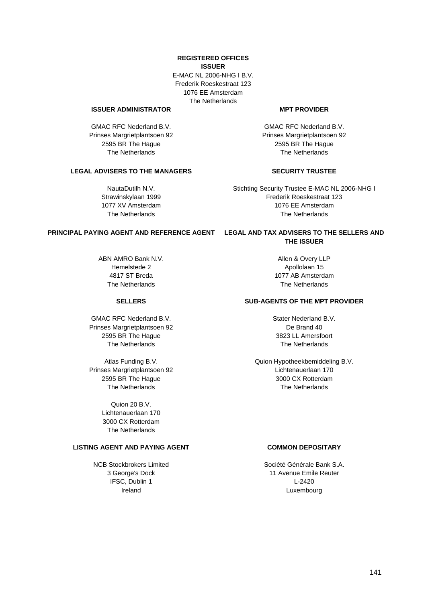### **REGISTERED OFFICES ISSUER**

E-MAC NL 2006-NHG I B.V. Frederik Roeskestraat 123 1076 EE Amsterdam The Netherlands

# **ISSUER ADMINISTRATOR MPT PROVIDER**

GMAC RFC Nederland B.V. Prinses Margrietplantsoen 92 2595 BR The Hague The Netherlands

# **LEGAL ADVISERS TO THE MANAGERS SECURITY TRUSTEE**

NautaDutilh N.V. Strawinskylaan 1999 1077 XV Amsterdam The Netherlands

GMAC RFC Nederland B.V. Prinses Margrietplantsoen 92 2595 BR The Hague The Netherlands

Stichting Security Trustee E-MAC NL 2006-NHG I Frederik Roeskestraat 123 1076 EE Amsterdam The Netherlands

# **PRINCIPAL PAYING AGENT AND REFERENCE AGENT LEGAL AND TAX ADVISERS TO THE SELLERS AND**

ABN AMRO Bank N.V. Hemelstede 2 4817 ST Breda The Netherlands

GMAC RFC Nederland B.V. Prinses Margrietplantsoen 92 2595 BR The Hague The Netherlands

Atlas Funding B.V. Prinses Margrietplantsoen 92 2595 BR The Hague The Netherlands

> Quion 20 B.V. Lichtenauerlaan 170 3000 CX Rotterdam The Netherlands

# **LISTING AGENT AND PAYING AGENT COMMON DEPOSITARY**

NCB Stockbrokers Limited 3 George's Dock IFSC, Dublin 1 Ireland

# **THE ISSUER**

Allen & Overy LLP Apollolaan 15 1077 AB Amsterdam The Netherlands

# **SELLERS SUB-AGENTS OF THE MPT PROVIDER**

Stater Nederland B.V. De Brand 40 3823 LL Amersfoort The Netherlands

Quion Hypotheekbemiddeling B.V. Lichtenauerlaan 170 3000 CX Rotterdam The Netherlands

Société Générale Bank S.A. 11 Avenue Emile Reuter L-2420 Luxembourg